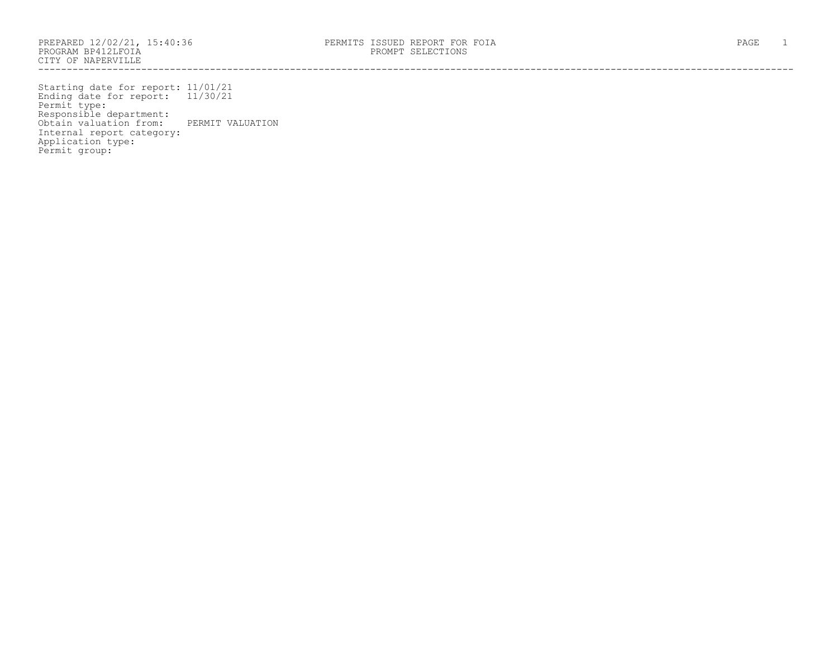------------------------------------------------------------------------------------------------------------------------------------

Starting date for report: 11/01/21 Ending date for report: 11/30/21 Permit type: Responsible department: Obtain valuation from: PERMIT VALUATION Internal report category: Application type: Permit group: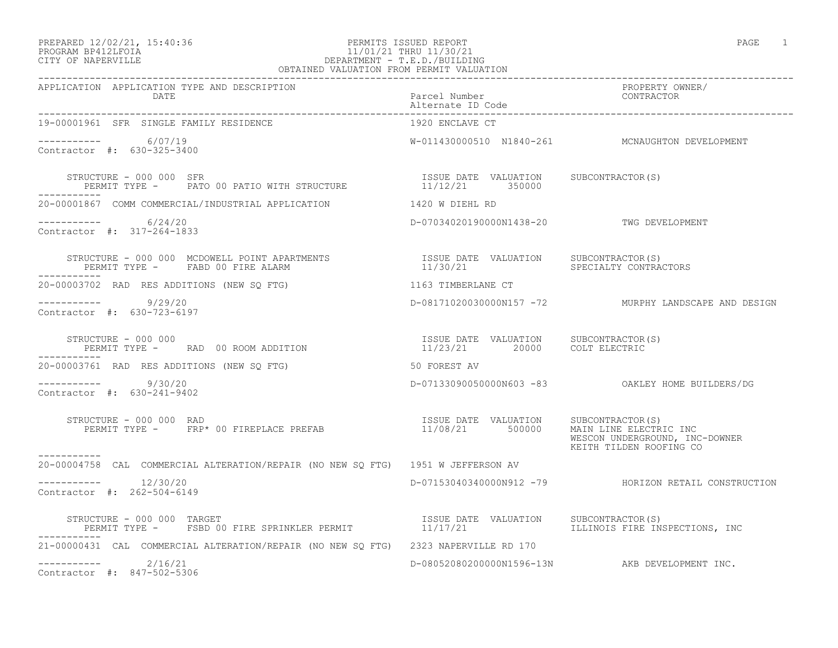### PREPARED 12/02/21, 15:40:36 PERMITS ISSUED REPORT PAGE 1 PROGRAM BP412LFOIA 11/01/21 THRU 11/30/21 CITY OF NAPERVILLE DEPARTMENT - T.E.D./BUILDING OBTAINED VALUATION FROM PERMIT VALUATION

| APPLICATION APPLICATION TYPE AND DESCRIPTION                                                                                                                                                                                     |                                                                                 | PROPERTY OWNER/<br>CONTRACTOR                             |
|----------------------------------------------------------------------------------------------------------------------------------------------------------------------------------------------------------------------------------|---------------------------------------------------------------------------------|-----------------------------------------------------------|
| 19-00001961 SFR SINGLE FAMILY RESIDENCE                                                                                                                                                                                          | 1920 ENCLAVE CT                                                                 |                                                           |
| $--------- 6/07/19$<br>Contractor #: 630-325-3400                                                                                                                                                                                |                                                                                 | W-011430000510 N1840-261 MCNAUGHTON DEVELOPMENT           |
| STRUCTURE - 000 000 SFR<br>PERMIT TYPE - PATO 00 PATIO WITH STRUCTURE                                                                                                                                                            | ISSUE DATE VALUATION SUBCONTRACTOR(S)<br>11/12/21 350000                        |                                                           |
| 20-00001867 COMM COMMERCIAL/INDUSTRIAL APPLICATION 1420 W DIEHL RD                                                                                                                                                               |                                                                                 |                                                           |
| -----------     6/24/20<br>Contractor #: 317-264-1833                                                                                                                                                                            | D-07034020190000N1438-20 TWG DEVELOPMENT                                        |                                                           |
| STRUCTURE - 000 000 MCDOWELL POINT APARTMENTS<br>PERMIT TYPE - FABD 00 FIRE ALARM<br>-----------                                                                                                                                 |                                                                                 |                                                           |
| 20-00003702 RAD RES ADDITIONS (NEW SO FTG)                                                                                                                                                                                       | 1163 TIMBERLANE CT                                                              |                                                           |
| -----------     9/29/20<br>Contractor #: 630-723-6197                                                                                                                                                                            |                                                                                 | D-08171020030000N157 -72 MURPHY LANDSCAPE AND DESIGN      |
| STRUCTURE - 000 000<br>PERMIT TYPE - RAD 00 ROOM ADDITION                                                                                                                                                                        | ISSUE DATE VALUATION SUBCONTRACTOR(S)<br>11/23/21 20000 COLT ELECTRIC           |                                                           |
| 20-00003761 RAD RES ADDITIONS (NEW SQ FTG)                                                                                                                                                                                       | 50 FOREST AV                                                                    |                                                           |
| ----------- 9/30/20<br>Contractor #: 630-241-9402                                                                                                                                                                                |                                                                                 |                                                           |
| STRUCTURE - 000 000 RAD<br>PERMIT TYPE - FRP* 00 FIREPLACE PREFAB                                                                                                                                                                | ISSUE DATE VALUATION SUBCONTRACTOR(S)<br>11/08/21 500000 MAIN LINE ELECTRIC INC | WESCON UNDERGROUND, INC-DOWNER<br>KEITH TILDEN ROOFING CO |
| -----------<br>20-00004758 CAL COMMERCIAL ALTERATION/REPAIR (NO NEW SQ FTG) 1951 W JEFFERSON AV                                                                                                                                  |                                                                                 |                                                           |
| $--------- 12/30/20$<br>Contractor #: 262-504-6149                                                                                                                                                                               |                                                                                 | D-07153040340000N912 -79 HORIZON RETAIL CONSTRUCTION      |
| STRUCTURE - 000 000 TARGET                                 ISSUE DATE VALUATION   SUBCONTRACTOR(S)<br>PERMIT TYPE -   FSBD 00 FIRE SPRINKLER PERMIT             11/17/21           ILLINOIS FIRE INSPECTIONS, INC<br>----------- |                                                                                 |                                                           |
| 21-00000431 CAL COMMERCIAL ALTERATION/REPAIR (NO NEW SO FTG) 2323 NAPERVILLE RD 170                                                                                                                                              |                                                                                 |                                                           |
| $--------- 2/16/21$<br>Contractor #: 847-502-5306                                                                                                                                                                                |                                                                                 | D-08052080200000N1596-13N AKB DEVELOPMENT INC.            |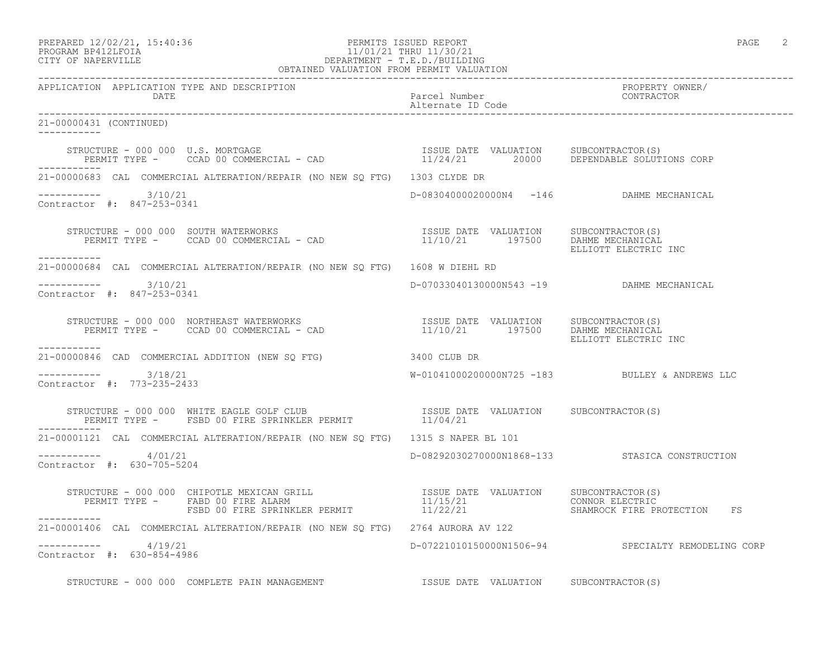PREPARED 12/02/21, 15:40:36 PERMITS ISSUED REPORT PAGE 2

## PROGRAM BP412LFOIA 11/01/21 THRU 11/30/21 CITY OF NAPERVILLE DEPARTMENT - T.E.D./BUILDING OBTAINED VALUATION FROM PERMIT VALUATION

------------------------------------------------------------------------------------------------------------------------------------ APPLICATION APPLICATION TYPE AND DESCRIPTION PROPERTY OWNER/ DATE Parcel Number Contractor Contractor Contractor Parcel Number Alternate ID Code ------------------------------------------------------------------------------------------------------------------------------------ 21-00000431 (CONTINUED) ----------- STRUCTURE - 000 000 U.S. MORTGAGE ISSUE DATE VALUATION SUBCONTRACTOR(S) PERMIT TYPE - CCAD 00 COMMERCIAL - CAD 11/24/21 20000 DEPENDABLE SOLUTIONS CORP ----------- 21-00000683 CAL COMMERCIAL ALTERATION/REPAIR (NO NEW SQ FTG) 1303 CLYDE DR ----------- 3/10/21 D-08304000020000N4 -146 DAHME MECHANICAL Contractor #: 847-253-0341 STRUCTURE - 000 000 SOUTH WATERWORKS ISSUE DATE VALUATION SUBCONTRACTOR(S) PERMIT TYPE - CCAD 00 COMMERCIAL - CAD 11/10/21 197500 DAHME MECHANICAL ELLIOTT ELECTRIC INC ----------- 21-00000684 CAL COMMERCIAL ALTERATION/REPAIR (NO NEW SQ FTG) 1608 W DIEHL RD ----------- 3/10/21 D-07033040130000N543 -19 DAHME MECHANICAL Contractor #: 847-253-0341 STRUCTURE - 000 000 NORTHEAST WATERWORKS ISSUE DATE VALUATION SUBCONTRACTOR(S) PERMIT TYPE - CCAD 00 COMMERCIAL - CAD 11/10/21 197500 DAHME MECHANICAL ELLIOTT ELECTRIC INC ----------- 21-00000846 CAD COMMERCIAL ADDITION (NEW SQ FTG) 3400 CLUB DR  $--------- 3/18/21$ W-01041000200000N725 -183 BULLEY & ANDREWS LLC Contractor #: 773-235-2433 STRUCTURE - 000 000 WHITE EAGLE GOLF CLUB ISSUE DATE VALUATION SUBCONTRACTOR(S) PERMIT TYPE - FSBD 00 FIRE SPRINKLER PERMIT 11/04/21 ----------- 21-00001121 CAL COMMERCIAL ALTERATION/REPAIR (NO NEW SQ FTG) 1315 S NAPER BL 101 ----------- 4/01/21 D-08292030270000N1868-133 STASICA CONSTRUCTION Contractor #: 630-705-5204 STRUCTURE - 000 000 CHIPOTLE MEXICAN GRILL ISSUE DATE VALUATION SUBCONTRACTOR(S) PERMIT TYPE - FABD 00 FIRE ALARM 11/15/21 CONNOR ELECTRIC FSBD 00 FIRE SPRINKLER PERMIT 11/22/21 SHAMROCK FIRE PROTECTION FS ----------- 21-00001406 CAL COMMERCIAL ALTERATION/REPAIR (NO NEW SQ FTG) 2764 AURORA AV 122 ----------- 4/19/21 D-07221010150000N1506-94 SPECIALTY REMODELING CORP Contractor #: 630-854-4986

STRUCTURE - 000 000 COMPLETE PAIN MANAGEMENT **ISSUE DATE** VALUATION SUBCONTRACTOR(S)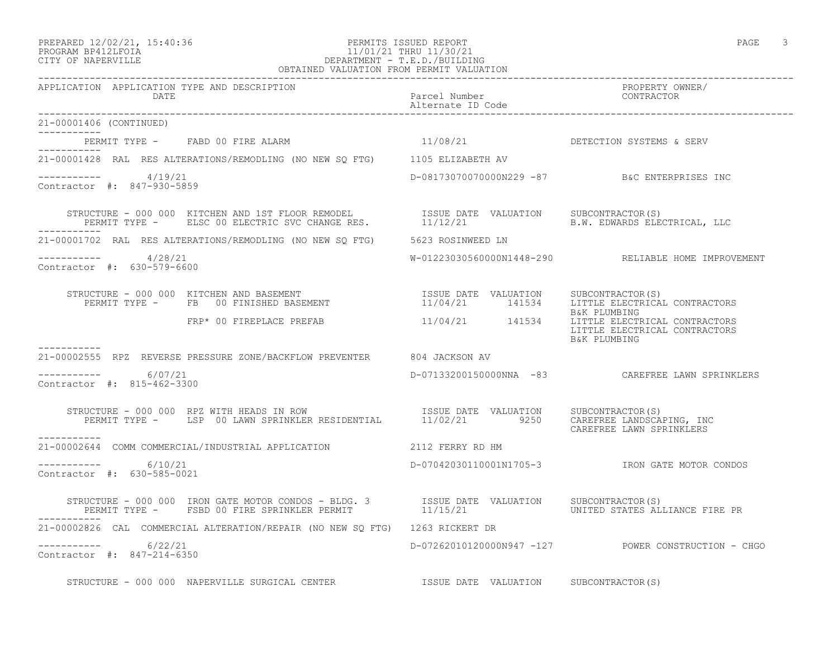### PREPARED 12/02/21, 15:40:36 PERMITS ISSUED REPORT PAGE 3 PROGRAM BP412LFOIA 11/01/21 THRU 11/30/21 CITY OF NAPERVILLE DEPARTMENT - T.E.D./BUILDING OBTAINED VALUATION FROM PERMIT VALUATION

| APPLICATION APPLICATION TYPE AND DESCRIPTION PACKERTHOUS PACK PACE Mumber PACK PROPERTY OWNER PACK PUBLICATION<br>DATE PACKER PACK PACK Alternate ID Code Alternate ID Code Packers Packers and CONTRACTOR PACKERS ALTERN PACKER                                                                                                                                      |          |                                                     |
|-----------------------------------------------------------------------------------------------------------------------------------------------------------------------------------------------------------------------------------------------------------------------------------------------------------------------------------------------------------------------|----------|-----------------------------------------------------|
| 21-00001406 (CONTINUED)                                                                                                                                                                                                                                                                                                                                               |          |                                                     |
| PERMIT TYPE - FABD 00 FIRE ALARM                                                                                                                                                                                                                                                                                                                                      | 11/08/21 | DETECTION SYSTEMS & SERV                            |
| 21-00001428 RAL RES ALTERATIONS/REMODLING (NO NEW SQ FTG) 1105 ELIZABETH AV                                                                                                                                                                                                                                                                                           |          |                                                     |
| $--------- 4/19/21$<br>Contractor #: 847-930-5859                                                                                                                                                                                                                                                                                                                     |          | D-08173070070000N229 -87 B&C ENTERPRISES INC        |
|                                                                                                                                                                                                                                                                                                                                                                       |          |                                                     |
| 21-00001702 RAL RES ALTERATIONS/REMODLING (NO NEW SQ FTG) 5623 ROSINWEED LN                                                                                                                                                                                                                                                                                           |          |                                                     |
| $--------- 4/28/21$<br>Contractor #: 630-579-6600                                                                                                                                                                                                                                                                                                                     |          | W-01223030560000N1448-290 RELIABLE HOME IMPROVEMENT |
| $\begin{array}{cccc} \texttt{STRUCTURE} & - & 000 & 000 & \texttt{KITCHEN AND BASEMENT} \\ \texttt{PERMIT TYPE} & - & \texttt{FB} & 00 & \texttt{FINISHED BASEMENT} \end{array} \qquad \begin{array}{cccc} \texttt{ISSUE} & \texttt{DATE} & \texttt{VALUATION} & \texttt{SUBCONTRACTOR(S)} \\ 11/04/21 & 141534 & \texttt{LITTLE ELECTRICAL CONTRACTORS} \end{array}$ |          | B&K PLUMBING                                        |
| $FRP*$ 00 FIREPLACE PREFAB $11/04/21$ $141534$ $TITILE$ ELECTRICAL CONTRACTORS                                                                                                                                                                                                                                                                                        |          | LITTLE ELECTRICAL CONTRACTORS<br>B&K PLUMBING       |
| -----------<br>21-00002555 RPZ REVERSE PRESSURE ZONE/BACKFLOW PREVENTER 804 JACKSON AV                                                                                                                                                                                                                                                                                |          |                                                     |
| $--------- 6/07/21$<br>Contractor #: 815-462-3300                                                                                                                                                                                                                                                                                                                     |          | D-07133200150000NNA -83 CAREFREE LAWN SPRINKLERS    |
| STRUCTURE - 000 000 RPZ WITH HEADS IN ROW [ISSUE DATE VALUATION SUBCONTRACTOR(S)<br>PERMIT TYPE - LSP 00 LAWN SPRINKLER RESIDENTIAL 11/02/21 9250 CAREFREE LANDSCAPING, INC                                                                                                                                                                                           |          | CAREFREE LAWN SPRINKLERS                            |
| 21-00002644 COMM COMMERCIAL/INDUSTRIAL APPLICATION 2112 FERRY RD HM                                                                                                                                                                                                                                                                                                   |          |                                                     |
| $--------- 6/10/21$<br>Contractor #: 630-585-0021                                                                                                                                                                                                                                                                                                                     |          | D-07042030110001N1705-3 TRON GATE MOTOR CONDOS      |
|                                                                                                                                                                                                                                                                                                                                                                       |          |                                                     |
| 21-00002826 CAL COMMERCIAL ALTERATION/REPAIR (NO NEW SQ FTG) 1263 RICKERT DR                                                                                                                                                                                                                                                                                          |          |                                                     |
| $--------- 6/22/21$<br>Contractor #: 847-214-6350                                                                                                                                                                                                                                                                                                                     |          | D-07262010120000N947 -127 POWER CONSTRUCTION - CHGO |
| STRUCTURE - 000 000 NAPERVILLE SURGICAL CENTER TSSUE DATE VALUATION SUBCONTRACTOR(S)                                                                                                                                                                                                                                                                                  |          |                                                     |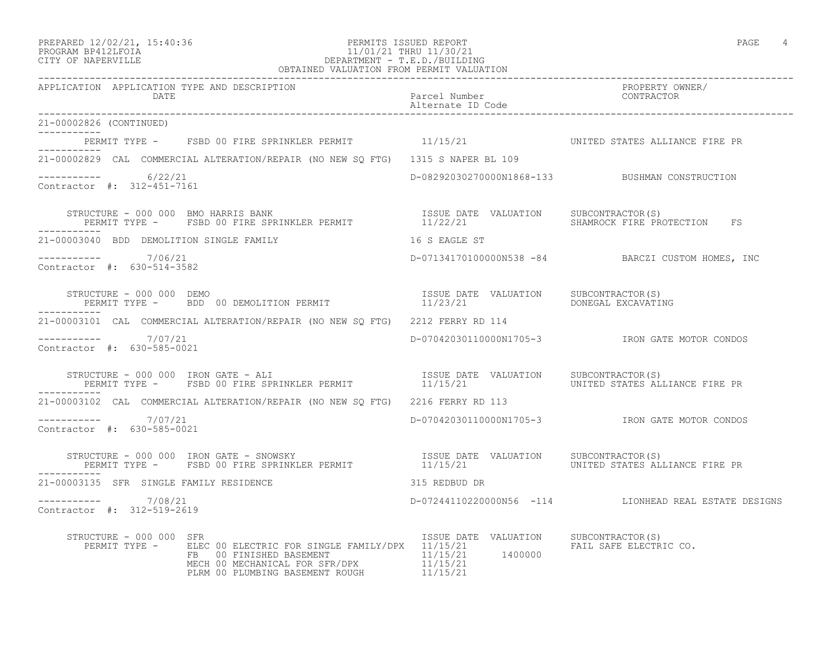### PREPARED 12/02/21, 15:40:36 PERMITS ISSUED REPORT PAGE 4 PROGRAM BP412LFOIA 11/01/21 THRU 11/30/21 CITY OF NAPERVILLE DEPARTMENT - T.E.D./BUILDING OBTAINED VALUATION FROM PERMIT VALUATION

| APPLICATION APPLICATION TYPE AND DESCRIPTION PACKERTHOUS PACK PACE Mumber PACK PROPERTY OWNER PACK PUBLICATION<br>DATE PACKER PACK PACK Alternate ID Code Alternate ID Code Packers Packers and CONTRACTOR PACKERS ALTERN PACKER                                   |                                       |                                                       |
|--------------------------------------------------------------------------------------------------------------------------------------------------------------------------------------------------------------------------------------------------------------------|---------------------------------------|-------------------------------------------------------|
| 21-00002826 (CONTINUED)                                                                                                                                                                                                                                            |                                       |                                                       |
| PERMIT TYPE - FSBD 00 FIRE SPRINKLER PERMIT 11/15/21 THE MONITED STATES ALLIANCE FIRE PR                                                                                                                                                                           |                                       |                                                       |
| 21-00002829 CAL COMMERCIAL ALTERATION/REPAIR (NO NEW SQ FTG) 1315 S NAPER BL 109                                                                                                                                                                                   |                                       |                                                       |
| $--------- 6/22/21$<br>Contractor #: 312-451-7161                                                                                                                                                                                                                  |                                       | D-08292030270000N1868-133 BUSHMAN CONSTRUCTION        |
|                                                                                                                                                                                                                                                                    |                                       |                                                       |
| 21-00003040 BDD DEMOLITION SINGLE FAMILY 16 S EAGLE ST                                                                                                                                                                                                             |                                       |                                                       |
| $--------- 7/06/21$<br>Contractor #: 630-514-3582                                                                                                                                                                                                                  |                                       | D-07134170100000N538 -84 BARCZI CUSTOM HOMES, INC     |
| STRUCTURE - 000 000 DEMO<br>PERMIT TYPE -   BDD 00 DEMOLITION PERMIT                         11/23/21         DONEGAL EXCAVATING                                                                                                                                   |                                       |                                                       |
| 21-00003101 CAL COMMERCIAL ALTERATION/REPAIR (NO NEW SQ FTG) 2212 FERRY RD 114                                                                                                                                                                                     |                                       |                                                       |
| $--------- 7/07/21$<br>Contractor #: 630-585-0021                                                                                                                                                                                                                  |                                       | D-07042030110000N1705-3 IRON GATE MOTOR CONDOS        |
|                                                                                                                                                                                                                                                                    |                                       |                                                       |
| 21-00003102 CAL COMMERCIAL ALTERATION/REPAIR (NO NEW SQ FTG) 2216 FERRY RD 113                                                                                                                                                                                     |                                       |                                                       |
| $--------- 7/07/21$<br>Contractor #: 630-585-0021                                                                                                                                                                                                                  |                                       | D-07042030110000N1705-3 IRON GATE MOTOR CONDOS        |
| STRUCTURE – 000 000 IRON GATE – SNOWSKY                           ISSUE DATE VALUATION   SUBCONTRACTOR(S)<br>PERMIT TYPE –   FSBD 00 FIRE SPRINKLER PERMIT                 11/15/21           UNITED STATES ALLIANCE FIRE PR                                       |                                       |                                                       |
| 21-00003135 SFR SINGLE FAMILY RESIDENCE 6 815 REDBUD DR                                                                                                                                                                                                            |                                       |                                                       |
| $--------- 7/08/21$<br>Contractor #: 312-519-2619                                                                                                                                                                                                                  |                                       | D-07244110220000N56 -114 LIONHEAD REAL ESTATE DESIGNS |
| STRUCTURE - 000 000 SFR<br>PERMIT TYPE - ELEC 00 ELECTRIC FOR SINGLE FAMILY/DPX 11/15/21 1400000<br>FERMIT TYPE - ELEC 00 FINISHED BASEMENT 11/15/21 1400000 FAIL SAFE ELECTRIC CO.<br>FREE ALECTRIC ON MECHANICAL FOR SFR/DPX 11/15/21<br>PLRM 00 PLUMBING BASEME | ISSUE DATE VALUATION SUBCONTRACTOR(S) |                                                       |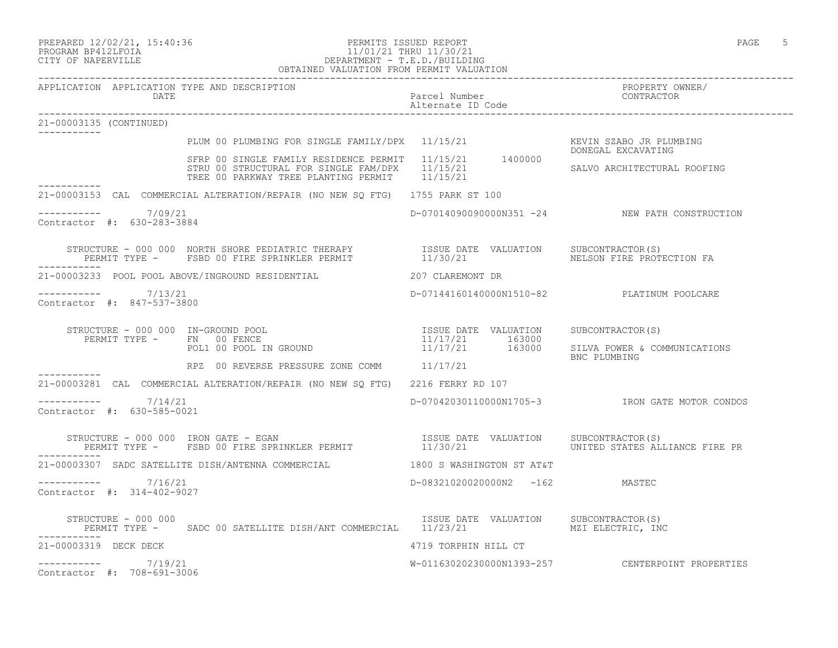### PREPARED 12/02/21, 15:40:36 PERMITS ISSUED REPORT PAGE 5 PROGRAM BP412LFOIA 11/01/21 THRU 11/30/21 CITY OF NAPERVILLE DEPARTMENT - T.E.D./BUILDING OBTAINED VALUATION FROM PERMIT VALUATION

| APPLICATION APPLICATION TYPE AND DESCRIPTION<br>DATE                                                                                                                                                                                                                                                                                                                                | Parcel Number<br>Alternate ID Code | PROPERTY OWNER/<br>CONTRACTOR                                                                            |
|-------------------------------------------------------------------------------------------------------------------------------------------------------------------------------------------------------------------------------------------------------------------------------------------------------------------------------------------------------------------------------------|------------------------------------|----------------------------------------------------------------------------------------------------------|
| 21-00003135 (CONTINUED)                                                                                                                                                                                                                                                                                                                                                             |                                    |                                                                                                          |
| PLUM 00 PLUMBING FOR SINGLE FAMILY/DPX 11/15/21                                                                                                                                                                                                                                                                                                                                     |                                    | KEVIN SZABO JR PLUMBING                                                                                  |
| SFRP 00 SINGLE FAMILY RESIDENCE PERMIT 11/15/21 1400000<br>STRU 00 STRUCTURAL FOR SINGLE FAM/DPX 11/15/21<br>TREE 00 PARKWAY TREE PLANTING PERMIT 11/15/21                                                                                                                                                                                                                          |                                    | DONEGAL EXCAVATING<br>SALVO ARCHITECTURAL ROOFING                                                        |
| ___________<br>21-00003153 CAL COMMERCIAL ALTERATION/REPAIR (NO NEW SO FTG) 1755 PARK ST 100                                                                                                                                                                                                                                                                                        |                                    |                                                                                                          |
| $--------- 7/09/21$<br>Contractor #: 630-283-3884                                                                                                                                                                                                                                                                                                                                   |                                    | D-07014090090000N351 -24 NEW PATH CONSTRUCTION                                                           |
| STRUCTURE - 000 000 NORTH SHORE PEDIATRIC THERAPY              ISSUE DATE VALUATION    SUBCONTRACTOR(S)<br>PERMIT TYPE -     FSBD 00 FIRE SPRINKLER PERMIT               11/30/21                  NELSON FIRE PROTECTION FA<br>------------                                                                                                                                        |                                    |                                                                                                          |
| 21-00003233 POOL POOL ABOVE/INGROUND RESIDENTIAL 40 207 CLAREMONT DR                                                                                                                                                                                                                                                                                                                |                                    |                                                                                                          |
| $--------- 7/13/21$<br>Contractor #: 847-537-3800                                                                                                                                                                                                                                                                                                                                   |                                    | D-07144160140000N1510-82 PLATINUM POOLCARE                                                               |
| STRUCTURE - 000 000 IN-GROUND POOL<br>PERMIT TYPE - FN 00 FENCE<br>POLL 100 POOL IN CROUND<br>POL1 00 POOL IN GROUND                                                                                                                                                                                                                                                                |                                    | ISSUE DATE VALUATION SUBCONTRACTOR(S)<br>11/17/21 163000<br>11/17/21 163000 SILVA POWER & COMMUNICATIONS |
| RPZ 00 REVERSE PRESSURE ZONE COMM 11/17/21                                                                                                                                                                                                                                                                                                                                          |                                    | BNC PLUMBING                                                                                             |
| 21-00003281 CAL COMMERCIAL ALTERATION/REPAIR (NO NEW SQ FTG) 2216 FERRY RD 107                                                                                                                                                                                                                                                                                                      |                                    |                                                                                                          |
| $--------- 7/14/21$<br>Contractor #: 630-585-0021                                                                                                                                                                                                                                                                                                                                   |                                    | D-07042030110000N1705-3 TRON GATE MOTOR CONDOS                                                           |
|                                                                                                                                                                                                                                                                                                                                                                                     |                                    | UNITED STATES ALLIANCE FIRE PR                                                                           |
| 21-00003307 SADC SATELLITE DISH/ANTENNA COMMERCIAL 600 1800 S WASHINGTON ST AT&T                                                                                                                                                                                                                                                                                                    |                                    |                                                                                                          |
| $--------- 7/16/21$<br>Contractor #: 314-402-9027                                                                                                                                                                                                                                                                                                                                   | D-08321020020000N2 -162 MASTEC     |                                                                                                          |
| $\begin{array}{cccc} \texttt{STRUCTURE} & - & 000 & 000 \\ \texttt{PERMIT TYPE} & - & \texttt{SADC 00 SATELLITE DISH/ANT COMMERCIAL} & 11/23/21 & \texttt{MZE} \\ \end{array} \quad \begin{array}{cccc} \texttt{ISSUE} & \texttt{DATE} & \texttt{VALUATION} & \texttt{SUBCONTRACTOR(S)} \\ \texttt{11/23/21} & \texttt{12/23/21} & \texttt{13/23/21} \\ \end{array}$<br>----------- |                                    |                                                                                                          |
| 21-00003319 DECK DECK                                                                                                                                                                                                                                                                                                                                                               | 4719 TORPHIN HILL CT               |                                                                                                          |
| $--------- 7/19/21$<br>Contractor #: 708-691-3006                                                                                                                                                                                                                                                                                                                                   |                                    | W-01163020230000N1393-257 CENTERPOINT PROPERTIES                                                         |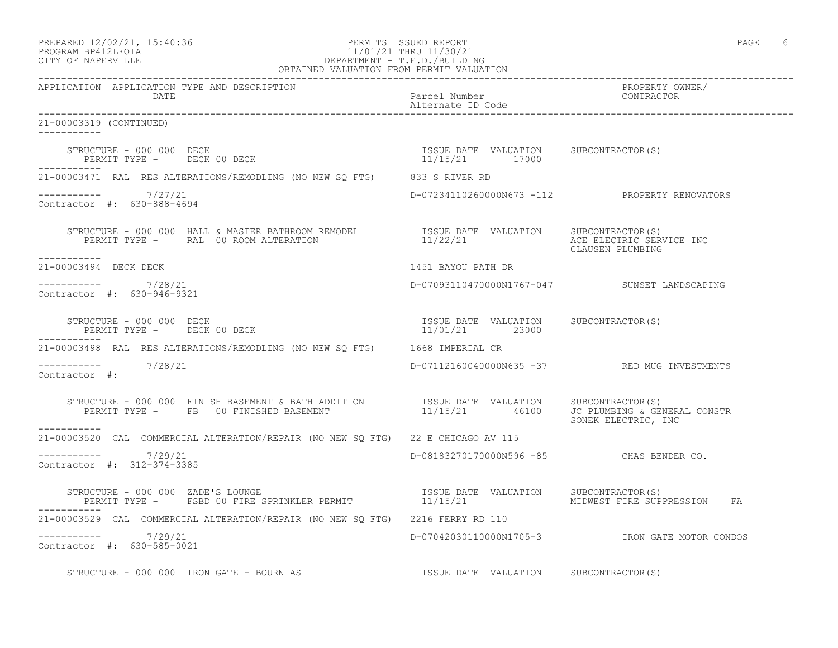## PREPARED 12/02/21, 15:40:36 PERMITS ISSUED REPORT PAGE 6 PROGRAM BP412LFOIA 11/01/21 THRU 11/30/21 PREPARED 12/02/21, 15:40:36 PERMITS ISSUED REPORT PROGRAM BP412LFOIA<br>CITY OF NAPERVILLE DEPARTMENT - T.E.D./BUILDING

| OBTAINED VALUATION FROM PERMIT VALUATION                                                                                                                                                                                                                                                                                                                                                                                                                                                             |                                                         |                                                |  |
|------------------------------------------------------------------------------------------------------------------------------------------------------------------------------------------------------------------------------------------------------------------------------------------------------------------------------------------------------------------------------------------------------------------------------------------------------------------------------------------------------|---------------------------------------------------------|------------------------------------------------|--|
| APPLICATION APPLICATION TYPE AND DESCRIPTION<br>DATE                                                                                                                                                                                                                                                                                                                                                                                                                                                 | Parcel Number<br>Alternate ID Code                      | PROPERTY OWNER/<br>CONTRACTOR                  |  |
| 21-00003319 (CONTINUED)                                                                                                                                                                                                                                                                                                                                                                                                                                                                              |                                                         |                                                |  |
|                                                                                                                                                                                                                                                                                                                                                                                                                                                                                                      |                                                         |                                                |  |
| 21-00003471 RAL RES ALTERATIONS/REMODLING (NO NEW SQ FTG) 833 S RIVER RD                                                                                                                                                                                                                                                                                                                                                                                                                             |                                                         |                                                |  |
| $--------- 7/27/21$<br>Contractor #: 630-888-4694                                                                                                                                                                                                                                                                                                                                                                                                                                                    |                                                         | D-07234110260000N673 -112 PROPERTY RENOVATORS  |  |
| $\begin{array}{cccc} \texttt{STRUCTURE} & - & 000 & 000 & \texttt{HALL} & \texttt{MASTER BATHROM REMODEL} \end{array} & \begin{array}{cccc} \texttt{ISSUE} & \texttt{DATE} & \texttt{VALUATION} & \texttt{SUBCONTRACTOR(S)} \\\texttt{ACE} & \texttt{EECTRIC} & \texttt{SRVICE INC} \\\texttt{PERMIT TYPE} & - & \texttt{RAL} & 00\texttt{ ROM AITERATION} & \texttt{11/22/21} \end{array} & \begin{array}{cccc} \texttt{ISSUE} & \texttt{DAUATION} & \texttt{SUBCONTRACTOR(S)} \\\$<br>------------ |                                                         |                                                |  |
| 21-00003494 DECK DECK                                                                                                                                                                                                                                                                                                                                                                                                                                                                                | 1451 BAYOU PATH DR                                      |                                                |  |
| ----------- 7/28/21<br>Contractor #: 630-946-9321                                                                                                                                                                                                                                                                                                                                                                                                                                                    |                                                         | D-07093110470000N1767-047 SUNSET LANDSCAPING   |  |
| STRUCTURE - 000 000 DECK<br>PERMIT TYPE - DECK 00 DECK                                                                                                                                                                                                                                                                                                                                                                                                                                               | ISSUE DATE VALUATION SUBCONTRACTOR(S)<br>11/01/21 23000 |                                                |  |
| 21-00003498 RAL RES ALTERATIONS/REMODLING (NO NEW SQ FTG) 1668 IMPERIAL CR                                                                                                                                                                                                                                                                                                                                                                                                                           |                                                         |                                                |  |
| $--------- 7/28/21$<br>Contractor #:                                                                                                                                                                                                                                                                                                                                                                                                                                                                 |                                                         | D-07112160040000N635 -37 RED MUG INVESTMENTS   |  |
| STRUCTURE - 000 000 FINISH BASEMENT & BATH ADDITION ISSUE DATE VALUATION SUBCONTRACTOR(S)<br>PERMIT TYPE - FB 00 FINISHED BASEMENT 11/15/21 46100 JC PLUMBING & GENERAL CONSTR<br>-----------                                                                                                                                                                                                                                                                                                        |                                                         | SONEK ELECTRIC, INC                            |  |
| 21-00003520 CAL COMMERCIAL ALTERATION/REPAIR (NO NEW SQ FTG) 22 E CHICAGO AV 115                                                                                                                                                                                                                                                                                                                                                                                                                     |                                                         |                                                |  |
| $--------- 7/29/21$<br>Contractor #: 312-374-3385                                                                                                                                                                                                                                                                                                                                                                                                                                                    | D-08183270170000N596 -85 CHAS BENDER CO.                |                                                |  |
|                                                                                                                                                                                                                                                                                                                                                                                                                                                                                                      |                                                         | MIDWEST FIRE SUPPRESSION FA                    |  |
| 21-00003529 CAL COMMERCIAL ALTERATION/REPAIR (NO NEW SO FTG) 2216 FERRY RD 110                                                                                                                                                                                                                                                                                                                                                                                                                       |                                                         |                                                |  |
| ----------- 7/29/21<br>Contractor #: 630-585-0021                                                                                                                                                                                                                                                                                                                                                                                                                                                    |                                                         | D-07042030110000N1705-3 IRON GATE MOTOR CONDOS |  |
| STRUCTURE - 000 000 IRON GATE - BOURNIAS                                                                                                                                                                                                                                                                                                                                                                                                                                                             | ISSUE DATE VALUATION SUBCONTRACTOR(S)                   |                                                |  |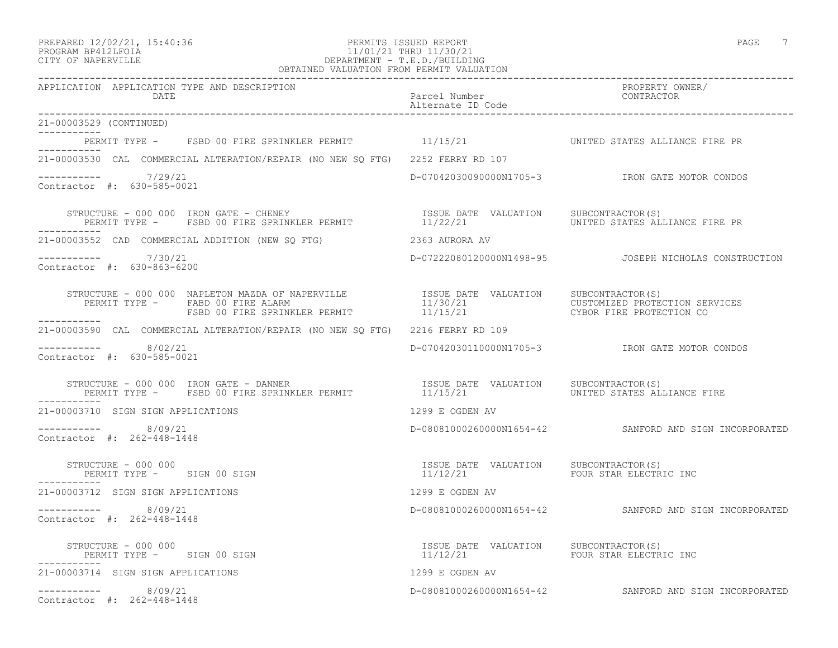### PREPARED 12/02/21, 15:40:36 PERMITS ISSUED REPORT PAGE 7 PROGRAM BP412LFOIA 11/01/21 THRU 11/30/21 CITY OF NAPERVILLE DEPARTMENT - T.E.D./BUILDING OBTAINED VALUATION FROM PERMIT VALUATION

------------------------------------------------------------------------------------------------------------------------------------

| APPLICATION APPLICATION TYPE AND DESCRIPTION<br>DATE                                                                                              | Alternate ID Code                                                          |                                                        |
|---------------------------------------------------------------------------------------------------------------------------------------------------|----------------------------------------------------------------------------|--------------------------------------------------------|
| 21-00003529 (CONTINUED)<br>___________                                                                                                            |                                                                            |                                                        |
| PERMIT TYPE - FSBD 00 FIRE SPRINKLER PERMIT 11/15/21                                                                                              |                                                                            | UNITED STATES ALLIANCE FIRE PR                         |
| 21-00003530 CAL COMMERCIAL ALTERATION/REPAIR (NO NEW SQ FTG) 2252 FERRY RD 107                                                                    |                                                                            |                                                        |
| $--------- 7/29/21$<br>Contractor #: 630-585-0021                                                                                                 |                                                                            | D-07042030090000N1705-3 IRON GATE MOTOR CONDOS         |
| STRUCTURE – 000 000 IRON GATE – CHENEY<br>PERMIT TYPE –   FSBD 00 FIRE SPRINKLER PERMIT                 11/22/21         UNITED STATES ALL        |                                                                            | UNITED STATES ALLIANCE FIRE PR                         |
| 21-00003552 CAD COMMERCIAL ADDITION (NEW SO FTG) 3363 AURORA AV                                                                                   |                                                                            |                                                        |
| ----------- 7/30/21<br>Contractor #: 630-863-6200                                                                                                 |                                                                            | D-07222080120000N1498-95  JOSEPH NICHOLAS CONSTRUCTION |
| PERMIT TYPE - FABD 00 FIRE ALARM<br>FABD 00 FIRE ALARM<br>FSBD 00 FIRE SPRINKLER PERMIT 11/15/21 THE CUSTOMIZED PROTECTION SERVICES<br>---------- |                                                                            |                                                        |
| 21-00003590 CAL COMMERCIAL ALTERATION/REPAIR (NO NEW SO FTG) 2216 FERRY RD 109                                                                    |                                                                            |                                                        |
| -----------    8/02/21<br>Contractor #: 630-585-0021                                                                                              |                                                                            | D-07042030110000N1705-3 RON GATE MOTOR CONDOS          |
| RUCTURE – 000 000 IRON GATE – DANNER<br>PERMIT TYPE – FSBD 00 FIRE SPRINKLER PERMIT – 11/15/21<br>STRUCTURE - 000 000 IRON GATE - DANNER          |                                                                            | SUBCONTRACTOR(S)<br>UNITED STATES ALLIANCE FIRE        |
| 21-00003710 SIGN SIGN APPLICATIONS                                                                                                                | 1299 E OGDEN AV                                                            |                                                        |
| $--------- 8/09/21$<br>Contractor #: 262-448-1448                                                                                                 |                                                                            | D-08081000260000N1654-42 SANFORD AND SIGN INCORPORATED |
| STRUCTURE - 000 000<br>PERMIT TYPE - SIGN 00 SIGN<br>-------                                                                                      | ISSUE DATE VALUATION SUBCONTRACTOR(S)<br>11/12/21   FOUR STAR ELECTRIC INC |                                                        |
| 21-00003712 SIGN SIGN APPLICATIONS                                                                                                                | 1299 E OGDEN AV                                                            |                                                        |
| $--------- 8/09/21$<br>Contractor #: 262-448-1448                                                                                                 |                                                                            | D-08081000260000N1654-42 SANFORD AND SIGN INCORPORATED |
| STRUCTURE - 000 000<br>PERMIT TYPE - SIGN 00 SIGN                                                                                                 | ISSUE DATE VALUATION SUBCONTRACTOR(S)<br>11/12/21                          | FOUR STAR ELECTRIC INC                                 |
| 21-00003714 SIGN SIGN APPLICATIONS                                                                                                                | 1299 E OGDEN AV                                                            |                                                        |
| ----------- 8/09/21<br>Contractor #: 262-448-1448                                                                                                 |                                                                            | D-08081000260000N1654-42 SANFORD AND SIGN INCORPORATED |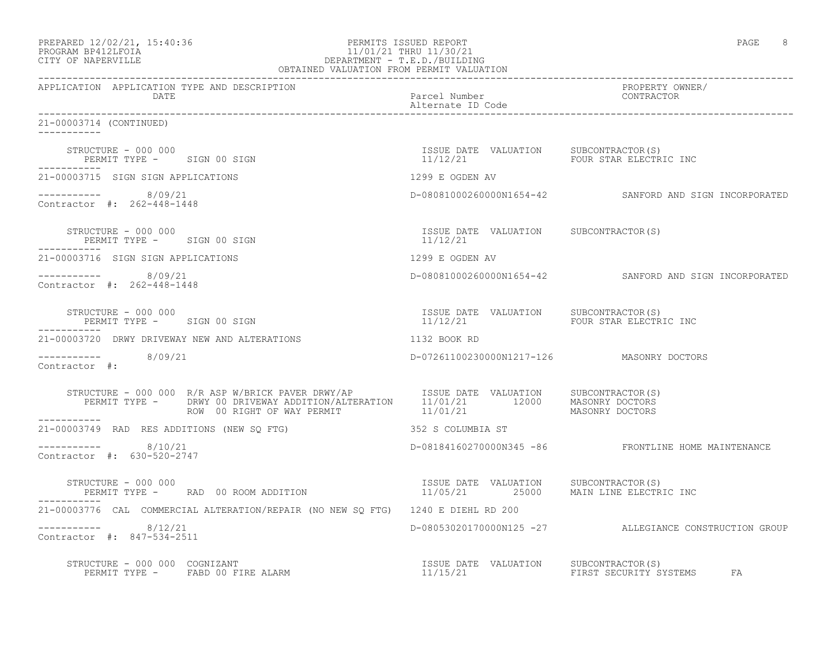| PREPARED 12/02/21, 15:40:36 | PERMITS ISSUED REPORT  | PAGE |  |
|-----------------------------|------------------------|------|--|
| PROGRAM RP412LFOIA          | 11/01/21 THRU 11/30/21 |      |  |

# PROGRAM BP412LFOIA 11/01/21 THRU 11/30/21 CITY OF NAPERVILLE CONTROLLER CITY OF NAPERVILLE

| OBTAINED VALUATION FROM PERMIT VALUATION                         |                                                                                                                                               |                                                   |                                                        |
|------------------------------------------------------------------|-----------------------------------------------------------------------------------------------------------------------------------------------|---------------------------------------------------|--------------------------------------------------------|
| APPLICATION APPLICATION TYPE AND DESCRIPTION<br>DATE             |                                                                                                                                               | Parcel Number<br>Alternate ID Code                | PROPERTY OWNER/<br>CONTRACTOR                          |
| 21-00003714 (CONTINUED)                                          |                                                                                                                                               |                                                   |                                                        |
|                                                                  |                                                                                                                                               |                                                   |                                                        |
| 21-00003715 SIGN SIGN APPLICATIONS                               |                                                                                                                                               |                                                   |                                                        |
| $--------- 8/09/21$<br>Contractor #: 262-448-1448                | $1299 \text{ E OGDEN AV}$                                                                                                                     |                                                   | D-08081000260000N1654-42 SANFORD AND SIGN INCORPORATED |
| STRUCTURE - 000 000<br>PERMIT TYPE - SIGN 00 SIGN<br>----------- |                                                                                                                                               | ISSUE DATE VALUATION SUBCONTRACTOR(S)<br>11/12/21 |                                                        |
| 21-00003716 SIGN SIGN APPLICATIONS                               |                                                                                                                                               | 1299 E OGDEN AV                                   |                                                        |
| $--------- 8/09/21$<br>Contractor #: 262-448-1448                |                                                                                                                                               |                                                   | D-08081000260000N1654-42 SANFORD AND SIGN INCORPORATED |
|                                                                  | STRUCTURE – 000 000<br>PERMIT TYPE – SIGN 00 SIGN 11/12/21 FOUR STAR ELECTRIC INC                                                             |                                                   |                                                        |
|                                                                  | 21-00003720 DRWY DRIVEWAY NEW AND ALTERATIONS                                                                                                 | 1132 BOOK RD                                      |                                                        |
| $--------- 8/09/21$<br>Contractor #:                             |                                                                                                                                               | D-07261100230000N1217-126 MASONRY DOCTORS         |                                                        |
|                                                                  |                                                                                                                                               |                                                   |                                                        |
| 21-00003749 RAD RES ADDITIONS (NEW SQ FTG)                       |                                                                                                                                               | 352 S COLUMBIA ST                                 |                                                        |
| $--------- 8/10/21$<br>Contractor #: 630-520-2747                |                                                                                                                                               |                                                   | D-08184160270000N345 -86 FRONTLINE HOME MAINTENANCE    |
| STRUCTURE - 000 000                                              | STRUCTURE - 000 000<br>PERMIT TYPE -      RAD 00 ROOM ADDITION                                 11/05/21      25000     MAIN LINE ELECTRIC INC |                                                   |                                                        |
|                                                                  | 21-00003776 CAL COMMERCIAL ALTERATION/REPAIR (NO NEW SQ FTG) 1240 E DIEHL RD 200                                                              |                                                   |                                                        |
| $--------- 8/12/21$<br>Contractor #: 847-534-2511                |                                                                                                                                               |                                                   | D-08053020170000N125 -27 ALLEGIANCE CONSTRUCTION GROUP |
|                                                                  | STRUCTURE – 000 000 COGNIZANT<br>PERMIT TYPE – FABD 00 FIRE ALARM – 11/15/21 TISSUE DATE VALUATION SUBCONTRACTOR(S)                           |                                                   |                                                        |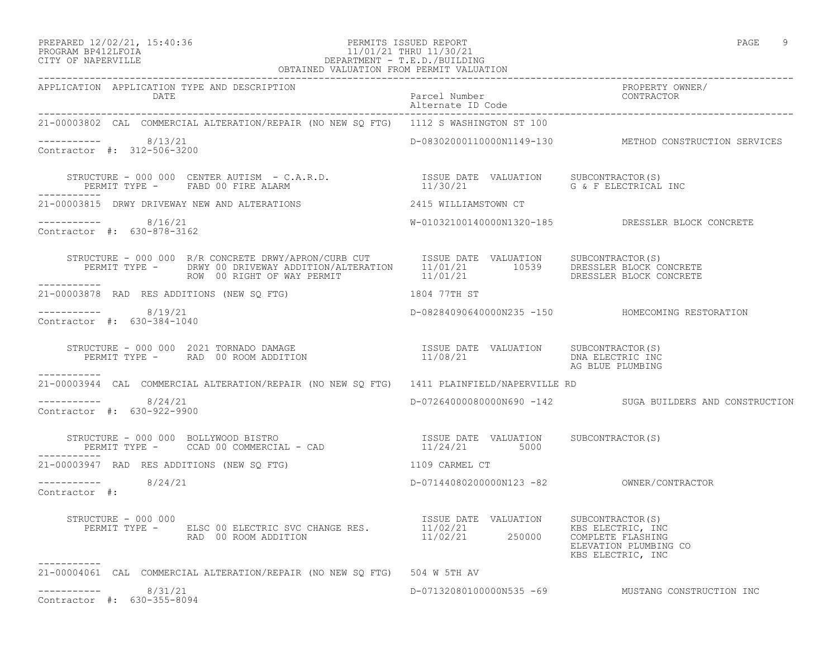### PREPARED 12/02/21, 15:40:36 PERMITS ISSUED REPORT PAGE 9 PROGRAM BP412LFOIA 11/01/21 THRU 11/30/21 CITY OF NAPERVILLE DEPARTMENT - T.E.D./BUILDING OBTAINED VALUATION FROM PERMIT VALUATION

| APPLICATION APPLICATION TYPE AND DESCRIPTION<br>DATE                                                                                                                                                |                |                                                          |
|-----------------------------------------------------------------------------------------------------------------------------------------------------------------------------------------------------|----------------|----------------------------------------------------------|
| 21-00003802 CAL COMMERCIAL ALTERATION/REPAIR (NO NEW SQ FTG) 1112 S WASHINGTON ST 100                                                                                                               |                |                                                          |
| $--------- 8/13/21$<br>Contractor #: 312-506-3200                                                                                                                                                   |                | D-08302000110000N1149-130 METHOD CONSTRUCTION SERVICES   |
| STRUCTURE - 000 000 CENTER AUTISM - C.A.R.D.<br>PERMIT TYPE - FABD 00 FIRE ALARM 11/30/21 G & F ELECTRICAL<br>___________                                                                           |                | G & F ELECTRICAL INC                                     |
|                                                                                                                                                                                                     |                |                                                          |
| $--------- 8/16/21$<br>Contractor #: 630-878-3162                                                                                                                                                   |                | W-01032100140000N1320-185 DRESSLER BLOCK CONCRETE        |
|                                                                                                                                                                                                     |                |                                                          |
| 21-00003878 RAD RES ADDITIONS (NEW SQ FTG)                                                                                                                                                          | 1804 77TH ST   |                                                          |
| $--------- 8/19/21$<br>Contractor #: 630-384-1040                                                                                                                                                   |                | D-08284090640000N235 -150 HOMECOMING RESTORATION         |
|                                                                                                                                                                                                     |                | DNA ELECTRIC INC<br>AG BLUE PLUMBING                     |
| -----------<br>21-00003944 CAL COMMERCIAL ALTERATION/REPAIR (NO NEW SQ FTG) 1411 PLAINFIELD/NAPERVILLE RD                                                                                           |                |                                                          |
| $--------- 8/24/21$<br>Contractor #: 630-922-9900                                                                                                                                                   |                | D-07264000080000N690 -142 SUGA BUILDERS AND CONSTRUCTION |
| STRUCTURE - 000 000 BOLLYWOOD BISTRO<br>PERMIT TYPE - CCAD 00 COMMERCIAL - CAD 11/24/21 5000                                                                                                        |                |                                                          |
| 21-00003947 RAD RES ADDITIONS (NEW SQ FTG)                                                                                                                                                          | 1109 CARMEL CT |                                                          |
| $--------- 8/24/21$<br>Contractor #:                                                                                                                                                                |                |                                                          |
| STRUCTURE - 000 000<br>PERMIT TYPE - ELSC 00 ELECTRIC SVC CHANGE RES. THE 11/02/21 ERMIT TYPE - ELSC 00 ELECTRIC SVC CHANGE RES. 11/02/21<br>RAD 00 ROOM ADDITION 11/02/21 250000 COMPLETE FLASHING |                | ELEVATION PLUMBING CO<br>KBS ELECTRIC, INC               |
| -----------<br>21-00004061 CAL COMMERCIAL ALTERATION/REPAIR (NO NEW SQ FTG) 504 W 5TH AV                                                                                                            |                |                                                          |
| $--------- 8/31/21$<br>Contractor #: 630-355-8094                                                                                                                                                   |                | D-07132080100000N535 -69 MUSTANG CONSTRUCTION INC        |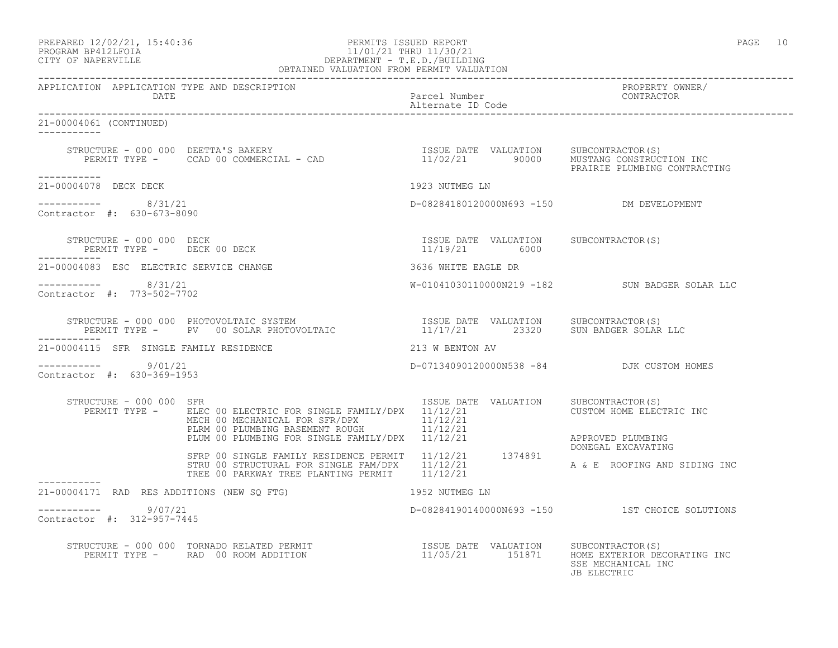## PREPARED 12/02/21, 15:40:36 PERMITS ISSUED REPORT PAGE 10 PROGRAM BP412LFOIA 11/01/21 THRU 11/30/21 CITY OF NAPERVILLE DEPARTMENT - T.E.D./BUILDING

| OBTAINED VALUATION FROM PERMIT VALUATION             |                                                                                                                                                                                                                                                                                                              |                                           |                                                |
|------------------------------------------------------|--------------------------------------------------------------------------------------------------------------------------------------------------------------------------------------------------------------------------------------------------------------------------------------------------------------|-------------------------------------------|------------------------------------------------|
| APPLICATION APPLICATION TYPE AND DESCRIPTION         |                                                                                                                                                                                                                                                                                                              |                                           | PROPERTY OWNER/                                |
| 21-00004061 (CONTINUED)                              |                                                                                                                                                                                                                                                                                                              |                                           |                                                |
|                                                      |                                                                                                                                                                                                                                                                                                              |                                           |                                                |
| ___________<br>21-00004078 DECK DECK                 |                                                                                                                                                                                                                                                                                                              | 1923 NUTMEG LN                            |                                                |
| ----------- 8/31/21<br>Contractor #: 630-673-8090    |                                                                                                                                                                                                                                                                                                              | D-08284180120000N693 -150 DM DEVELOPMENT  |                                                |
|                                                      | $\begin{array}{cccc} \texttt{STRUCTURE} & - & 000 & 000 & \texttt{DECK} \\ \texttt{PERMIT TYPE} & - & - & - & - \\ \texttt{PERMIT TYPE} & - & - & - \\ \end{array}$                                                                                                                                          |                                           |                                                |
| 21-00004083 ESC ELECTRIC SERVICE CHANGE              |                                                                                                                                                                                                                                                                                                              | 3636 WHITE EAGLE DR                       |                                                |
| -----------    8/31/21<br>Contractor #: 773-502-7702 |                                                                                                                                                                                                                                                                                                              |                                           | W-01041030110000N219 -182 SUN BADGER SOLAR LLC |
| -----------                                          | $\begin{array}{cccc} \texttt{STRUCTURE} - 000 000 \texttt{PHOTOVOLTAIC} \texttt{SYSTEM} & \texttt{ISSUE DATE} \texttt{VALUATION} & \texttt{SUBCONTRACTOR(S)} \\ \texttt{PERMIT TYPE -} & \texttt{PV} & 00 \texttt{SOLAR PHOTOVOLTAIC} & \texttt{11/17/21} & 23320 \texttt{SUN BADGER SOLAR LLC} \end{array}$ |                                           |                                                |
| 21-00004115 SFR SINGLE FAMILY RESIDENCE              | 213 W BENTON AV                                                                                                                                                                                                                                                                                              |                                           |                                                |
| ----------- 9/01/21<br>Contractor #: 630-369-1953    |                                                                                                                                                                                                                                                                                                              | D-07134090120000N538 -84 DJK CUSTOM HOMES |                                                |
| STRUCTURE - 000 000 SFR                              | PERMIT TYPE - ELEC 00 ELECTRIC FOR SINGLE FAMILY/DPX 11/12/21<br>ELEC OU ELECTRIC FOR SINGLE FATILIZZA (F. 11/12/21)<br>MECH 00 MECHANICAL FOR SFR/DPX (F. 11/12/21)<br>PLRM 00 PLUMBING BASEMENT ROUGH (F. 11/12/21) (F. APPROVED PLUMBING<br>PLUM 00 PLUMBING FOR SINGLE FAMILY/DPX (F.1/12/21) (F. F.     | ISSUE DATE VALUATION SUBCONTRACTOR(S)     | CUSTOM HOME ELECTRIC INC                       |
|                                                      | AFFRE OO SINGLE FAMILY RESIDENCE PERMIT 11/12/21 1374891<br>STRU 00 STRUCTURAL FOR SINGLE FAM/DPX 11/12/21 1374891<br>TREE 00 PARKWAY TREE PLANTING PERMIT 11/12/21 A & E ROOFING AND SIDING INC                                                                                                             |                                           |                                                |
|                                                      | 21-00004171 RAD RES ADDITIONS (NEW SQ FTG) 1952 NUTMEG LN                                                                                                                                                                                                                                                    |                                           |                                                |
| ----------- 9/07/21<br>Contractor #: 312-957-7445    |                                                                                                                                                                                                                                                                                                              |                                           | D-08284190140000N693 -150 1ST CHOICE SOLUTIONS |
|                                                      | STRUCTURE - 000 000 TORNADO RELATED PERMIT                        ISSUE DATE VALUATION    SUBCONTRACTOR(S)<br>PERMIT TYPE -     RAD  00 ROOM ADDITION                          11/05/21      151871    HOME EXTERIOR DECORATING I                                                                            |                                           | SSE MECHANICAL INC<br>JB ELECTRIC              |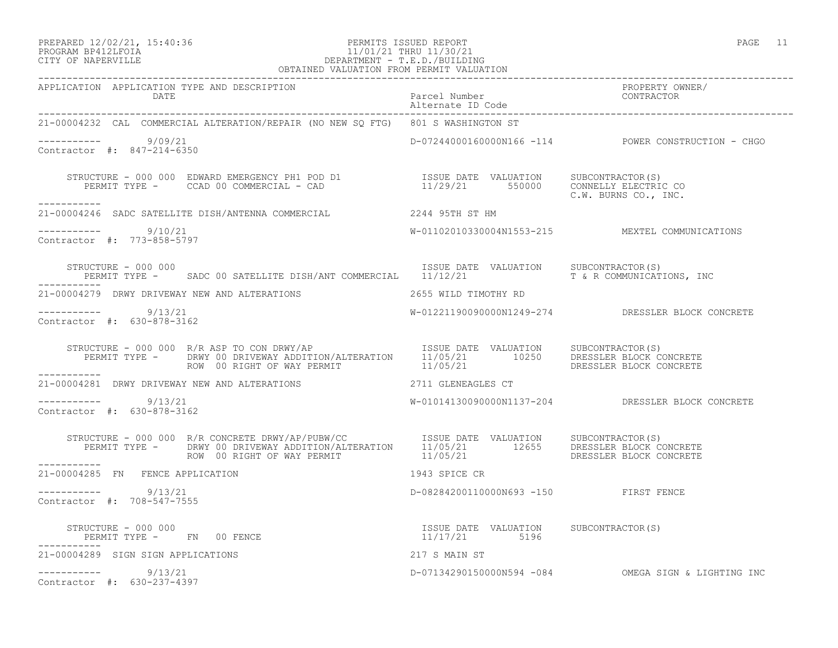PREPARED 12/02/21, 15:40:36 PERMITS ISSUED REPORT PAGE 11

# PROGRAM BP412LFOIA 11/01/21 THRU 11/30/21 CITY OF NAPERVILLE DEPARTMENT - T.E.D./BUILDING

| OBTAINED VALUATION FROM PERMIT VALUATION                                                                                                                                            |                                        |                                                     |
|-------------------------------------------------------------------------------------------------------------------------------------------------------------------------------------|----------------------------------------|-----------------------------------------------------|
| APPLICATION APPLICATION TYPE AND DESCRIPTION                                                                                                                                        |                                        | PROPERTY OWNER/                                     |
| 21-00004232 CAL COMMERCIAL ALTERATION/REPAIR (NO NEW SQ FTG) 801 S WASHINGTON ST                                                                                                    |                                        |                                                     |
| ---------- 9/09/21<br>Contractor #: 847-214-6350                                                                                                                                    |                                        | D-07244000160000N166 -114 POWER CONSTRUCTION - CHGO |
| STRUCTURE - 000 000 EDWARD EMERGENCY PH1 POD D1 5SUE DATE VALUATION SUBCONTRACTOR(S)<br>PERMIT TYPE - CCAD 00 COMMERCIAL - CAD 11/29/21 550000 CONNELLY ELECTRIC CO<br>------------ |                                        | C.W. BURNS CO., INC.                                |
| 21-00004246 SADC SATELLITE DISH/ANTENNA COMMERCIAL 2244 95TH ST HM                                                                                                                  |                                        |                                                     |
| $--------- 9/10/21$<br>Contractor #: 773-858-5797                                                                                                                                   |                                        | W-01102010330004N1553-215 MEXTEL COMMUNICATIONS     |
| STRUCTURE - 000 000<br>PERMIT TYPE - SADC 00 SATELLITE DISH/ANT COMMERCIAL 11/12/21 T & R COMMUNICATIONS, INC                                                                       | ISSUE DATE VALUATION SUBCONTRACTOR (S) |                                                     |
| 21-00004279 DRWY DRIVEWAY NEW AND ALTERATIONS 40 2655 WILD TIMOTHY RD                                                                                                               |                                        |                                                     |
| $--------- 9/13/21$<br>Contractor #: 630-878-3162                                                                                                                                   |                                        | W-01221190090000N1249-274 DRESSLER BLOCK CONCRETE   |
|                                                                                                                                                                                     |                                        |                                                     |
| ___________<br>21-00004281 DRWY DRIVEWAY NEW AND ALTERATIONS 2711 GLENEAGLES CT                                                                                                     |                                        |                                                     |
| ----------- 9/13/21<br>Contractor #: 630-878-3162                                                                                                                                   |                                        | W-01014130090000N1137-204 DRESSLER BLOCK CONCRETE   |
| -----------                                                                                                                                                                         |                                        |                                                     |
| 1943 SPICE CR<br>21-00004285 FN FENCE APPLICATION                                                                                                                                   |                                        |                                                     |
| $--------$ 9/13/21<br>Contractor #: 708-547-7555                                                                                                                                    | D-08284200110000N693 -150 FIRST FENCE  |                                                     |
|                                                                                                                                                                                     |                                        |                                                     |
| 21-00004289 SIGN SIGN APPLICATIONS                                                                                                                                                  |                                        |                                                     |
| 217 S MAIN ST<br>D-071342901500<br>$--------$ 9/13/21<br>Contractor #: 630-237-4397                                                                                                 |                                        | D-07134290150000N594 -084 OMEGA SIGN & LIGHTING INC |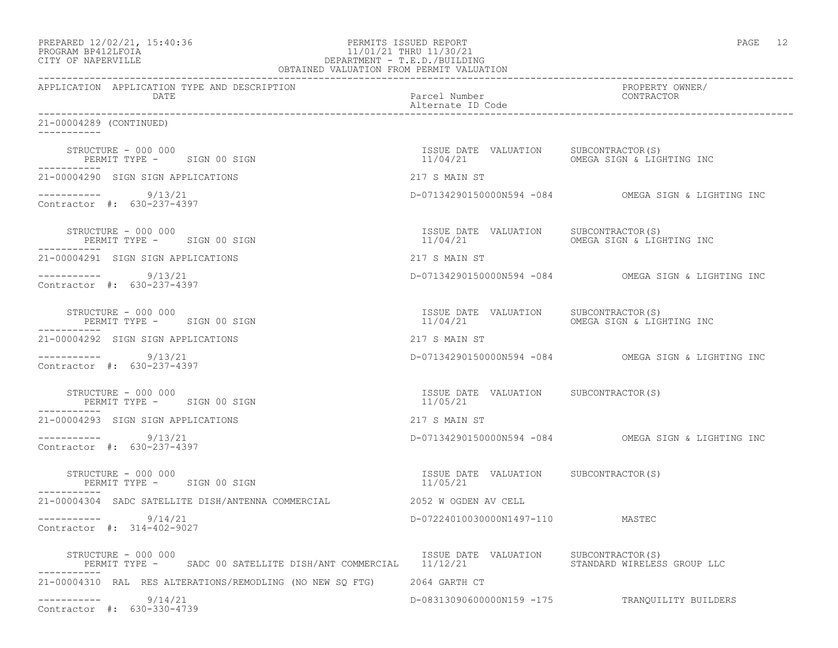| PREPARED 12/02/21, 15:40:36 |  |
|-----------------------------|--|
| PROGRAM RP412LFOIA          |  |

### end the extendion of the PERMITS ISSUED REPORT the extendion of the extendion of the extendion of the extendion of the extendion of the extendion of the extendion of the extendion of the extendion of the extendion of the e PROGRAM BP412LFOIA 11/01/21 THRU 11/30/21<br>CITY OF NAPERVILLE DEPARTMENT - T.E.D./BUILDIN CITY OF NAPERVILLE DEPARTMENT - T.E.D./BUILDING OBTAINED VALUATION FROM PERMIT VALUATION

| APPLICATION APPLICATION TYPE AND DESCRIPTION<br>Parcel Number<br>Alternate ID Code<br>DATE                      |                                                    | PROPERTY OWNER/<br>CONTRACTOR                       |  |
|-----------------------------------------------------------------------------------------------------------------|----------------------------------------------------|-----------------------------------------------------|--|
| 21-00004289 (CONTINUED)                                                                                         |                                                    |                                                     |  |
| STRUCTURE - 000 000<br>PERMIT TYPE - SIGN 00 SIGN                                                               | ISSUE DATE VALUATION SUBCONTRACTOR (S)<br>11/04/21 | OMEGA SIGN & LIGHTING INC                           |  |
| 21-00004290 SIGN SIGN APPLICATIONS                                                                              | 217 S MAIN ST                                      |                                                     |  |
| $--------$ 9/13/21<br>Contractor #: 630-237-4397                                                                |                                                    | D-07134290150000N594 -084 OMEGA SIGN & LIGHTING INC |  |
| STRUCTURE - 000 000<br>PERMIT TYPE - SIGN 00 SIGN                                                               | ISSUE DATE VALUATION SUBCONTRACTOR(S)              |                                                     |  |
| 21-00004291 SIGN SIGN APPLICATIONS                                                                              | 217 S MAIN ST                                      |                                                     |  |
| $--------$ 9/13/21<br>Contractor #: 630-237-4397                                                                |                                                    | D-07134290150000N594 -084 OMEGA SIGN & LIGHTING INC |  |
| STRUCTURE - 000 000<br>PERMIT TYPE - SIGN 00 SIGN                                                               | ISSUE DATE VALUATION SUBCONTRACTOR(S)              | 11/04/21 OMEGA SIGN & LIGHTING INC                  |  |
| 21-00004292 SIGN SIGN APPLICATIONS                                                                              | 217 S MAIN ST                                      |                                                     |  |
| $--------- 9/13/21$<br>Contractor #: 630-237-4397                                                               |                                                    | D-07134290150000N594 -084 OMEGA SIGN & LIGHTING INC |  |
| STRUCTURE - 000 000<br>PERMIT TYPE - SIGN 00 SIGN<br>-----------                                                | ISSUE DATE VALUATION SUBCONTRACTOR(S)<br>11/05/21  |                                                     |  |
| 21-00004293 SIGN SIGN APPLICATIONS                                                                              | 217 S MAIN ST                                      |                                                     |  |
| $--------- 9/13/21$<br>Contractor #: 630-237-4397                                                               |                                                    | D-07134290150000N594 -084 OMEGA SIGN & LIGHTING INC |  |
| STRUCTURE - 000 000<br>PERMIT TYPE - SIGN 00 SIGN                                                               | ISSUE DATE VALUATION SUBCONTRACTOR(S)<br>11/05/21  |                                                     |  |
| 21-00004304 SADC SATELLITE DISH/ANTENNA COMMERCIAL                                                              | 2052 W OGDEN AV CELL                               |                                                     |  |
| -----------     9/14/21<br>Contractor #: 314-402-9027                                                           | D-07224010030000N1497-110 MASTEC                   |                                                     |  |
| STRUCTURE - 000 000<br>PERMIT TYPE - SADC 00 SATELLITE DISH/ANT COMMERCIAL 11/12/21 STANDARD WIRELESS GROUP LLC | ISSUE DATE VALUATION SUBCONTRACTOR(S)              |                                                     |  |
| 21-00004310 RAL RES ALTERATIONS/REMODLING (NO NEW SQ FTG) 2064 GARTH CT                                         |                                                    |                                                     |  |
| $--------- 9/14/21$<br>Contractor #: 630-330-4739                                                               |                                                    | D-083130906000000159 -175 TRANQUILITY BUILDERS      |  |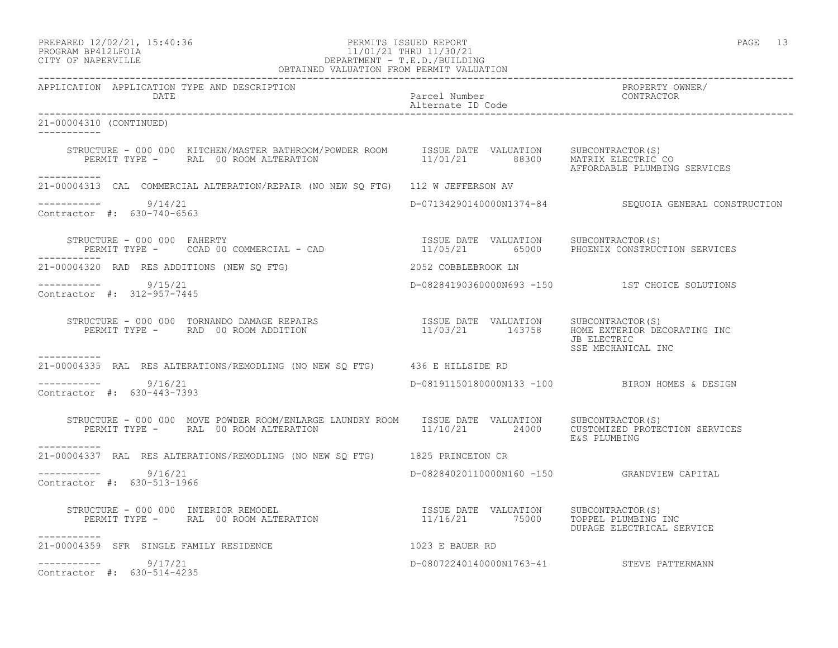## PREPARED 12/02/21, 15:40:36 PERMITS ISSUED REPORT PAGE 13 PROGRAM BP412LFOIA 11/01/21 THRU 11/30/21 CITY OF NAPERVILLE DEPARTMENT - T.E.D./BUILDING

| OBTAINED VALUATION FROM PERMIT VALUATION                                                                                                                                                                                         |                                           |                                                       |  |
|----------------------------------------------------------------------------------------------------------------------------------------------------------------------------------------------------------------------------------|-------------------------------------------|-------------------------------------------------------|--|
| APPLICATION APPLICATION TYPE AND DESCRIPTION<br>DATE                                                                                                                                                                             | Parcel Number<br>Alternate ID Code        | PROPERTY OWNER/<br>CONTRACTOR                         |  |
| 21-00004310 (CONTINUED)                                                                                                                                                                                                          |                                           |                                                       |  |
| STRUCTURE - 000 000 KITCHEN/MASTER BATHROOM/POWDER ROOM 1SSUE DATE VALUATION SUBCONTRACTOR(S)<br>PERMIT TYPE - RAL 00 ROOM ALTERATION 11/01/21 88300 MATRIX ELECTRIC CO                                                          |                                           |                                                       |  |
| ------------<br>21-00004313 CAL COMMERCIAL ALTERATION/REPAIR (NO NEW SO FTG) 112 W JEFFERSON AV                                                                                                                                  |                                           |                                                       |  |
| $--------- 9/14/21$<br>Contractor #: 630-740-6563                                                                                                                                                                                |                                           | D-07134290140000N1374-84 SEQUOIA GENERAL CONSTRUCTION |  |
| STRUCTURE - 000 000 FAHERTY<br>STRUCTURE - 000 000 FAHERTY<br>PERMIT TYPE - CCAD 00 COMMERCIAL - CAD                      11/05/21     65000   PHOENIX CONSTRUCTION SERVICES                                                     |                                           |                                                       |  |
| 21-00004320 RAD RES ADDITIONS (NEW SO FTG) THE RESERVING 2052 COBBLEBROOK LN                                                                                                                                                     |                                           |                                                       |  |
| $--------- 9/15/21$<br>Contractor #: 312-957-7445                                                                                                                                                                                |                                           | D-08284190360000N693 -150 1ST CHOICE SOLUTIONS        |  |
| STRUCTURE - 000 000 TORNANDO DAMAGE REPAIRS                     ISSUE DATE VALUATION     SUBCONTRACTOR(S)<br>PERMIT TYPE -     RAD 00 ROOM ADDITION                          11/03/21     143758    HOME EXTERIOR DECORATING INC |                                           | JB ELECTRIC<br>SSE MECHANICAL INC                     |  |
| -----------<br>21-00004335 RAL RES ALTERATIONS/REMODLING (NO NEW SQ FTG) 436 E HILLSIDE RD                                                                                                                                       |                                           |                                                       |  |
| $--------- 9/16/21$<br>Contractor #: 630-443-7393                                                                                                                                                                                |                                           | D-08191150180000N133 -100 BIRON HOMES & DESIGN        |  |
| STRUCTURE - 000 000 MOVE POWDER ROOM/ENLARGE LAUNDRY ROOM ISSUE DATE VALUATION SUBCONTRACTOR(S)<br>PERMIT TYPE - RAL 00 ROOM ALTERATION 11/10/21 24000 CUSTOMIZED PROTECTION SERVICES<br>-----------                             |                                           | E&S PLUMBING                                          |  |
| 21-00004337 RAL RES ALTERATIONS/REMODLING (NO NEW SQ FTG) 1825 PRINCETON CR                                                                                                                                                      |                                           |                                                       |  |
| $--------$ 9/16/21<br>Contractor #: 630-513-1966                                                                                                                                                                                 |                                           | D-08284020110000N160 -150 GRANDVIEW CAPITAL           |  |
| STRUCTURE - 000 000 INTERIOR REMODEL (S)<br>PERMIT TYPE -       RAL 00 ROOM ALTERATION                                   11/16/21        75000      TOPPEL PLUMBING INC<br>-----------                                           |                                           | DUPAGE ELECTRICAL SERVICE                             |  |
| 21-00004359 SFR SINGLE FAMILY RESIDENCE<br>1023 E BAUER RD                                                                                                                                                                       |                                           |                                                       |  |
| $--------$ 9/17/21<br>Contractor #: 630-514-4235                                                                                                                                                                                 | D-08072240140000N1763-41 STEVE PATTERMANN |                                                       |  |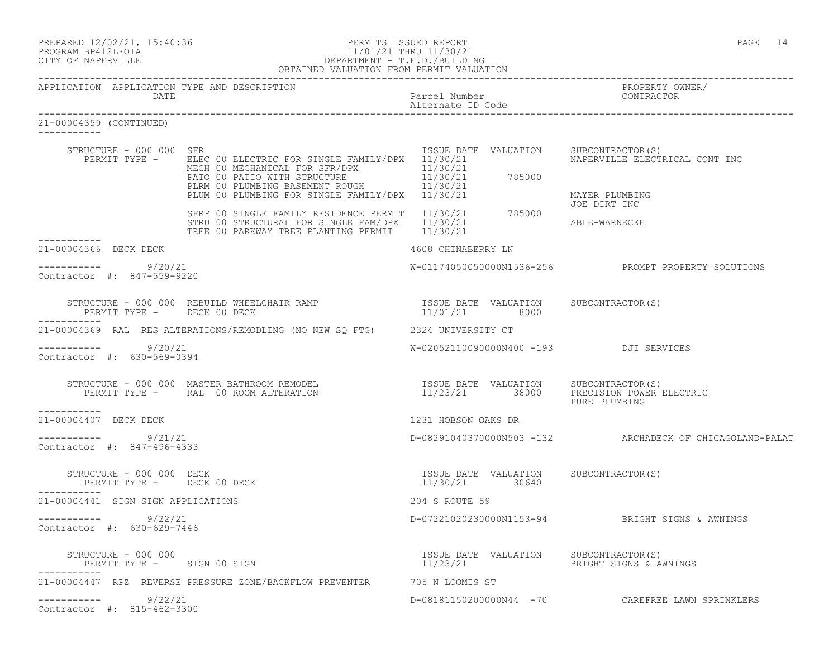| PREPARED 12/02/21, 15:40:36 |  |
|-----------------------------|--|
| DDOOD3M DD410T DOT3         |  |

## PREPARED 12/02/21, 15:40:36 PERMITS ISSUED REPORT PAGE 14 PROGRAM BP412LFOIA 11/01/21 THRU 11/30/21<br>CITY OF NAPERVILLE DEPARTMENT - T.E.D./BUILDIN CITY OF NAPERVILLE DEPARTMENT - T.E.D./BUILDING

|                                        |                                                   | OBTAINED VALUATION FROM PERMIT VALUATION                                                                                                                                                                |                                                                          |                                                                      |
|----------------------------------------|---------------------------------------------------|---------------------------------------------------------------------------------------------------------------------------------------------------------------------------------------------------------|--------------------------------------------------------------------------|----------------------------------------------------------------------|
|                                        | DATE                                              | APPLICATION APPLICATION TYPE AND DESCRIPTION                                                                                                                                                            | Parcel Number<br>Alternate ID Code                                       | PROPERTY OWNER/<br>CONTRACTOR                                        |
| 21-00004359 (CONTINUED)<br>----------- |                                                   |                                                                                                                                                                                                         |                                                                          |                                                                      |
|                                        | STRUCTURE - 000 000 SFR<br>PERMIT TYPE -          | ELEC 00 ELECTRIC FOR SINGLE FAMILY/DPX 11/30/21<br>MECH 00 MECHANICAL FOR SFR/DPX<br>PATO 00 PATIO WITH STRUCTURE<br>PLRM 00 PLUMBING BASEMENT ROUGH<br>PLUM 00 PLUMBING FOR SINGLE FAMILY/DPX 11/30/21 | ISSUE DATE VALUATION<br>11/30/21<br>$11/30/21$ 785000<br>11/30/21        | SUBCONTRACTOR(S)<br>NAPERVILLE ELECTRICAL CONT INC<br>MAYER PLUMBING |
|                                        |                                                   | SFRP 00 SINGLE FAMILY RESIDENCE PERMIT<br>STRU 00 STRUCTURAL FOR SINGLE FAM/DPX<br>TREE 00 PARKWAY TREE PLANTING PERMIT 11/30/21                                                                        | 11/30/21 785000<br>11/30/21                                              | JOE DIRT INC<br>ABLE-WARNECKE                                        |
| ----------<br>21-00004366 DECK DECK    |                                                   |                                                                                                                                                                                                         | 4608 CHINABERRY LN                                                       |                                                                      |
|                                        | $--------- 9/20/21$<br>Contractor #: 847-559-9220 |                                                                                                                                                                                                         |                                                                          | W-01174050050000N1536-256 PROMPT PROPERTY SOLUTIONS                  |
|                                        |                                                   |                                                                                                                                                                                                         |                                                                          |                                                                      |
|                                        |                                                   | 21-00004369 RAL RES ALTERATIONS/REMODLING (NO NEW SQ FTG) 2324 UNIVERSITY CT                                                                                                                            |                                                                          |                                                                      |
|                                        | 9/20/21<br>Contractor #: 630-569-0394             |                                                                                                                                                                                                         | W-02052110090000N400 -193 DJI SERVICES                                   |                                                                      |
| ----------                             |                                                   | STRUCTURE - 000 000 MASTER BATHROOM REMODEL<br>PERMIT TYPE - RAL 00 ROOM ALTERATION                                                                                                                     |                                                                          | PURE PLUMBING                                                        |
| 21-00004407 DECK DECK                  |                                                   |                                                                                                                                                                                                         | 1231 HOBSON OAKS DR                                                      |                                                                      |
|                                        | 9/21/21<br>Contractor #: 847-496-4333             |                                                                                                                                                                                                         |                                                                          | D-08291040370000N503 -132 ARCHADECK OF CHICAGOLAND-PALAT             |
| -----------                            | STRUCTURE - 000 000 DECK                          | PERMIT TYPE - DECK 00 DECK                                                                                                                                                                              | ISSUE DATE VALUATION SUBCONTRACTOR(S)<br>11/30/21 30640                  |                                                                      |
|                                        | 21-00004441 SIGN SIGN APPLICATIONS                |                                                                                                                                                                                                         | 204 S ROUTE 59                                                           |                                                                      |
|                                        | 9/22/21<br>Contractor #: 630-629-7446             |                                                                                                                                                                                                         |                                                                          | D-07221020230000N1153-94 BRIGHT SIGNS & AWNINGS                      |
|                                        | STRUCTURE - 000 000                               | PERMIT TYPE - SIGN 00 SIGN                                                                                                                                                                              | ISSUE DATE VALUATION SUBCONTRACTOR(S)<br>11/23/21 BRIGHT SIGNS & AWNINGS |                                                                      |
|                                        |                                                   | 21-00004447 RPZ REVERSE PRESSURE ZONE/BACKFLOW PREVENTER 50 705 N LOOMIS ST                                                                                                                             |                                                                          |                                                                      |
|                                        | 9/22/21<br>Contractor #: 815-462-3300             |                                                                                                                                                                                                         |                                                                          | D-08181150200000N44 -70 CAREFREE LAWN SPRINKLERS                     |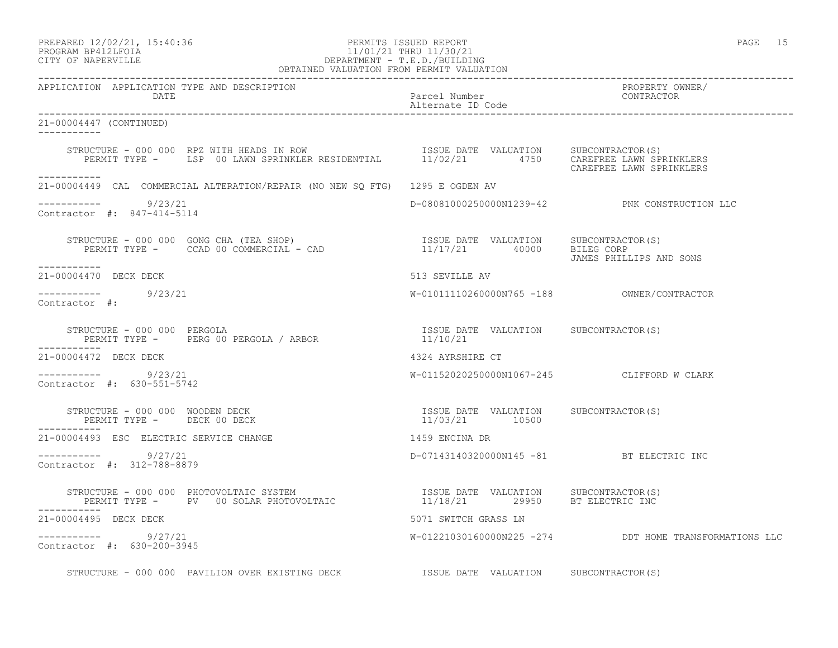PREPARED 12/02/21, 15:40:36 PERMITS ISSUED REPORT PAGE 15

# PROGRAM BP412LFOIA 11/01/21 THRU 11/30/21 CITY OF NAPERVILLE DEPARTMENT - T.E.D./BUILDING

| OBTAINED VALUATION FROM PERMIT VALUATION                                                                                                                                                                                                                                                                                                                                               |                                                         |                                                        |
|----------------------------------------------------------------------------------------------------------------------------------------------------------------------------------------------------------------------------------------------------------------------------------------------------------------------------------------------------------------------------------------|---------------------------------------------------------|--------------------------------------------------------|
| APPLICATION APPLICATION TYPE AND DESCRIPTION                                                                                                                                                                                                                                                                                                                                           |                                                         | PROPERTY OWNER/                                        |
| 21-00004447 (CONTINUED)<br>____________                                                                                                                                                                                                                                                                                                                                                |                                                         |                                                        |
| STRUCTURE - 000 000 RPZ WITH HEADS IN ROW [ISSUE DATE VALUATION SUBCONTRACTOR(S)<br>PERMIT TYPE - LSP 00 LAWN SPRINKLER RESIDENTIAL 11/02/21 4750 CAREFERE LAWN SPRINKLERS<br>------------                                                                                                                                                                                             |                                                         | CAREFREE LAWN SPRINKLERS                               |
| 21-00004449 CAL COMMERCIAL ALTERATION/REPAIR (NO NEW SQ FTG) 1295 E OGDEN AV                                                                                                                                                                                                                                                                                                           |                                                         |                                                        |
| $--------- 9/23/21$<br>Contractor #: 847-414-5114                                                                                                                                                                                                                                                                                                                                      |                                                         | D-08081000250000N1239-42 PNK CONSTRUCTION LLC          |
| $\begin{array}{cccccc} \texttt{STRUCTURE} & - & 000 & 000 & \texttt{GONG CHA} & (\texttt{TEA SHOP}) & & & & & & & \texttt{ISSUE} & \texttt{DATE} & \texttt{VALUATION} & & & & \texttt{SUBCONTRACTOR(S)} \\ \texttt{PERMIT TYPE} & - & & \texttt{CCAD} & 00 & \texttt{COMMERCIAL} & - & \texttt{CAD} & & & & & 11/17/21 & & 40000 & & & \texttt{BILEG CORP} \end{array}$<br>___________ |                                                         | JAMES PHILLIPS AND SONS                                |
| 21-00004470 DECK DECK                                                                                                                                                                                                                                                                                                                                                                  | 513 SEVILLE AV                                          |                                                        |
| ----------- 9/23/21<br>Contractor #:                                                                                                                                                                                                                                                                                                                                                   |                                                         |                                                        |
| STRUCTURE - 000 000 PERGOLA<br>STRUCTURE - 000 000 PERGOLA<br>PERMIT TYPE - PERGOO PERGOLA / ARBOR 11/10/21<br>------<br>------------                                                                                                                                                                                                                                                  |                                                         |                                                        |
| 21-00004472 DECK DECK                                                                                                                                                                                                                                                                                                                                                                  | 4324 AYRSHIRE CT                                        |                                                        |
| ----------- 9/23/21<br>Contractor #: 630-551-5742                                                                                                                                                                                                                                                                                                                                      |                                                         | W-01152020250000N1067-245 CLIFFORD W CLARK             |
| STRUCTURE - 000 000 WOODEN DECK<br>PERMIT TYPE - DECK 00 DECK<br>PERMIT TYPE - DECK 00 DECK                                                                                                                                                                                                                                                                                            | ISSUE DATE VALUATION SUBCONTRACTOR(S)<br>11/03/21 10500 |                                                        |
| 21-00004493 ESC ELECTRIC SERVICE CHANGE                                                                                                                                                                                                                                                                                                                                                | 1459 ENCINA DR                                          |                                                        |
| ----------- 9/27/21<br>Contractor #: 312-788-8879                                                                                                                                                                                                                                                                                                                                      | D-07143140320000N145 -81 BT ELECTRIC INC                |                                                        |
| $\begin{array}{cccc} \texttt{STRUCTURE} & - & 000 & 000 & \texttt{PHOTOVOLTAIC} & \texttt{SYTEM} \end{array} \qquad \begin{array}{cccc} \texttt{ISSUE} & \texttt{DATE} & \texttt{VALUATION} & \texttt{SUBCONTRACTOR(S)}\\ \texttt{PERMIT TYPE} & - & \texttt{PV} & 00 \texttt{ SOLAR PHOTOVOLTAIC} & \texttt{11/18/21} & 29950 & \texttt{BT ELECTRIC INC} \end{array}$<br>-----------  |                                                         |                                                        |
| 21-00004495 DECK DECK                                                                                                                                                                                                                                                                                                                                                                  | 5071 SWITCH GRASS LN                                    |                                                        |
| -----------    9/27/21<br>Contractor #: 630-200-3945                                                                                                                                                                                                                                                                                                                                   |                                                         | W-01221030160000N225 -274 DDT HOME TRANSFORMATIONS LLC |
|                                                                                                                                                                                                                                                                                                                                                                                        |                                                         |                                                        |

STRUCTURE - 000 000 PAVILION OVER EXISTING DECK **ISSUE DATE VALUATION** SUBCONTRACTOR(S)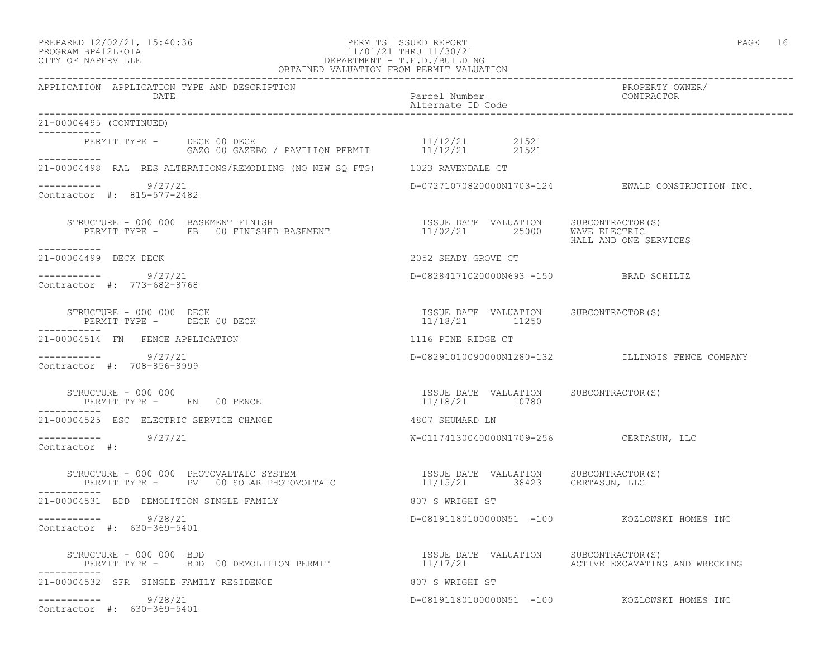## PREPARED 12/02/21, 15:40:36 PERMITS ISSUED REPORT PAGE 16 PROGRAM BP412LFOIA 11/01/21 THRU 11/30/21 CITY OF NAPERVILLE DEPARTMENT - T.E.D./BUILDING

|                                                                                                                                                                                                                                               | OBTAINED VALUATION FROM PERMIT VALUATION                |                                                     |
|-----------------------------------------------------------------------------------------------------------------------------------------------------------------------------------------------------------------------------------------------|---------------------------------------------------------|-----------------------------------------------------|
| APPLICATION APPLICATION TYPE AND DESCRIPTION<br>DATE                                                                                                                                                                                          | Parcel Number<br>Alternate ID Code                      | PROPERTY OWNER/<br>CONTRACTOR                       |
| 21-00004495 (CONTINUED)<br>------------                                                                                                                                                                                                       |                                                         |                                                     |
| PERMIT TYPE - DECK 00 DECK<br>GAZO 00 GAZEB<br>------------                                                                                                                                                                                   |                                                         |                                                     |
| 21-00004498 RAL RES ALTERATIONS/REMODLING (NO NEW SQ FTG) 1023 RAVENDALE CT                                                                                                                                                                   |                                                         |                                                     |
| $--------- 9/27/21$<br>Contractor #: 815-577-2482                                                                                                                                                                                             |                                                         | $D-07271070820000N1703-124$ EWALD CONSTRUCTION INC. |
| RUCTURE – 000 000 BASEMENT FINISH (S) (SOME PASSUE DATE VALUATION SUBCONTRACTOR)<br>PERMIT TYPE – FB 00 FINISHED BASEMENT (S) (S) 25000 WAVE ELECTRIC<br>STRUCTURE - 000 000 BASEMENT FINISH<br>-----------                                   |                                                         | HALL AND ONE SERVICES                               |
| 21-00004499 DECK DECK                                                                                                                                                                                                                         | 2052 SHADY GROVE CT                                     |                                                     |
| ___________<br>9/27/21<br>Contractor #: 773-682-8768                                                                                                                                                                                          | D-08284171020000N693 -150 BRAD SCHILTZ                  |                                                     |
| STRUCTURE - 000 000 DECK<br>PERMIT TYPE - DECK 00 DECK                                                                                                                                                                                        | ISSUE DATE VALUATION SUBCONTRACTOR(S)<br>11/18/21 11250 |                                                     |
| 21-00004514 FN FENCE APPLICATION                                                                                                                                                                                                              | 1116 PINE RIDGE CT                                      |                                                     |
| 9/27/21<br>Contractor #: 708-856-8999                                                                                                                                                                                                         |                                                         | D-08291010090000N1280-132 ILLINOIS FENCE COMPANY    |
| STRUCTURE - 000 000<br>PERMIT TYPE - FN 00 FENCE                                                                                                                                                                                              | ISSUE DATE VALUATION SUBCONTRACTOR(S)<br>11/18/21 10780 |                                                     |
| 21-00004525 ESC ELECTRIC SERVICE CHANGE                                                                                                                                                                                                       | 4807 SHUMARD LN                                         |                                                     |
| -----------    9/27/21<br>Contractor #:                                                                                                                                                                                                       | W-01174130040000N1709-256 CERTASUN, LLC                 |                                                     |
| STRUCTURE – 000 000 PHOTOVALTAIC SYSTEM                               ISSUE DATE VALUATION     SUBCONTRACTOR(S)<br>PERMIT TYPE –     PV   00 SOLAR PHOTOVOLTAIC                      11/15/21         38423      CERTASUN, LLC<br>----------- |                                                         |                                                     |
| 21-00004531 BDD DEMOLITION SINGLE FAMILY                                                                                                                                                                                                      | 807 S WRIGHT ST                                         |                                                     |
| -----------    9/28/21<br>Contractor #: 630-369-5401                                                                                                                                                                                          |                                                         | D-08191180100000N51 -100 KOZLOWSKI HOMES INC        |
| STRUCTURE - 000 000 BDD<br>PERMIT TYPE - BDD 00 DEMOLITION PERMIT                                                                                                                                                                             | ISSUE DATE VALUATION SUBCONTRACTOR(S)                   | 11/17/21 ACTIVE EXCAVATING AND WRECKING             |
| 21-00004532 SFR SINGLE FAMILY RESIDENCE                                                                                                                                                                                                       | 807 S WRIGHT ST                                         |                                                     |
| -----------    9/28/21<br>Contractor #: 630-369-5401                                                                                                                                                                                          |                                                         | D-08191180100000N51 -100 KOZLOWSKI HOMES INC        |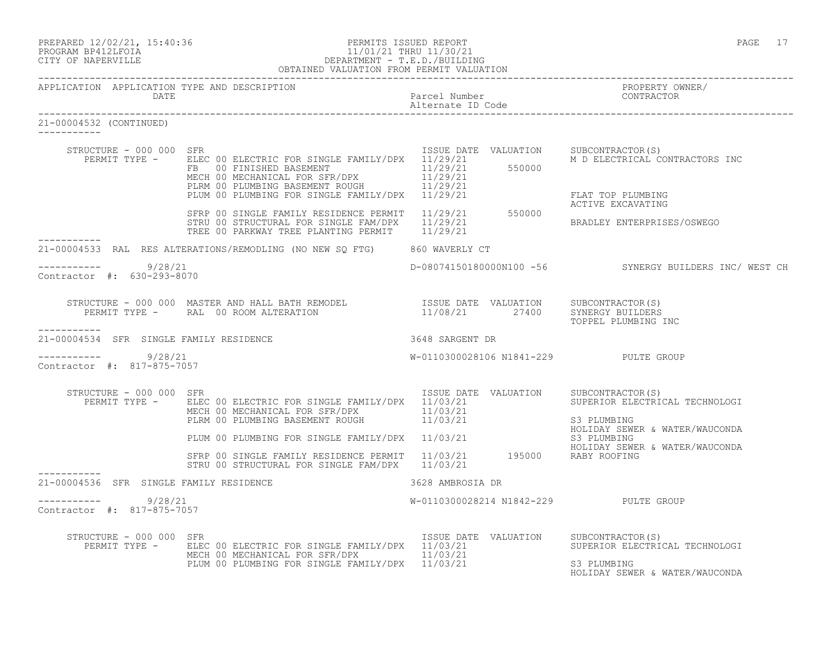| PREPARED 12/02/21, 15:40:36 |  |
|-----------------------------|--|
| DDOOD3M DD410T DOT3         |  |

## PREPARED 12/02/21, 15:40:36 PERMITS ISSUED REPORT PAGE 17 PROGRAM BP412LFOIA 11/01/21 THRU 11/30/21<br>CITY OF NAPERVILLE DEPARTMENT - T.E.D./BUILDI CITY OF NAPERVILLE DEPARTMENT - T.E.D./BUILDING

|                                                        | OBTAINED VALUATION FROM PERMIT VALUATION                                                                                                                                                                                                                                                                                                                                                                                                                                        |                                       |                                                                                                      |
|--------------------------------------------------------|---------------------------------------------------------------------------------------------------------------------------------------------------------------------------------------------------------------------------------------------------------------------------------------------------------------------------------------------------------------------------------------------------------------------------------------------------------------------------------|---------------------------------------|------------------------------------------------------------------------------------------------------|
| APPLICATION APPLICATION TYPE AND DESCRIPTION<br>DATE   | Parcel Number<br>Parcel Number<br>Alternate ID Code                                                                                                                                                                                                                                                                                                                                                                                                                             |                                       | PROPERTY OWNER/                                                                                      |
| 21-00004532 (CONTINUED)                                |                                                                                                                                                                                                                                                                                                                                                                                                                                                                                 |                                       |                                                                                                      |
| STRUCTURE - 000 000 SFR                                | EXAMPLE TRINGER AND THE CONSULTING SERVICTURE - THE CONSULTING THE CONSULTING THE CONSULTING SUBSEMENT<br>FRAMIT TYPE - ELEC OO FINISHED BASEMENT<br>FRAMICAL FOR SFR/DPX 11/29/21<br>MECH OO MECHANICAL FOR STR/DPX 11/29/21<br>PLUM                                                                                                                                                                                                                                           |                                       | ISSUE DATE VALUATION SUBCONTRACTOR(S)<br>M D ELECTRICAL CONTRACTORS INC<br>FLAT TOP PLUMBING         |
|                                                        | SFRP 00 SINGLE FAMILY RESIDENCE PERMIT 11/29/21 550000<br>STRU 00 STRUCTURAL FOR SINGLE FAM/DPX 11/29/21<br>TREE 00 PARKWAY TREE PLANTING PERMIT 11/29/21                                                                                                                                                                                                                                                                                                                       |                                       | ACTIVE EXCAVATING<br>BRADLEY ENTERPRISES/OSWEGO                                                      |
|                                                        | 21-00004533 RAL RES ALTERATIONS/REMODLING (NO NEW SQ FTG) 860 WAVERLY CT                                                                                                                                                                                                                                                                                                                                                                                                        |                                       |                                                                                                      |
| $--------- 9/28/21$<br>Contractor #: 630-293-8070      |                                                                                                                                                                                                                                                                                                                                                                                                                                                                                 |                                       | D-08074150180000N100 -56 SYNERGY BUILDERS INC/ WEST CH                                               |
|                                                        | $\begin{array}{cccc} \texttt{STRUCTURE} & - & 000 & 000 & \texttt{MASTER AND HALL BATH REMODEL} \\ \texttt{PERMIT TYPE} & - & \texttt{RAL} & 00\text{ ROM ALTERATION} \\ \texttt{PERMIT TYPE} & - & \texttt{RAL} & 00\text{ ROM ALTERATION} \\ \end{array} \qquad \begin{array}{cccc} \texttt{SINRISTER} & \texttt{SINER} & \texttt{SUSDATE} & \texttt{SUSDATE} \\ \texttt{SUSDATE} & \texttt{SUSDATE} & \texttt{SUSDATE} \\ \texttt{SUSDATE} & \texttt{SUSDATE} & \texttt{SUS$ |                                       | TOPPEL PLUMBING INC                                                                                  |
| -----------<br>21-00004534 SFR SINGLE FAMILY RESIDENCE | 3648 SARGENT DR                                                                                                                                                                                                                                                                                                                                                                                                                                                                 |                                       |                                                                                                      |
| ----------- 9/28/21<br>Contractor #: 817-875-7057      |                                                                                                                                                                                                                                                                                                                                                                                                                                                                                 | W-0110300028106 N1841-229 PULTE GROUP |                                                                                                      |
| STRUCTURE - 000 000 SFR                                | PERMIT TYPE - ELEC 00 ELECTRIC FOR SINGLE FAMILY/DPX 11/03/21 SUPERIOR ELECTRICAL TECHNOLOGI<br>MECH 00 MECHANICAL FOR SFR/DPX 11/03/21 S3 PLUMBING<br>PLRM 00 PLUMBING BASEMENT ROUGH 11/03/21 S3 PLUMBING<br>HOLIDAY SEWER & WATER/WA                                                                                                                                                                                                                                         | ISSUE DATE VALUATION SUBCONTRACTOR(S) |                                                                                                      |
|                                                        |                                                                                                                                                                                                                                                                                                                                                                                                                                                                                 |                                       | HOLIDAY SEWER & WATER/WAUCONDA                                                                       |
|                                                        | PLUM 00 PLUMBING FOR SINGLE FAMILY/DPX 11/03/21 63 PLUMBING<br>SFRP 00 SINGLE FAMILY RESIDENCE PERMIT 11/03/21 195000 RABY ROOFING<br>STRILO STRUCTURING CONCIDENT RIM(RNY 11/03/21 195000 RABY ROOFING<br>STRU 00 STRUCTURAL FOR SINGLE FAM/DPX 11/03/21                                                                                                                                                                                                                       |                                       | HOLIDAY SEWER & WATER/WAUCONDA                                                                       |
| 21-00004536 SFR SINGLE FAMILY RESIDENCE                |                                                                                                                                                                                                                                                                                                                                                                                                                                                                                 | 3628 AMBROSIA DR                      |                                                                                                      |
| $--------- 9/28/21$<br>Contractor #: 817-875-7057      |                                                                                                                                                                                                                                                                                                                                                                                                                                                                                 | W-0110300028214 N1842-229 PULTE GROUP |                                                                                                      |
| STRUCTURE - 000 000 SFR                                | PERMIT TYPE - ELEC 00 ELECTRIC FOR SINGLE FAMILY/DPX 11/03/21<br>MECH 00 MECHANICAL FOR SFR/DPX 11/03/21<br>PLUM 00 PLUMBING FOR SINGLE FAMILY/DPX 11/03/21                                                                                                                                                                                                                                                                                                                     | ISSUE DATE VALUATION                  | SUBCONTRACTOR (S)<br>SUPERIOR ELECTRICAL TECHNOLOGI<br>S3 PLUMBING<br>HOLIDAY SEWER & WATER/WAUCONDA |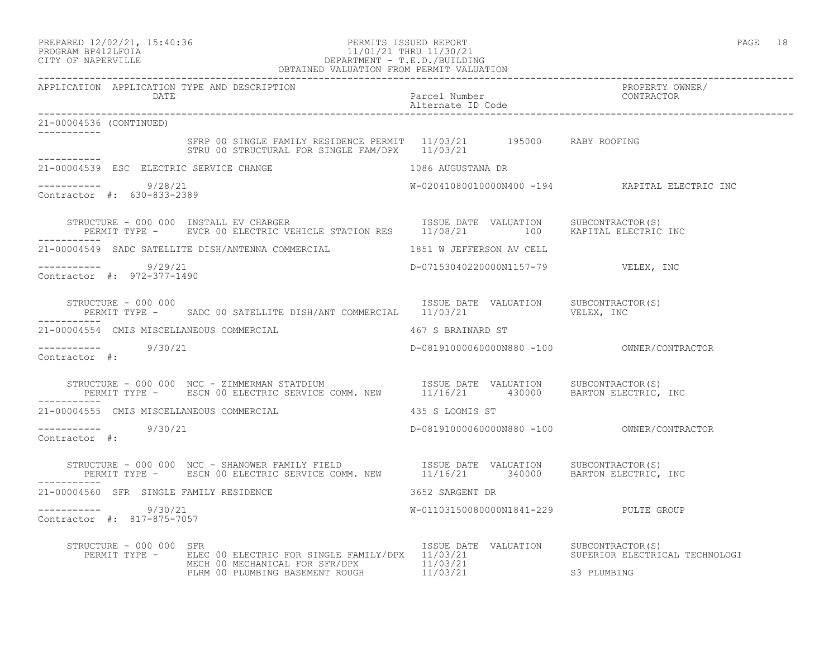## PREPARED 12/02/21, 15:40:36 PERMITS ISSUED REPORT PAGE 18 PROGRAM BP412LFOIA 11/01/21 THRU 11/30/21 CITY OF NAPERVILLE DEPARTMENT - T.E.D./BUILDING

 OBTAINED VALUATION FROM PERMIT VALUATION ------------------------------------------------------------------------------------------------------------------------------------ APPLICATION APPLICATION TYPE AND DESCRIPTION<br>DATE batel parcel Number property contractor DATE Parcel Number CONTRACTOR Alternate ID Code ------------------------------------------------------------------------------------------------------------------------------------ 21-00004536 (CONTINUED) ----------- SFRP 00 SINGLE FAMILY RESIDENCE PERMIT 11/03/21 195000 RABY ROOFING STRU 00 STRUCTURAL FOR SINGLE FAM/DPX 11/03/21 ----------- 21-00004539 ESC ELECTRIC SERVICE CHANGE 1086 AUGUSTANA DR  $--------- 9/28/21$ W-02041080010000N400 -194 KAPITAL ELECTRIC INC Contractor #: 630-833-2389 STRUCTURE - 000 000 INSTALL EV CHARGER ISSUE TRISUE DATE VALUATION SUBCONTRACTOR(S) PERMIT TYPE - EVCR 00 ELECTRIC VEHICLE STATION RES 11/08/21 100 KAPITAL ELECTRIC INC ----------- 21-00004549 SADC SATELLITE DISH/ANTENNA COMMERCIAL 1851 W JEFFERSON AV CELL ----------- 9/29/21 D-07153040220000N1157-79 VELEX, INC Contractor #: 972-377-1490 STRUCTURE - 000 000<br>PERMIT TYPE - SADC 00 SATELLITE DISH/ANT COMMERCIAL 11/03/21 VALUATION VELEX, INC PERMIT TYPE - SADC 00 SATELLITE DISH/ANT COMMERCIAL 11/03/21 ----------- 21-00004554 CMIS MISCELLANEOUS COMMERCIAL 467 S BRAINARD ST ----------- 9/30/21 D-08191000060000N880 -100 OWNER/CONTRACTOR Contractor #: STRUCTURE - 000 000 NCC - ZIMMERMAN STATDIUM ISSUE DATE VALUATION SUBCONTRACTOR(S) PERMIT TYPE - ESCN 00 ELECTRIC SERVICE COMM. NEW 11/16/21 430000 BARTON ELECTRIC, INC ----------- 21-00004555 CMIS MISCELLANEOUS COMMERCIAL 435 S LOOMIS ST ----------- 9/30/21 D-08191000060000N880 -100 OWNER/CONTRACTOR Contractor #: STRUCTURE - 000 000 NCC - SHANOWER FAMILY FIELD ISSUE DATE VALUATION SUBCONTRACTOR(S) PERMIT TYPE - ESCN 00 ELECTRIC SERVICE COMM. NEW 11/16/21 340000 BARTON ELECTRIC, INC ----------- 21-00004560 SFR SINGLE FAMILY RESIDENCE 3652 SARGENT DR ----------- 9/30/21 W-01103150080000N1841-229 PULTE GROUP Contractor #: 817-875-7057 STRUCTURE - 000 000 SFR<br>PERMIT TYPE - ELEC 00 ELECTRIC FOR SINGLE FAMILY/DPX 11/03/21 SUPERIOR ELECTRICAL TECHNOLOGI PERMIT TYPE - ELEC 00 ELECTRIC FOR SINGLE FAMILY/DPX 11/03/21 MECH 00 MECHANICAL FOR SFR/DPX 11/03/21 PLRM 00 PLUMBING BASEMENT ROUGH 11/03/21 S3 PLUMBING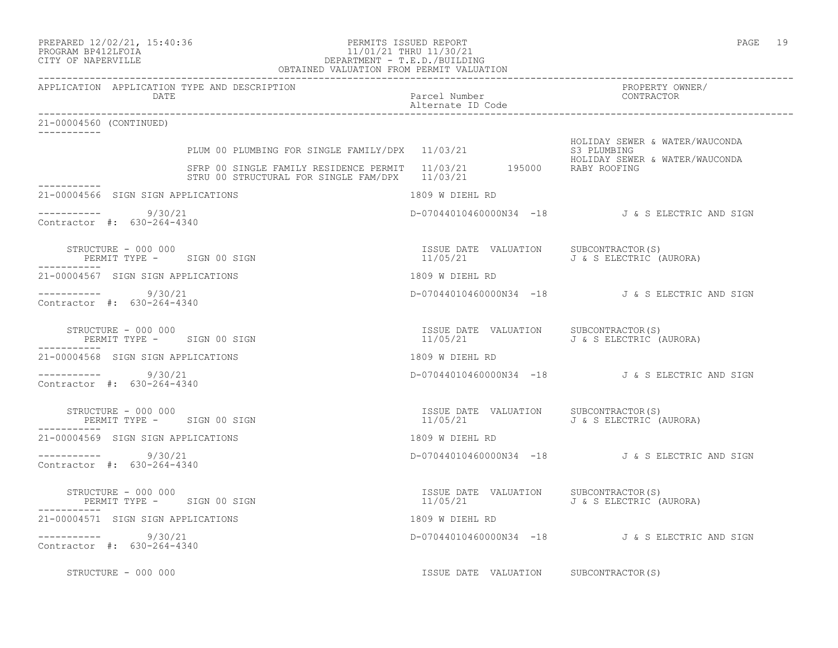### PREPARED 12/02/21, 15:40:36 PERMITS ISSUED REPORT PAGE 19 PROGRAM BP412LFOIA 11/01/21 THRU 11/30/21 CITY OF NAPERVILLE DEPARTMENT - T.E.D./BUILDING OBTAINED VALUATION FROM PERMIT VALUATION

| APPLICATION APPLICATION TYPE AND DESCRIPTION<br>DATE                                                                     | Parcel Number<br>Alternate ID Code                                                               | PROPERTY OWNER/<br>CONTRACTOR                                                   |  |
|--------------------------------------------------------------------------------------------------------------------------|--------------------------------------------------------------------------------------------------|---------------------------------------------------------------------------------|--|
| 21-00004560 (CONTINUED)                                                                                                  |                                                                                                  |                                                                                 |  |
| PLUM 00 PLUMBING FOR SINGLE FAMILY/DPX 11/03/21<br>SFRP 00 SINGLE FAMILY RESIDENCE PERMIT $11/03/21$ 195000 RABY ROOFING |                                                                                                  | HOLIDAY SEWER & WATER/WAUCONDA<br>S3 PLUMBING<br>HOLIDAY SEWER & WATER/WAUCONDA |  |
| STRU 00 STRUCTURAL FOR SINGLE FAM/DPX 11/03/21                                                                           |                                                                                                  |                                                                                 |  |
| 21-00004566 SIGN SIGN APPLICATIONS                                                                                       | 1809 W DIEHL RD                                                                                  |                                                                                 |  |
| $--------- 9/30/21$<br>Contractor #: 630-264-4340                                                                        |                                                                                                  | D-07044010460000N34 -18 J&S ELECTRIC AND SIGN                                   |  |
| STRUCTURE - 000 000<br>PERMIT TYPE - SIGN 00 SIGN<br>-----------                                                         | ISSUE DATE VALUATION SUBCONTRACTOR(S)<br>11/05/21                        J & S ELECTRIC (AURORA) |                                                                                 |  |
| 21-00004567 SIGN SIGN APPLICATIONS                                                                                       | 1809 W DIEHL RD                                                                                  |                                                                                 |  |
| $--------- 9/30/21$<br>Contractor #: 630-264-4340                                                                        |                                                                                                  | D-07044010460000N34 -18 J&S ELECTRIC AND SIGN                                   |  |
| STRUCTURE - 000 000<br>PERMIT TYPE - SIGN 00 SIGN<br>------------                                                        | ISSUE DATE VALUATION SUBCONTRACTOR(S)<br>11/05/21                                                | J & S ELECTRIC (AURORA)                                                         |  |
| 21-00004568 SIGN SIGN APPLICATIONS                                                                                       | 1809 W DIEHL RD                                                                                  |                                                                                 |  |
| $--------- 9/30/21$<br>Contractor #: 630-264-4340                                                                        |                                                                                                  | D-07044010460000N34 -18 J&S ELECTRIC AND SIGN                                   |  |
| STRUCTURE - 000 000<br>PERMIT TYPE - SIGN 00 SIGN<br>-----------                                                         | ISSUE DATE VALUATION SUBCONTRACTOR(S)<br>11/05/21                                                | J & S ELECTRIC (AURORA)                                                         |  |
| 21-00004569 SIGN SIGN APPLICATIONS                                                                                       | 1809 W DIEHL RD                                                                                  |                                                                                 |  |
| $--------- 9/30/21$<br>Contractor #: 630-264-4340                                                                        |                                                                                                  | D-07044010460000N34 -18 J&S ELECTRIC AND SIGN                                   |  |
| STRUCTURE - 000 000<br>PERMIT TYPE - SIGN 00 SIGN<br>-----------                                                         | ISSUE DATE VALUATION SUBCONTRACTOR(S)<br>11/05/21                                                | J & S ELECTRIC (AURORA)                                                         |  |
| 21-00004571 SIGN SIGN APPLICATIONS                                                                                       | 1809 W DIEHL RD                                                                                  |                                                                                 |  |
| $--------- 9/30/21$<br>Contractor #: 630-264-4340                                                                        |                                                                                                  | D-07044010460000N34 -18 J&S ELECTRIC AND SIGN                                   |  |
| STRUCTURE - 000 000                                                                                                      | ISSUE DATE VALUATION SUBCONTRACTOR(S)                                                            |                                                                                 |  |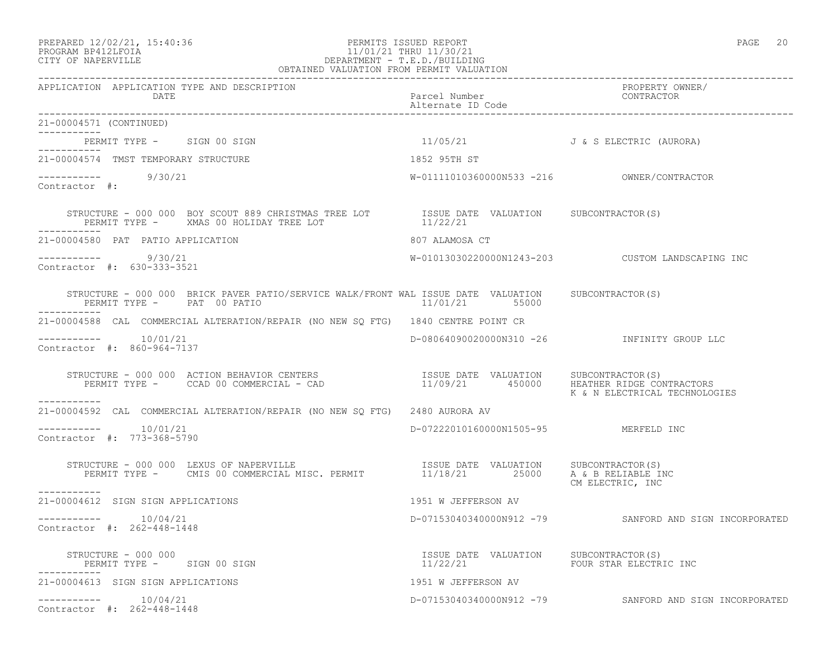### PREPARED 12/02/21, 15:40:36 PERMITS ISSUED REPORT PAGE 20 PROGRAM BP412LFOIA 11/01/21 THRU 11/30/21 CITY OF NAPERVILLE DEPARTMENT - T.E.D./BUILDING OBTAINED VALUATION FROM PERMIT VALUATION

| APPLICATION APPLICATION TYPE AND DESCRIPTION<br>DATE                                                                                                                                                                              | Parcel Number<br>Alternate ID Code                                       | PROPERTY OWNER/<br>CONTRACTOR                          |
|-----------------------------------------------------------------------------------------------------------------------------------------------------------------------------------------------------------------------------------|--------------------------------------------------------------------------|--------------------------------------------------------|
| 21-00004571 (CONTINUED)                                                                                                                                                                                                           |                                                                          |                                                        |
| PERMIT TYPE - SIGN 00 SIGN                                                                                                                                                                                                        | 11/05/21 J & S ELECTRIC (AURORA)                                         |                                                        |
| 21-00004574 TMST TEMPORARY STRUCTURE                                                                                                                                                                                              | 1852 95TH ST                                                             |                                                        |
| $--------$ 9/30/21<br>Contractor #:                                                                                                                                                                                               |                                                                          |                                                        |
| STRUCTURE - 000 000 BOY SCOUT 889 CHRISTMAS TREE LOT TSSUE DATE VALUATION SUBCONTRACTOR(S) PERMIT TYPE - XMAS 00 HOLIDAY TREE LOT 11/22/21                                                                                        |                                                                          |                                                        |
| 21-00004580 PAT PATIO APPLICATION                                                                                                                                                                                                 | 807 ALAMOSA CT                                                           |                                                        |
| $--------- 9/30/21$<br>Contractor #: 630-333-3521                                                                                                                                                                                 |                                                                          | W-01013030220000N1243-203  CUSTOM LANDSCAPING INC      |
| STRUCTURE - 000 000 BRICK PAVER PATIO/SERVICE WALK/FRONT WAL ISSUE DATE VALUATION SUBCONTRACTOR(S)<br>PERMIT TYPE - PAT 00 PATIO                                                                                                  | 11/01/21 55000                                                           |                                                        |
| 21-00004588 CAL COMMERCIAL ALTERATION/REPAIR (NO NEW SO FTG) 1840 CENTRE POINT CR                                                                                                                                                 |                                                                          |                                                        |
| $--------- 10/01/21$<br>Contractor #: 860-964-7137                                                                                                                                                                                |                                                                          | D-08064090020000N310 -26 INFINITY GROUP LLC            |
| STRUCTURE – 000 000 ACTION BEHAVIOR CENTERS                       ISSUE DATE VALUATION     SUBCONTRACTOR(S)<br>PERMIT TYPE –      CCAD 00 COMMERCIAL – CAD                            11/09/21      450000      HEATHER_RIDGE_CON |                                                                          | K & N ELECTRICAL TECHNOLOGIES                          |
| 21-00004592 CAL COMMERCIAL ALTERATION/REPAIR (NO NEW SO FTG) 2480 AURORA AV                                                                                                                                                       |                                                                          |                                                        |
| $--------- 10/01/21$<br>Contractor #: 773-368-5790                                                                                                                                                                                | D-07222010160000N1505-95 MERFELD INC                                     |                                                        |
| STRUCTURE - 000 000 LEXUS OF NAPERVILLE                             ISSUE DATE VALUATION      SUBCONTRACTOR(S)<br>PERMIT TYPE -     CMIS 00 COMMERCIAL MISC. PERMIT               11/18/21        25000     A & B RELIABLE INC    |                                                                          | CM ELECTRIC, INC                                       |
| 21-00004612 SIGN SIGN APPLICATIONS                                                                                                                                                                                                | 1951 W JEFFERSON AV                                                      |                                                        |
| $--------- 10/04/21$<br>Contractor #: 262-448-1448                                                                                                                                                                                |                                                                          | D-07153040340000N912 -79 SANFORD AND SIGN INCORPORATED |
| STRUCTURE - 000 000<br>PERMIT TYPE - SIGN 00 SIGN                                                                                                                                                                                 | ISSUE DATE VALUATION SUBCONTRACTOR(S)<br>11/22/21 FOUR STAR ELECTRIC INC |                                                        |
| 21-00004613 SIGN SIGN APPLICATIONS                                                                                                                                                                                                | 1951 W JEFFERSON AV                                                      |                                                        |
| $--------- 10/04/21$<br>Contractor #: 262-448-1448                                                                                                                                                                                |                                                                          | D-07153040340000N912 -79 SANFORD AND SIGN INCORPORATED |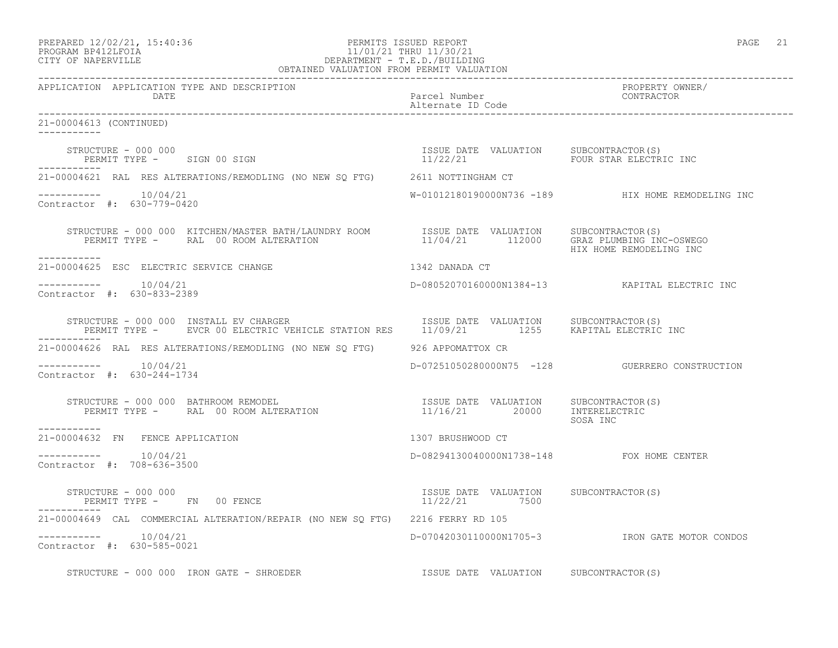## PREPARED 12/02/21, 15:40:36 PERMITS ISSUED REPORT PAGE 21 PROGRAM BP412LFOIA 11/01/21 THRU 11/30/21 CITY OF NAPERVILLE DEPARTMENT - T.E.D./BUILDING

| OBTAINED VALUATION FROM PERMIT VALUATION                                                                                                                                                                                                                                                                                     |                                           |                                                   |
|------------------------------------------------------------------------------------------------------------------------------------------------------------------------------------------------------------------------------------------------------------------------------------------------------------------------------|-------------------------------------------|---------------------------------------------------|
| APPLICATION APPLICATION TYPE AND DESCRIPTION<br>DATE                                                                                                                                                                                                                                                                         | Parcel Number<br>Alternate ID Code        | PROPERTY OWNER/<br>CONTRACTOR                     |
| 21-00004613 (CONTINUED)                                                                                                                                                                                                                                                                                                      |                                           |                                                   |
| STRUCTURE - 000 000<br>STRUCTURE - 000 000<br>PERMIT TYPE - SIGN 00 SIGN CONNECTOR PRODUCED SUBLEM SUBCONTRACTOR (S)                                                                                                                                                                                                         |                                           |                                                   |
| 21-00004621 RAL RES ALTERATIONS/REMODLING (NO NEW SQ FTG) 2611 NOTTINGHAM CT                                                                                                                                                                                                                                                 |                                           |                                                   |
| $--------- 10/04/21$<br>Contractor #: 630-779-0420                                                                                                                                                                                                                                                                           |                                           | W-01012180190000N736 -189 HIX HOME REMODELING INC |
| $\begin{array}{cccc} \texttt{STRUCTURE} - 000~000 & \texttt{KITCHEN/MASTER BATH/LAUNDRY ROM} & \texttt{ISSUE DATE} & \texttt{VALUATION} & \texttt{SUBCONTRACTOR(S)} \\ \texttt{PERMIT TYPE} - & \texttt{RAL} & 00~\text{ROM ALTERATION} & 11/04/21 & 112000 & \texttt{GRAZ PLUMBING INC-OSWEGO} \end{array}$<br>------------ |                                           | HIX HOME REMODELING INC                           |
| 1342 DANADA CT<br>21-00004625 ESC ELECTRIC SERVICE CHANGE                                                                                                                                                                                                                                                                    |                                           |                                                   |
| -----------    10/04/21<br>Contractor #: 630-833-2389                                                                                                                                                                                                                                                                        |                                           | D-08052070160000N1384-13 KAPITAL ELECTRIC INC     |
| STRUCTURE - 000 000 INSTALL EV CHARGER<br>STRUCTURE - 000 000 INSTALL EV CHARGER<br>PERMIT TYPE -     EVCR 00 ELECTRIC VEHICLE STATION RES     11/09/21        1255    KAPITAL ELECTRIC INC                                                                                                                                  |                                           |                                                   |
| 21-00004626 RAL RES ALTERATIONS/REMODLING (NO NEW SQ FTG) 926 APPOMATTOX CR                                                                                                                                                                                                                                                  |                                           |                                                   |
| Contractor #: 630-244-1734                                                                                                                                                                                                                                                                                                   |                                           | D-07251050280000N75 -128 GUERRERO CONSTRUCTION    |
| -----------                                                                                                                                                                                                                                                                                                                  |                                           | SOSA INC                                          |
| 21-00004632 FN FENCE APPLICATION                                                                                                                                                                                                                                                                                             | 1307 BRUSHWOOD CT                         |                                                   |
| $--------- 10/04/21$<br>Contractor #: 708-636-3500                                                                                                                                                                                                                                                                           | D-08294130040000N1738-148 FOX HOME CENTER |                                                   |
| STRUCTURE - 000 000                                                                                                                                                                                                                                                                                                          |                                           |                                                   |
| 21-00004649 CAL COMMERCIAL ALTERATION/REPAIR (NO NEW SO FTG) 2216 FERRY RD 105                                                                                                                                                                                                                                               |                                           |                                                   |
| Contractor #: 630-585-0021                                                                                                                                                                                                                                                                                                   |                                           | D-07042030110000N1705-3 IRON GATE MOTOR CONDOS    |
| STRUCTURE - 000 000 IRON GATE - SHROEDER                                                                                                                                                                                                                                                                                     | ISSUE DATE VALUATION SUBCONTRACTOR(S)     |                                                   |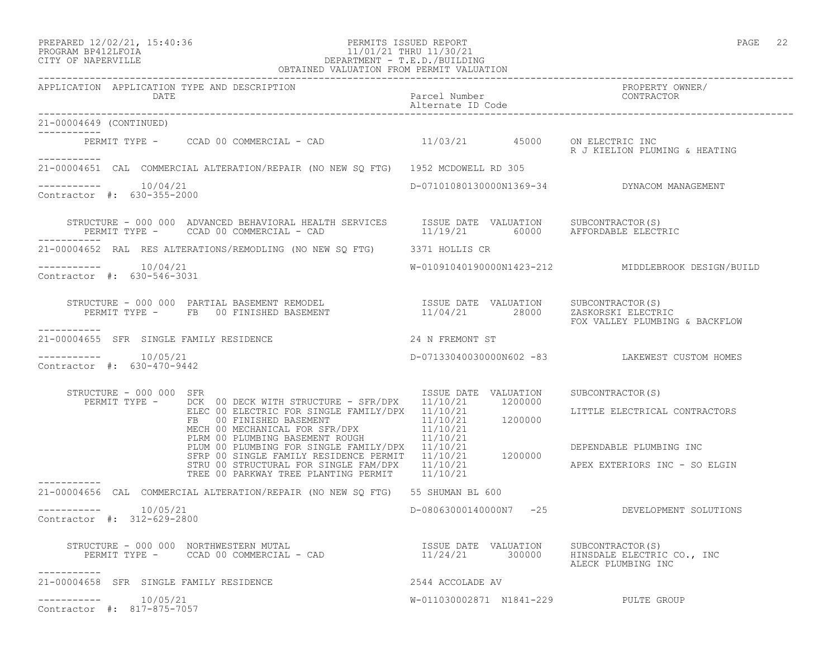## PREPARED 12/02/21, 15:40:36 PERMITS ISSUED REPORT PAGE 22 PROGRAM BP412LFOIA 11/01/21 THRU 11/30/21 CITY OF NAPERVILLE DEPARTMENT - T.E.D./BUILDING

|                                                        | OBTAINED VALUATION FROM PERMIT VALUATION                                                                                                                                                                                                                                                                                                                                                                                                                                                             |                                                                            |                                                                                                               |
|--------------------------------------------------------|------------------------------------------------------------------------------------------------------------------------------------------------------------------------------------------------------------------------------------------------------------------------------------------------------------------------------------------------------------------------------------------------------------------------------------------------------------------------------------------------------|----------------------------------------------------------------------------|---------------------------------------------------------------------------------------------------------------|
| APPLICATION APPLICATION TYPE AND DESCRIPTION<br>DATE   |                                                                                                                                                                                                                                                                                                                                                                                                                                                                                                      |                                                                            | PROPERTY OWNER/<br>Parcel Number<br>Alternate ID Code and CONTRACTOR                                          |
| 21-00004649 (CONTINUED)<br>___________                 |                                                                                                                                                                                                                                                                                                                                                                                                                                                                                                      |                                                                            |                                                                                                               |
| -----------                                            | PERMIT TYPE - CCAD 00 COMMERCIAL - CAD 11/03/21 45000 ON ELECTRIC INC                                                                                                                                                                                                                                                                                                                                                                                                                                |                                                                            | R J KIELION PLUMING & HEATING                                                                                 |
|                                                        | 21-00004651 CAL COMMERCIAL ALTERATION/REPAIR (NO NEW SO FTG) 1952 MCDOWELL RD 305                                                                                                                                                                                                                                                                                                                                                                                                                    |                                                                            |                                                                                                               |
| $--------- 10/04/21$<br>Contractor #: 630-355-2000     |                                                                                                                                                                                                                                                                                                                                                                                                                                                                                                      |                                                                            | D-07101080130000N1369-34 DYNACOM MANAGEMENT                                                                   |
|                                                        | STRUCTURE - 000 000 ADVANCED BEHAVIORAL HEALTH SERVICES ISSUE DATE VALUATION SUBCONTRACTOR(S)<br>PERMIT TYPE - CCAD 00 COMMERCIAL - CAD AD 11/19/21 60000 AFFORDABLE ELECTRIC<br>PERMIT TYPE - CCAD 00 COMMERCIAL - CAD                                                                                                                                                                                                                                                                              |                                                                            |                                                                                                               |
|                                                        | 21-00004652 RAL RES ALTERATIONS/REMODLING (NO NEW SQ FTG) 3371 HOLLIS CR                                                                                                                                                                                                                                                                                                                                                                                                                             |                                                                            |                                                                                                               |
| $--------- 10/04/21$<br>Contractor #: 630-546-3031     |                                                                                                                                                                                                                                                                                                                                                                                                                                                                                                      |                                                                            | W-01091040190000N1423-212 MIDDLEBROOK DESIGN/BUILD                                                            |
| ----------                                             | STRUCTURE – 000 000 PARTIAL BASEMENT REMODEL                       ISSUE DATE VALUATION    SUBCONTRACTOR(S)<br>PERMIT TYPE –     FB  00 FINISHED BASEMENT                        11/04/21        28000     ZASKORSKI ELECTRIC                                                                                                                                                                                                                                                                        |                                                                            | FOX VALLEY PLUMBING & BACKFLOW                                                                                |
| 21-00004655 SFR SINGLE FAMILY RESIDENCE                | 24 N FREMONT ST                                                                                                                                                                                                                                                                                                                                                                                                                                                                                      |                                                                            |                                                                                                               |
| 10/05/21<br>Contractor #: 630-470-9442                 |                                                                                                                                                                                                                                                                                                                                                                                                                                                                                                      |                                                                            | D-07133040030000N602 -83 LAKEWEST CUSTOM HOMES                                                                |
| STRUCTURE - 000 000 SFR<br>PERMIT TYPE -               | DCK 00 DECK WITH STRUCTURE - SFR/DPX<br>ELEC 00 ELECTRIC FOR SINGLE FAMILY/DPX 11/10/21<br>ELEC 00 ELECTRIC FOR SINGLE INTERNATIONAL 11/10/21<br>FB 00 FINISHED BASEMENT 11/10/21<br>TANK TOP SER/DPX 11/10/21<br>MECH 00 MECHANICAL FOR SFR/DPX<br>PLRM 00 PLUMBING BASEMENT ROUGH<br>PLUM 00 PLUMBING FOR SINGLE FAMILY/DPX 11/10/21<br>SFRP 00 SINGLE FAMILY RESIDENCE PERMIT 11/10/21 1200000<br>STRU 00 STRUCTURAL FOR SINGLE FAM/DPX 11/10/21<br>TREE 00 PARKWAY TREE PLANTING PERMIT 11/10/21 | ISSUE DATE VALUATION<br>11/10/21 1200000<br>$11/10/21$ 1200000<br>11/10/21 | SUBCONTRACTOR(S)<br>LITTLE ELECTRICAL CONTRACTORS<br>DEPENDABLE PLUMBING INC<br>APEX EXTERIORS INC - SO ELGIN |
| ------------                                           | 21-00004656 CAL COMMERCIAL ALTERATION/REPAIR (NO NEW SQ FTG) 55 SHUMAN BL 600                                                                                                                                                                                                                                                                                                                                                                                                                        |                                                                            |                                                                                                               |
| 10/05/21<br>------------<br>Contractor #: 312-629-2800 |                                                                                                                                                                                                                                                                                                                                                                                                                                                                                                      |                                                                            | D-08063000140000N7 -25 DEVELOPMENT SOLUTIONS                                                                  |
|                                                        |                                                                                                                                                                                                                                                                                                                                                                                                                                                                                                      |                                                                            | ALECK PLUMBING INC                                                                                            |
| 21-00004658 SFR SINGLE FAMILY RESIDENCE                |                                                                                                                                                                                                                                                                                                                                                                                                                                                                                                      | 2544 ACCOLADE AV                                                           |                                                                                                               |
| 10/05/21<br>Contractor #: 817-875-7057                 |                                                                                                                                                                                                                                                                                                                                                                                                                                                                                                      |                                                                            | W-011030002871 N1841-229 PULTE GROUP                                                                          |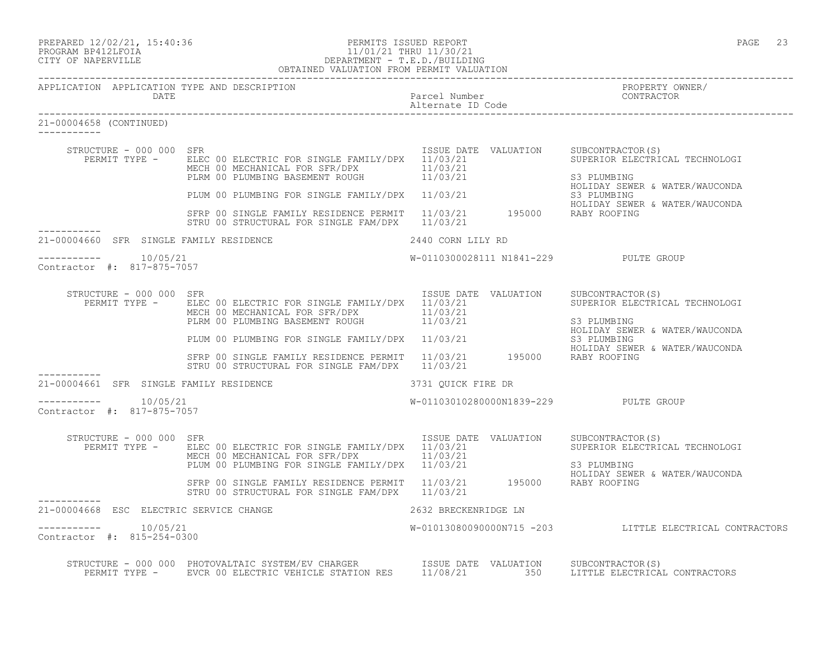## PREPARED 12/02/21, 15:40:36 PERMITS ISSUED REPORT PAGE 23 PROGRAM BP412LFOIA 11/01/21 THRU 11/30/21 CITY OF NAPERVILLE DEPARTMENT - T.E.D./BUILDING

 OBTAINED VALUATION FROM PERMIT VALUATION ------------------------------------------------------------------------------------------------------------------------------------ APPLICATION APPLICATION TYPE AND DESCRIPTION PROPERTY OWNER/ DATE Parcel Number CONTRACTOR Alternate ID Code ------------------------------------------------------------------------------------------------------------------------------------ 21-00004658 (CONTINUED) ----------- STRUCTURE - 000 000 SFR<br>PERMIT TYPE - ELEC 00 ELECTRIC FOR SINGLE FAMILY/DPX 11/03/21 SUPERIOR ELECTRICAL TECHNOLOGI PERMIT TYPE - BLEC 00 ELECTRIC FOR SINGLE FAMILY/DPX 11/03/21 SUPERIOR ELECTRICAL TECHNOLOGI MECH 00 MECHANICAL FOR SFR/DPX 11/03/21 PLRM 00 PLUMBING BASEMENT ROUGH 11/03/21 S3 PLUMBING HOLIDAY SEWER & WATER/WAUCONDA<br>S3 PLUMBING PLUM 00 PLUMBING FOR SINGLE FAMILY/DPX 11/03/21 S3 PLUMBING SAMER & WATER/WAUCONDA HOLIDAY SEWER & WATER/WAUCONDA SFRP 00 SINGLE FAMILY RESIDENCE PERMIT 11/03/21 195000 RABY ROOFING STRU 00 STRUCTURAL FOR SINGLE FAM/DPX 11/03/21 ----------- 21-00004660 SFR SINGLE FAMILY RESIDENCE 2440 CORN LILY RD ---------------------- 10/05/21 W-0110300028111 N1841-229 PULTE GROUP Contractor #: 817-875-7057 STRUCTURE - 000 000 SFR<br>PERMIT TYPE - ELEC 00 ELECTRIC FOR SINGLE FAMILY/DPX 11/03/21 VALUATION SUPERIOR ELECTRICAL TECHNOLOGI PERMIT TYPE - ELEC 00 ELECTRIC FOR SINGLE FAMILY/DPX 11/03/21 MECH 00 MECHANICAL FOR SFR/DPX 11/03/21 PLRM 00 PLUMBING BASEMENT ROUGH 11/03/21 S3 PLUMBING HOLIDAY SEWER & WATER/WAUCONDA PLUM 00 PLUMBING FOR SINGLE FAMILY/DPX 11/03/21 S3 PLUMBING HOLIDAY SEWER & WATER/WAUCONDA SFRP 00 SINGLE FAMILY RESIDENCE PERMIT 11/03/21 195000 RABY ROOFING STRU 00 STRUCTURAL FOR SINGLE FAM/DPX 11/03/21 ----------- 21-00004661 SFR SINGLE FAMILY RESIDENCE **3731 QUICK FIRE DR**  $--------- 10/05/21$ W-01103010280000N1839-229 PULTE GROUP Contractor #: 817-875-7057 STRUCTURE - 000 000 SFR<br>PERMIT TYPE - ELEC 00 ELECTRIC FOR SINGLE FAMILY/DPX 11/03/21 VALUATION SUPERIOR ELECTRICAL TECHNOLOGI PERMIT TYPE - ELEC 00 ELECTRIC FOR SINGLE FAMILY/DPX 11/03/21 MECH 00 MECHANICAL FOR SFR/DPX 11/03/21 PLUM 00 PLUMBING FOR SINGLE FAMILY/DPX 11/03/21 S3 PLUMBING HOLIDAY SEWER & WATER/WAUCONDA

 STRU 00 STRUCTURAL FOR SINGLE FAM/DPX 11/03/21 ----------- 21-00004668 ESC ELECTRIC SERVICE CHANGE 2632 BRECKENRIDGE LN  $--------- 10/05/21$ W-01013080090000N715 -203 LITTLE ELECTRICAL CONTRACTORS Contractor #: 815-254-0300

 STRUCTURE - 000 000 PHOTOVALTAIC SYSTEM/EV CHARGER ISSUE DATE VALUATION SUBCONTRACTOR(S) PERMIT TYPE - EVCR 00 ELECTRIC VEHICLE STATION RES 11/08/21 350 LITTLE ELECTRICAL CONTRACTORS

SFRP 00 SINGLE FAMILY RESIDENCE PERMIT 11/03/21 195000 RABY ROOFING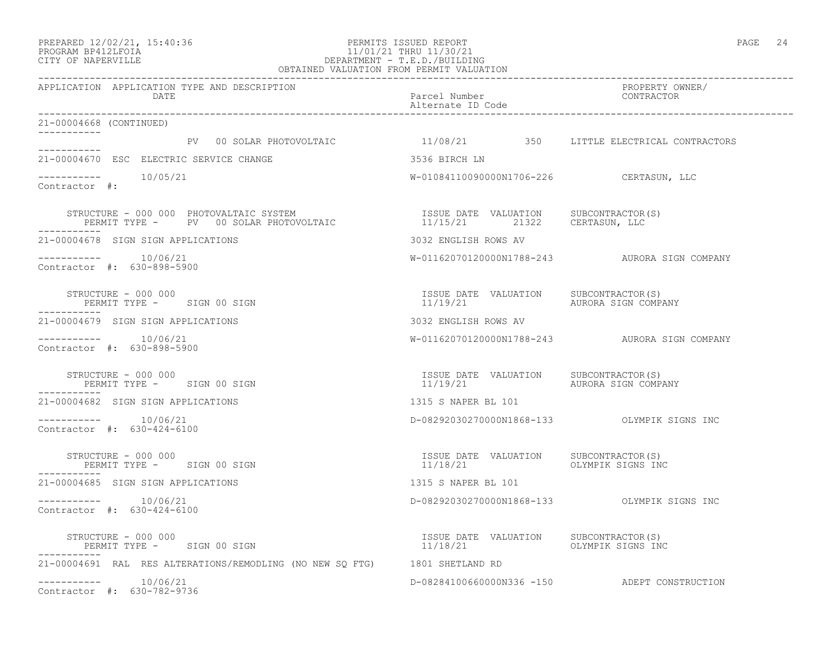### PREPARED 12/02/21, 15:40:36 PERMITS ISSUED REPORT PAGE 24 PROGRAM BP412LFOIA 11/01/21 THRU 11/30/21 CITY OF NAPERVILLE DEPARTMENT - T.E.D./BUILDING OBTAINED VALUATION FROM PERMIT VALUATION

------------------------------------------------------------------------------------------------------------------------------------ APPLICATION APPLICATION TYPE AND DESCRIPTION PROPERTY OWNER/ DATE **Parcel Number** Parcel Number Contractor of the Parcel Number of the Parcel Number of the Parcel Number of the Parcel Number of the Parcel Number of the Parcel Number of the Parcel Number of the Parcel Number of the P Alternate ID Code ------------------------------------------------------------------------------------------------------------------------------------ 21-00004668 (CONTINUED) ----------- PV 00 SOLAR PHOTOVOLTAIC  $11/08/21$  350 LITTLE ELECTRICAL CONTRACTORS ----------- 21-00004670 ESC ELECTRIC SERVICE CHANGE 3536 BIRCH LN  $--------- 10/05/21$ W-01084110090000N1706-226 CERTASUN, LLC Contractor #: STRUCTURE - 000 000 PHOTOVALTAIC SYSTEM ISSUE DATE VALUATION SUBCONTRACTOR(S) PERMIT TYPE - PV 00 SOLAR PHOTOVOLTAIC 11/15/21 21322 CERTASUN, LLC ----------- 21-00004678 SIGN SIGN APPLICATIONS 3032 ENGLISH ROWS AV ----------- 10/06/21 W-01162070120000N1788-243 AURORA SIGN COMPANY Contractor #: 630-898-5900 STRUCTURE – 000 000<br>
STRUCTURE – 000 000 ISSUE DATE VALUATION SUBCONTRACTOR(S)<br>
I1/19/21 aurora sign company PERMIT TYPE - SIGN 00 SIGN ----------- 21-00004679 SIGN SIGN APPLICATIONS 3032 ENGLISH ROWS AV ----------- 10/06/21 W-01162070120000N1788-243 AURORA SIGN COMPANY Contractor #: 630-898-5900 STRUCTURE – 000 000<br>
STRUCTURE – 000 000 SIGN 00 SIGN COMPANY 11/19/21 AURORA SIGN COMPANY PERMIT TYPE - SIGN 00 SIGN ----------- 21-00004682 SIGN SIGN APPLICATIONS 1315 S NAPER BL 101 ----------- 10/06/21 D-08292030270000N1868-133 OLYMPIK SIGNS INC Contractor #: 630-424-6100 STRUCTURE - 000 000 ISSUE DATE VALUATION SUBCONTRACTOR(S) PERMIT TYPE - SIGN 00 SIGN ----------- 21-00004685 SIGN SIGN APPLICATIONS 1315 S NAPER BL 101 ----------- 10/06/21 D-08292030270000N1868-133 OLYMPIK SIGNS INC Contractor #: 630-424-6100 STRUCTURE - 000 000 ISSUE DATE VALUATION SUBCONTRACTOR(S) PERMIT TYPE - SIGN 00 SIGN ----------- 21-00004691 RAL RES ALTERATIONS/REMODLING (NO NEW SQ FTG) 1801 SHETLAND RD ----------- 10/06/21 D-08284100660000N336 -150 ADEPT CONSTRUCTION Contractor #: 630-782-9736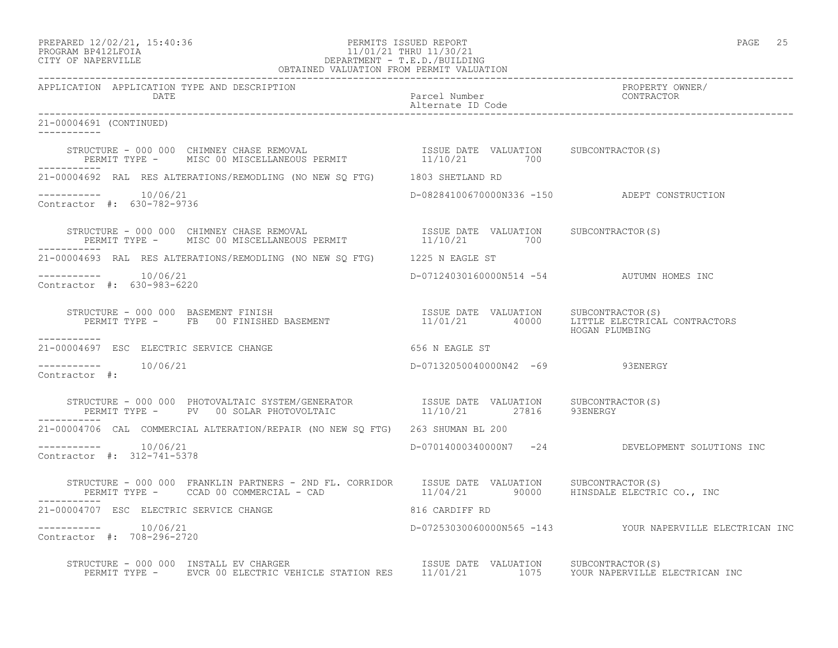PREPARED 12/02/21, 15:40:36 PERMITS ISSUED REPORT PAGE 25

### PROGRAM BP412LFOIA 11/01/21 THRU 11/30/21 CITY OF NAPERVILLE DEPARTMENT - T.E.D./BUILDING OBTAINED VALUATION FROM PERMIT VALUATION

------------------------------------------------------------------------------------------------------------------------------------ APPLICATION APPLICATION TYPE AND DESCRIPTION<br>DATE bated parcel Number property own DATE Parcel Number CONTRACTOR Alternate ID Code ------------------------------------------------------------------------------------------------------------------------------------ 21-00004691 (CONTINUED) ----------- STRUCTURE - 000 000 CHIMNEY CHASE REMOVAL ISSUE DATE VALUATION SUBCONTRACTOR(S) PERMIT TYPE - MISC 00 MISCELLANEOUS PERMIT  $11/10/21$  700 ----------- 21-00004692 RAL RES ALTERATIONS/REMODLING (NO NEW SQ FTG) 1803 SHETLAND RD ----------- 10/06/21 D-08284100670000N336 -150 ADEPT CONSTRUCTION Contractor #: 630-782-9736 STRUCTURE - 000 000 CHIMNEY CHASE REMOVAL ISSUE DATE VALUATION SUBCONTRACTOR(S) PERMIT TYPE - MISC 00 MISCELLANEOUS PERMIT  $11/10/21$  700 ----------- 21-00004693 RAL RES ALTERATIONS/REMODLING (NO NEW SQ FTG) 1225 N EAGLE ST ----------- 10/06/21 D-07124030160000N514 -54 AUTUMN HOMES INC Contractor #: 630-983-6220 STRUCTURE - 000 000 BASEMENT FINISH ISSUE DATE VALUATION SUBCONTRACTOR(S) PERMIT TYPE - FB 00 FINISHED BASEMENT 11/01/21 40000 LITTLE ELECTRICAL CONTRACTORS HOGAN PLUMBING ----------- 21-00004697 ESC ELECTRIC SERVICE CHANGE 656 N EAGLE ST D-07132050040000N42 -69 93ENERGY Contractor #: STRUCTURE - 000 000 PHOTOVALTAIC SYSTEM/GENERATOR ISSUE DATE VALUATION SUBCONTRACTOR(S) PERMIT TYPE - PV 00 SOLAR PHOTOVOLTAIC  $11/10/21$  27816 93ENERGY ----------- 21-00004706 CAL COMMERCIAL ALTERATION/REPAIR (NO NEW SQ FTG) 263 SHUMAN BL 200 ----------- 10/06/21 D-07014000340000N7 -24 DEVELOPMENT SOLUTIONS INC Contractor #: 312-741-5378 STRUCTURE - 000 000 FRANKLIN PARTNERS - 2ND FL. CORRIDOR ISSUE DATE VALUATION SUBCONTRACTOR(S)<br>PERMIT TYPE - CCAD 00 COMMERCIAL - CAD - CAD - 21 21/04/21 90000 HINSDALE ELECTRIC 11/04/21 90000 HINSDALE ELECTRIC CO., INC 21-00004707 ESC ELECTRIC SERVICE CHANGE 816 CARDIFF RD ----------- 10/06/21 D-07253030060000N565 -143 YOUR NAPERVILLE ELECTRICAN INC Contractor #: 708-296-2720 STRUCTURE - 000 000 INSTALL EV CHARGER ISSUE DATE VALUATION SUBCONTRACTOR(S) PERMIT TYPE - EVCR 00 ELECTRIC VEHICLE STATION RES 11/01/21 1075 YOUR NAPERVILLE ELECTRICAN INC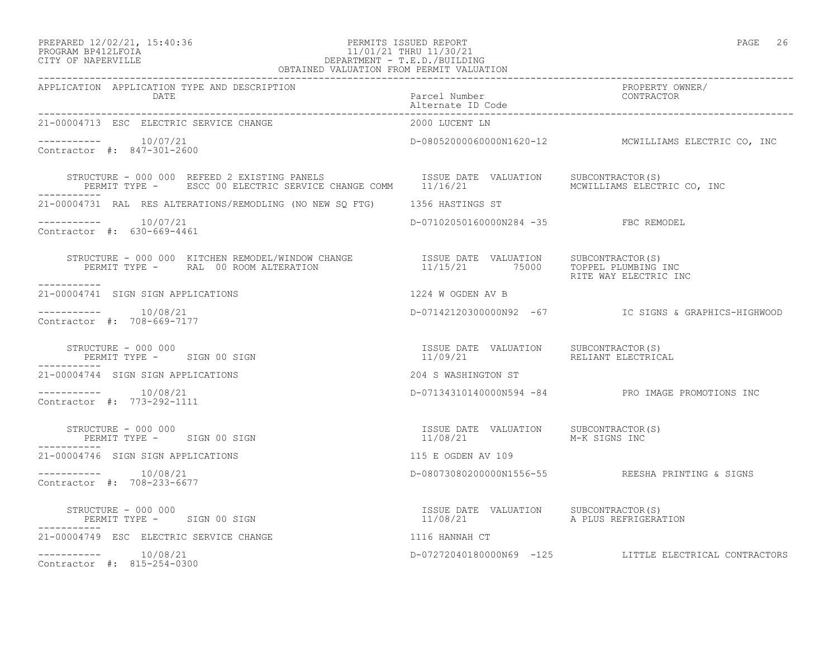### PREPARED 12/02/21, 15:40:36 PERMITS ISSUED REPORT PAGE 26 PROGRAM BP412LFOIA 11/01/21 THRU 11/30/21 CITY OF NAPERVILLE DEPARTMENT - T.E.D./BUILDING OBTAINED VALUATION FROM PERMIT VALUATION

| APPLICATION APPLICATION TYPE AND DESCRIPTION<br>DATE                                                                                                                                                                             | Parcel Number<br>Alternate ID Code                                   | PROPERTY OWNER/<br>CONTRACTOR                          |
|----------------------------------------------------------------------------------------------------------------------------------------------------------------------------------------------------------------------------------|----------------------------------------------------------------------|--------------------------------------------------------|
| 21-00004713 ESC ELECTRIC SERVICE CHANGE                                                                                                                                                                                          | 2000 LUCENT LN                                                       |                                                        |
| $--------- 10/07/21$<br>Contractor #: 847-301-2600                                                                                                                                                                               |                                                                      | D-08052000060000N1620-12 MCWILLIAMS ELECTRIC CO, INC   |
| STRUCTURE - 000 000 REFEED 2 EXISTING PANELS                      ISSUE DATE VALUATION     SUBCONTRACTOR(S)<br>PERMIT TYPE -      ESCC 00 ELECTRIC SERVICE CHANGE COMM      11/16/21                         MCWILLIAMS ELECTRIC |                                                                      |                                                        |
| 21-00004731 RAL RES ALTERATIONS/REMODLING (NO NEW SO FTG) 1356 HASTINGS ST                                                                                                                                                       |                                                                      |                                                        |
| -----------    10/07/21<br>Contractor #: 630-669-4461                                                                                                                                                                            | D-07102050160000N284 -35 FBC REMODEL                                 |                                                        |
| ------------                                                                                                                                                                                                                     |                                                                      | RITE WAY ELECTRIC INC                                  |
| 21-00004741 SIGN SIGN APPLICATIONS                                                                                                                                                                                               | 1224 W OGDEN AV B                                                    |                                                        |
| $--------- 10/08/21$<br>Contractor #: 708-669-7177                                                                                                                                                                               |                                                                      | D-07142120300000N92 -67 IC SIGNS & GRAPHICS-HIGHWOOD   |
| STRUCTURE - 000 000<br>PERMIT TYPE - SIGN 00 SIGN                                                                                                                                                                                | ISSUE DATE VALUATION SUBCONTRACTOR(S)<br>11/09/21 RELIANT ELECTRICAL |                                                        |
| 21-00004744 SIGN SIGN APPLICATIONS                                                                                                                                                                                               | 204 S WASHINGTON ST                                                  |                                                        |
| $--------- 10/08/21$<br>Contractor #: 773-292-1111                                                                                                                                                                               |                                                                      | D-07134310140000N594 -84 PRO IMAGE PROMOTIONS INC      |
| STRUCTURE - 000 000<br>PERMIT TYPE - SIGN 00 SIGN<br>-----------                                                                                                                                                                 | ISSUE DATE VALUATION SUBCONTRACTOR(S)<br>11/08/21                    | M-K SIGNS INC                                          |
| 21-00004746 SIGN SIGN APPLICATIONS                                                                                                                                                                                               | 115 E OGDEN AV 109                                                   |                                                        |
| $--------- 10/08/21$<br>Contractor #: 708-233-6677                                                                                                                                                                               |                                                                      | D-08073080200000N1556-55 REESHA PRINTING & SIGNS       |
| STRUCTURE - 000 000<br>PERMIT TYPE - SIGN 00 SIGN                                                                                                                                                                                |                                                                      |                                                        |
| 21-00004749 ESC ELECTRIC SERVICE CHANGE                                                                                                                                                                                          | 1116 HANNAH CT                                                       |                                                        |
| $--------- 10/08/21$<br>Contractor #: 815-254-0300                                                                                                                                                                               |                                                                      | D-07272040180000N69 -125 LITTLE ELECTRICAL CONTRACTORS |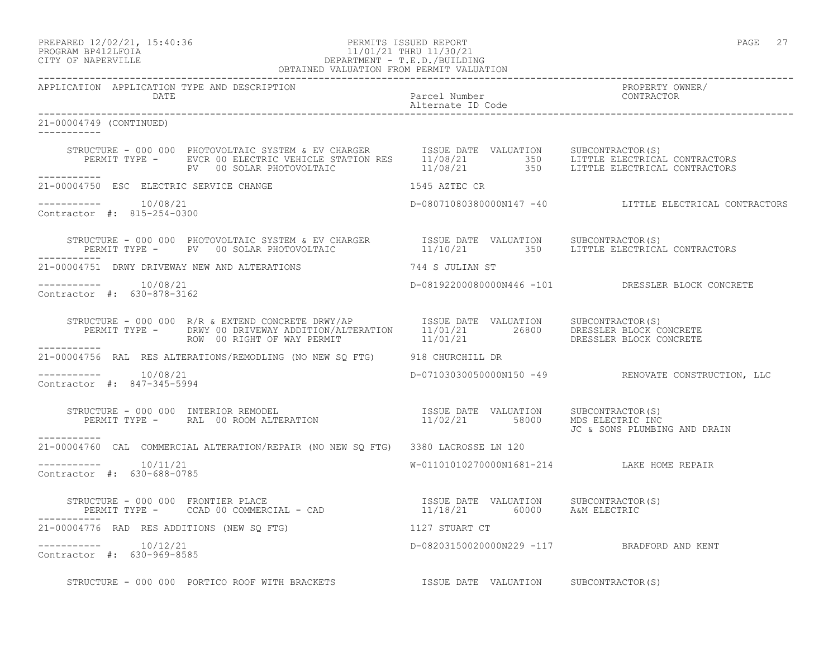PREPARED 12/02/21, 15:40:36 PERMITS ISSUED REPORT PAGE 27

## PROGRAM BP412LFOIA 11/01/21 THRU 11/30/21 CITY OF NAPERVILLE DEPARTMENT - T.E.D./BUILDING OBTAINED VALUATION FROM PERMIT VALUATION

------------------------------------------------------------------------------------------------------------------------------------ APPLICATION APPLICATION TYPE AND DESCRIPTION PROPERTY OWNER/ DATE Parcel Number CONTRACTOR Alternate ID Code ------------------------------------------------------------------------------------------------------------------------------------ 21-00004749 (CONTINUED) ----------- STRUCTURE - 000 000 PHOTOVOLTAIC SYSTEM & EV CHARGER ISSUE DATE VALUATION SUBCONTRACTOR(S) PERMIT TYPE - EVCR 00 ELECTRIC VEHICLE STATION RES 11/08/21 350 LITTLE ELECTRICAL CONTRACTORS PV 00 SOLAR PHOTOVOLTAIC 11/08/21 350 LITTLE ELECTRICAL CONTRACTORS ----------- 21-00004750 ESC ELECTRIC SERVICE CHANGE 1545 AZTEC CR  $--------- 10/08/21$ D-08071080380000N147 -40 LITTLE ELECTRICAL CONTRACTORS Contractor #: 815-254-0300 STRUCTURE - 000 000 PHOTOVOLTAIC SYSTEM & EV CHARGER ISSUE DATE VALUATION SUBCONTRACTOR(S) PERMIT TYPE - PV 00 SOLAR PHOTOVOLTAIC 11/10/21 350 LITTLE ELECTRICAL CONTRACTORS ----------- 21-00004751 DRWY DRIVEWAY NEW AND ALTERATIONS 744 S JULIAN ST ----------- 10/08/21 D-08192200080000N446 -101 DRESSLER BLOCK CONCRETE Contractor #: 630-878-3162 STRUCTURE - 000 000 R/R & EXTEND CONCRETE DRWY/AP **ISSUE DATE** VALUATION SUBCONTRACTOR(S) PERMIT TYPE - DRWY 00 DRIVEWAY ADDITION/ALTERATION 11/01/21 26800 DRESSLER BLOCK CONCRETE ROW 00 RIGHT OF WAY PERMIT  $11/01/21$  DRESSLER BLOCK CONCRETE ----------- 21-00004756 RAL RES ALTERATIONS/REMODLING (NO NEW SQ FTG) 918 CHURCHILL DR  $--------- 10/08/21$ D-07103030050000N150 -49 RENOVATE CONSTRUCTION, LLC Contractor #: 847-345-5994 STRUCTURE - 000 000 INTERIOR REMODEL ISSUE DATE VALUATION SUBCONTRACTOR(S) PERMIT TYPE - RAL 00 ROOM ALTERATION 11/02/21 58000 MDS ELECTRIC INC JC & SONS PLUMBING AND DRAIN ----------- 21-00004760 CAL COMMERCIAL ALTERATION/REPAIR (NO NEW SQ FTG) 3380 LACROSSE LN 120 \_\_\_\_\_\_\_\_\_\_\_ ----------- 10/11/21 W-01101010270000N1681-214 LAKE HOME REPAIR Contractor #: 630-688-0785 STRUCTURE - 000 000 FRONTIER PLACE ISSUE DATE VALUATION SUBCONTRACTOR(S) PERMIT TYPE - CCAD 00 COMMERCIAL - CAD 11/18/21 60000 A&M ELECTRIC ----------- 21-00004776 RAD RES ADDITIONS (NEW SQ FTG) 1127 STUART CT ----------- 10/12/21 D-08203150020000N229 -117 BRADFORD AND KENT Contractor #: 630-969-8585

STRUCTURE - 000 000 PORTICO ROOF WITH BRACKETS TSSUE DATE VALUATION SUBCONTRACTOR(S)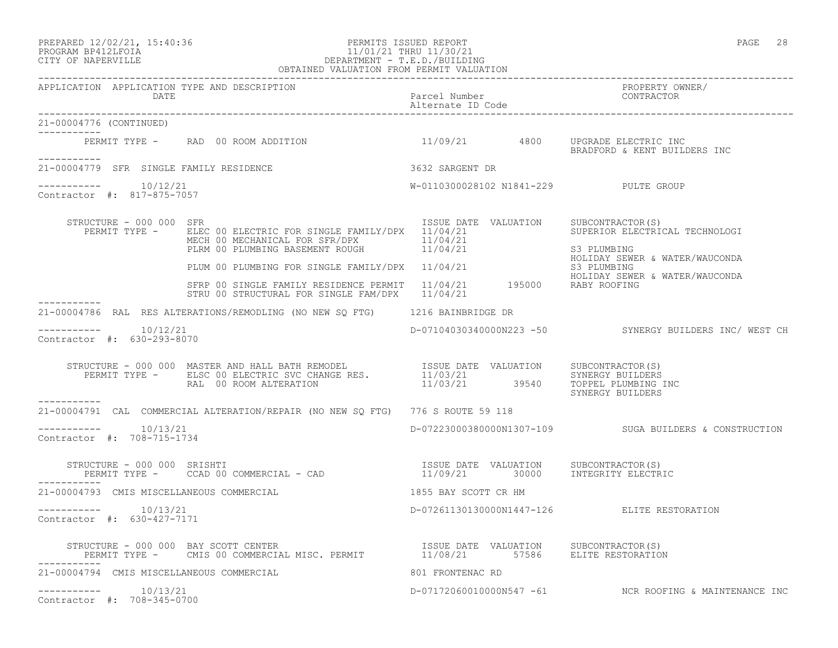### PREPARED 12/02/21, 15:40:36 PERMITS ISSUED REPORT PAGE 28 PROGRAM BP412LFOIA 11/01/21 THRU 11/30/21 CITY OF NAPERVILLE DEPARTMENT - T.E.D./BUILDING OBTAINED VALUATION FROM PERMIT VALUATION

------------------------------------------------------------------------------------------------------------------------------------

APPLICATION APPLICATION TYPE AND DESCRIPTION PROPERTY OWNER/

DATE Parcel Number Contractor Contractor Parcel Number

------------------------------------------------------------------------------------------------------------------------------------

Alternate ID Code

21-00004776 (CONTINUED) ----------- PERMIT TYPE - RAD 00 ROOM ADDITION 11/09/21 4800 UPGRADE ELECTRIC INC BRADFORD & KENT BUILDERS INC ----------- 21-00004779 SFR SINGLE FAMILY RESIDENCE 3632 SARGENT DR  $--------- 10/12/21$ W-0110300028102 N1841-229 PULTE GROUP Contractor #: 817-875-7057 STRUCTURE - 000 000 SFR<br>PERMIT TYPE - ELEC 00 ELECTRIC FOR SINGLE FAMILY/DPX 11/04/21 SUPERIOR ELECTRICAL TECHNOLOGI PERMIT TYPE - ELEC 00 ELECTRIC FOR SINGLE FAMILY/DPX 11/04/21 MECH 00 MECHANICAL FOR SFR/DPX 11/04/21 PLRM 00 PLUMBING BASEMENT ROUGH 11/04/21 S3 PLUMBING<br>HOLIDAY SEWER & WATER/WAUCONDA PLUM 00 PLUMBING FOR SINGLE FAMILY/DPX 11/04/21 PLUM 00 PLUMBING FOR SINGLE FAMILY/DPX 11/04/21 S3 PLUMBING HOLIDAY SEWER & WATER/WAUCONDA SFRP 00 SINGLE FAMILY RESIDENCE PERMIT 11/04/21 195000 RABY ROOFING STRU 00 STRUCTURAL FOR SINGLE FAM/DPX 11/04/21 ----------- 21-00004786 RAL RES ALTERATIONS/REMODLING (NO NEW SQ FTG) 1216 BAINBRIDGE DR  $--------- 10/12/21$ D-07104030340000N223 -50 SYNERGY BUILDERS INC/ WEST CH Contractor #: 630-293-8070 STRUCTURE - 000 000 MASTER AND HALL BATH REMODEL ISSUE DATE VALUATION SUBCONTRACTOR(S) PERMIT TYPE - ELSC 00 ELECTRIC SVC CHANGE RES.  $11/03/21$  SYNERGY BUILDERS RAL 00 ROOM ALTERATION 11/03/21 39540 TOPPEL PLUMBING INC SYNERGY BUILDERS ----------- 21-00004791 CAL COMMERCIAL ALTERATION/REPAIR (NO NEW SQ FTG) 776 S ROUTE 59 118  $--------- 10/13/21$ ----------- 10/13/21 D-07223000380000N1307-109 SUGA BUILDERS & CONSTRUCTION Contractor #: 708-715-1734 STRUCTURE - 000 000 SRISHTI ISSUE DATE VALUATION SUBCONTRACTOR(S) PERMIT TYPE - CCAD 00 COMMERCIAL - CAD ----------- 21-00004793 CMIS MISCELLANEOUS COMMERCIAL 1855 BAY SCOTT CR HM ----------- 10/13/21 D-07261130130000N1447-126 ELITE RESTORATION Contractor #: 630-427-7171 STRUCTURE - 000 000 BAY SCOTT CENTER **ISSUE DATE VALUATION** SUBCONTRACTOR(S) PERMIT TYPE - CMIS 00 COMMERCIAL MISC. PERMIT 11/08/21 57586 ELITE RESTORATION ----------- 21-00004794 CMIS MISCELLANEOUS COMMERCIAL 801 FRONTENAC RD ----------- 10/13/21 D-07172060010000N547 -61 NCR ROOFING & MAINTENANCE INC Contractor #: 708-345-0700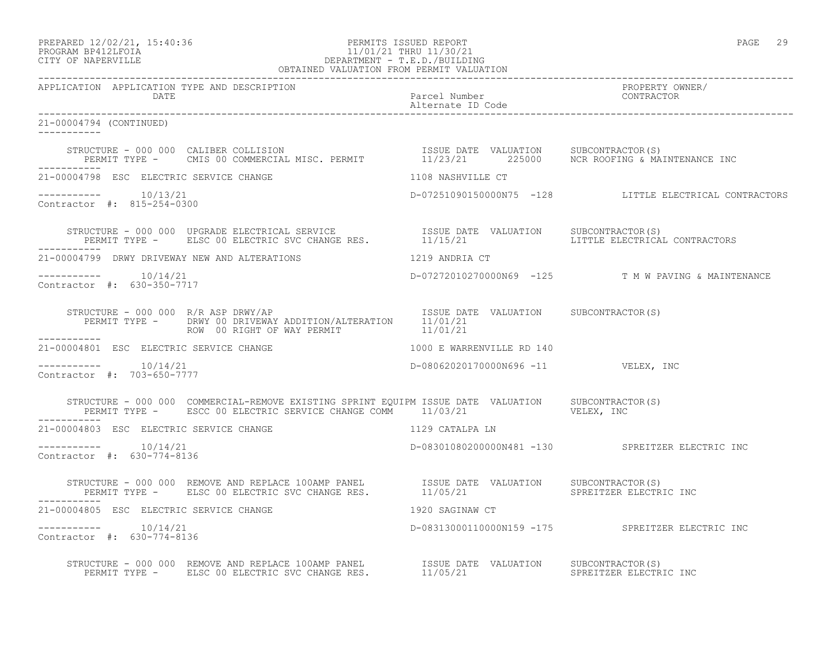PREPARED 12/02/21, 15:40:36 PERMITS ISSUED REPORT PAGE 29

## PROGRAM BP412LFOIA 11/01/21 THRU 11/30/21 CITY OF NAPERVILLE DEPARTMENT - T.E.D./BUILDING OBTAINED VALUATION FROM PERMIT VALUATION

------------------------------------------------------------------------------------------------------------------------------------ APPLICATION APPLICATION TYPE AND DESCRIPTION<br>DATE DATE Parcel Number CONTRACTOR Alternate ID Code ------------------------------------------------------------------------------------------------------------------------------------ 21-00004794 (CONTINUED) ----------- STRUCTURE - 000 000 CALIBER COLLISION ISSUE DATE VALUATION SUBCONTRACTOR(S) PERMIT TYPE - CMIS 00 COMMERCIAL MISC. PERMIT 11/23/21 225000 NCR ROOFING & MAINTENANCE INC ----------- 21-00004798 ESC ELECTRIC SERVICE CHANGE 1108 NASHVILLE CT ----------- 10/13/21 D-07251090150000N75 -128 LITTLE ELECTRICAL CONTRACTORS Contractor #: 815-254-0300 STRUCTURE - 000 000 UPGRADE ELECTRICAL SERVICE ISSUE DATE VALUATION SUBCONTRACTOR(S) PERMIT TYPE - ELSC 00 ELECTRIC SVC CHANGE RES. 11/15/21 LITTLE ELECTRICAL CONTRACTORS ----------- 21-00004799 DRWY DRIVEWAY NEW AND ALTERATIONS 1219 ANDRIA CT ----------- 10/14/21 D-07272010270000N69 -125 T M W PAVING & MAINTENANCE Contractor #: 630-350-7717 STRUCTURE - 000 000 R/R ASP DRWY/AP **ISSUE DATE VALUATION** SUBCONTRACTOR(S) PERMIT TYPE - DRWY 00 DRIVEWAY ADDITION/ALTERATION 11/01/21 ROW 00 RIGHT OF WAY PERMIT  $11/01/21$ ----------- 21-00004801 ESC ELECTRIC SERVICE CHANGE 1000 E WARRENVILLE RD 140  $--------- 10/14/21$ D-08062020170000N696 -11 VELEX, INC Contractor #: 703-650-7777 STRUCTURE - 000 000 COMMERCIAL-REMOVE EXISTING SPRINT EQUIPM ISSUE DATE VALUATION SUBCONTRACTOR(S) PERMIT TYPE - BSCC 00 ELECTRIC SERVICE CHANGE COMM  $11/03/21$  VELEX, INC ----------- 21-00004803 ESC ELECTRIC SERVICE CHANGE 1129 CATALPA LN ----------- 10/14/21 D-08301080200000N481 -130 SPREITZER ELECTRIC INC Contractor #: 630-774-8136 STRUCTURE - 000 000 REMOVE AND REPLACE 100AMP PANEL ISSUE DATE VALUATION SUBCONTRACTOR(S) PERMIT TYPE - ELSC 00 ELECTRIC SVC CHANGE RES.  $11/05/21$  SPREITZER ELECTRIC INC 21-00004805 ESC ELECTRIC SERVICE CHANGE 1920 SAGINAW CT ----------- 10/14/21 D-08313000110000N159 -175 SPREITZER ELECTRIC INC Contractor #: 630-774-8136 STRUCTURE - 000 000 REMOVE AND REPLACE 100AMP PANEL ISSUE DATE VALUATION SUBCONTRACTOR(S) PERMIT TYPE - ELSC 00 ELECTRIC SVC CHANGE RES. 11/05/21 SPREITZER ELECTRIC INC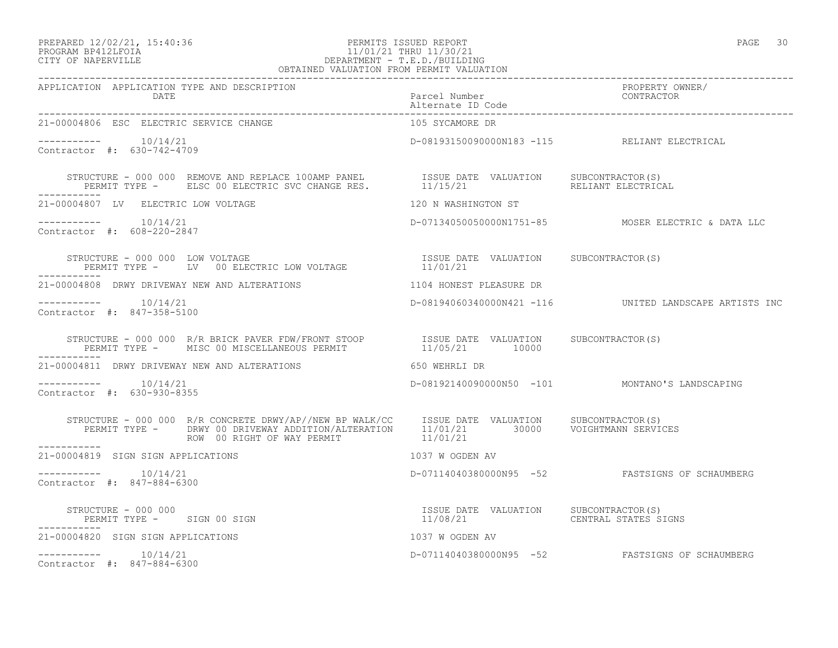## PREPARED 12/02/21, 15:40:36 PERMITS ISSUED REPORT PAGE 30 PROGRAM BP412LFOIA 11/01/21 THRU 11/30/21 CITY OF NAPERVILLE DEPARTMENT - T.E.D./BUILDING

| OBTAINED VALUATION FROM PERMIT VALUATION                                                                                                                                                                                |                                              |                                                         |
|-------------------------------------------------------------------------------------------------------------------------------------------------------------------------------------------------------------------------|----------------------------------------------|---------------------------------------------------------|
| APPLICATION APPLICATION TYPE AND DESCRIPTION<br>DATE Parcel Number<br>Alternate ID Code<br>1-00004806 FSC FIFOTOIS OPPIES AND THE PROPERTY ALTERNATIVE PROPERTY                                                         |                                              | PROPERTY OWNER/<br>CONTRACTOR                           |
| 21-00004806 ESC ELECTRIC SERVICE CHANGE                                                                                                                                                                                 | 105 SYCAMORE DR                              |                                                         |
| $--------- 10/14/21$<br>Contractor #: 630-742-4709                                                                                                                                                                      | D-08193150090000N183 -115 RELIANT ELECTRICAL |                                                         |
| STRUCTURE - 000 000 REMOVE AND REPLACE 100AMP PANEL           ISSUE DATE VALUATION     SUBCONTRACTOR(S)<br>PERMIT TYPE -     ELSC 00 ELECTRIC SVC CHANGE RES.         11/15/21                        RELIANT ELECTRICA |                                              | RELIANT ELECTRICAL                                      |
| 21-00004807 LV ELECTRIC LOW VOLTAGE                                                                                                                                                                                     | 120 N WASHINGTON ST                          |                                                         |
| $--------- 10/14/21$<br>Contractor #: 608-220-2847                                                                                                                                                                      |                                              | D-07134050050000N1751-85 MOSER ELECTRIC & DATA LLC      |
|                                                                                                                                                                                                                         |                                              |                                                         |
| 21-00004808 DRWY DRIVEWAY NEW AND ALTERATIONS THE RESOLUTION CONFIDENT PLEASURE DR                                                                                                                                      |                                              |                                                         |
| $--------- 10/14/21$<br>Contractor #: 847-358-5100                                                                                                                                                                      |                                              | D-08194060340000N421 -116  UNITED LANDSCAPE ARTISTS INC |
| STRUCTURE – 000 000 R/R BRICK PAVER FDW/FRONT STOOP          ISSUE DATE VALUATION    SUBCONTRACTOR(S)<br>PERMIT TYPE –     MISC 00 MISCELLANEOUS PERMIT                  11/05/21       10000                           |                                              |                                                         |
| 21-00004811 DRWY DRIVEWAY NEW AND ALTERATIONS                                                                                                                                                                           | 650 WEHRLI DR                                |                                                         |
| $--------- 10/14/21$<br>Contractor #: 630-930-8355                                                                                                                                                                      |                                              | D-08192140090000N50 -101 MONTANO'S LANDSCAPING          |
| STRUCTURE - 000 000 R/R CONCRETE DRWY/AP//NEW BP WALK/CC ISSUE DATE VALUATION SUBCONTRACTOR(S)<br>PERMIT TYPE - DRWY 00 DRIVEWAY ADDITION/ALTERATION 11/01/21 30000 VOIGHTMANN SERVICES<br>---------                    |                                              |                                                         |
| ------------<br>21-00004819 SIGN SIGN APPLICATIONS                                                                                                                                                                      |                                              |                                                         |
| $--------- 10/14/21$<br>Contractor #: 847-884-6300                                                                                                                                                                      |                                              |                                                         |
| STRUCTURE - 000 000<br>PERMIT TYPE - SIGN 00 SIGN<br>---------                                                                                                                                                          |                                              |                                                         |
| 21-00004820 SIGN SIGN APPLICATIONS                                                                                                                                                                                      | 1037 W OGDEN AV                              |                                                         |
| $--------- 10/14/21$<br>Contractor #: 847-884-6300                                                                                                                                                                      |                                              | D-07114040380000N95 -52 FASTSIGNS OF SCHAUMBERG         |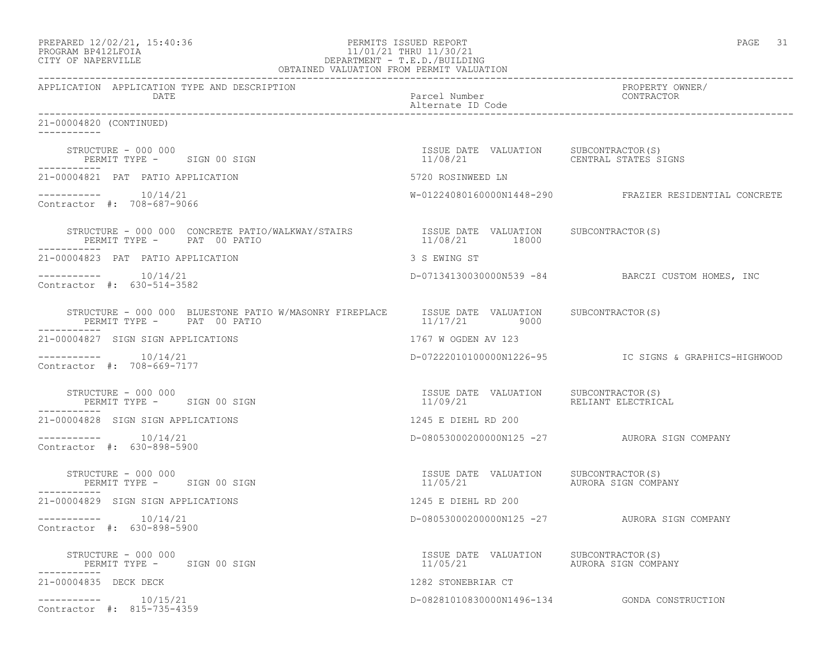| PREPARED 12/02/21, 15:40:36 |  |
|-----------------------------|--|
| PROGRAM RP412LFOIA          |  |

## ed a set of the PERMITS ISSUED REPORT And the set of the PAGE 31 page 31 page 31 page 31 PROGRAM BP412LFOIA 11/01/21 THRU 11/30/21<br>CITY OF NAPERVILLE DEPARTMENT - T.E.D./BUILDIN CITY OF NAPERVILLE DEPARTMENT - T.E.D./BUILDING

| OBTAINED VALUATION FROM PERMIT VALUATION                                                                              |                                                                       |                                                        |
|-----------------------------------------------------------------------------------------------------------------------|-----------------------------------------------------------------------|--------------------------------------------------------|
| APPLICATION APPLICATION TYPE AND DESCRIPTION<br>DATE                                                                  | Parcel Number<br>Alternate ID Code                                    | PROPERTY OWNER/<br>CONTRACTOR                          |
| 21-00004820 (CONTINUED)<br>-----------                                                                                |                                                                       |                                                        |
| STRUCTURE - 000 000<br>PERMIT TYPE - SIGN 00 SIGN                                                                     | ISSUE DATE VALUATION SUBCONTRACTOR(S)<br>11/08/21                     | CENTRAL STATES SIGNS                                   |
| 21-00004821 PAT PATIO APPLICATION                                                                                     | 5720 ROSINWEED LN                                                     |                                                        |
| $--------- 10/14/21$<br>Contractor #: 708-687-9066                                                                    |                                                                       | W-01224080160000N1448-290 FRAZIER RESIDENTIAL CONCRETE |
| STRUCTURE - 000 000 CONCRETE PATIO/WALKWAY/STAIRS TSSUE DATE VALUATION SUBCONTRACTOR(S)<br>PERMIT TYPE - PAT 00 PATIO | 11/08/21 18000                                                        |                                                        |
| 21-00004823 PAT PATIO APPLICATION                                                                                     | 3 S EWING ST                                                          |                                                        |
| $--------- 10/14/21$<br>Contractor #: 630-514-3582                                                                    |                                                                       | D-07134130030000N539 -84 BARCZI CUSTOM HOMES, INC      |
| STRUCTURE - 000 000 BLUESTONE PATIO W/MASONRY FIREPLACE<br>PERMIT TYPE - PAT 00 PATIO                                 | ISSUE DATE VALUATION SUBCONTRACTOR(S)<br>11/17/21 9000                |                                                        |
| 21-00004827 SIGN SIGN APPLICATIONS                                                                                    | 1767 W OGDEN AV 123                                                   |                                                        |
| 10/14/21<br>Contractor #: 708-669-7177                                                                                |                                                                       |                                                        |
| STRUCTURE - 000 000<br>PERMIT TYPE - SIGN 00 SIGN                                                                     | ISSUE DATE VALUATION SUBCONTRACTOR(S)<br>11/09/21                     | RELIANT ELECTRICAL                                     |
| 21-00004828 SIGN SIGN APPLICATIONS                                                                                    | 1245 E DIEHL RD 200                                                   |                                                        |
| $--------- 10/14/21$<br>Contractor #: 630-898-5900                                                                    |                                                                       | D-08053000200000N125 -27 AURORA SIGN COMPANY           |
| STRUCTURE - 000 000<br>PERMIT TYPE - SIGN 00 SIGN                                                                     | ISSUE DATE VALUATION<br>11/05/21                                      | SUBCONTRACTOR(S)<br>AURORA SIGN COMPANY                |
| 21-00004829 SIGN SIGN APPLICATIONS                                                                                    | 1245 E DIEHL RD 200                                                   |                                                        |
| -----------    10/14/21<br>Contractor #: 630-898-5900                                                                 |                                                                       | D-08053000200000N125 -27 AURORA SIGN COMPANY           |
| STRUCTURE - 000 000<br>PERMIT TYPE - SIGN 00 SIGN                                                                     | ISSUE DATE VALUATION SUBCONTRACTOR(S)<br>11/05/21 AURORA SIGN COMPANY |                                                        |
| 21-00004835 DECK DECK                                                                                                 | 1282 STONEBRIAR CT                                                    |                                                        |
| $--------- 10/15/21$<br>Contractor #: 815-735-4359                                                                    |                                                                       |                                                        |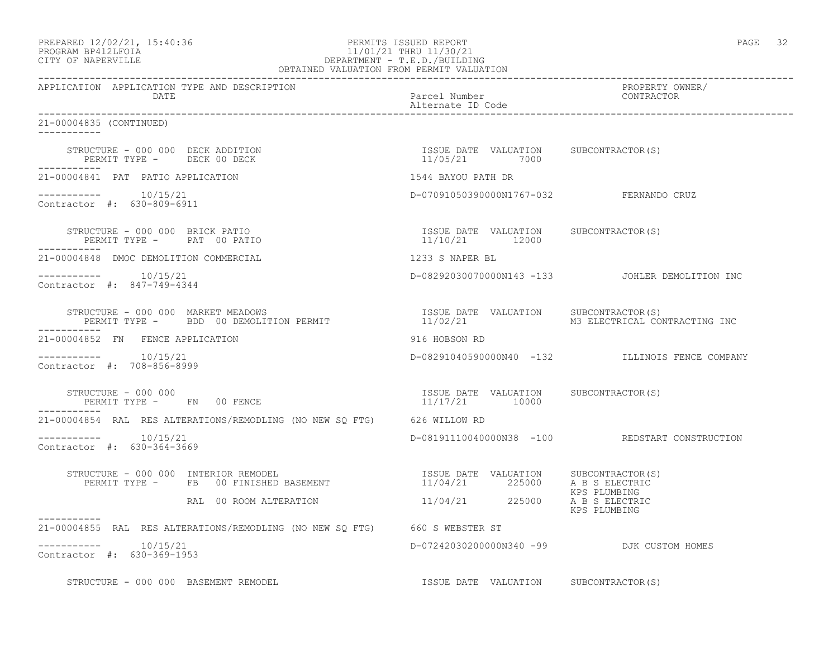| PREPARED 12/02/21, 15:40:36 |  |
|-----------------------------|--|
| PROGRAM BP412LFOIA          |  |

### end the extent of the PERMITS ISSUED REPORT the extendion of the extendion of the extendion of the extendion of the extendion of the extendion of the extendion of the extendion of the extendion of the extendion of the exte PROGRAM BP412LFOIA 11/01/21 THRU 11/30/21<br>CITY OF NAPERVILLE DEPARTMENT - T.E.D./BUILDIN CITY OF NAPERVILLE DEPARTMENT - T.E.D./BUILDING OBTAINED VALUATION FROM PERMIT VALUATION

| APPLICATION APPLICATION TYPE AND DESCRIPTION                                                                                                                                             | Parcel Number                                           | PROPERTY OWNER/<br>CONTRACTOR                   |
|------------------------------------------------------------------------------------------------------------------------------------------------------------------------------------------|---------------------------------------------------------|-------------------------------------------------|
| DATE                                                                                                                                                                                     | Alternate ID Code                                       |                                                 |
| 21-00004835 (CONTINUED)                                                                                                                                                                  |                                                         |                                                 |
| STRUCTURE - 000 000 DECK ADDITION<br>PERMIT TYPE - DECK 00 DECK                                                                                                                          | ISSUE DATE VALUATION SUBCONTRACTOR(S)<br>11/05/21 7000  |                                                 |
| 21-00004841 PAT PATIO APPLICATION                                                                                                                                                        | 1544 BAYOU PATH DR                                      |                                                 |
| $--------- 10/15/21$<br>Contractor #: 630-809-6911                                                                                                                                       | D-07091050390000N1767-032 FERNANDO CRUZ                 |                                                 |
| STRUCTURE - 000 000 BRICK PATIO<br>PERMIT TYPE - PAT 00 PATIO                                                                                                                            | ISSUE DATE VALUATION SUBCONTRACTOR(S)<br>11/10/21 12000 |                                                 |
| 21-00004848 DMOC DEMOLITION COMMERCIAL                                                                                                                                                   | 1233 S NAPER BL                                         |                                                 |
| $--------$ 10/15/21<br>Contractor #: 847-749-4344                                                                                                                                        |                                                         | D-08292030070000N143 -133 JOHLER DEMOLITION INC |
| FRUCTURE - 000 000 MARKET MEADOWS<br>PERMIT TYPE -     BDD 00 DEMOLITION PERMIT                       11/02/21       M3 ELECTRICAL CONTRACTING INC<br>STRUCTURE - 000 000 MARKET MEADOWS |                                                         |                                                 |
| 21-00004852 FN FENCE APPLICATION                                                                                                                                                         | 916 HOBSON RD                                           |                                                 |
| $--------- 10/15/21$<br>Contractor #: 708-856-8999                                                                                                                                       |                                                         | D-08291040590000N40 -132 ILLINOIS FENCE COMPANY |
| STRUCTURE - 000 000<br>PERMIT TYPE - FN 00 FENCE                                                                                                                                         | ISSUE DATE VALUATION SUBCONTRACTOR(S)<br>11/17/21 10000 |                                                 |
| 21-00004854 RAL RES ALTERATIONS/REMODLING (NO NEW SQ FTG) 626 WILLOW RD                                                                                                                  |                                                         |                                                 |
| $--------$ 10/15/21<br>Contractor #: 630-364-3669                                                                                                                                        |                                                         | D-08191110040000N38 -100 REDSTART CONSTRUCTION  |
| STRUCTURE - 000 000 INTERIOR REMODEL<br>FRUCTURE - 000 000 INTERIOR REMODEL<br>PERMIT TYPE - FB 00 FINISHED BASEMENT 11/04/21 225000 A B S ELECTRIC                                      |                                                         | KPS PLUMBING                                    |
| RAL 00 ROOM ALTERATION 11/04/21 225000 A B S ELECTRIC                                                                                                                                    |                                                         | KPS PLUMBING                                    |
| 21-00004855 RAL RES ALTERATIONS/REMODLING (NO NEW SQ FTG) 660 S WEBSTER ST                                                                                                               |                                                         |                                                 |
| -----------    10/15/21<br>Contractor #: 630-369-1953                                                                                                                                    | D-07242030200000N340 -99 DJK CUSTOM HOMES               |                                                 |
| STRUCTURE - 000 000 BASEMENT REMODEL                                                                                                                                                     | ISSUE DATE VALUATION SUBCONTRACTOR(S)                   |                                                 |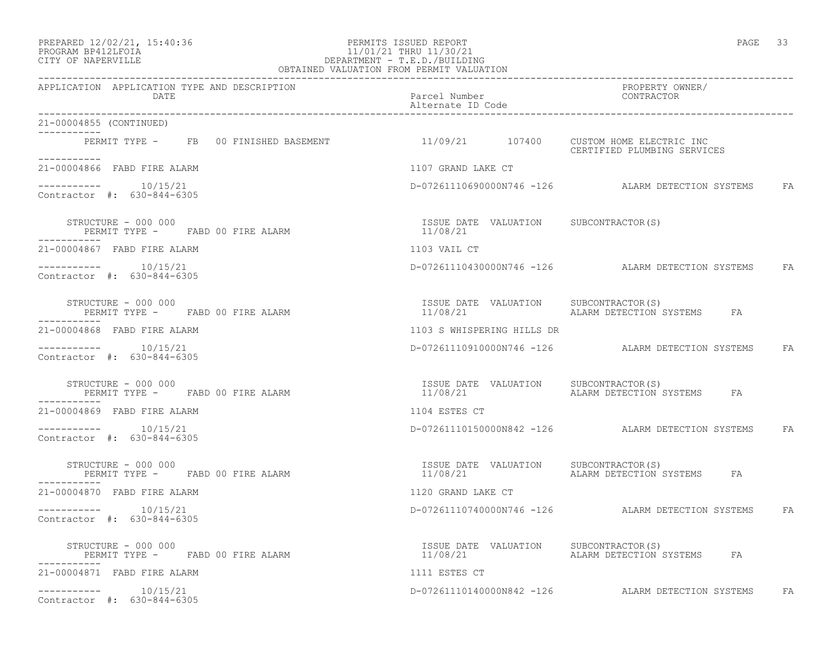## PREPARED 12/02/21, 15:40:36 PERMITS ISSUED REPORT PAGE 33 PROGRAM BP412LFOIA 11/01/21 THRU 11/30/21 CITY OF NAPERVILLE DEPARTMENT - T.E.D./BUILDING

| PAGE |  |
|------|--|
|------|--|

| OBTAINED VALUATION FROM PERMIT VALUATION                                                      |                                                   |                                                      |           |
|-----------------------------------------------------------------------------------------------|---------------------------------------------------|------------------------------------------------------|-----------|
| APPLICATION APPLICATION TYPE AND DESCRIPTION<br>DATE                                          | Parcel Number<br>Alternate ID Code                | PROPERTY OWNER/<br>CONTRACTOR                        |           |
| 21-00004855 (CONTINUED)<br>-----------                                                        |                                                   |                                                      |           |
| PERMIT TYPE - FB 00 FINISHED BASEMENT 11/09/21 107400 CUSTOM HOME ELECTRIC INC<br>___________ |                                                   | CERTIFIED PLUMBING SERVICES                          |           |
| 21-00004866 FABD FIRE ALARM                                                                   | 1107 GRAND LAKE CT                                |                                                      |           |
| -----------    10/15/21<br>Contractor #: 630-844-6305                                         |                                                   | D-07261110690000N746 -126 ALARM DETECTION SYSTEMS FA |           |
| STRUCTURE - 000 000<br>PERMIT TYPE - FABD 00 FIRE ALARM                                       | ISSUE DATE VALUATION SUBCONTRACTOR(S)<br>11/08/21 |                                                      |           |
| 21-00004867 FABD FIRE ALARM                                                                   | 1103 VAIL CT                                      |                                                      |           |
| $--------- 10/15/21$<br>Contractor #: 630-844-6305                                            |                                                   | D-07261110430000N746 -126 ALARM DETECTION SYSTEMS FA |           |
| STRUCTURE - 000 000<br>PERMIT TYPE - FABD 00 FIRE ALARM                                       | ISSUE DATE VALUATION SUBCONTRACTOR(S)             | 11/08/21 TALARM DETECTION SYSTEMS FA                 |           |
| 21-00004868 FABD FIRE ALARM                                                                   | 1103 S WHISPERING HILLS DR                        |                                                      |           |
| -----------    10/15/21<br>Contractor #: 630-844-6305                                         |                                                   | D-07261110910000N746 -126 ALARM DETECTION SYSTEMS    | <b>FA</b> |
| STRUCTURE - 000 000<br>PERMIT TYPE - FABD 00 FIRE ALARM<br>-----------                        | ISSUE DATE VALUATION SUBCONTRACTOR(S)<br>11/08/21 | ALARM DETECTION SYSTEMS<br>FA                        |           |
| 21-00004869 FABD FIRE ALARM                                                                   | 1104 ESTES CT                                     |                                                      |           |
| $--------$ 10/15/21<br>Contractor #: 630-844-6305                                             |                                                   | D-07261110150000N842 -126 ALARM DETECTION SYSTEMS    | FA        |
| STRUCTURE - 000 000<br>PERMIT TYPE - FABD 00 FIRE ALARM<br>-----------                        | ISSUE DATE VALUATION SUBCONTRACTOR(S)<br>11/08/21 | ALARM DETECTION SYSTEMS FA                           |           |
| 21-00004870 FABD FIRE ALARM                                                                   | 1120 GRAND LAKE CT                                |                                                      |           |
| $--------$ 10/15/21<br>Contractor #: 630-844-6305                                             |                                                   | D-07261110740000N746 -126 ALARM DETECTION SYSTEMS FA |           |
| STRUCTURE - 000 000<br>PERMIT TYPE - FABD 00 FIRE ALARM                                       | ISSUE DATE VALUATION SUBCONTRACTOR (S)            | 11/08/21 TALARM DETECTION SYSTEMS FA                 |           |
| 21-00004871 FABD FIRE ALARM                                                                   | 1111 ESTES CT                                     |                                                      |           |
| $--------- 10/15/21$<br>Contractor #: 630-844-6305                                            |                                                   | D-07261110140000N842 -126 ALARM DETECTION SYSTEMS    | FA        |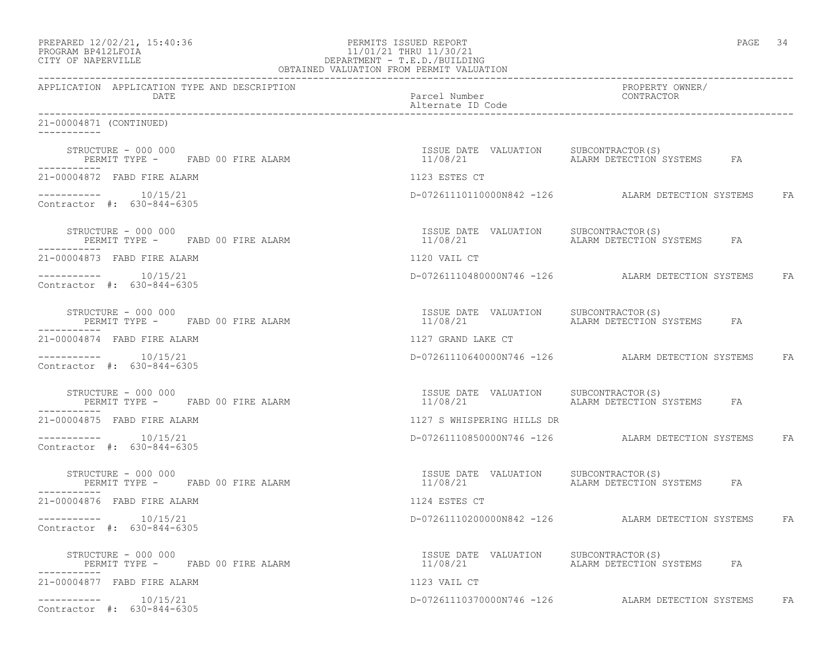| PREPARED 12/02/21, 15:40:36 |  |
|-----------------------------|--|
| DDACDAM RDA19T FATA         |  |

## PREPARED 12/02/21, 15:40:36 PERMITS ISSUED REPORT PAGE 34 PROGRAM BP412LFOIA 11/01/21 THRU 11/30/21 CITY OF NAPERVILLE DEPARTMENT - T.E.D./BUILDING

| OBTAINED VALUATION FROM PERMIT VALUATION                |                                                   |                                                      |  |
|---------------------------------------------------------|---------------------------------------------------|------------------------------------------------------|--|
| APPLICATION APPLICATION TYPE AND DESCRIPTION<br>DATE    | Parcel Number<br>Alternate ID Code                | PROPERTY OWNER/<br><b>CONTRACTOR</b>                 |  |
| 21-00004871 (CONTINUED)<br>___________                  |                                                   |                                                      |  |
| STRUCTURE - 000 000<br>PERMIT TYPE - FABD 00 FIRE ALARM | ISSUE DATE VALUATION SUBCONTRACTOR(S)<br>11/08/21 | ALARM DETECTION SYSTEMS FA                           |  |
| 21-00004872 FABD FIRE ALARM                             | 1123 ESTES CT                                     |                                                      |  |
| $--------- 10/15/21$<br>Contractor #: 630-844-6305      |                                                   | D-07261110110000N842 -126 ALARM DETECTION SYSTEMS FA |  |
| STRUCTURE - 000 000<br>PERMIT TYPE - FABD 00 FIRE ALARM | ISSUE DATE VALUATION SUBCONTRACTOR(S)<br>11/08/21 | ALARM DETECTION SYSTEMS FA                           |  |
| 21-00004873 FABD FIRE ALARM                             | 1120 VAIL CT                                      |                                                      |  |
| $--------- 10/15/21$<br>Contractor #: 630-844-6305      |                                                   | D-07261110480000N746 -126 ALARM DETECTION SYSTEMS FA |  |
| STRUCTURE - 000 000<br>PERMIT TYPE - FABD 00 FIRE ALARM | ISSUE DATE VALUATION SUBCONTRACTOR(S)<br>11/08/21 | ALARM DETECTION SYSTEMS FA                           |  |
| 21-00004874 FABD FIRE ALARM                             | 1127 GRAND LAKE CT                                |                                                      |  |
| $--------$ 10/15/21<br>Contractor #: 630-844-6305       |                                                   | D-07261110640000N746 -126 ALARM DETECTION SYSTEMS FA |  |
| STRUCTURE - 000 000<br>PERMIT TYPE - FABD 00 FIRE ALARM | ISSUE DATE VALUATION SUBCONTRACTOR (S)            |                                                      |  |
| 21-00004875 FABD FIRE ALARM                             | 1127 S WHISPERING HILLS DR                        |                                                      |  |
| $--------- 10/15/21$<br>Contractor #: 630-844-6305      |                                                   | D-07261110850000N746 -126 ALARM DETECTION SYSTEMS FA |  |
| STRUCTURE - 000 000<br>PERMIT TYPE - FABD 00 FIRE ALARM | ISSUE DATE VALUATION SUBCONTRACTOR(S)<br>11/08/21 | ALARM DETECTION SYSTEMS FA                           |  |
| 21-00004876 FABD FIRE ALARM                             | 1124 ESTES CT                                     |                                                      |  |
| Contractor #: 630-844-6305                              |                                                   | D-07261110200000N842 -126 ALARM DETECTION SYSTEMS FA |  |
| STRUCTURE - 000 000<br>PERMIT TYPE - FABD 00 FIRE ALARM | ISSUE DATE VALUATION SUBCONTRACTOR(S)             |                                                      |  |
| 21-00004877 FABD FIRE ALARM                             | 1123 VAIL CT                                      |                                                      |  |
| $--------- 10/15/21$<br>Contractor #: 630-844-6305      |                                                   | D-07261110370000N746 -126 ALARM DETECTION SYSTEMS FA |  |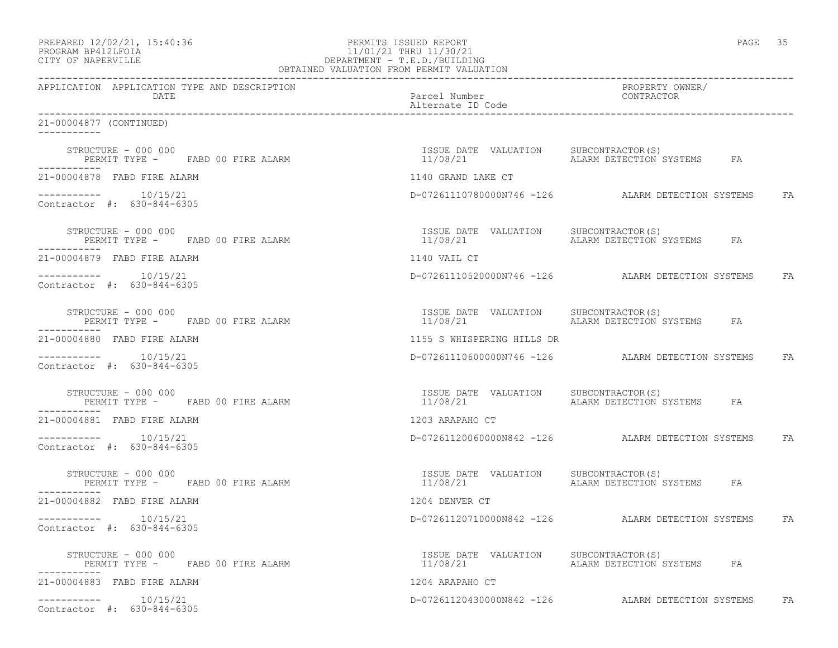| PREPARED 12/02/21, 15:40:36 |  |
|-----------------------------|--|
| DDACDAM RDA19T FATA         |  |

## PREPARED 12/02/21, 15:40:36 PERMITS ISSUED REPORT PAGE 35 PROGRAM BP412LFOIA 11/01/21 THRU 11/30/21<br>CITY OF NAPERVILLE DEPARTMENT - T.E.D./BUILDIN CITY OF NAPERVILLE DEPARTMENT - T.E.D./BUILDING

| OBTAINED VALUATION FROM PERMIT VALUATION                |                                                   |                                                      |  |
|---------------------------------------------------------|---------------------------------------------------|------------------------------------------------------|--|
| APPLICATION APPLICATION TYPE AND DESCRIPTION<br>DATE    | Parcel Number<br>Alternate ID Code                | PROPERTY OWNER/<br><b>CONTRACTOR</b>                 |  |
| 21-00004877 (CONTINUED)<br>___________                  |                                                   |                                                      |  |
| STRUCTURE - 000 000<br>PERMIT TYPE - FABD 00 FIRE ALARM | ISSUE DATE VALUATION SUBCONTRACTOR(S)<br>11/08/21 | ALARM DETECTION SYSTEMS FA                           |  |
| 21-00004878 FABD FIRE ALARM                             | 1140 GRAND LAKE CT                                |                                                      |  |
| $--------- 10/15/21$<br>Contractor #: 630-844-6305      |                                                   | D-07261110780000N746 -126 ALARM DETECTION SYSTEMS FA |  |
| STRUCTURE - 000 000<br>PERMIT TYPE - FABD 00 FIRE ALARM | ISSUE DATE VALUATION SUBCONTRACTOR(S)<br>11/08/21 | ALARM DETECTION SYSTEMS FA                           |  |
| 21-00004879 FABD FIRE ALARM                             | 1140 VAIL CT                                      |                                                      |  |
| $--------- 10/15/21$<br>Contractor #: 630-844-6305      |                                                   | D-07261110520000N746 -126 ALARM DETECTION SYSTEMS FA |  |
| STRUCTURE - 000 000<br>PERMIT TYPE - FABD 00 FIRE ALARM | ISSUE DATE VALUATION SUBCONTRACTOR(S)<br>11/08/21 | ALARM DETECTION SYSTEMS FA                           |  |
| 21-00004880 FABD FIRE ALARM                             | 1155 S WHISPERING HILLS DR                        |                                                      |  |
| Contractor #: 630-844-6305                              |                                                   | D-07261110600000N746 -126 ALARM DETECTION SYSTEMS FA |  |
| STRUCTURE - 000 000<br>PERMIT TYPE - FABD 00 FIRE ALARM | ISSUE DATE VALUATION SUBCONTRACTOR(S)             |                                                      |  |
| 21-00004881 FABD FIRE ALARM                             | 1203 ARAPAHO CT                                   |                                                      |  |
| $--------- 10/15/21$<br>Contractor #: 630-844-6305      |                                                   | D-07261120060000N842 -126 ALARM DETECTION SYSTEMS FA |  |
| STRUCTURE - 000 000<br>PERMIT TYPE - FABD 00 FIRE ALARM | ISSUE DATE VALUATION SUBCONTRACTOR(S)<br>11/08/21 | ALARM DETECTION SYSTEMS FA                           |  |
| 21-00004882 FABD FIRE ALARM                             | 1204 DENVER CT                                    |                                                      |  |
| Contractor #: 630-844-6305                              |                                                   | D-07261120710000N842 -126 ALARM DETECTION SYSTEMS FA |  |
| STRUCTURE - 000 000<br>PERMIT TYPE - FABD 00 FIRE ALARM | ISSUE DATE VALUATION SUBCONTRACTOR(S)             |                                                      |  |
| 21-00004883 FABD FIRE ALARM                             | 1204 ARAPAHO CT                                   |                                                      |  |
| $--------- 10/15/21$<br>Contractor #: 630-844-6305      |                                                   | D-07261120430000N842 -126 ALARM DETECTION SYSTEMS FA |  |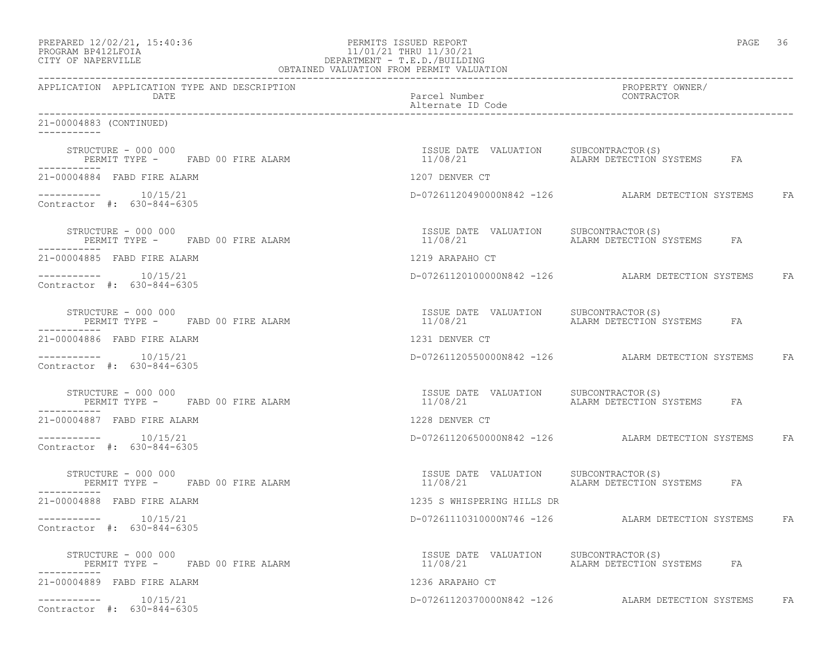| PREPARED 12/02/21, 15:40:36 |  |
|-----------------------------|--|
| DDACDAM RDA19T FATA         |  |

# PREPARED 12/02/21, 15:40:36 PERMITS ISSUED REPORT PAGE 36 PROGRAM BP412LFOIA 11/01/21 THRU 11/30/21 CITY OF NAPERVILLE (1999) 20 CITY OF NAPERVILLE DEPARTMENT - T.E.D./BUILDING

| OBTAINED VALUATION FROM PERMIT VALUATION                                |                                                   |                                                      |
|-------------------------------------------------------------------------|---------------------------------------------------|------------------------------------------------------|
| APPLICATION APPLICATION TYPE AND DESCRIPTION<br>DATE                    | Parcel Number<br>Alternate ID Code                | PROPERTY OWNER/<br>CONTRACTOR                        |
| 21-00004883 (CONTINUED)                                                 |                                                   |                                                      |
| STRUCTURE - 000 000<br>PERMIT TYPE - FABD 00 FIRE ALARM                 | ISSUE DATE VALUATION SUBCONTRACTOR(S)<br>11/08/21 | ALARM DETECTION SYSTEMS FA                           |
| 21-00004884 FABD FIRE ALARM                                             | 1207 DENVER CT                                    |                                                      |
| $--------- 10/15/21$<br>Contractor #: 630-844-6305                      |                                                   | D-07261120490000N842 -126 ALARM DETECTION SYSTEMS FA |
| STRUCTURE - 000 000<br>PERMIT TYPE -     FABD 00 FIRE ALARM             | ISSUE DATE VALUATION SUBCONTRACTOR(S)             |                                                      |
| 21-00004885 FABD FIRE ALARM                                             | 1219 ARAPAHO CT                                   |                                                      |
| $--------- 10/15/21$<br>Contractor #: 630-844-6305                      |                                                   | D-07261120100000N842 -126 ALARM DETECTION SYSTEMS FA |
| STRUCTURE - 000 000<br>PERMIT TYPE - FABD 00 FIRE ALARM                 | ISSUE DATE VALUATION SUBCONTRACTOR(S)             |                                                      |
| 21-00004886 FABD FIRE ALARM                                             | 1231 DENVER CT                                    |                                                      |
| $--------$ 10/15/21<br>Contractor #: 630-844-6305                       |                                                   | D-07261120550000N842 -126 ALARM DETECTION SYSTEMS FA |
| STRUCTURE - 000 000<br>PERMIT TYPE - FABD 00 FIRE ALARM                 | ISSUE DATE VALUATION SUBCONTRACTOR(S)             |                                                      |
| 21-00004887 FABD FIRE ALARM                                             | 1228 DENVER CT                                    |                                                      |
| $--------- 10/15/21$<br>Contractor #: 630-844-6305                      |                                                   | D-07261120650000N842 -126 ALARM DETECTION SYSTEMS FA |
| STRUCTURE - 000 000<br>PERMIT TYPE - FABD 00 FIRE ALARM<br>------------ | ISSUE DATE VALUATION SUBCONTRACTOR(S)<br>11/08/21 | ALARM DETECTION SYSTEMS FA                           |
| 21-00004888 FABD FIRE ALARM                                             | 1235 S WHISPERING HILLS DR                        |                                                      |
| $--------- 10/15/21$<br>Contractor #: 630-844-6305                      |                                                   | D-07261110310000N746 -126 ALARM DETECTION SYSTEMS FA |
| STRUCTURE - 000 000<br>PERMIT TYPE - FABD 00 FIRE ALARM                 | ISSUE DATE VALUATION SUBCONTRACTOR(S)             |                                                      |
| 21-00004889 FABD FIRE ALARM                                             | 1236 ARAPAHO CT                                   |                                                      |
| Contractor #: 630-844-6305                                              |                                                   | D-07261120370000N842 -126 ALARM DETECTION SYSTEMS FA |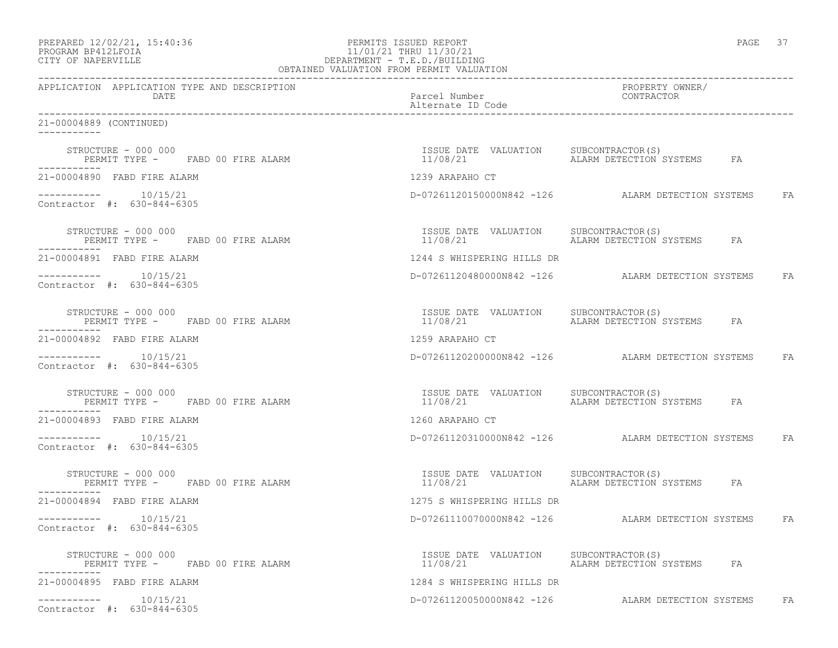| PREPARED 12/02/21, 15:40:36 |  |
|-----------------------------|--|
| DDACDAM RDA19T FATA         |  |

# PREPARED 12/02/21, 15:40:36 PERMITS ISSUED REPORT PAGE 37 PROGRAM BP412LFOIA 11/01/21 THRU 11/30/21 CITY OF NAPERVILLE **DEPARTMENT - T.E.D./BUILDING**

| OBTAINED VALUATION FROM PERMIT VALUATION                                |                                                   |                                                      |
|-------------------------------------------------------------------------|---------------------------------------------------|------------------------------------------------------|
| APPLICATION APPLICATION TYPE AND DESCRIPTION<br>DATE                    | Parcel Number<br>Alternate ID Code                | PROPERTY OWNER/<br>CONTRACTOR                        |
| 21-00004889 (CONTINUED)                                                 |                                                   |                                                      |
| STRUCTURE - 000 000<br>PERMIT TYPE - FABD 00 FIRE ALARM                 | ISSUE DATE VALUATION SUBCONTRACTOR(S)<br>11/08/21 | ALARM DETECTION SYSTEMS FA                           |
| 21-00004890 FABD FIRE ALARM                                             | 1239 ARAPAHO CT                                   |                                                      |
| $--------- 10/15/21$<br>Contractor #: 630-844-6305                      |                                                   | D-07261120150000N842 -126 ALARM DETECTION SYSTEMS FA |
| STRUCTURE - 000 000<br>PERMIT TYPE -     FABD 00 FIRE ALARM             | ISSUE DATE VALUATION SUBCONTRACTOR(S)             |                                                      |
| 21-00004891 FABD FIRE ALARM                                             | 1244 S WHISPERING HILLS DR                        |                                                      |
| Contractor #: 630-844-6305                                              |                                                   | D-07261120480000N842 -126 ALARM DETECTION SYSTEMS FA |
| STRUCTURE - 000 000<br>PERMIT TYPE - FABD 00 FIRE ALARM                 | ISSUE DATE VALUATION SUBCONTRACTOR(S)             |                                                      |
| 21-00004892 FABD FIRE ALARM                                             | 1259 ARAPAHO CT                                   |                                                      |
| $--------$ 10/15/21<br>Contractor #: 630-844-6305                       |                                                   | D-07261120200000N842 -126 ALARM DETECTION SYSTEMS FA |
| STRUCTURE - 000 000<br>PERMIT TYPE - FABD 00 FIRE ALARM                 | ISSUE DATE VALUATION SUBCONTRACTOR(S)             |                                                      |
| 21-00004893 FABD FIRE ALARM                                             | 1260 ARAPAHO CT                                   |                                                      |
| $--------- 10/15/21$<br>Contractor #: 630-844-6305                      |                                                   | D-07261120310000N842 -126 ALARM DETECTION SYSTEMS FA |
| STRUCTURE - 000 000<br>PERMIT TYPE - FABD 00 FIRE ALARM<br>------------ | ISSUE DATE VALUATION SUBCONTRACTOR(S)<br>11/08/21 | ALARM DETECTION SYSTEMS FA                           |
| 21-00004894 FABD FIRE ALARM                                             | 1275 S WHISPERING HILLS DR                        |                                                      |
| Contractor #: 630-844-6305                                              |                                                   | D-07261110070000N842 -126 ALARM DETECTION SYSTEMS FA |
| STRUCTURE - 000 000<br>PERMIT TYPE - FABD 00 FIRE ALARM                 |                                                   |                                                      |
| 21-00004895 FABD FIRE ALARM                                             | 1284 S WHISPERING HILLS DR                        |                                                      |
| Contractor #: 630-844-6305                                              |                                                   | D-07261120050000N842 -126 ALARM DETECTION SYSTEMS FA |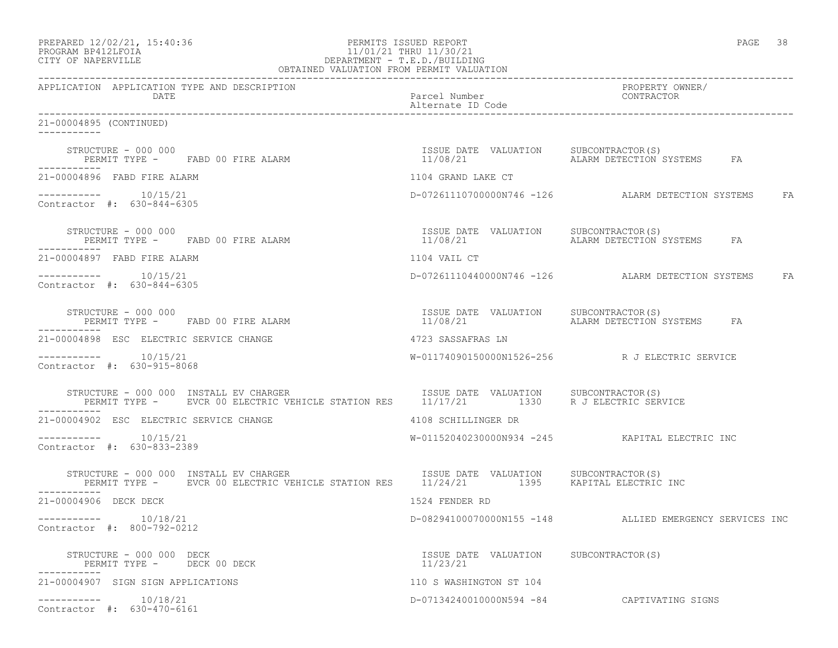| PREPARED 12/02/21, 15:40:36 |  |
|-----------------------------|--|
|                             |  |

# PREPARED 12/02/21, 15:40:36 PERMITS ISSUED REPORT PAGE 38 PROGRAM BP412LFOIA 11/01/21 THRU 11/30/21 CITY OF NAPERVILLE DEPARTMENT - T.E.D./BUILDING

| OBTAINED VALUATION FROM PERMIT VALUATION                                                                                                                                                                                                        |                                                   |                                                         |  |
|-------------------------------------------------------------------------------------------------------------------------------------------------------------------------------------------------------------------------------------------------|---------------------------------------------------|---------------------------------------------------------|--|
| APPLICATION APPLICATION TYPE AND DESCRIPTION<br>DATE                                                                                                                                                                                            | Parcel Number<br>Alternate ID Code                | PROPERTY OWNER/<br>CONTRACTOR                           |  |
| 21-00004895 (CONTINUED)<br>___________                                                                                                                                                                                                          |                                                   |                                                         |  |
| STRUCTURE - 000 000<br>PERMIT TYPE - FABD 00 FIRE ALARM                                                                                                                                                                                         | ISSUE DATE VALUATION SUBCONTRACTOR(S)<br>11/08/21 | ALARM DETECTION SYSTEMS FA                              |  |
| 21-00004896 FABD FIRE ALARM                                                                                                                                                                                                                     | 1104 GRAND LAKE CT                                |                                                         |  |
| $--------- 10/15/21$<br>Contractor #: 630-844-6305                                                                                                                                                                                              |                                                   | D-07261110700000N746 -126 ALARM DETECTION SYSTEMS FA    |  |
| STRUCTURE - 000 000<br>PERMIT TYPE - FABD 00 FIRE ALARM                                                                                                                                                                                         | ISSUE DATE VALUATION SUBCONTRACTOR(S)<br>11/08/21 | ALARM DETECTION SYSTEMS FA                              |  |
| 21-00004897 FABD FIRE ALARM                                                                                                                                                                                                                     | 1104 VAIL CT                                      |                                                         |  |
| $--------- 10/15/21$<br>Contractor #: 630-844-6305                                                                                                                                                                                              |                                                   | D-07261110440000N746 -126 ALARM DETECTION SYSTEMS FA    |  |
| STRUCTURE - 000 000<br>PERMIT TYPE - FABD 00 FIRE ALARM                                                                                                                                                                                         | ISSUE DATE VALUATION SUBCONTRACTOR(S)<br>11/08/21 | ALARM DETECTION SYSTEMS FA                              |  |
| 21-00004898 ESC ELECTRIC SERVICE CHANGE                                                                                                                                                                                                         | 4723 SASSAFRAS LN                                 |                                                         |  |
| $--------$ 10/15/21<br>Contractor #: 630-915-8068                                                                                                                                                                                               |                                                   | W-01174090150000N1526-256 R J ELECTRIC SERVICE          |  |
| STRUCTURE - 000 000 INSTALL EV CHARGER                         ISSUE DATE VALUATION     SUBCONTRACTOR(S)<br>PERMIT TYPE -     EVCR 00 ELECTRIC VEHICLE STATION RES     11/17/21         1330     R J ELECTRIC SERVICE                           |                                                   |                                                         |  |
| 21-00004902 ESC ELECTRIC SERVICE CHANGE                                                                                                                                                                                                         | 4108 SCHILLINGER DR                               |                                                         |  |
| $--------- 10/15/21$<br>Contractor #: 630-833-2389                                                                                                                                                                                              |                                                   | W-01152040230000N934 -245 KAPITAL ELECTRIC INC          |  |
| STRUCTURE - 000 000 INSTALL EV CHARGER                               ISSUE DATE VALUATION      SUBCONTRACTOR(S)<br>PERMIT TYPE -      EVCR 00 ELECTRIC VEHICLE STATION RES      11/24/21          1395     KAPITAL ELECTRIC INC<br>------------ |                                                   |                                                         |  |
| 21-00004906 DECK DECK                                                                                                                                                                                                                           | 1524 FENDER RD                                    |                                                         |  |
| $--------- 10/18/21$<br>Contractor #: 800-792-0212                                                                                                                                                                                              |                                                   | D-08294100070000N155 -148 ALLIED EMERGENCY SERVICES INC |  |
| STRUCTURE - 000 000 DECK<br>PERMIT TYPE - DECK 00 DECK                                                                                                                                                                                          | ISSUE DATE VALUATION SUBCONTRACTOR(S)<br>11/23/21 |                                                         |  |
| 21-00004907 SIGN SIGN APPLICATIONS                                                                                                                                                                                                              | 110 S WASHINGTON ST 104                           |                                                         |  |
| $--------- 10/18/21$<br>Contractor #: 630-470-6161                                                                                                                                                                                              |                                                   | D-07134240010000N594 -84 CAPTIVATING SIGNS              |  |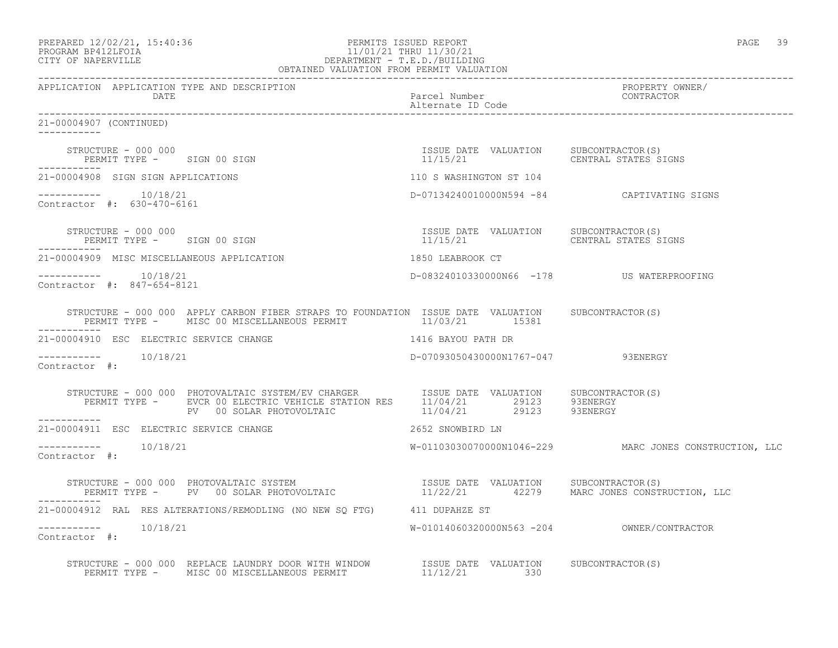| PREPARED 12/02/21, 15:40:36 |  |
|-----------------------------|--|
| PROGRAM BP412LFOIA          |  |

### PREPARED 12/02/21, 15:40:36 PERMITS ISSUED REPORT PAGE 39 PROGRAM BP412LFOIA 11/01/21 THRU 11/30/21 CITY OF NAPERVILLE DEPARTMENT - T.E.D./BUILDING OBTAINED VALUATION FROM PERMIT VALUATION

------------------------------------------------------------------------------------------------------------------------------------ APPLICATION APPLICATION TYPE AND DESCRIPTION PROPERTY OWNER/ DATE DESCRIPTION OF PARTICULAR PARTICULAR PARTICULAR PARTICULAR POSTER DE CONTRACTOR DE CONTRACTOR DE CONTRACTOR<br>DE CONTRACTOR EN 1989, A CONTRACTOR DE CONTRACTOR DE CONTRACTOR DE CONTRACTOR DE CONTRACTOR DE CONTRACTOR DE Alternate ID Code ------------------------------------------------------------------------------------------------------------------------------------ 21-00004907 (CONTINUED) ----------- STRUCTURE - 000 000 ISSUE DATE VALUATION SUBCONTRACTOR(S) PERMIT TYPE - SIGN 00 SIGN ----------- 21-00004908 SIGN SIGN APPLICATIONS 110 S WASHINGTON ST 104 ----------- 10/18/21 D-07134240010000N594 -84 CAPTIVATING SIGNS Contractor #: 630-470-6161 STRUCTURE - 000 000 ISSUE DATE VALUATION SUBCONTRACTOR(S) PERMIT TYPE - SIGN 00 SIGN ----------- 21-00004909 MISC MISCELLANEOUS APPLICATION 1850 LEABROOK CT ----------- 10/18/21 D-08324010330000N66 -178 US WATERPROOFING Contractor #: 847-654-8121 STRUCTURE - 000 000 APPLY CARBON FIBER STRAPS TO FOUNDATION ISSUE DATE VALUATION SUBCONTRACTOR(S) PERMIT TYPE - MISC 00 MISCELLANEOUS PERMIT 11/03/21 15381 ----------- 21-00004910 ESC ELECTRIC SERVICE CHANGE 1416 BAYOU PATH DR ----------- 10/18/21 D-07093050430000N1767-047 93ENERGY Contractor #: STRUCTURE - 000 000 PHOTOVALTAIC SYSTEM/EV CHARGER ISSUE DATE VALUATION SUBCONTRACTOR(S) PERMIT TYPE - EVCR 00 ELECTRIC VEHICLE STATION RES  $11/04/21$  29123 93ENERGY PV 00 SOLAR PHOTOVOLTAIC  $11/04/21$  29123 93ENERGY ----------- 21-00004911 ESC ELECTRIC SERVICE CHANGE 2652 SNOWBIRD LN \_\_\_\_\_\_\_\_\_\_\_ ----------- 10/18/21 W-01103030070000N1046-229 MARC JONES CONSTRUCTION, LLC Contractor #: STRUCTURE - 000 000 PHOTOVALTAIC SYSTEM ISSUE DATE VALUATION SUBCONTRACTOR(S) PERMIT TYPE - PV 00 SOLAR PHOTOVOLTAIC 11/22/21 42279 MARC JONES CONSTRUCTION, LLC ----------- 21-00004912 RAL RES ALTERATIONS/REMODLING (NO NEW SQ FTG) 411 DUPAHZE ST ----------- 10/18/21 W-01014060320000N563 -204 OWNER/CONTRACTOR Contractor #: STRUCTURE - 000 000 REPLACE LAUNDRY DOOR WITH WINDOW ISSUE DATE VALUATION SUBCONTRACTOR(S) PERMIT TYPE - MISC 00 MISCELLANEOUS PERMIT  $11/12/21$  330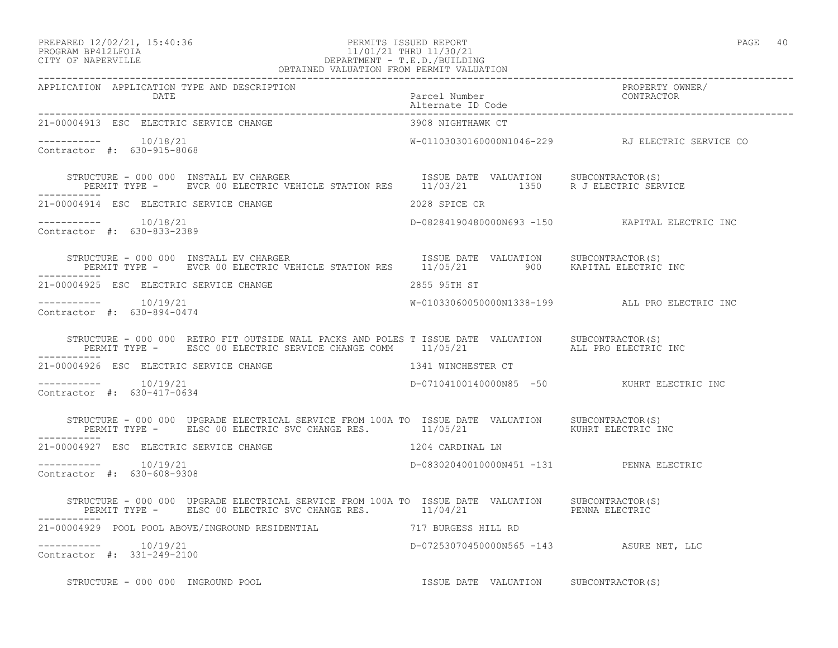### PREPARED 12/02/21, 15:40:36 PERMITS ISSUED REPORT PAGE 40 PROGRAM BP412LFOIA 11/01/21 THRU 11/30/21 CITY OF NAPERVILLE DEPARTMENT - T.E.D./BUILDING THING THE SEAR THAN THE SEAR TO DEPARTMENT - T.E.D./BUILDING<br>OBTAINED VALUATION FROM PERMIT VALUATION

| APPLICATION APPLICATION TYPE AND DESCRIPTION PACKERTY PURE PACEL Number PACKERTY OWNER/<br>DATE Parcel Number CONTRACTOR PURE PERITE PORTE PORTERE PROPERTY OWNER PALE PROPERTY OF PACKERS CONTRACTOR                   |                                          |                                                  |
|-------------------------------------------------------------------------------------------------------------------------------------------------------------------------------------------------------------------------|------------------------------------------|--------------------------------------------------|
| 21-00004913 ESC ELECTRIC SERVICE CHANGE                                                                                                                                                                                 | 3908 NIGHTHAWK CT                        |                                                  |
| $--------- 10/18/21$<br>Contractor #: 630-915-8068                                                                                                                                                                      |                                          | W-01103030160000N1046-229 RJ ELECTRIC SERVICE CO |
| STRUCTURE - 000 000 INSTALL EV CHARGER                           ISSUE DATE VALUATION     SUBCONTRACTOR(S)<br>PERMIT TYPE -     EVCR 00 ELECTRIC VEHICLE STATION RES     11/03/21         1350     R J ELECTRIC SERVICE |                                          |                                                  |
| 21-00004914 ESC ELECTRIC SERVICE CHANGE                                                                                                                                                                                 | 2028 SPICE CR                            |                                                  |
| $--------- 10/18/21$<br>Contractor #: 630-833-2389                                                                                                                                                                      |                                          | D-08284190480000N693 -150 KAPITAL ELECTRIC INC   |
| STRUCTURE - 000 000 INSTALL EV CHARGER                           ISSUE DATE VALUATION     SUBCONTRACTOR(S)<br>PERMIT TYPE -     EVCR 00 ELECTRIC VEHICLE STATION RES     11/05/21       900     KAPITAL ELECTRIC INC    |                                          |                                                  |
| 21-00004925 ESC ELECTRIC SERVICE CHANGE                                                                                                                                                                                 | 2855 95TH ST                             |                                                  |
| $--------- 10/19/21$<br>Contractor #: 630-894-0474                                                                                                                                                                      |                                          | W-01033060050000N1338-199 ALL PRO ELECTRIC INC   |
| STRUCTURE - 000 000 RETRO FIT OUTSIDE WALL PACKS AND POLES T ISSUE DATE VALUATION SUBCONTRACTOR(S)<br>PERMIT TYPE - ESCC 00 ELECTRIC SERVICE CHANGE COMM 11/05/21 ALL PRO ELECTRIC INC                                  |                                          |                                                  |
| 21-00004926 ESC ELECTRIC SERVICE CHANGE                                                                                                                                                                                 | 1341 WINCHESTER CT                       |                                                  |
| $--------- 10/19/21$<br>Contractor #: 630-417-0634                                                                                                                                                                      |                                          | D-07104100140000N85 -50 KUHRT ELECTRIC INC       |
| STRUCTURE - 000 000 UPGRADE ELECTRICAL SERVICE FROM 100A TO ISSUE DATE VALUATION SUBCONTRACTOR(S)<br>PERMIT TYPE - ELSC 00 ELECTRIC SVC CHANGE RES. 11/05/21 11/05/21                                                   |                                          |                                                  |
| 1204 CARDINAL LN<br>21-00004927 ESC ELECTRIC SERVICE CHANGE                                                                                                                                                             |                                          |                                                  |
| $--------- 10/19/21$<br>Contractor #: 630-608-9308                                                                                                                                                                      | D-08302040010000N451 -131 PENNA ELECTRIC |                                                  |
| STRUCTURE - 000 000 UPGRADE ELECTRICAL SERVICE FROM 100A TO ISSUE DATE VALUATION SUBCONTRACTOR(S)<br>PERMIT TYPE - ELSC 00 ELECTRIC SVC CHANGE RES. 11/04/21 PENNA ELECTRIC                                             |                                          |                                                  |
| 21-00004929 POOL POOL ABOVE/INGROUND RESIDENTIAL 717 BURGESS HILL RD                                                                                                                                                    |                                          |                                                  |
| $--------- 10/19/21$<br>Contractor #: 331-249-2100                                                                                                                                                                      | D-07253070450000N565 -143 ASURE NET, LLC |                                                  |
| STRUCTURE - 000 000 INGROUND POOL STRUCTURE TRADENT TESSUE DATE VALUATION SUBCONTRACTOR(S)                                                                                                                              |                                          |                                                  |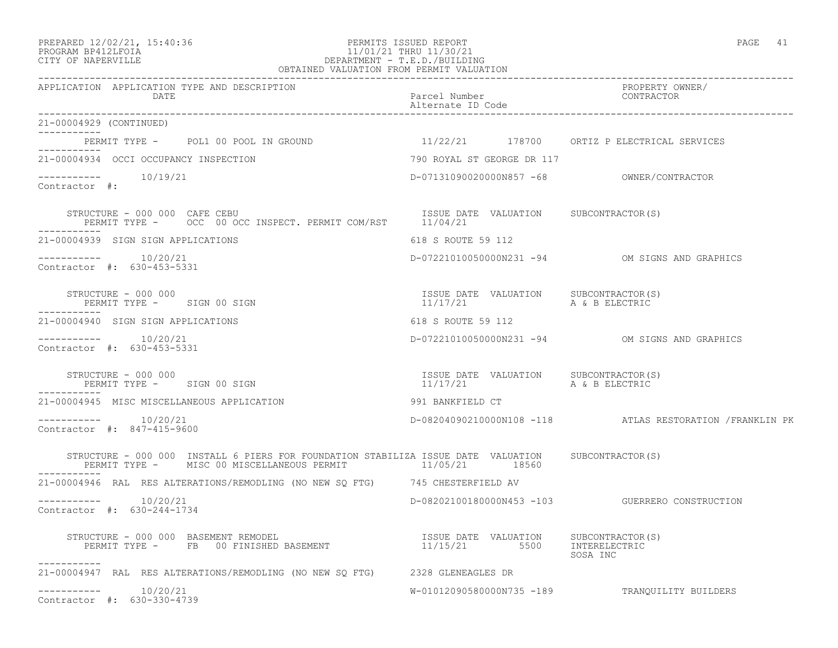### PREPARED 12/02/21, 15:40:36 PERMITS ISSUED REPORT PAGE 41 PROGRAM BP412LFOIA 11/01/21 THRU 11/30/21 CITY OF NAPERVILLE DEPARTMENT - T.E.D./BUILDING OBTAINED VALUATION FROM PERMIT VALUATION

| APPLICATION APPLICATION TYPE AND DESCRIPTION<br>DATE                                                                                                                                                                                                                                                                                                                                                                                                                                  | Parcel Number<br>Alternate ID Code                                 | PROPERTY OWNER/<br>CONTRACTOR                             |
|---------------------------------------------------------------------------------------------------------------------------------------------------------------------------------------------------------------------------------------------------------------------------------------------------------------------------------------------------------------------------------------------------------------------------------------------------------------------------------------|--------------------------------------------------------------------|-----------------------------------------------------------|
| 21-00004929 (CONTINUED)                                                                                                                                                                                                                                                                                                                                                                                                                                                               |                                                                    |                                                           |
| PERMIT TYPE - POL1 00 POOL IN GROUND 11/22/21 178700 ORTIZ P ELECTRICAL SERVICES                                                                                                                                                                                                                                                                                                                                                                                                      |                                                                    |                                                           |
| 21-00004934 OCCI OCCUPANCY INSPECTION                                                                                                                                                                                                                                                                                                                                                                                                                                                 | 790 ROYAL ST GEORGE DR 117                                         |                                                           |
| $--------- 10/19/21$<br>Contractor #:                                                                                                                                                                                                                                                                                                                                                                                                                                                 |                                                                    |                                                           |
| ${\small\texttt{STRUCTURE} \texttt{ - } 000 000 } \begin{tabular}{@{}c@{}} \texttt{CAFE} \texttt{CEBU} \end{tabular} \begin{tabular}{@{}c@{}} \texttt{SIVE} \texttt{DATE} \end{tabular} \begin{tabular}{@{}c@{}} \texttt{SIVE} \texttt{DATE} \end{tabular} \begin{tabular}{@{}c@{}} \texttt{SUE} \end{tabular} \begin{tabular}{@{}c@{}} \texttt{SUE} \end{tabular} \begin{tabular}{@{}c@{}} \texttt{SUE} \end{tabular} \begin{tabular}{@{}c@{}} \texttt{SUE} \end{tab$<br>----------- |                                                                    |                                                           |
| 21-00004939 SIGN SIGN APPLICATIONS                                                                                                                                                                                                                                                                                                                                                                                                                                                    | 618 S ROUTE 59 112                                                 |                                                           |
| Contractor #: 630-453-5331                                                                                                                                                                                                                                                                                                                                                                                                                                                            |                                                                    | D-07221010050000N231 -94 OM SIGNS AND GRAPHICS            |
| STRUCTURE - 000 000<br>PERMIT TYPE - SIGN 00 SIGN                                                                                                                                                                                                                                                                                                                                                                                                                                     | ISSUE DATE VALUATION SUBCONTRACTOR(S)<br>$11/17/21$ A & B ELECTRIC |                                                           |
| 21-00004940 SIGN SIGN APPLICATIONS                                                                                                                                                                                                                                                                                                                                                                                                                                                    | 618 S ROUTE 59 112                                                 |                                                           |
| $--------- 10/20/21$<br>Contractor #: 630-453-5331                                                                                                                                                                                                                                                                                                                                                                                                                                    |                                                                    | D-07221010050000N231 -94 OM SIGNS AND GRAPHICS            |
| STRUCTURE - 000 000<br>PERMIT TYPE - SIGN 00 SIGN                                                                                                                                                                                                                                                                                                                                                                                                                                     | ISSUE DATE VALUATION SUBCONTRACTOR(S)<br>11/17/21                  | A & B ELECTRIC                                            |
| 21-00004945 MISC MISCELLANEOUS APPLICATION                                                                                                                                                                                                                                                                                                                                                                                                                                            | 991 BANKFIELD CT                                                   |                                                           |
| $--------- 10/20/21$<br>Contractor #: 847-415-9600                                                                                                                                                                                                                                                                                                                                                                                                                                    |                                                                    | D-08204090210000N108 -118 ATLAS RESTORATION / FRANKLIN PK |
| STRUCTURE - 000 000 INSTALL 6 PIERS FOR FOUNDATION STABILIZA ISSUE DATE VALUATION SUBCONTRACTOR(S)<br>PERMIT TYPE - MISC 00 MISCELLANEOUS PERMIT 41/05/21 18560                                                                                                                                                                                                                                                                                                                       |                                                                    |                                                           |
| 21-00004946 RAL RES ALTERATIONS/REMODLING (NO NEW SQ FTG) 745 CHESTERFIELD AV                                                                                                                                                                                                                                                                                                                                                                                                         |                                                                    |                                                           |
| $--------$ 10/20/21<br>Contractor #: 630-244-1734                                                                                                                                                                                                                                                                                                                                                                                                                                     |                                                                    | D-08202100180000N453 -103 GUERRERO CONSTRUCTION           |
| STRUCTURE - 000 000 BASEMENT REMODEL<br>-----------                                                                                                                                                                                                                                                                                                                                                                                                                                   |                                                                    | SOSA INC                                                  |
| 21-00004947 RAL RES ALTERATIONS/REMODLING (NO NEW SQ FTG) 2328 GLENEAGLES DR                                                                                                                                                                                                                                                                                                                                                                                                          |                                                                    |                                                           |
| $--------- 10/20/21$<br>Contractor #: 630-330-4739                                                                                                                                                                                                                                                                                                                                                                                                                                    |                                                                    | W-01012090580000N735 -189 TRANQUILITY BUILDERS            |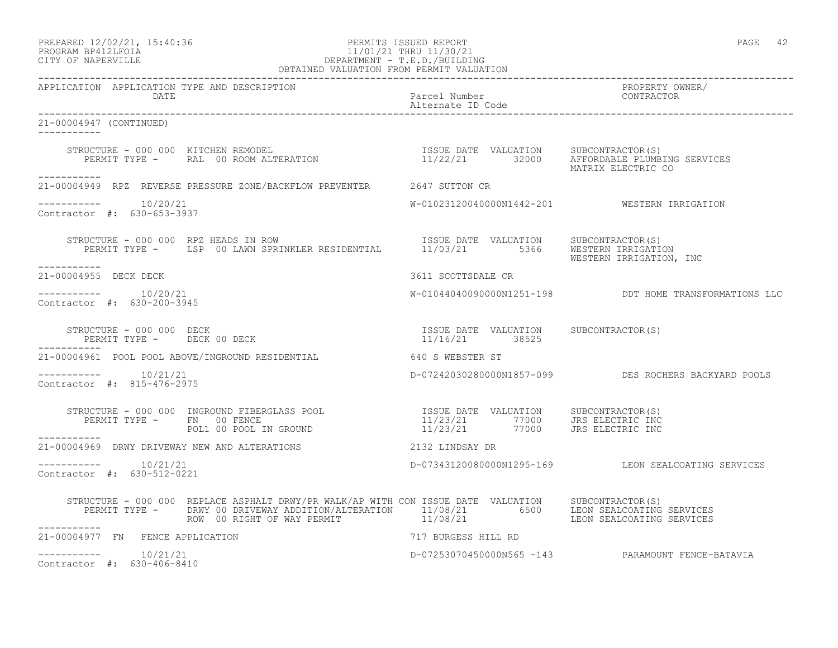## PREPARED 12/02/21, 15:40:36 PERMITS ISSUED REPORT PAGE 42 PROGRAM BP412LFOIA 11/01/21 THRU 11/30/21 CITY OF NAPERVILLE DEPARTMENT - T.E.D./BUILDING

| OBTAINED VALUATION FROM PERMIT VALUATION                      |                                                                                                                                                                                                                                                                                                                                                                                                                                                                                                   |                     |  |                                                        |
|---------------------------------------------------------------|---------------------------------------------------------------------------------------------------------------------------------------------------------------------------------------------------------------------------------------------------------------------------------------------------------------------------------------------------------------------------------------------------------------------------------------------------------------------------------------------------|---------------------|--|--------------------------------------------------------|
| APPLICATION APPLICATION TYPE AND DESCRIPTION                  | DATE<br>Parcel Number<br>DAAA7 (CONTINUER)                                                                                                                                                                                                                                                                                                                                                                                                                                                        |                     |  | PROPERTY OWNER/<br>CONTRACTOR                          |
| 21-00004947 (CONTINUED)                                       |                                                                                                                                                                                                                                                                                                                                                                                                                                                                                                   |                     |  |                                                        |
| -----------                                                   |                                                                                                                                                                                                                                                                                                                                                                                                                                                                                                   |                     |  | MATRIX ELECTRIC CO                                     |
|                                                               | 21-00004949 RPZ REVERSE PRESSURE ZONE/BACKFLOW PREVENTER 2647 SUTTON CR                                                                                                                                                                                                                                                                                                                                                                                                                           |                     |  |                                                        |
| $--------- 10/20/21$<br>Contractor #: 630-653-3937            |                                                                                                                                                                                                                                                                                                                                                                                                                                                                                                   |                     |  | W-01023120040000N1442-201 WESTERN IRRIGATION           |
| ___________                                                   | STRUCTURE - 000 000 RPZ HEADS IN ROW<br>PERMIT TYPE - LSP 00 LAWN SPRINKLER RESIDENTIAL 11/03/21 5366 WESTERN IRIGATION                                                                                                                                                                                                                                                                                                                                                                           |                     |  | WESTERN IRRIGATION, INC                                |
| 21-00004955 DECK DECK                                         |                                                                                                                                                                                                                                                                                                                                                                                                                                                                                                   | 3611 SCOTTSDALE CR  |  |                                                        |
| -----------    10/20/21<br>Contractor #: 630-200-3945         |                                                                                                                                                                                                                                                                                                                                                                                                                                                                                                   |                     |  | W-01044040090000N1251-198 DDT HOME TRANSFORMATIONS LLC |
|                                                               | $\begin{array}{cccc} \texttt{STRUCTURE} & - & 000 & 000 & \texttt{DECK} \\ \texttt{PERMIT} & \texttt{TPE} & - & - & - \\ \texttt{PERMIT} & \texttt{TPE} & - & - \\ \end{array} \begin{array}{cccc} \texttt{DECENTR}\end{array} \begin{array}{cccc} \texttt{DECENTR}\end{array} \begin{array}{cccc} \texttt{DECENTR}\end{array} \begin{array}{cccc} \texttt{SUE} & \texttt{C1} & \texttt{C1} & \texttt{C1} \\ \texttt{C1} & - & - & - \\ \end{array} \begin{array}{cccc} \texttt{SUE} & \texttt{C$ |                     |  |                                                        |
|                                                               | 21-00004961 POOL POOL ABOVE/INGROUND RESIDENTIAL 640 S WEBSTER ST                                                                                                                                                                                                                                                                                                                                                                                                                                 |                     |  |                                                        |
| $--------- 10/21/21$<br>Contractor #: 815-476-2975            |                                                                                                                                                                                                                                                                                                                                                                                                                                                                                                   |                     |  | D-07242030280000N1857-099 DES ROCHERS BACKYARD POOLS   |
|                                                               | $\begin{array}{cccc} \texttt{STRUCTURE} & - & 000 & 000 & \texttt{INGROUND} & \texttt{FIBERGLASS POOL} & \texttt{ISSUE} & \texttt{DATE} & \texttt{VALUATION} & \texttt{SUBCONTRACTOR(S)} \\ \texttt{PERMIT TYPE} & - & \texttt{FN} & 00 & \texttt{FENCE} & 11/23/21 & 77000 & \texttt{JRS ELECTRIC INC} \\ & \texttt{POLI 00 POOL IN GROUND} & & 11/23/21 & 77000 & \texttt{JRS ELECTRIC INC} \\ \end{array}$                                                                                     |                     |  |                                                        |
| ------------<br>21-00004969 DRWY DRIVEWAY NEW AND ALTERATIONS |                                                                                                                                                                                                                                                                                                                                                                                                                                                                                                   | 2132 LINDSAY DR     |  |                                                        |
| $--------$ 10/21/21<br>Contractor #: 630-512-0221             |                                                                                                                                                                                                                                                                                                                                                                                                                                                                                                   |                     |  | D-07343120080000N1295-169 LEON SEALCOATING SERVICES    |
|                                                               | STRUCTURE - 000 000 REPLACE ASPHALT DRWY/PR WALK/AP WITH CON ISSUE DATE VALUATION SUBCONTRACTOR(S)<br>PERMIT TYPE - DRWY 00 DRIVEWAY ADDITION/ALTERATION 11/08/21 6500 LEON SEALCOATING SERVICES<br>ROW 00 RIGHT OF WAY PERMIT 11/08/21 LEON SEALCOATING SERVICES                                                                                                                                                                                                                                 |                     |  |                                                        |
| 21-00004977 FN FENCE APPLICATION                              |                                                                                                                                                                                                                                                                                                                                                                                                                                                                                                   | 717 BURGESS HILL RD |  |                                                        |
| $--------- 10/21/21$<br>Contractor #: 630-406-8410            |                                                                                                                                                                                                                                                                                                                                                                                                                                                                                                   |                     |  | D-07253070450000N565 -143 PARAMOUNT FENCE-BATAVIA      |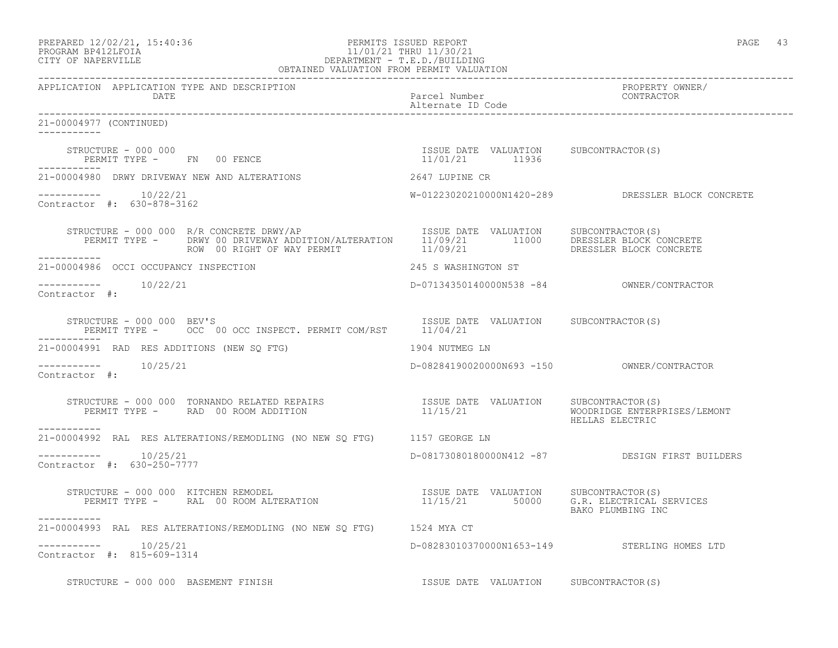### PREPARED 12/02/21, 15:40:36 PERMITS ISSUED REPORT PAGE 43 PROGRAM BP412LFOIA 11/01/21 THRU 11/30/21 CITY OF NAPERVILLE DEPARTMENT - T.E.D./BUILDING OBTAINED VALUATION FROM PERMIT VALUATION

------------------------------------------------------------------------------------------------------------------------------------ APPLICATION APPLICATION TYPE AND DESCRIPTION<br>DATE DATE DATE DATE PARTICLE IN THE PARTICLE OF THE PARTICLE NUMBER OF THE PARTICLE IN THE PARTICLE IN THE PARTICLE IN THE PARTICLE IN THE PARTICLE IN THE PARTICLE IN THE PARTICLE IN THE PARTICLE IN THE PARTICLE IN THE PARTICLE IN THE PA Alternate ID Code ------------------------------------------------------------------------------------------------------------------------------------ 21-00004977 (CONTINUED) ----------- STRUCTURE - 000 000 ISSUE DATE VALUATION SUBCONTRACTOR(S) PERMIT TYPE - FN 00 FENCE ----------- 21-00004980 DRWY DRIVEWAY NEW AND ALTERATIONS 2647 LUPINE CR ----------- 10/22/21 W-01223020210000N1420-289 DRESSLER BLOCK CONCRETE Contractor #: 630-878-3162 STRUCTURE - 000 000 R/R CONCRETE DRWY/AP ISSUE DATE VALUATION SUBCONTRACTOR(S) PERMIT TYPE - DRWY 00 DRIVEWAY ADDITION/ALTERATION 11/09/21 11000 DRESSLER BLOCK CONCRETE ROW 00 RIGHT OF WAY PERMIT  $11/09/21$  DRESSLER BLOCK CONCRETE ----------- 21-00004986 OCCI OCCUPANCY INSPECTION 245 S WASHINGTON ST ----------- 10/22/21 D-07134350140000N538 -84 OWNER/CONTRACTOR Contractor #: STRUCTURE - 000 000 BEV'S STRUCTURE - 000 000 BEV'S PERMIT TYPE - OCC 00 OCC INSPECT. PERMIT COM/RST 11/04/21 ----------- 21-00004991 RAD RES ADDITIONS (NEW SQ FTG) 1904 NUTMEG LN ----------- 10/25/21 D-08284190020000N693 -150 OWNER/CONTRACTOR Contractor #: STRUCTURE - 000 000 TORNANDO RELATED REPAIRS ISSUE DATE VALUATION SUBCONTRACTOR(S) PERMIT TYPE - RAD 00 ROOM ADDITION 11/15/21 WOODRIDGE ENTERPRISES/LEMONT HELLAS ELECTRIC ----------- 21-00004992 RAL RES ALTERATIONS/REMODLING (NO NEW SQ FTG) 1157 GEORGE LN \_\_\_\_\_\_\_\_\_\_\_ ----------- 10/25/21 D-08173080180000N412 -87 DESIGN FIRST BUILDERS Contractor #: 630-250-7777 STRUCTURE - 000 000 KITCHEN REMODEL ISSUE DATE VALUATION SUBCONTRACTOR(S) PERMIT TYPE - RAL 00 ROOM ALTERATION 11/15/21 50000 G.R. ELECTRICAL SERVICES BAKO PLUMBING INC ----------- 21-00004993 RAL RES ALTERATIONS/REMODLING (NO NEW SQ FTG) 1524 MYA CT  $--------- 10/25/21$ D-08283010370000N1653-149 STERLING HOMES LTD Contractor #: 815-609-1314 STRUCTURE - 000 000 BASEMENT FINISH ISSUE DATE VALUATION SUBCONTRACTOR(S)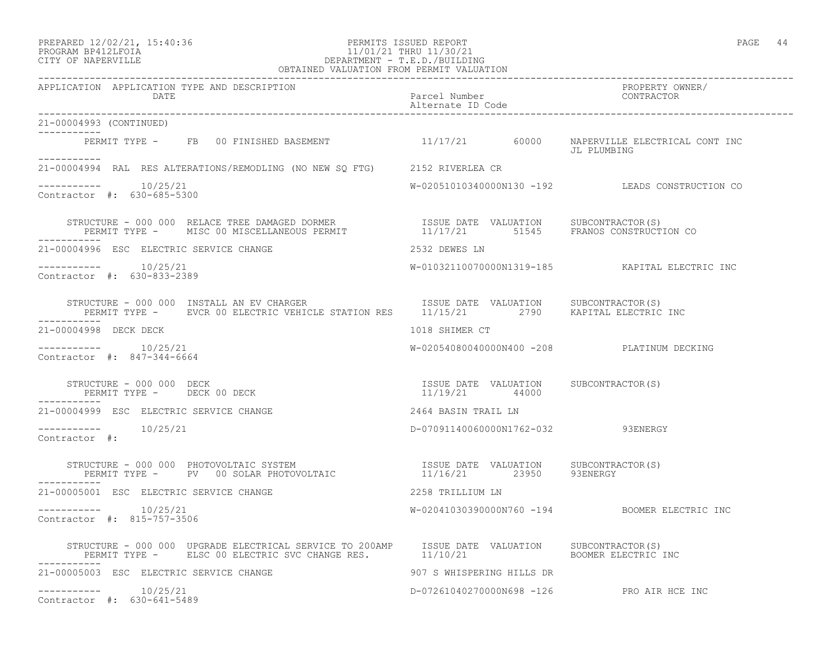### PREPARED 12/02/21, 15:40:36 PERMITS ISSUED REPORT PAGE 44 PROGRAM BP412LFOIA 11/01/21 THRU 11/30/21 CITY OF NAPERVILLE DEPARTMENT - T.E.D./BUILDING OBTAINED VALUATION FROM PERMIT VALUATION

| APPLICATION APPLICATION TYPE AND DESCRIPTION                                                                                                                                                                                                |                                                         | PROPERTY OWNER/<br>CONTRACTOR                   |
|---------------------------------------------------------------------------------------------------------------------------------------------------------------------------------------------------------------------------------------------|---------------------------------------------------------|-------------------------------------------------|
| 21-00004993 (CONTINUED)                                                                                                                                                                                                                     |                                                         |                                                 |
| PERMIT TYPE - FB 00 FINISHED BASEMENT 11/17/21 60000 NAPERVILLE ELECTRICAL CONT INC                                                                                                                                                         |                                                         | JL PLUMBING                                     |
| 21-00004994 RAL RES ALTERATIONS/REMODLING (NO NEW SQ FTG) 2152 RIVERLEA CR                                                                                                                                                                  |                                                         |                                                 |
| $--------- 10/25/21$<br>Contractor #: 630-685-5300                                                                                                                                                                                          |                                                         | W-02051010340000N130 -192 LEADS CONSTRUCTION CO |
| STRUCTURE - 000 000 RELACE TREE DAMAGED DORMER                  ISSUE DATE VALUATION    SUBCONTRACTOR(S)<br>PERMIT TYPE -    MISC 00 MISCELLANEOUS PERMIT                11/17/21        51545     FRANOS CONSTRUCTION CO                   |                                                         |                                                 |
| 21-00004996 ESC ELECTRIC SERVICE CHANGE                                                                                                                                                                                                     | 2532 DEWES LN                                           |                                                 |
| $--------- 10/25/21$<br>Contractor #: 630-833-2389                                                                                                                                                                                          |                                                         | W-01032110070000N1319-185 KAPITAL ELECTRIC INC  |
| STRUCTURE - 000 000 INSTALL AN EV CHARGER                         ISSUE DATE VALUATION      SUBCONTRACTOR(S)<br>PERMIT TYPE -      EVCR 00 ELECTRIC VEHICLE STATION RES      11/15/21          2790     KAPITAL ELECTRIC INC<br>----------- |                                                         |                                                 |
| 21-00004998 DECK DECK                                                                                                                                                                                                                       | 1018 SHIMER CT                                          |                                                 |
| $--------- 10/25/21$<br>Contractor #: 847-344-6664                                                                                                                                                                                          | W-02054080040000N400 -208 PLATINUM DECKING              |                                                 |
| STRUCTURE - 000 000 DECK<br>PERMIT TYPE - DECK 00 DECK                                                                                                                                                                                      | ISSUE DATE VALUATION SUBCONTRACTOR(S)<br>11/19/21 44000 |                                                 |
| 21-00004999 ESC ELECTRIC SERVICE CHANGE                                                                                                                                                                                                     | 2464 BASIN TRAIL LN                                     |                                                 |
| $--------- 10/25/21$<br>Contractor #:                                                                                                                                                                                                       | D-07091140060000N1762-032 93ENERGY                      |                                                 |
| STRUCTURE - 000 000 PHOTOVOLTAIC SYSTEM                               ISSUE DATE VALUATION     SUBCONTRACTOR(S)<br>PERMIT TYPE -      PV   00 SOLAR PHOTOVOLTAIC                       11/16/21         23950       93ENERGY                |                                                         |                                                 |
| 21-00005001 ESC ELECTRIC SERVICE CHANGE                                                                                                                                                                                                     | 2258 TRILLIUM LN                                        |                                                 |
| $--------- 10/25/21$<br>Contractor #: 815-757-3506                                                                                                                                                                                          |                                                         | W-02041030390000N760 -194 BOOMER ELECTRIC INC   |
| STRUCTURE – 000 000 UPGRADE ELECTRICAL SERVICE TO 200AMP ISSUE DATE VALUATION SUBCONTRACTOR(S)<br>PERMIT TYPE – ELSC 00 ELECTRIC SVC CHANGE RES. 11/10/21 BOOMER ELECTRIC INC                                                               |                                                         |                                                 |
| 21-00005003 ESC ELECTRIC SERVICE CHANGE                                                                                                                                                                                                     | 907 S WHISPERING HILLS DR                               |                                                 |
| $--------- 10/25/21$<br>Contractor #: 630-641-5489                                                                                                                                                                                          | D-07261040270000N698 -126 PRO AIR HCE INC               |                                                 |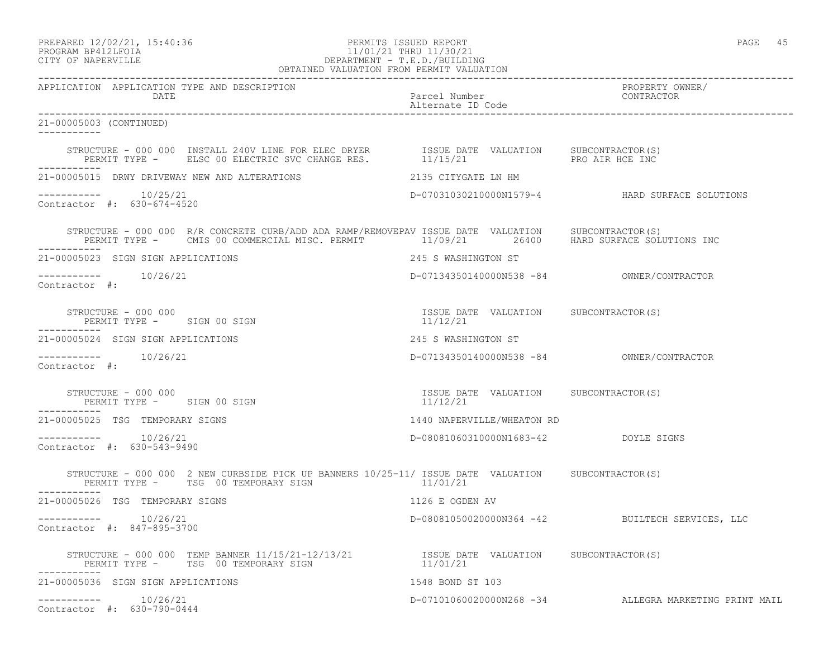## PROGRAM BP412LFOIA 11/01/21 THRU 11/30/21 CITY OF NAPERVILLE DEPARTMENT - T.E.D./BUILDING OBTAINED VALUATION FROM PERMIT VALUATION

| APPLICATION APPLICATION TYPE AND DESCRIPTION<br>DATE                                                                                                                                                                                                                            | Parcel Number<br>Alternate ID Code                | PROPERTY OWNER/<br>CONTRACTOR                         |
|---------------------------------------------------------------------------------------------------------------------------------------------------------------------------------------------------------------------------------------------------------------------------------|---------------------------------------------------|-------------------------------------------------------|
| 21-00005003 (CONTINUED)                                                                                                                                                                                                                                                         |                                                   |                                                       |
|                                                                                                                                                                                                                                                                                 |                                                   |                                                       |
| 21-00005015 DRWY DRIVEWAY NEW AND ALTERATIONS                                                                                                                                                                                                                                   | 2135 CITYGATE LN HM                               |                                                       |
| -----------    10/25/21<br>Contractor #: 630-674-4520                                                                                                                                                                                                                           |                                                   | D-07031030210000N1579-4 HARD SURFACE SOLUTIONS        |
| STRUCTURE - 000 000 R/R CONCRETE CURB/ADD ADA RAMP/REMOVEPAV ISSUE DATE VALUATION SUBCONTRACTOR(S)<br>PERMIT TYPE - CMIS 00 COMMERCIAL MISC. PERMIT 11/09/21 26400 HARD SURFACE SOLUTIONS INC                                                                                   |                                                   |                                                       |
| 21-00005023 SIGN SIGN APPLICATIONS                                                                                                                                                                                                                                              | 245 S WASHINGTON ST                               |                                                       |
| -----------    10/26/21<br>Contractor #:                                                                                                                                                                                                                                        |                                                   |                                                       |
| STRUCTURE - 000 000<br>PERMIT TYPE - SIGN 00 SIGN                                                                                                                                                                                                                               | ISSUE DATE VALUATION SUBCONTRACTOR(S)<br>11/12/21 |                                                       |
| 21-00005024 SIGN SIGN APPLICATIONS                                                                                                                                                                                                                                              | 245 S WASHINGTON ST                               |                                                       |
| Contractor #:                                                                                                                                                                                                                                                                   |                                                   | D-07134350140000N538 -84 0WNER/CONTRACTOR             |
| $\begin{array}{cccc} \texttt{STRUCTURE} & - & 000 & 000 \\ \texttt{PERMIT TYPE} & - & \texttt{SIGN} & 00 & \texttt{SIGN} \\ \end{array} \qquad \begin{array}{cccc} \texttt{TSSUE} & \texttt{DATE} & \texttt{VALUATION} & \texttt{SUBCONTRACTOR(S)} \\ & 11/12/21 & \end{array}$ |                                                   |                                                       |
| ------------<br>21-00005025 TSG TEMPORARY SIGNS                                                                                                                                                                                                                                 | 1440 NAPERVILLE/WHEATON RD                        |                                                       |
| $--------$ 10/26/21<br>Contractor #: 630-543-9490                                                                                                                                                                                                                               | D-08081060310000N1683-42 DOYLE SIGNS              |                                                       |
| STRUCTURE - 000 000 2 NEW CURBSIDE PICK UP BANNERS 10/25-11/ ISSUE DATE VALUATION SUBCONTRACTOR(S)<br>PERMIT TYPE - TSG 00 TEMPORARY SIGN                                                                                                                                       | 11/01/21                                          |                                                       |
| ------------<br>21-00005026 TSG TEMPORARY SIGNS                                                                                                                                                                                                                                 | 1126 E OGDEN AV                                   |                                                       |
| $--------$ 10/26/21<br>Contractor #: 847-895-3700                                                                                                                                                                                                                               |                                                   | D-08081050020000N364 -42 BUILTECH SERVICES, LLC       |
| STRUCTURE - 000 000 TEMP BANNER 11/15/21-12/13/21           ISSUE DATE VALUATION SUBCONTRACTOR(S)<br>PERMIT TYPE -    TSG 00 TEMPORARY SIGN                          11/01/21                                                                                                   |                                                   |                                                       |
| 21-00005036 SIGN SIGN APPLICATIONS                                                                                                                                                                                                                                              | 1548 BOND ST 103                                  |                                                       |
| $--------- 10/26/21$<br>Contractor #: 630-790-0444                                                                                                                                                                                                                              |                                                   | D-07101060020000N268 -34 ALLEGRA MARKETING PRINT MAIL |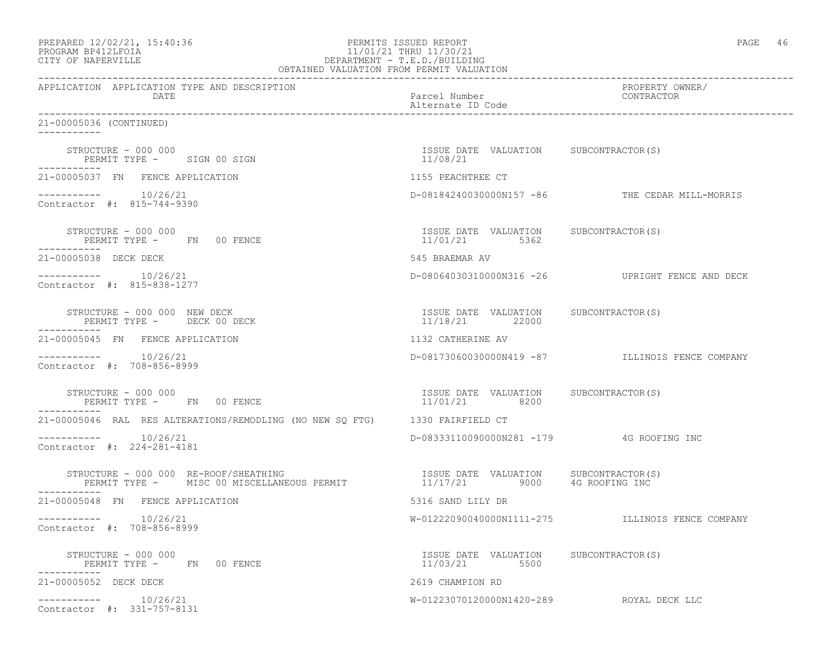| PREPARED 12/02/21, 15:40:36<br>PROGRAM BP412LFOIA<br>CITY OF NAPERVILLE                                                                                   | PERMITS ISSUED REPORT<br>11/01/21 THRU 11/30/21<br>DEPARTMENT - T.E.D./BUILDING<br>OBTAINED VALUATION FROM PERMIT VALUATION | PAGE 46                                         |
|-----------------------------------------------------------------------------------------------------------------------------------------------------------|-----------------------------------------------------------------------------------------------------------------------------|-------------------------------------------------|
| APPLICATION APPLICATION TYPE AND DESCRIPTION<br>DATE                                                                                                      | Parcel Number<br>Alternate ID Code                                                                                          | ------<br>PROPERTY OWNER/<br>CONTRACTO          |
| 21-00005036 (CONTINUED)                                                                                                                                   |                                                                                                                             |                                                 |
| STRUCTURE - 000 000<br>PERMIT TYPE - SIGN 00 SIGN                                                                                                         | ISSUE DATE VALUATION SUBCONTRACTOR(S)<br>11/08/21                                                                           |                                                 |
| 21-00005037 FN FENCE APPLICATION                                                                                                                          | 1155 PEACHTREE CT                                                                                                           |                                                 |
| $--------- 10/26/21$<br>Contractor #: 815-744-9390                                                                                                        |                                                                                                                             | D-08184240030000N157 -86 THE CEDAR MILL-MORRIS  |
| STRUCTURE - 000 000<br>PERMIT TYPE - FN 00 FENCE                                                                                                          | ISSUE DATE VALUATION SUBCONTRACTOR(S)<br>11/01/21 5362                                                                      |                                                 |
| 21-00005038 DECK DECK                                                                                                                                     | 545 BRAEMAR AV                                                                                                              |                                                 |
| Contractor #: 815-838-1277                                                                                                                                |                                                                                                                             | D-08064030310000N316 -26 UPRIGHT FENCE AND DECK |
| STRUCTURE - 000 000 NEW DECK<br>PERMIT TYPE - DECK 00 DECK                                                                                                | ISSUE DATE VALUATION SUBCONTRACTOR(S)<br>11/18/21 22000                                                                     |                                                 |
| 21-00005045 FN FENCE APPLICATION                                                                                                                          | 1132 CATHERINE AV                                                                                                           |                                                 |
| Contractor #: 708-856-8999                                                                                                                                |                                                                                                                             | D-08173060030000N419 -87 ILLINOIS FENCE COMPANY |
| STRUCTURE - 000 000<br>PERMIT TYPE - FN 00 FENCE                                                                                                          | ISSUE DATE VALUATION SUBCONTRACTOR(S)<br>11/01/21 8200                                                                      |                                                 |
| 21-00005046 RAL RES ALTERATIONS/REMODLING (NO NEW SQ FTG) 1330 FAIRFIELD CT                                                                               |                                                                                                                             |                                                 |
| $--------- 10/26/21$<br>Contractor #: 224-281-4181                                                                                                        | D-08333110090000N281 -179 4G ROOFING INC                                                                                    |                                                 |
| STRUCTURE - 000 000 RE-ROOF/SHEATHING<br>RUCTURE – 000 000 RE-ROOF/SHEATHING<br>PERMIT TYPE – MISC 00 MISCELLANEOUS PERMIT – 11/17/21 9000 4G ROOFING INC |                                                                                                                             |                                                 |
| 21-00005048 FN FENCE APPLICATION                                                                                                                          | 5316 SAND LILY DR                                                                                                           |                                                 |
| 10/26/21<br>Contractor #: 708-856-8999                                                                                                                    | W-01222090040000N1111-275                                                                                                   | ILLINOIS FENCE COMPANY                          |
| STRUCTURE - 000 000<br>PERMIT TYPE - FN<br>00 FENCE                                                                                                       | ISSUE DATE VALUATION SUBCONTRACTOR(S)<br>11/03/21<br>5500                                                                   |                                                 |
| 21-00005052 DECK DECK                                                                                                                                     | 2619 CHAMPION RD                                                                                                            |                                                 |
| 10/26/21<br>------------<br>Contractor #: 331-757-8131                                                                                                    | W-01223070120000N1420-289 ROYAL DECK LLC                                                                                    |                                                 |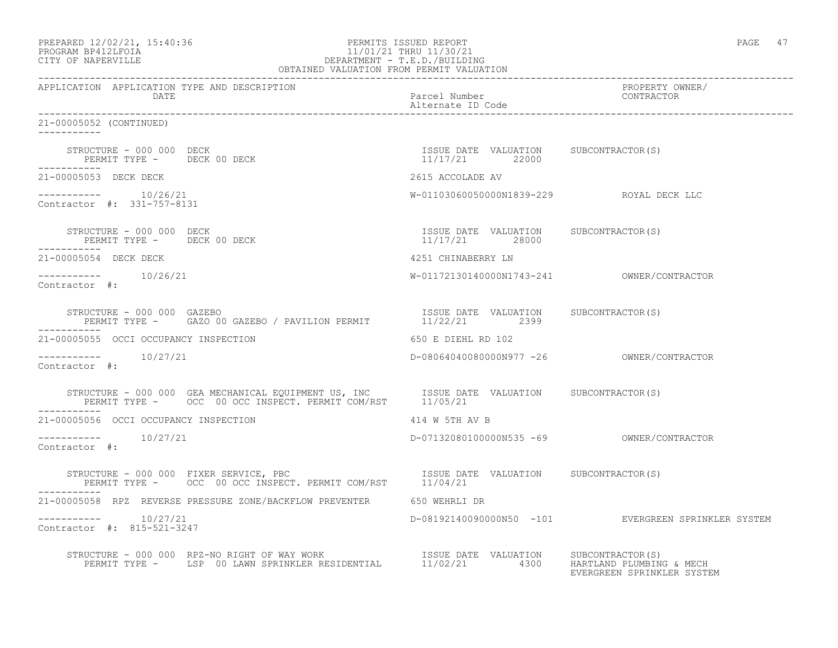| PREPARED 12/02/21, 15:40:36 |  |
|-----------------------------|--|
| PROGRAM RP412LFOIA          |  |

# PERMITS ISSUED REPORT **PAGE 47** PROGRAM BP412LFOIA 11/01/21 THRU 11/30/21<br>CITY OF NAPERVILLE DEPARTMENT - T.E.D./BUILDIN CITY OF NAPERVILLE DEPARTMENT - T.E.D./BUILDING

| OBTAINED VALUATION FROM PERMIT VALUATION                                                                                                                                       |                                                         |                                                     |
|--------------------------------------------------------------------------------------------------------------------------------------------------------------------------------|---------------------------------------------------------|-----------------------------------------------------|
| APPLICATION APPLICATION TYPE AND DESCRIPTION<br>DATE                                                                                                                           | Parcel Number<br>Alternate ID Code                      | PROPERTY OWNER/<br>CONTRACTOR                       |
| 21-00005052 (CONTINUED)                                                                                                                                                        |                                                         |                                                     |
| ------------                                                                                                                                                                   |                                                         |                                                     |
| 21-00005053 DECK DECK                                                                                                                                                          | 2615 ACCOLADE AV                                        |                                                     |
| $--------- 10/26/21$<br>Contractor #: 331-757-8131                                                                                                                             | W-01103060050000N1839-229 ROYAL DECK LLC                |                                                     |
| STRUCTURE - 000 000 DECK<br>PERMIT TYPE - DECK 00 DECK<br>. _ _ _ _ _ _ _ _ _ _                                                                                                | ISSUE DATE VALUATION SUBCONTRACTOR(S)<br>11/17/21 28000 |                                                     |
| 21-00005054 DECK DECK                                                                                                                                                          | 4251 CHINABERRY LN                                      |                                                     |
| $--------- 10/26/21$<br>Contractor #:                                                                                                                                          |                                                         |                                                     |
|                                                                                                                                                                                |                                                         |                                                     |
| 21-00005055 OCCI OCCUPANCY INSPECTION                                                                                                                                          | 650 E DIEHL RD 102                                      |                                                     |
| $--------- 10/27/21$<br>Contractor #:                                                                                                                                          |                                                         |                                                     |
| STRUCTURE - 000 000 GEA MECHANICAL EQUIPMENT US, INC   ISSUE DATE VALUATION   SUBCONTRACTOR(S)<br>PERMIT TYPE -  OCC 00 OCC INSPECT. PERMIT COM/RST   11/05/21                 |                                                         |                                                     |
| 21-00005056 OCCI OCCUPANCY INSPECTION                                                                                                                                          | 414 W 5TH AV B                                          |                                                     |
| $--------- 10/27/21$<br>Contractor #:                                                                                                                                          |                                                         |                                                     |
| STRUCTURE - 000 000 FIXER SERVICE, PBC                       ISSUE DATE VALUATION     SUBCONTRACTOR(S)<br>PERMIT TYPE -     OCC  00 OCC INSPECT. PERMIT COM/RST       11/04/21 |                                                         |                                                     |
| ___________<br>21-00005058 RPZ REVERSE PRESSURE ZONE/BACKFLOW PREVENTER 650 WEHRLI DR                                                                                          |                                                         |                                                     |
| $--------- 10/27/21$<br>Contractor #: 815-521-3247                                                                                                                             |                                                         | D-08192140090000N50 -101 EVERGREEN SPRINKLER SYSTEM |
| STRUCTURE - 000 000 RPZ-NO RIGHT OF WAY WORK<br>PERMIT TYPE - LSP 00 LAWN SPRINKLER RESIDENTIAL 11/02/21 4300 HARTLAND PLUMBING & MECH                                         |                                                         | EVERGREEN SPRINKLER SYSTEM                          |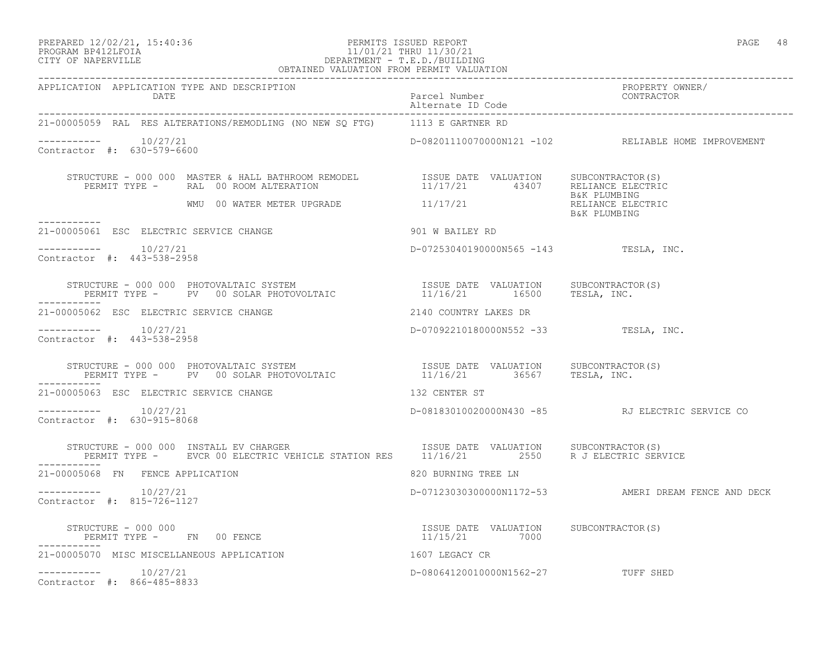### PREPARED 12/02/21, 15:40:36 PERMITS ISSUED REPORT PAGE 48 PROGRAM BP412LFOIA 11/01/21 THRU 11/30/21 CITY OF NAPERVILLE DEPARTMENT - T.E.D./BUILDING OBTAINED VALUATION FROM PERMIT VALUATION

| APPLICATION APPLICATION TYPE AND DESCRIPTION<br>DATE                                                                                                                                                                                                                                                                                                                                                                                                       | PROPERTY OWNER/<br>Parcel Number<br>Alternate ID Code<br>--------- |                                                     |
|------------------------------------------------------------------------------------------------------------------------------------------------------------------------------------------------------------------------------------------------------------------------------------------------------------------------------------------------------------------------------------------------------------------------------------------------------------|--------------------------------------------------------------------|-----------------------------------------------------|
| 21-00005059 RAL RES ALTERATIONS/REMODLING (NO NEW SQ FTG) 1113 E GARTNER RD                                                                                                                                                                                                                                                                                                                                                                                |                                                                    |                                                     |
| $--------- 10/27/21$<br>Contractor #: 630-579-6600                                                                                                                                                                                                                                                                                                                                                                                                         |                                                                    | D-08201110070000N121 -102 RELIABLE HOME IMPROVEMENT |
| $\begin{array}{cccc} \texttt{STRUCTURE} & - & 000 & 000 & \texttt{MASTER} & \texttt{HALBATHROM REMODEL} & \texttt{ISSUE DATE} & \texttt{VALUATION} & \texttt{SUBCONTRACTOR(S)} \\ \texttt{PERMIT TYPE} & - & \texttt{RAL} & 00\texttt{ ROM ALTERATION} & 11/17/21 & 43407 & \texttt{RELIANCE ELECTRIC} \\ \texttt{WWW} & 00\texttt{WATER METER UPGRADE} & 11/17/21 & \texttt{RELIANCE ELECTRIC} \\ \texttt{MMI} & 00\texttt{WATER METER UPGRADE} & 11/17/$ |                                                                    |                                                     |
| -----------                                                                                                                                                                                                                                                                                                                                                                                                                                                |                                                                    | B&K PLUMBING                                        |
| 21-00005061 ESC ELECTRIC SERVICE CHANGE 600 1 W BAILEY RD                                                                                                                                                                                                                                                                                                                                                                                                  |                                                                    |                                                     |
| $--------- 10/27/21$<br>Contractor #: 443-538-2958                                                                                                                                                                                                                                                                                                                                                                                                         | D-07253040190000N565 -143 TESLA, INC.                              |                                                     |
| STRUCTURE - 000 000 PHOTOVALTAIC SYSTEM                             ISSUE DATE VALUATION     SUBCONTRACTOR(S)<br>PERMIT TYPE -      PV   00 SOLAR PHOTOVOLTAIC                      11/16/21       16500     TESLA, INC.                                                                                                                                                                                                                                   |                                                                    |                                                     |
| 21-00005062 ESC ELECTRIC SERVICE CHANGE                                                                                                                                                                                                                                                                                                                                                                                                                    | 2140 COUNTRY LAKES DR                                              |                                                     |
| $--------- 10/27/21$<br>Contractor #: 443-538-2958                                                                                                                                                                                                                                                                                                                                                                                                         | D-07092210180000N552 -33 TESLA, INC.                               |                                                     |
| STRUCTURE – 000 000 PHOTOVALTAIC SYSTEM                            ISSUE DATE VALUATION     SUBCONTRACTOR(S)<br>PERMIT TYPE –     PV   00 SOLAR PHOTOVOLTAIC                     11/16/21       36567     TESLA, INC.<br>-----------                                                                                                                                                                                                                       |                                                                    |                                                     |
| 21-00005063 ESC ELECTRIC SERVICE CHANGE 132 CENTER ST                                                                                                                                                                                                                                                                                                                                                                                                      |                                                                    |                                                     |
| $--------- 10/27/21$<br>Contractor #: 630-915-8068                                                                                                                                                                                                                                                                                                                                                                                                         |                                                                    | D-08183010020000N430 -85 RJ ELECTRIC SERVICE CO     |
| STRUCTURE - 000 000 INSTALL EV CHARGER                         ISSUE DATE VALUATION     SUBCONTRACTOR(S)<br>PERMIT TYPE -     EVCR 00 ELECTRIC VEHICLE STATION RES     11/16/21         2550     R J ELECTRIC SERVICE                                                                                                                                                                                                                                      |                                                                    |                                                     |
| 21-00005068 FN FENCE APPLICATION                                                                                                                                                                                                                                                                                                                                                                                                                           | 820 BURNING TREE LN                                                |                                                     |
| $--------- 10/27/21$<br>Contractor #: 815-726-1127                                                                                                                                                                                                                                                                                                                                                                                                         |                                                                    | D-07123030300000N1172-53 AMERI DREAM FENCE AND DECK |
| STRUCTURE - 000 000<br>PERMIT TYPE - FN 00 FENCE<br>-----------                                                                                                                                                                                                                                                                                                                                                                                            | ISSUE DATE VALUATION SUBCONTRACTOR(S)<br>11/15/21 7000             |                                                     |
| 1607 LEGACY CR<br>21-00005070 MISC MISCELLANEOUS APPLICATION                                                                                                                                                                                                                                                                                                                                                                                               |                                                                    |                                                     |
| $--------- 10/27/21$<br>Contractor #: 866-485-8833                                                                                                                                                                                                                                                                                                                                                                                                         | D-08064120010000N1562-27 TUFF SHED                                 |                                                     |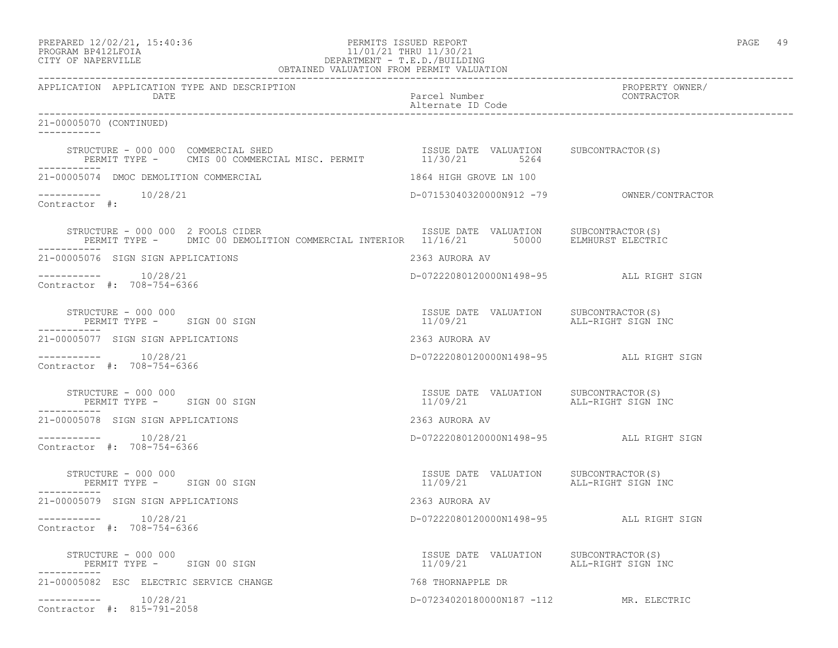# PROGRAM BP412LFOIA 11/01/21 THRU 11/30/21 CITY OF NAPERVILLE DEPARTMENT - T.E.D./BUILDING

| OBTAINED VALUATION FROM PERMIT VALUATION                                                                                                                                                                           |                                                                       |                               |
|--------------------------------------------------------------------------------------------------------------------------------------------------------------------------------------------------------------------|-----------------------------------------------------------------------|-------------------------------|
| APPLICATION APPLICATION TYPE AND DESCRIPTION<br>DATE                                                                                                                                                               | Parcel Number<br>Alternate ID Code                                    | PROPERTY OWNER/<br>CONTRACTOR |
| 21-00005070 (CONTINUED)<br><u> Liberalis Liberal</u>                                                                                                                                                               |                                                                       |                               |
| STRUCTURE - 000 000 COMMERCIAL SHED<br>PERMIT TYPE - CMIS 00 COMMERCIAL MISC. PERMIT 11/30/21 5264<br>STRUCTURE - 000 000 COMMERCIAL SHED                                                                          |                                                                       |                               |
| 21-00005074 DMOC DEMOLITION COMMERCIAL                                                                                                                                                                             | 1864 HIGH GROVE LN 100                                                |                               |
| $--------- 10/28/21$<br>Contractor #:                                                                                                                                                                              |                                                                       |                               |
| STRUCTURE - 000 000 2 FOOLS CIDER                               ISSUE DATE VALUATION     SUBCONTRACTOR(S)<br>PERMIT TYPE -     DMIC 00 DEMOLITION COMMERCIAL INTERIOR   11/16/21       50000     ELMHURST ELECTRIC |                                                                       |                               |
| 21-00005076 SIGN SIGN APPLICATIONS                                                                                                                                                                                 | 2363 AURORA AV                                                        |                               |
| $--------- 10/28/21$<br>Contractor #: 708-754-6366                                                                                                                                                                 | D-07222080120000N1498-95 ALL RIGHT SIGN                               |                               |
| STRUCTURE - 000 000<br>PERMIT TYPE - SIGN 00 SIGN                                                                                                                                                                  | ISSUE DATE VALUATION SUBCONTRACTOR(S)<br>11/09/21 ALL-RIGHT SIGN INC  |                               |
| 21-00005077 SIGN SIGN APPLICATIONS                                                                                                                                                                                 | 2363 AURORA AV                                                        |                               |
| 10/28/21<br>Contractor #: 708-754-6366                                                                                                                                                                             | D-07222080120000N1498-95 ALL RIGHT SIGN                               |                               |
| STRUCTURE - 000 000<br>PERMIT TYPE - SIGN 00 SIGN                                                                                                                                                                  | ISSUE DATE VALUATION SUBCONTRACTOR(S)<br>11/09/21 ALL-RIGHT SIGN INC  |                               |
| 21-00005078 SIGN SIGN APPLICATIONS                                                                                                                                                                                 | 2363 AURORA AV                                                        |                               |
| $--------- 10/28/21$<br>Contractor #: 708-754-6366                                                                                                                                                                 | D-07222080120000N1498-95 ALL RIGHT SIGN                               |                               |
| STRUCTURE - 000 000<br>PERMIT TYPE - SIGN 00 SIGN                                                                                                                                                                  | ISSUE DATE VALUATION SUBCONTRACTOR(S)<br>11/09/21 ALL-RIGHT SIGN INC  |                               |
| 21-00005079 SIGN SIGN APPLICATIONS                                                                                                                                                                                 | 2363 AURORA AV                                                        |                               |
| $--------- 10/28/21$<br>Contractor #: 708-754-6366                                                                                                                                                                 | D-07222080120000N1498-95 ALL RIGHT SIGN                               |                               |
| STRUCTURE - 000 000<br>PERMIT TYPE - SIGN 00 SIGN                                                                                                                                                                  | ISSUE DATE VALUATION SUBCONTRACTOR (S)<br>11/09/21 ALL-RIGHT SIGN INC |                               |
| 21-00005082 ESC ELECTRIC SERVICE CHANGE                                                                                                                                                                            | 768 THORNAPPLE DR                                                     |                               |
| $--------- 10/28/21$<br>Contractor #: 815-791-2058                                                                                                                                                                 | D-07234020180000N187 -112 MR. ELECTRIC                                |                               |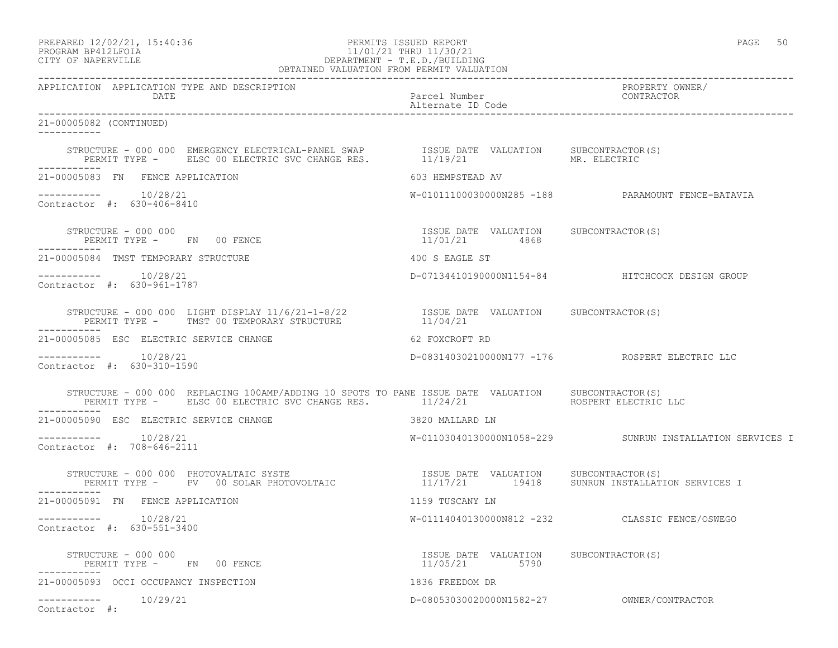## PROGRAM BP412LFOIA 11/01/21 THRU 11/30/21 CITY OF NAPERVILLE DEPARTMENT - T.E.D./BUILDING OBTAINED VALUATION FROM PERMIT VALUATION

------------------------------------------------------------------------------------------------------------------------------------ APPLICATION APPLICATION TYPE AND DESCRIPTION PROPERTY OWNER/ DATE PARTICLE IN THE PARTICLE OF THE PARTICLE NUMBER OF THE PARTICLE IN THE PARTICLE IN THE PARTICLE IN THE PARTICLE IN THE PARTICLE IN THE PARTICLE IN THE PARTICLE IN THE PARTICLE IN THE PARTICLE IN THE PARTICLE IN THE PA Alternate ID Code ------------------------------------------------------------------------------------------------------------------------------------ 21-00005082 (CONTINUED) ----------- STRUCTURE - 000 000 EMERGENCY ELECTRICAL-PANEL SWAP ISSUE DATE VALUATION SUBCONTRACTOR(S) PERMIT TYPE - ELSC 00 ELECTRIC SVC CHANGE RES. 11/19/21 MR. ELECTRIC ----------- 21-00005083 FN FENCE APPLICATION 603 HEMPSTEAD AV ----------- 10/28/21 W-01011100030000N285 -188 PARAMOUNT FENCE-BATAVIA Contractor #: 630-406-8410 STRUCTURE - 000 000 ISSUE DATE VALUATION SUBCONTRACTOR(S) PERMIT TYPE - FN 00 FENCE 11/01/21 4868 ----------- 21-00005084 TMST TEMPORARY STRUCTURE 400 S EAGLE ST ----------- 10/28/21 D-07134410190000N1154-84 HITCHCOCK DESIGN GROUP Contractor #: 630-961-1787 STRUCTURE - 000 000 LIGHT DISPLAY 11/6/21-1-8/22 ISSUE DATE VALUATION SUBCONTRACTOR(S) PERMIT TYPE - TMST 00 TEMPORARY STRUCTURE  $11/04/21$ ----------- 21-00005085 ESC ELECTRIC SERVICE CHANGE 62 FOXCROFT RD ----------- 10/28/21 D-08314030210000N177 -176 ROSPERT ELECTRIC LLC Contractor #: 630-310-1590 STRUCTURE - 000 000 REPLACING 100AMP/ADDING 10 SPOTS TO PANE ISSUE DATE VALUATION SUBCONTRACTOR(S) PERMIT TYPE - ELSC 00 ELECTRIC SVC CHANGE RES. 11/24/21 ROSPERT ELECTRIC LLC ----------- 21-00005090 ESC ELECTRIC SERVICE CHANGE 3820 MALLARD LN ----------- 10/28/21 W-01103040130000N1058-229 SUNRUN INSTALLATION SERVICES I Contractor #: 708-646-2111 STRUCTURE - 000 000 PHOTOVALTAIC SYSTE<br>PERMIT TYPE - PV 00 SOLAR PHOTOVOLTAIC ISSUE DATE VALUATION SUBCONTRACTOR(S)<br>11/17/21 19418 SUNRUN INSTALLATION SERVICES I ----------- 21-00005091 FN FENCE APPLICATION 1159 TUSCANY LN ----------- 10/28/21 W-01114040130000N812 -232 CLASSIC FENCE/OSWEGO Contractor #: 630-551-3400 STRUCTURE - 000 000 ISSUE DATE VALUATION SUBCONTRACTOR(S) PERMIT TYPE - FN 00 FENCE ----------- 21-00005093 OCCI OCCUPANCY INSPECTION 1836 FREEDOM DR ----------- 10/29/21 D-08053030020000N1582-27 OWNER/CONTRACTOR Contractor #: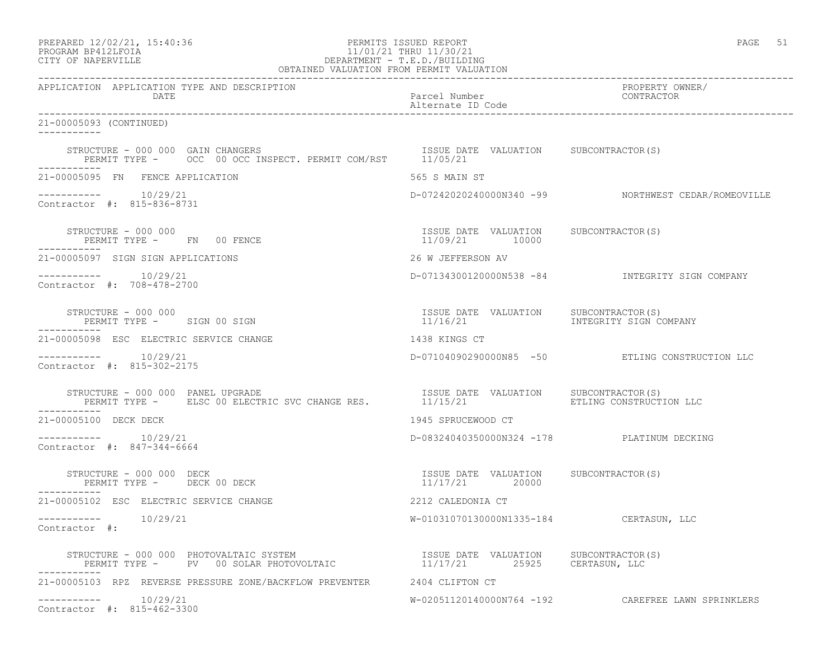| PREPARED 12/02/21, 15:40:36 |  |
|-----------------------------|--|
| DDACDAM RDA19T FATA         |  |

## PREPARED 12/02/21, 15:40:36 PERMITS ISSUED REPORT PAGE 51 PROGRAM BP412LFOIA 11/01/21 THRU 11/30/21 CITY OF NAPERVILLE DEPARTMENT - T.E.D./BUILDING

| OBTAINED VALUATION FROM PERMIT VALUATION                                                                                                                                                                                     |                                                         |                                                     |
|------------------------------------------------------------------------------------------------------------------------------------------------------------------------------------------------------------------------------|---------------------------------------------------------|-----------------------------------------------------|
| APPLICATION APPLICATION TYPE AND DESCRIPTION<br>DATE                                                                                                                                                                         | Parcel Number<br>Alternate ID Code                      | PROPERTY OWNER/<br>CONTRACTOR                       |
| 21-00005093 (CONTINUED)<br>-----------                                                                                                                                                                                       |                                                         |                                                     |
| STRUCTURE - 000 000 GAIN CHANGERS<br>PERMIT TYPE - OCC 00 OCC INSPECT. PERMIT COM/RST 11/05/21                                                                                                                               | ISSUE DATE VALUATION SUBCONTRACTOR(S)                   |                                                     |
| 21-00005095 FN FENCE APPLICATION                                                                                                                                                                                             | 565 S MAIN ST                                           |                                                     |
| $--------$ 10/29/21<br>Contractor #: 815-836-8731                                                                                                                                                                            |                                                         | D-07242020240000N340 -99 NORTHWEST CEDAR/ROMEOVILLE |
| STRUCTURE - 000 000<br>PERMIT TYPE - FN 00 FENCE                                                                                                                                                                             | ISSUE DATE VALUATION SUBCONTRACTOR(S)<br>11/09/21 10000 |                                                     |
| 21-00005097 SIGN SIGN APPLICATIONS                                                                                                                                                                                           | 26 W JEFFERSON AV                                       |                                                     |
| $--------- 10/29/21$<br>Contractor #: 708-478-2700                                                                                                                                                                           |                                                         | D-07134300120000N538 -84 INTEGRITY SIGN COMPANY     |
| STRUCTURE - 000 000<br>PERMIT TYPE - SIGN 00 SIGN                                                                                                                                                                            | ISSUE DATE VALUATION SUBCONTRACTOR(S)<br>11/16/21       | INTEGRITY SIGN COMPANY                              |
| 21-00005098 ESC ELECTRIC SERVICE CHANGE                                                                                                                                                                                      | 1438 KINGS CT                                           |                                                     |
| $--------$ 10/29/21<br>Contractor #: 815-302-2175                                                                                                                                                                            |                                                         | D-07104090290000N85 -50 ETLING CONSTRUCTION LLC     |
|                                                                                                                                                                                                                              |                                                         |                                                     |
| 21-00005100 DECK DECK                                                                                                                                                                                                        | 1945 SPRUCEWOOD CT                                      |                                                     |
| Contractor #: 847-344-6664                                                                                                                                                                                                   | D-08324040350000N324 -178 PLATINUM DECKING              |                                                     |
| STRUCTURE - 000 000 DECK<br>PERMIT TYPE - DECK 00 DECK                                                                                                                                                                       | ISSUE DATE VALUATION SUBCONTRACTOR(S)<br>11/17/21 20000 |                                                     |
| 21-00005102 ESC ELECTRIC SERVICE CHANGE                                                                                                                                                                                      | 2212 CALEDONIA CT                                       |                                                     |
| -----------    10/29/21<br>Contractor #:                                                                                                                                                                                     | W-01031070130000N1335-184 CERTASUN, LLC                 |                                                     |
| STRUCTURE - 000 000 PHOTOVALTAIC SYSTEM                             ISSUE DATE VALUATION     SUBCONTRACTOR(S)<br>PERMIT TYPE -      PV   00 SOLAR PHOTOVOLTAIC                       11/17/21        25925     CERTASUN, LLC |                                                         |                                                     |
| 21-00005103 RPZ REVERSE PRESSURE ZONE/BACKFLOW PREVENTER 2404 CLIFTON CT                                                                                                                                                     |                                                         |                                                     |
| -----------    10/29/21<br>Contractor #: 815-462-3300                                                                                                                                                                        |                                                         | W-02051120140000N764 -192 CAREFREE LAWN SPRINKLERS  |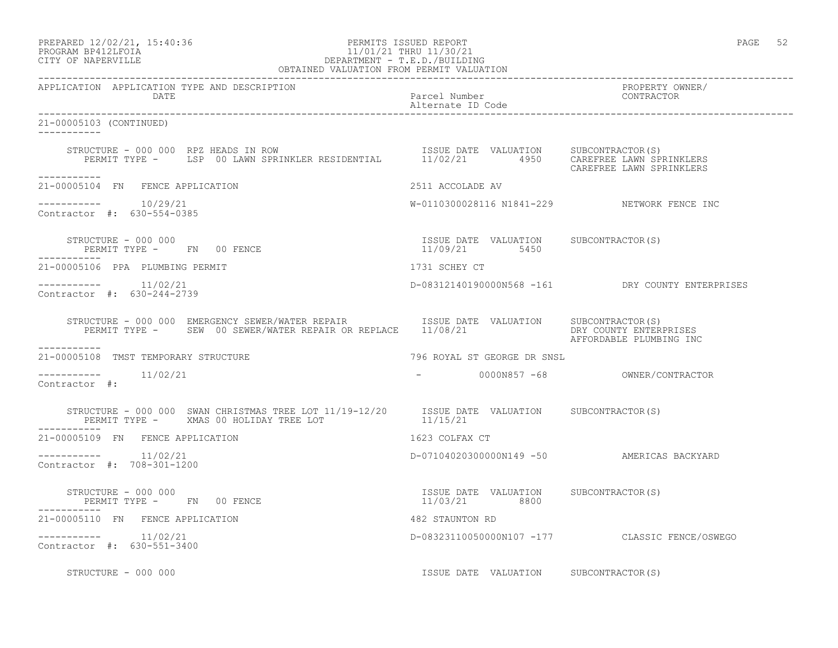| PREPARED 12/02/21, 15:40:36 |  |
|-----------------------------|--|
| PROGRAM RP412LFOIA          |  |

# end the extendion of the PERMITS ISSUED REPORT the extendion of the extendion of the extendion of the extendion of the extendion of the extendion of the extendion of the extendion of the extendion of the extendion of the e PROGRAM BP412LFOIA 11/01/21 THRU 11/30/21<br>CITY OF NAPERVILLE DEPARTMENT - T.E.D./BUILDII CITY OF NAPERVILLE DEPARTMENT - T.E.D./BUILDING

| OBTAINED VALUATION FROM PERMIT VALUATION                                                                                                                                                        |                                                        |                                                  |
|-------------------------------------------------------------------------------------------------------------------------------------------------------------------------------------------------|--------------------------------------------------------|--------------------------------------------------|
| APPLICATION APPLICATION TYPE AND DESCRIPTION<br>DATE                                                                                                                                            | Parcel Number<br>Alternate ID Code                     | PROPERTY OWNER/<br>CONTRACTOR                    |
| 21-00005103 (CONTINUED)<br>___________                                                                                                                                                          |                                                        |                                                  |
| STRUCTURE - 000 000 RPZ HEADS IN ROW<br>PERMIT TYPE - LSP 00 LAWN SPRINKLER RESIDENTIAL 11/02/21 4950 CAREFREE LAWN SPRINKLERS                                                                  |                                                        | CAREFREE LAWN SPRINKLERS                         |
| ------------<br>21-00005104 FN FENCE APPLICATION                                                                                                                                                | 2511 ACCOLADE AV                                       |                                                  |
| -----------    10/29/21<br>Contractor #: 630-554-0385                                                                                                                                           | W-0110300028116 N1841-229 NETWORK FENCE INC            |                                                  |
| PERMIT TYPE - FN 00 FENCE                                                                                                                                                                       | ISSUE DATE VALUATION SUBCONTRACTOR(S)<br>11/09/21 5450 |                                                  |
| 21-00005106 PPA PLUMBING PERMIT                                                                                                                                                                 | 1731 SCHEY CT                                          |                                                  |
| -----------    11/02/21<br>Contractor #: 630-244-2739                                                                                                                                           |                                                        | D-08312140190000N568 -161 DRY COUNTY ENTERPRISES |
| STRUCTURE - 000 000 EMERGENCY SEWER/WATER REPAIR TSSUE DATE VALUATION SUBCONTRACTOR(S)<br>PERMIT TYPE - SEW 00 SEWER/WATER REPAIR OR REPLACE 11/08/21 THE DRY COUNTY ENTERPRISES<br>----------- |                                                        | AFFORDABLE PLUMBING INC                          |
| 21-00005108 TMST TEMPORARY STRUCTURE                                                                                                                                                            | 796 ROYAL ST GEORGE DR SNSL                            |                                                  |
| -----------    11/02/21<br>Contractor #:                                                                                                                                                        | - 000000857 -68 OWNER/CONTRACTOR                       |                                                  |
| STRUCTURE - 000 000 SWAN CHRISTMAS TREE LOT $11/19-12/20$ ISSUE DATE VALUATION SUBCONTRACTOR(S)<br>PERMIT TYPE - XMAS 00 HOLIDAY TREE LOT 11/15/21                                              |                                                        |                                                  |
| 21-00005109 FN FENCE APPLICATION                                                                                                                                                                | 1623 COLFAX CT                                         |                                                  |
| $--------- 11/02/21$<br>Contractor #: 708-301-1200                                                                                                                                              | D-07104020300000N149 -50 AMERICAS BACKYARD             |                                                  |
| STRUCTURE - 000 000<br>PERMIT TYPE -      FN    00 FENCE                                                                                                                                        | ISSUE DATE VALUATION SUBCONTRACTOR(S)<br>11/03/21 8800 |                                                  |
| 21-00005110 FN FENCE APPLICATION                                                                                                                                                                | 482 STAUNTON RD                                        |                                                  |
| $--------- 11/02/21$<br>Contractor #: 630-551-3400                                                                                                                                              |                                                        | D-08323110050000N107 -177 CLASSIC FENCE/OSWEGO   |
| STRUCTURE - 000 000                                                                                                                                                                             | ISSUE DATE VALUATION SUBCONTRACTOR(S)                  |                                                  |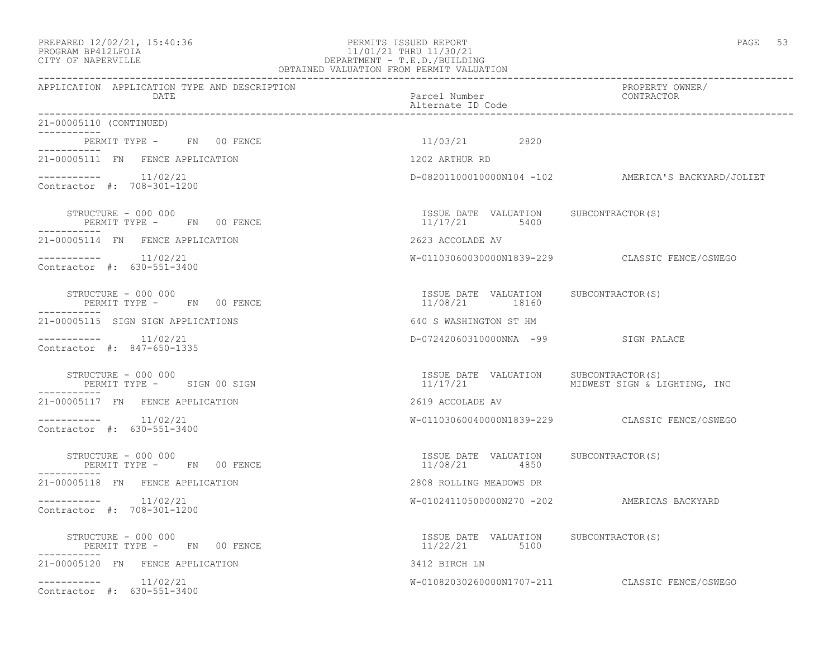### PREPARED 12/02/21, 15:40:36 PERMITS ISSUED REPORT PAGE 53 PROGRAM BP412LFOIA 11/01/21 THRU 11/30/21 CITY OF NAPERVILLE DEPARTMENT - T.E.D./BUILDING OBTAINED VALUATION FROM PERMIT VALUATION

------------------------------------------------------------------------------------------------------------------------------------ APPLICATION APPLICATION TYPE AND DESCRIPTION PROPERTY OWNER/ DATE PARTICLE IN THE PARTICLE OF THE PARTICLE NUMber CONTRACTOR OF THE PARTICLE IN THE PARTICLE IN THE PARTICLE Alternate ID Code ------------------------------------------------------------------------------------------------------------------------------------ 21-00005110 (CONTINUED) ----------- PERMIT TYPE - FN 00 FENCE 11/03/21 2820 ----------- 21-00005111 FN FENCE APPLICATION 1202 ARTHUR RD  $--------- 11/02/21$ D-08201100010000N104 -102 AMERICA'S BACKYARD/JOLIET Contractor #: 708-301-1200 STRUCTURE - 000 000 ISSUE DATE VALUATION SUBCONTRACTOR(S) PERMIT TYPE - FN 00 FENCE ----------- 21-00005114 FN FENCE APPLICATION 2623 ACCOLADE AV ----------- 11/02/21 W-01103060030000N1839-229 CLASSIC FENCE/OSWEGO Contractor #: 630-551-3400 STRUCTURE - 000 000 ISSUE DATE VALUATION SUBCONTRACTOR(S) PERMIT TYPE - FN 00 FENCE ----------- 21-00005115 SIGN SIGN APPLICATIONS 640 S WASHINGTON ST HM ----------- 11/02/21 D-07242060310000NNA -99 SIGN PALACE Contractor #: 847-650-1335 STRUCTURE - 000 000<br>
SUBCONTRACTOR(S) PERMIT TYPE - SIGN 00 SIGN CONTRACTOR(S) SUBCONTRACTOR(S) PERMIT TYPE - SIGN 00 SIGN PERMIT TYPE - SIGN 00 SIGN ----------- 21-00005117 FN FENCE APPLICATION 2619 ACCOLADE AV ----------- 11/02/21 W-01103060040000N1839-229 CLASSIC FENCE/OSWEGO Contractor #: 630-551-3400 STRUCTURE - 000 000 ISSUE DATE VALUATION SUBCONTRACTOR(S) PERMIT TYPE - FN 00 FENCE ----------- 21-00005118 FN FENCE APPLICATION 2808 ROLLING MEADOWS DR ----------- 11/02/21 W-01024110500000N270 -202 AMERICAS BACKYARD Contractor #: 708-301-1200 STRUCTURE - 000 000 ISSUE DATE VALUATION SUBCONTRACTOR(S) PERMIT TYPE - FN 00 FENCE ----------- 21-00005120 FN FENCE APPLICATION 3412 BIRCH LN ----------- 11/02/21 W-01082030260000N1707-211 CLASSIC FENCE/OSWEGO Contractor #: 630-551-3400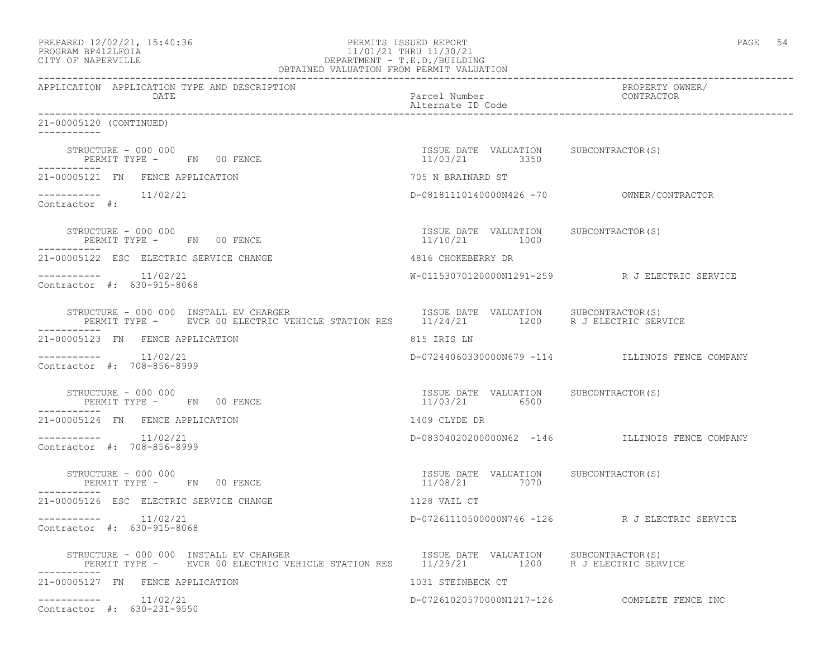| PREPARED 12/02/21, 15:40:36 |  |
|-----------------------------|--|
| PROCRAM RP412LFOIA          |  |

# PERMITS ISSUED REPORT **PAGE 54** PROGRAM BP412LFOIA 11/01/21 THRU 11/30/21 CITY OF NAPERVILLE (1999) 20 DEPARTMENT - T.E.D. /BUILDIN CITY OF NAPERVILLE DEPARTMENT - T.E.D./BUILDING

| OBTAINED VALUATION FROM PERMIT VALUATION                                                                                                                                                                                         |                                                        |                                                  |
|----------------------------------------------------------------------------------------------------------------------------------------------------------------------------------------------------------------------------------|--------------------------------------------------------|--------------------------------------------------|
| APPLICATION APPLICATION TYPE AND DESCRIPTION<br>DATE                                                                                                                                                                             | Parcel Number<br>Alternate ID Code                     | PROPERTY OWNER/<br>CONTRACTOR                    |
| 21-00005120 (CONTINUED)<br>$- - - - - - - - - -$                                                                                                                                                                                 |                                                        |                                                  |
| STRUCTURE - 000 000<br>PERMIT TYPE - FN 00 FENCE                                                                                                                                                                                 | ISSUE DATE VALUATION SUBCONTRACTOR(S)<br>11/03/21 3350 |                                                  |
| 21-00005121 FN FENCE APPLICATION                                                                                                                                                                                                 | 705 N BRAINARD ST                                      |                                                  |
| $--------- 11/02/21$<br>Contractor #:                                                                                                                                                                                            |                                                        |                                                  |
| STRUCTURE - 000 000<br>PERMIT TYPE - FN 00 FENCE                                                                                                                                                                                 | ISSUE DATE VALUATION SUBCONTRACTOR(S)<br>11/10/21 1000 |                                                  |
| 21-00005122 ESC ELECTRIC SERVICE CHANGE                                                                                                                                                                                          | 4816 CHOKEBERRY DR                                     |                                                  |
| $--------- 11/02/21$<br>Contractor #: 630-915-8068                                                                                                                                                                               |                                                        | W-01153070120000N1291-259 R J ELECTRIC SERVICE   |
| STRUCTURE - 000 000 INSTALL EV CHARGER<br>PERMIT TYPE - EVCR 00 ELECTRIC VEHICLE STATION RES 11/24/21 1200 R J ELECTRIC SERVICE                                                                                                  | ISSUE DATE VALUATION SUBCONTRACTOR(S)                  |                                                  |
| 21-00005123 FN FENCE APPLICATION                                                                                                                                                                                                 | 815 IRIS LN                                            |                                                  |
| Contractor #: 708-856-8999                                                                                                                                                                                                       |                                                        | D-07244060330000N679 -114 ILLINOIS FENCE COMPANY |
| STRUCTURE - 000 000<br>PERMIT TYPE - FN 00 FENCE                                                                                                                                                                                 | ISSUE DATE VALUATION SUBCONTRACTOR(S)<br>11/03/21 6500 |                                                  |
| 21-00005124 FN FENCE APPLICATION                                                                                                                                                                                                 | 1409 CLYDE DR                                          |                                                  |
| $--------- 11/02/21$<br>Contractor #: 708-856-8999                                                                                                                                                                               |                                                        | D-083040202000000N62 -146 ILLINOIS FENCE COMPANY |
| STRUCTURE - 000 000<br>PERMIT TYPE - FN 00 FENCE<br>-----------                                                                                                                                                                  | ISSUE DATE VALUATION SUBCONTRACTOR(S)<br>11/08/21 7070 |                                                  |
| 21-00005126 ESC ELECTRIC SERVICE CHANGE                                                                                                                                                                                          | 1128 VAIL CT                                           |                                                  |
| Contractor #: 630-915-8068                                                                                                                                                                                                       |                                                        | D-07261110500000N746 -126 R J ELECTRIC SERVICE   |
| STRUCTURE - 000 000 INSTALL EV CHARGER                               ISSUE DATE VALUATION      SUBCONTRACTOR(S)<br>PERMIT TYPE -      EVCR 00 ELECTRIC VEHICLE STATION RES      11/29/21          1200      R J ELECTRIC SERVICE |                                                        |                                                  |
| 21-00005127 FN FENCE APPLICATION                                                                                                                                                                                                 | 1031 STEINBECK CT                                      |                                                  |
| $--------- 11/02/21$<br>Contractor #: 630-231-9550                                                                                                                                                                               |                                                        | D-07261020570000N1217-126 COMPLETE FENCE INC     |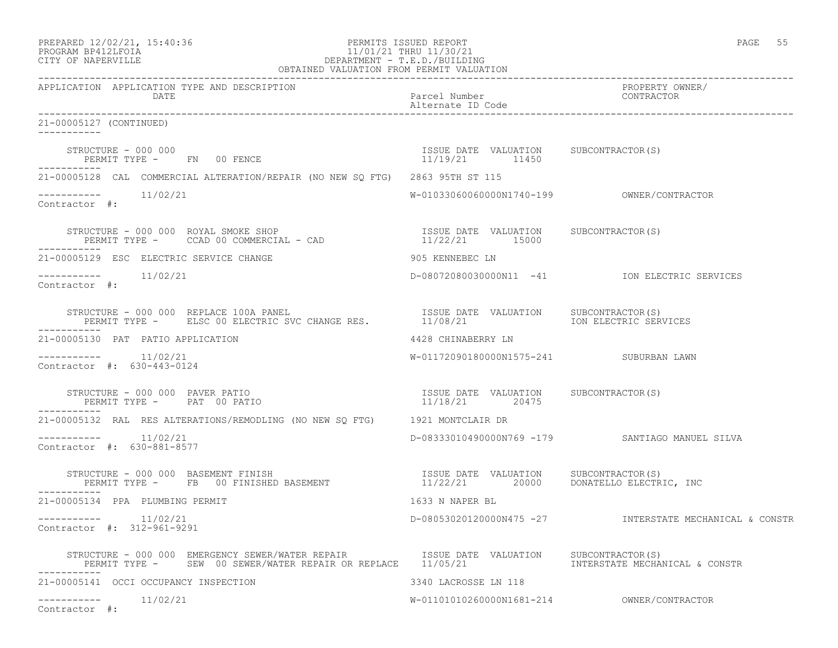| PREPARED 12/02/21, 15:40:36 |  |
|-----------------------------|--|
| PROGRAM RP412LFOIA          |  |

# PREPARED 12/02/21, 15:40:36 PERMITS ISSUED REPORT PAGE 55 PROGRAM BP412LFOIA 11/01/21 THRU 11/30/21 CITY OF NAPERVILLE DEPARTMENT - T.E.D./BUILDING

| OBTAINED VALUATION FROM PERMIT VALUATION                                                                                                                                                                        |                                                         |                                                         |
|-----------------------------------------------------------------------------------------------------------------------------------------------------------------------------------------------------------------|---------------------------------------------------------|---------------------------------------------------------|
| APPLICATION APPLICATION TYPE AND DESCRIPTION<br>DATE                                                                                                                                                            | Parcel Number<br>Alternate ID Code                      | PROPERTY OWNER/<br>CONTRACTOR                           |
| 21-00005127 (CONTINUED)<br>-----------                                                                                                                                                                          |                                                         |                                                         |
| STRUCTURE - 000 000<br>PERMIT TYPE - FN 00 FENCE                                                                                                                                                                | ISSUE DATE VALUATION SUBCONTRACTOR(S)<br>11/19/21 11450 |                                                         |
| 21-00005128 CAL COMMERCIAL ALTERATION/REPAIR (NO NEW SQ FTG) 2863 95TH ST 115                                                                                                                                   |                                                         |                                                         |
| $--------$ 11/02/21<br>Contractor #:                                                                                                                                                                            |                                                         |                                                         |
|                                                                                                                                                                                                                 |                                                         |                                                         |
| 21-00005129 ESC ELECTRIC SERVICE CHANGE                                                                                                                                                                         | 905 KENNEBEC LN                                         |                                                         |
| -----------    11/02/21<br>Contractor #:                                                                                                                                                                        |                                                         | D-08072080030000N11 -41 ION ELECTRIC SERVICES           |
| STRUCTURE – 000 000 REPLACE 100A PANEL (1999) STRUCTURE – 11/08/21 PERMIT TYPE – ELSC 00 ELECTRIC SVC CHANGE RES. 11/08/21<br>STRUCTURE - 000 000 REPLACE 100A PANEL                                            | ISSUE DATE VALUATION SUBCONTRACTOR(S)                   | ION ELECTRIC SERVICES                                   |
| 21-00005130 PAT PATIO APPLICATION                                                                                                                                                                               | 4428 CHINABERRY LN                                      |                                                         |
| Contractor #: 630-443-0124                                                                                                                                                                                      | W-01172090180000N1575-241 SUBURBAN LAWN                 |                                                         |
| STRUCTURE - 000 000 PAVER PATIO<br>PERMIT TYPE - PAT 00 PATIO<br>PERMIT TYPE - PAT 00 PATIO                                                                                                                     | ISSUE DATE VALUATION SUBCONTRACTOR(S)<br>11/18/21 20475 |                                                         |
| 21-00005132 RAL RES ALTERATIONS/REMODLING (NO NEW SQ FTG) 1921 MONTCLAIR DR                                                                                                                                     |                                                         |                                                         |
| -----------    11/02/21<br>Contractor #: 630-881-8577                                                                                                                                                           |                                                         | D-08333010490000N769 -179 SANTIAGO MANUEL SILVA         |
| STRUCTURE - 000 000 BASEMENT FINISH<br>PERMIT TYPE - FB 00 FINISHED BASEMENT                      11/22/21     20000   DONATELLO ELECTRIC, INC<br>----------                                                    |                                                         |                                                         |
| 21-00005134 PPA PLUMBING PERMIT                                                                                                                                                                                 | 1633 N NAPER BL                                         |                                                         |
| -----------    11/02/21<br>Contractor #: 312-961-9291                                                                                                                                                           |                                                         | D-08053020120000N475 -27 INTERSTATE MECHANICAL & CONSTR |
| STRUCTURE - 000 000 EMERGENCY SEWER/WATER REPAIR      ISSUE DATE VALUATION    SUBCONTRACTOR(S)<br>PERMIT TYPE -    SEW 00 SEWER/WATER REPAIR OR REPLACE    11/05/21              INTERSTATE MECHANICAL & CONSTR |                                                         |                                                         |
| 21-00005141 OCCI OCCUPANCY INSPECTION                                                                                                                                                                           | 3340 LACROSSE LN 118                                    |                                                         |
| -----------    11/02/21<br>Contractor #:                                                                                                                                                                        | $W-01101010260000N1681-214$ OWNER/CONTRACTOR            |                                                         |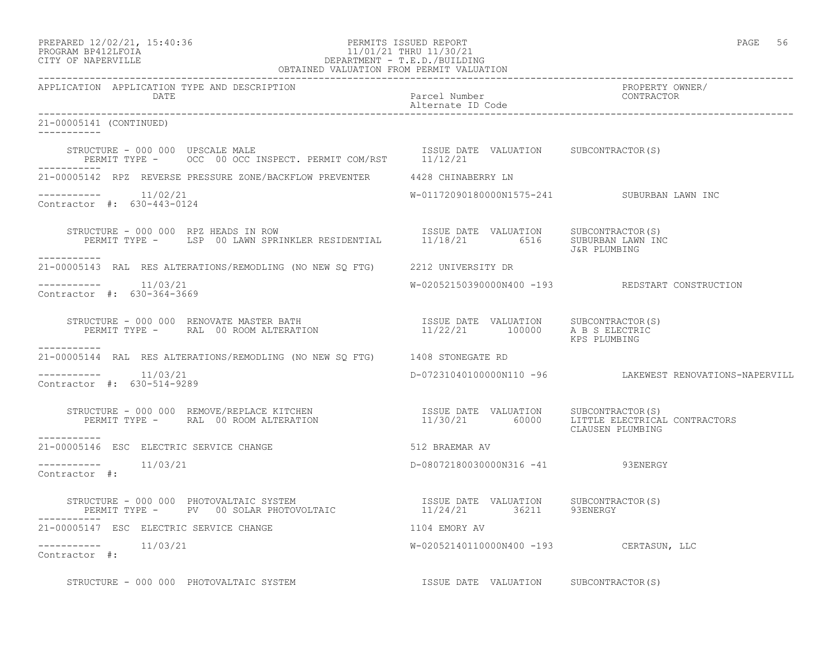# PROGRAM BP412LFOIA 11/01/21 THRU 11/30/21 CITY OF NAPERVILLE **Example 20** OF MAPERVILLE DEPARTMENT - T.E.D./BUILDING

| OBTAINED VALUATION FROM PERMIT VALUATION                                                                                                                                                                                                          |                                             |                                                         |  |
|---------------------------------------------------------------------------------------------------------------------------------------------------------------------------------------------------------------------------------------------------|---------------------------------------------|---------------------------------------------------------|--|
| APPLICATION APPLICATION TYPE AND DESCRIPTION<br>DATE                                                                                                                                                                                              | Parcel Number<br>Alternate ID Code          | PROPERTY OWNER/<br>CONTRACTOR                           |  |
| 21-00005141 (CONTINUED)<br>$- - - - - - - - - - -$                                                                                                                                                                                                |                                             |                                                         |  |
| STRUCTURE - 000 000 UPSCALE MALE (S) [SSUE DATE VALUATION SUBCONTRACTOR(S)<br>PERMIT TYPE - OCC 00 OCC INSPECT. PERMIT COM/RST 11/12/21<br>___________                                                                                            |                                             |                                                         |  |
| 21-00005142 RPZ REVERSE PRESSURE ZONE/BACKFLOW PREVENTER 4428 CHINABERRY LN                                                                                                                                                                       |                                             |                                                         |  |
| $--------- 11/02/21$<br>Contractor #: 630-443-0124                                                                                                                                                                                                | W-01172090180000N1575-241 SUBURBAN LAWN INC |                                                         |  |
| STRUCTURE - 000 000 RPZ HEADS IN ROW FISSUE DATE VALUATION SUBCONTRACTOR(S)<br>PERMIT TYPE - LSP 00 LAWN SPRINKLER RESIDENTIAL 11/18/21 6516 SUBURBAN LAWN INC<br>STRUCTURE - 000 000 RPZ HEADS IN ROW<br>___________                             |                                             | J&R PLUMBING                                            |  |
| 21-00005143 RAL RES ALTERATIONS/REMODLING (NO NEW SQ FTG) 2212 UNIVERSITY DR                                                                                                                                                                      |                                             |                                                         |  |
| $--------- 11/03/21$<br>Contractor #: 630-364-3669                                                                                                                                                                                                |                                             | W-02052150390000N400 -193 REDSTART CONSTRUCTION         |  |
| STRUCTURE – 000 000 RENOVATE MASTER BATH                             ISSUE DATE VALUATION     SUBCONTRACTOR(S)<br>PERMIT TYPE –      RAL  00 ROOM ALTERATION                          11/22/21       100000     A_B S_ELECTRIC<br>-----------     |                                             | KPS PLUMBING                                            |  |
| 21-00005144 RAL RES ALTERATIONS/REMODLING (NO NEW SQ FTG) 1408 STONEGATE RD                                                                                                                                                                       |                                             |                                                         |  |
| $--------- 11/03/21$<br>Contractor #: 630-514-9289                                                                                                                                                                                                |                                             | D-07231040100000N110 -96 LAKEWEST RENOVATIONS-NAPERVILL |  |
| STRUCTURE – 000 000 REMOVE/REPLACE KITCHEN                        ISSUE DATE VALUATION   SUBCONTRACTOR(S)<br>PERMIT TYPE –     RAL 00 ROOM ALTERATION                       11/30/21       60000    LITTLE ELECTRICAL CONTRACTORS<br>------------ |                                             | CLAUSEN PLUMBING                                        |  |
| 21-00005146 ESC ELECTRIC SERVICE CHANGE                                                                                                                                                                                                           | 512 BRAEMAR AV                              |                                                         |  |
| $--------- 11/03/21$<br>Contractor #:                                                                                                                                                                                                             | D-08072180030000N316 -41 93ENERGY           |                                                         |  |
| STRUCTURE - 000 000 PHOTOVALTAIC SYSTEM                            ISSUE DATE VALUATION     SUBCONTRACTOR(S)<br>PERMIT TYPE -      PV   00 SOLAR PHOTOVOLTAIC                      11/24/21         36211       93ENERGY                          |                                             |                                                         |  |
| 21-00005147 ESC ELECTRIC SERVICE CHANGE                                                                                                                                                                                                           | 1104 EMORY AV                               |                                                         |  |
| Contractor #:                                                                                                                                                                                                                                     | W-02052140110000N400 -193 CERTASUN, LLC     |                                                         |  |
| STRUCTURE - 000 000 PHOTOVALTAIC SYSTEM                                                                                                                                                                                                           | ISSUE DATE VALUATION SUBCONTRACTOR(S)       |                                                         |  |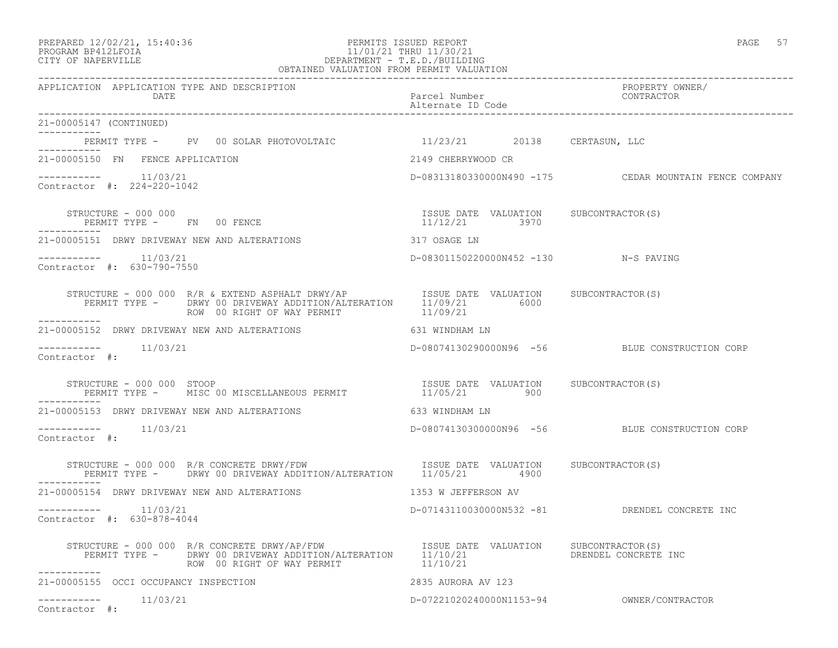APPLICATION APPLICATION TYPE AND DESCRIPTION

Alternate ID Code

21-00005147 (CONTINUED)

-----------

### PREPARED 12/02/21, 15:40:36 PERMITS ISSUED REPORT PAGE 57 PROGRAM BP412LFOIA 11/01/21 THRU 11/30/21 CITY OF NAPERVILLE DEPARTMENT - T.E.D./BUILDING OBTAINED VALUATION FROM PERMIT VALUATION

------------------------------------------------------------------------------------------------------------------------------------ DATE Parcel Number CONTRACTOR ------------------------------------------------------------------------------------------------------------------------------------

| PERMIT TYPE - PV 00 SOLAR PHOTOVOLTAIC                                                                                                                                                                            | 11/23/21 20138 CERTASUN, LLC         |                                                        |
|-------------------------------------------------------------------------------------------------------------------------------------------------------------------------------------------------------------------|--------------------------------------|--------------------------------------------------------|
| 21-00005150 FN FENCE APPLICATION                                                                                                                                                                                  | 2149 CHERRYWOOD CR                   |                                                        |
| $---------$ 11/03/21<br>Contractor #: 224-220-1042                                                                                                                                                                |                                      | D-08313180330000N490 -175 CEDAR MOUNTAIN FENCE COMPANY |
|                                                                                                                                                                                                                   |                                      |                                                        |
| 21-00005151 DRWY DRIVEWAY NEW AND ALTERATIONS                                                                                                                                                                     | 317 OSAGE LN                         |                                                        |
| $--------- 11/03/21$<br>Contractor #: 630-790-7550                                                                                                                                                                | D-08301150220000N452 -130 N-S PAVING |                                                        |
| STRUCTURE - 000 000 R/R & EXTEND ASPHALT DRWY/AP TSSUE DATE VALUATION SUBCONTRACTOR(S)<br>PERMIT TYPE - DRWY 00 DRIVEWAY ADDITION/ALTERATION 11/09/21 6000<br>ROW 00 RIGHT OF WAY PERMIT 11/09/21<br>------------ |                                      |                                                        |
| 21-00005152 DRWY DRIVEWAY NEW AND ALTERATIONS 631 WINDHAM LN                                                                                                                                                      |                                      |                                                        |
| $--------$ 11/03/21<br>Contractor #:                                                                                                                                                                              |                                      | D-08074130290000N96 -56 BLUE CONSTRUCTION CORP         |
|                                                                                                                                                                                                                   |                                      |                                                        |
| 21-00005153 DRWY DRIVEWAY NEW AND ALTERATIONS 633 WINDHAM LN                                                                                                                                                      |                                      |                                                        |
| $--------- 11/03/21$<br>Contractor #:                                                                                                                                                                             |                                      | D-08074130300000N96 -56 BLUE CONSTRUCTION CORP         |
| STRUCTURE - 000 000 R/R CONCRETE DRWY/FDW ISSUE DATE VALUATION SUBCONTRACTOR(S)<br>PERMIT TYPE - DRWY 00 DRIVEWAY ADDITION/ALTERATION 11/05/21 4900<br>-----------                                                |                                      |                                                        |
| 21-00005154 DRWY DRIVEWAY NEW AND ALTERATIONS                                                                                                                                                                     | 1353 W JEFFERSON AV                  |                                                        |
| $--------- 11/03/21$<br>Contractor #: 630-878-4044                                                                                                                                                                |                                      | D-07143110030000N532 -81 DRENDEL CONCRETE INC          |
| ROW 00 RIGHT OF WAY PERMIT 11/10/21<br>------------                                                                                                                                                               |                                      |                                                        |
| 21-00005155 OCCI OCCUPANCY INSPECTION                                                                                                                                                                             | 2835 AURORA AV 123                   |                                                        |
| $--------- 11/03/21$<br>Contractor #:                                                                                                                                                                             |                                      |                                                        |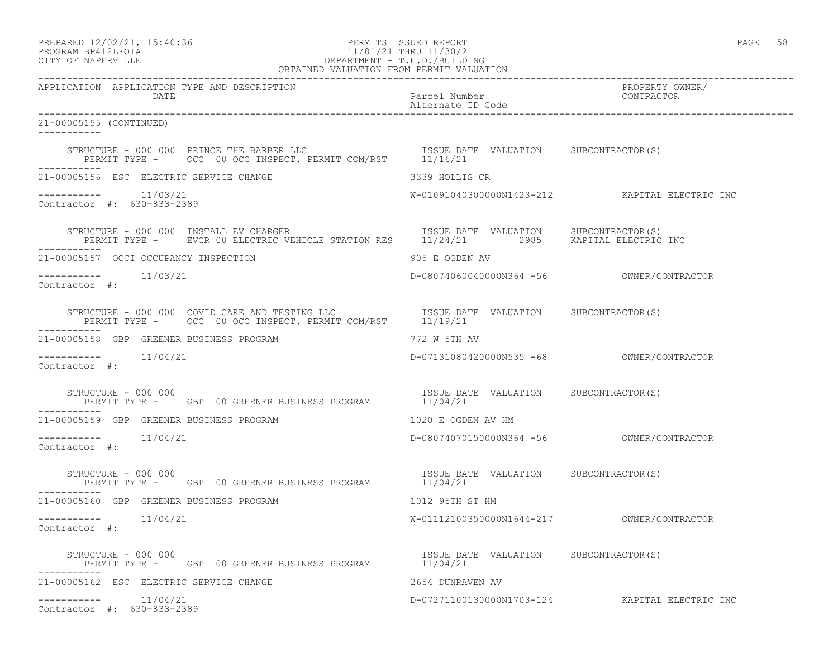## PROGRAM BP412LFOIA 11/01/21 THRU 11/30/21 CITY OF NAPERVILLE DEPARTMENT - T.E.D./BUILDING OBTAINED VALUATION FROM PERMIT VALUATION

| APPLICATION APPLICATION TYPE AND DESCRIPTION<br>DATE                                                                                                                                                                                                                                                                                                                                                  | Parcel Number<br>Alternate ID Code                | PROPERTY OWNER/<br>CONTRACTOR                  |
|-------------------------------------------------------------------------------------------------------------------------------------------------------------------------------------------------------------------------------------------------------------------------------------------------------------------------------------------------------------------------------------------------------|---------------------------------------------------|------------------------------------------------|
| 21-00005155 (CONTINUED)                                                                                                                                                                                                                                                                                                                                                                               |                                                   |                                                |
| STRUCTURE - 000 000 PRINCE THE BARBER LLC                   ISSUE DATE VALUATION     SUBCONTRACTOR(S)<br>PERMIT TYPE -     OCC  00 OCC INSPECT. PERMIT COM/RST       11/16/21                                                                                                                                                                                                                         |                                                   |                                                |
| 21-00005156 ESC ELECTRIC SERVICE CHANGE                                                                                                                                                                                                                                                                                                                                                               | 3339 HOLLIS CR                                    |                                                |
| $--------- 11/03/21$<br>Contractor #: 630-833-2389                                                                                                                                                                                                                                                                                                                                                    |                                                   | W-01091040300000N1423-212 KAPITAL ELECTRIC INC |
| $\begin{tabular}{lllllllllll} \texttt{STRUCTURE} & 000 000 & \texttt{INSTALL EV} \texttt{CHARGE} & \texttt{STATION} \texttt{RES} & \texttt{ISUE} \texttt{DATE} & \texttt{VALUATION} & \texttt{SUBCONTRACTOR(S)} \\ \texttt{PERMIT TYPE} & - & \texttt{EVCR} \texttt{00 ELECTRIC VEHICLE STATION} & \texttt{STAITION} \texttt{RES} & 11/24/21 & 2985 & \texttt{KAPITAL ELECTRIC INC} \\ \end{tabular}$ |                                                   |                                                |
| 21-00005157 OCCI OCCUPANCY INSPECTION                                                                                                                                                                                                                                                                                                                                                                 | 905 E OGDEN AV                                    |                                                |
| $--------$ 11/03/21<br>Contractor #:                                                                                                                                                                                                                                                                                                                                                                  |                                                   |                                                |
|                                                                                                                                                                                                                                                                                                                                                                                                       |                                                   |                                                |
| 21-00005158 GBP GREENER BUSINESS PROGRAM                                                                                                                                                                                                                                                                                                                                                              | 772 W 5TH AV                                      |                                                |
| $---------$ 11/04/21<br>Contractor #:                                                                                                                                                                                                                                                                                                                                                                 |                                                   |                                                |
| $\begin{tabular}{lllllllllll} \texttt{STRUCTURE} & - & 000 & 000 & & & & & & \\ \texttt{PERMIT TYPE} & - & & \texttt{GBP} & 00 \texttt{GREENER BUSINES S PROGRAM} & & & & & 11/04/21 & & & & \\ \end{tabular}$<br>STRUCTURE - 000 000                                                                                                                                                                 |                                                   |                                                |
| 21-00005159 GBP GREENER BUSINESS PROGRAM                                                                                                                                                                                                                                                                                                                                                              | 1020 E OGDEN AV HM                                |                                                |
| $--------- 11/04/21$<br>Contractor #:                                                                                                                                                                                                                                                                                                                                                                 |                                                   |                                                |
| STRUCTURE - 000 000<br>PERMIT TYPE - GBP 00 GREENER BUSINESS PROGRAM                                                                                                                                                                                                                                                                                                                                  | ISSUE DATE VALUATION SUBCONTRACTOR(S)<br>11/04/21 |                                                |
| 21-00005160 GBP GREENER BUSINESS PROGRAM                                                                                                                                                                                                                                                                                                                                                              | 1012 95TH ST HM                                   |                                                |
| -----------    11/04/21<br>Contractor #:                                                                                                                                                                                                                                                                                                                                                              |                                                   |                                                |
| STRUCTURE - 000 000<br>PERMIT TYPE - GBP 00 GREENER BUSINESS PROGRAM 11/04/21                                                                                                                                                                                                                                                                                                                         | ISSUE DATE VALUATION SUBCONTRACTOR (S)            |                                                |
| 21-00005162 ESC ELECTRIC SERVICE CHANGE                                                                                                                                                                                                                                                                                                                                                               | 2654 DUNRAVEN AV                                  |                                                |
| $--------- 11/04/21$<br>Contractor #: 630-833-2389                                                                                                                                                                                                                                                                                                                                                    |                                                   | D-07271100130000N1703-124 KAPITAL ELECTRIC INC |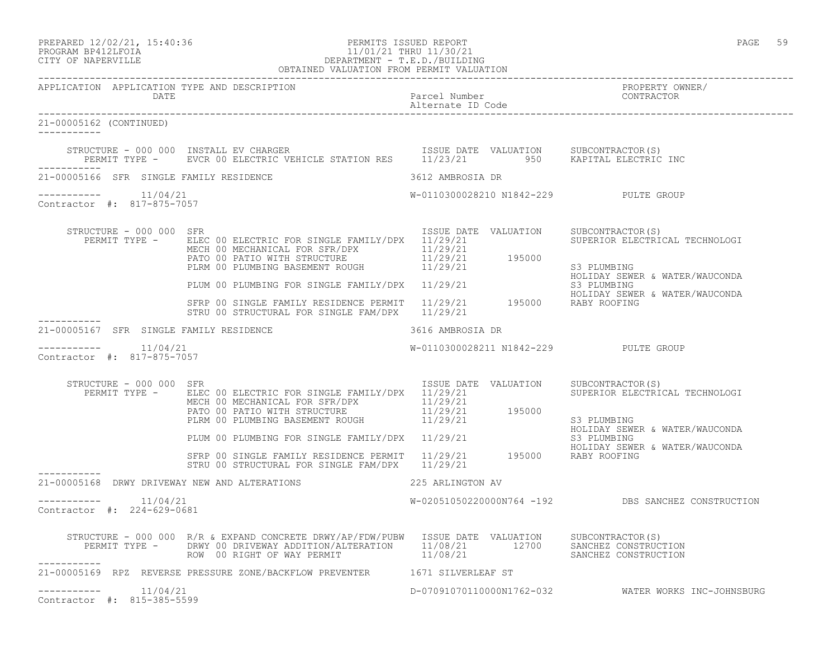### PREPARED 12/02/21, 15:40:36 PERMITS ISSUED REPORT PAGE 59 PROGRAM BP412LFOIA 11/01/21 THRU 11/30/21 CITY OF NAPERVILLE DEPARTMENT - T.E.D./BUILDING OBTAINED VALUATION FROM PERMIT VALUATION

| APPLICATION APPLICATION TYPE AND DESCRIPTION<br>DATE |                                                                                                                                                                                                                                                                                                                                        | Parcel Number<br>Alternate ID Code    | PROPERTY OWNER/<br>CONTRACTOR                                                   |
|------------------------------------------------------|----------------------------------------------------------------------------------------------------------------------------------------------------------------------------------------------------------------------------------------------------------------------------------------------------------------------------------------|---------------------------------------|---------------------------------------------------------------------------------|
| 21-00005162 (CONTINUED)                              |                                                                                                                                                                                                                                                                                                                                        |                                       |                                                                                 |
|                                                      | $\begin{array}{cccc} \texttt{STRUCTURE} & - & 000 & 000 & \texttt{INSTALL} & \texttt{EV} & \texttt{CHARGE} \\ \texttt{PERMIT} & \texttt{TYPE} & - & \texttt{EVCR} & 00 & \texttt{ELECTRIC} & \texttt{VEHICLE} & \texttt{STATION} & \texttt{RES} & 11/23/21 & 950 & \texttt{KAPITAL} & \texttt{ELECTRIC} & \texttt{INC} \\ \end{array}$ |                                       |                                                                                 |
| 21-00005166 SFR SINGLE FAMILY RESIDENCE              |                                                                                                                                                                                                                                                                                                                                        | 3612 AMBROSIA DR                      |                                                                                 |
| $--------- 11/04/21$<br>Contractor #: 817-875-7057   |                                                                                                                                                                                                                                                                                                                                        | W-0110300028210 N1842-229 PULTE GROUP |                                                                                 |
| STRUCTURE - 000 000 SFR                              | PERMIT TYPE - ELEC 00 ELECTRIC FOR SINGLE FAMILY/DPX 11/29/21<br>ELEC OU ELECINIC FOR SINGLE FATILIZZA (1/29/21)<br>MECH 00 MECHANICAL FOR SFR/DPX (1/29/21)<br>PATO 00 PATIO WITH STRUCTURE (1/29/21) (195000)<br>PLRM 00 PLUMBING BASEMENT ROUGH (1/29/21)                                                                           | ISSUE DATE VALUATION SUBCONTRACTOR(S) | SUPERIOR ELECTRICAL TECHNOLOGI<br>S3 PLUMBING                                   |
|                                                      | PLUM 00 PLUMBING FOR SINGLE FAMILY/DPX 11/29/21<br>SFRP 00 SINGLE FAMILY RESIDENCE PERMIT 11/29/21 195000 RABY ROOFING                                                                                                                                                                                                                 |                                       | HOLIDAY SEWER & WATER/WAUCONDA<br>S3 PLUMBING<br>HOLIDAY SEWER & WATER/WAUCONDA |
|                                                      | STRU 00 STRUCTURAL FOR SINGLE FAM/DPX 11/29/21                                                                                                                                                                                                                                                                                         |                                       |                                                                                 |
| 21-00005167 SFR SINGLE FAMILY RESIDENCE              | 3616 AMBROSIA DR                                                                                                                                                                                                                                                                                                                       |                                       |                                                                                 |
| $--------- 11/04/21$<br>Contractor #: 817-875-7057   |                                                                                                                                                                                                                                                                                                                                        | W-0110300028211 N1842-229 PULTE GROUP |                                                                                 |
| STRUCTURE - 000 000 SFR                              | PERMIT TYPE - ELEC 00 ELECTRIC FOR SINGLE FAMILY/DPX 11/29/21<br>ELEC 00 ELECTRIC FOR SINGLE FAMILIQUE AND 11/29/21<br>MECH 00 MECHANICAL FOR SFR/DPX 11/29/21<br>PATO 00 PATIO WITH STRUCTURE 11/29/21 195000<br>PLRM 00 PLUMBING BASEMENT ROUGH 11/29/21                                                                             | ISSUE DATE VALUATION SUBCONTRACTOR(S) | SUPERIOR ELECTRICAL TECHNOLOGI<br>S3 PLUMBING                                   |
|                                                      | PLUM 00 PLUMBING FOR SINGLE FAMILY/DPX 11/29/21 AND LUMBING S3 PLUMBING<br>S3 PLUMBING FAMILY RESIDENCE PERMIT 11/29/21 195000 RABY ROOFING                                                                                                                                                                                            |                                       | HOLIDAY SEWER & WATER/WAUCONDA<br>HOLIDAY SEWER & WATER/WAUCONDA                |
|                                                      | STRU 00 STRUCTURAL FOR SINGLE FAM/DPX 11/29/21                                                                                                                                                                                                                                                                                         |                                       |                                                                                 |
| 21-00005168 DRWY DRIVEWAY NEW AND ALTERATIONS        |                                                                                                                                                                                                                                                                                                                                        | 225 ARLINGTON AV                      |                                                                                 |
| $--------$ 11/04/21<br>Contractor #: 224-629-0681    |                                                                                                                                                                                                                                                                                                                                        |                                       | W-02051050220000N764 -192 DBS SANCHEZ CONSTRUCTION                              |
| ------------                                         | STRUCTURE - 000 000 R/R & EXPAND CONCRETE DRWY/AP/FDW/PUBW ISSUE DATE VALUATION SUBCONTRACTOR(S)<br>PERMIT TYPE - DRWY 00 DRIVEWAY ADDITION/ALTERATION 11/08/21 12700 SANCHEZ CONSTRUCTION<br>ROW 00 RIGHT OF WAY PERMIT 11/08/21 3A                                                                                                   |                                       |                                                                                 |
|                                                      | 21-00005169 RPZ REVERSE PRESSURE ZONE/BACKFLOW PREVENTER 1671 SILVERLEAF ST                                                                                                                                                                                                                                                            |                                       |                                                                                 |
| $------- 11/04/21$<br>Contractor #: 815-385-5599     |                                                                                                                                                                                                                                                                                                                                        |                                       | D-07091070110000N1762-032 WATER WORKS INC-JOHNSBURG                             |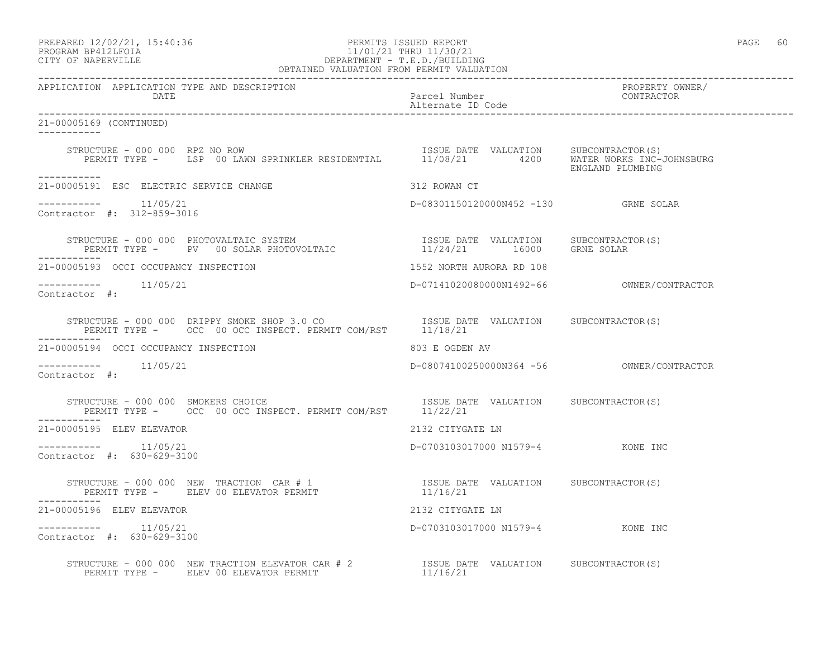# PROGRAM BP412LFOIA 11/01/21 THRU 11/30/21 CITY OF NAPERVILLE DEPARTMENT - T.E.D./BUILDING

| OBTAINED VALUATION FROM PERMIT VALUATION                                                                                                                                                                                                                                                                                                                                                                                    |                                      |                               |
|-----------------------------------------------------------------------------------------------------------------------------------------------------------------------------------------------------------------------------------------------------------------------------------------------------------------------------------------------------------------------------------------------------------------------------|--------------------------------------|-------------------------------|
| APPLICATION APPLICATION TYPE AND DESCRIPTION<br>DATE                                                                                                                                                                                                                                                                                                                                                                        | Parcel Number<br>Alternate ID Code   | PROPERTY OWNER/<br>CONTRACTOR |
| 21-00005169 (CONTINUED)                                                                                                                                                                                                                                                                                                                                                                                                     |                                      |                               |
| STRUCTURE - 000 000 RPZ NO ROW<br>PERMIT TYPE - LSP 00 LAWN SPRINKLER RESIDENTIAL 11/08/21 4200 WATER WORKS INC-JOHNSBURG<br>STRUCTURE - 000 000 RPZ NO ROW                                                                                                                                                                                                                                                                 |                                      |                               |
| -----------<br>21-00005191 ESC ELECTRIC SERVICE CHANGE                                                                                                                                                                                                                                                                                                                                                                      | 312 ROWAN CT                         |                               |
| $--------- 11/05/21$<br>Contractor #: 312-859-3016                                                                                                                                                                                                                                                                                                                                                                          | D-08301150120000N452 -130 GRNE SOLAR |                               |
| $\begin{array}{cccc} \texttt{STRUCTURE} - 000 000 \texttt{PHOTOVALTAIC SYSTEM} \end{array} \qquad \begin{array}{cccc} \texttt{ISSUE} \texttt{DATE} & \texttt{VALUATION} \end{array} \qquad \begin{array}{cccc} \texttt{SUBCONTRACTOR(S)} \end{array} \qquad \begin{array}{cccc} \texttt{ISSUE} \texttt{DATE} & \texttt{VALUATION} \end{array} \qquad \begin{array}{cccc} \texttt{SUBCONTRACTOR(S)} \end{array} \end{array}$ |                                      |                               |
| 21-00005193 OCCI OCCUPANCY INSPECTION                                                                                                                                                                                                                                                                                                                                                                                       | 1552 NORTH AURORA RD 108             |                               |
| Contractor #:                                                                                                                                                                                                                                                                                                                                                                                                               |                                      |                               |
| STRUCTURE - 000 000 DRIPPY SMOKE SHOP 3.0 CO<br>PERMIT TYPE - OCC 00 OCC INSPECT. PERMIT COM/RST 11/18/21                                                                                                                                                                                                                                                                                                                   |                                      |                               |
| 21-00005194 OCCI OCCUPANCY INSPECTION                                                                                                                                                                                                                                                                                                                                                                                       | 803 E OGDEN AV                       |                               |
| Contractor #:                                                                                                                                                                                                                                                                                                                                                                                                               |                                      |                               |
| STRUCTURE - 000 000 SMOKERS CHOICE<br>PERMIT TYPE - OCC 00 OCC INSPECT. PERMIT COM/RST 11/22/21<br>STRUCTURE - 000 000 SMOKERS CHOICE                                                                                                                                                                                                                                                                                       |                                      |                               |
| 21-00005195 ELEV ELEVATOR                                                                                                                                                                                                                                                                                                                                                                                                   | 2132 CITYGATE LN                     |                               |
| $--------- 11/05/21$<br>Contractor #: 630-629-3100                                                                                                                                                                                                                                                                                                                                                                          | D-0703103017000 N1579-4 KONE INC     |                               |
| STRUCTURE – 000 000 NEW TRACTION CAR # 1 $$\tt ISSUE$ DATE VALUATION $$\tt SUBCONTRACTOR(S)$ PERMIT TYPE – $$\tt ELEV 00$ ELEVATOR PERMIT $$\tt 11/16/21$$                                                                                                                                                                                                                                                                  |                                      |                               |
| 21-00005196 ELEV ELEVATOR                                                                                                                                                                                                                                                                                                                                                                                                   | 2132 CITYGATE LN                     |                               |
| $--------- 11/05/21$<br>Contractor #: 630-629-3100                                                                                                                                                                                                                                                                                                                                                                          | D-0703103017000 N1579-4 KONE INC     |                               |
|                                                                                                                                                                                                                                                                                                                                                                                                                             |                                      |                               |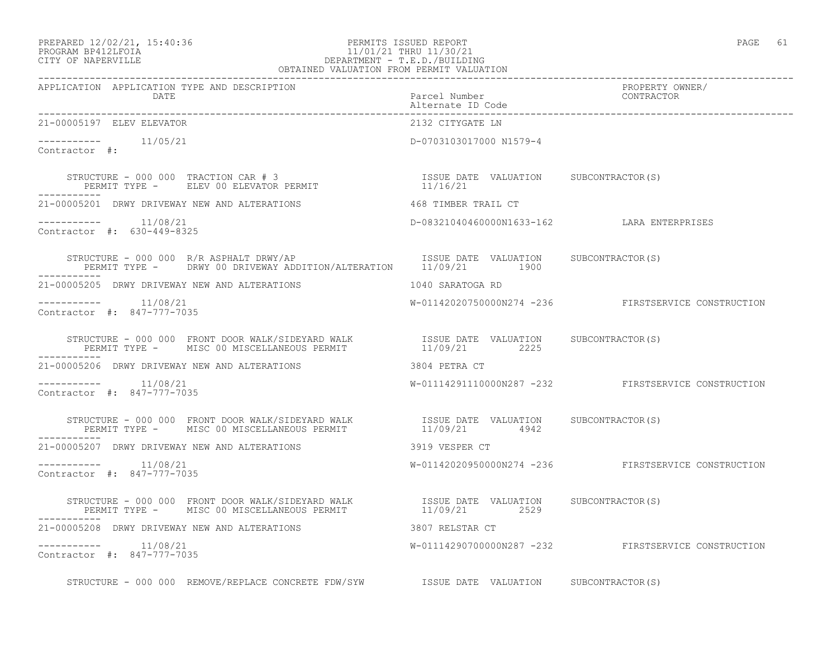### PREPARED 12/02/21, 15:40:36 PERMITS ISSUED REPORT PAGE 61 PROGRAM BP412LFOIA 11/01/21 THRU 11/30/21 CITY OF NAPERVILLE DEPARTMENT - T.E.D./BUILDING OBTAINED VALUATION FROM PERMIT VALUATION

------------------------------------------------------------------------------------------------------------------------------------ APPLICATION APPLICATION TYPE AND DESCRIPTION PROPERTY OWNER/ DATE **Parcel Number** Parcel Number Alternate ID Code ------------------------------------------------------------------------------------------------------------------------------------ 21-00005197 ELEV ELEVATOR ----------- 11/05/21 D-0703103017000 N1579-4 Contractor #: STRUCTURE - 000 000 TRACTION CAR # 3 ISSUE DATE VALUATION SUBCONTRACTOR(S) PERMIT TYPE - ELEV 00 ELEVATOR PERMIT 11/16/21 ----------- 21-00005201 DRWY DRIVEWAY NEW AND ALTERATIONS 468 TIMBER TRAIL CT ----------- 11/08/21 D-08321040460000N1633-162 LARA ENTERPRISES Contractor #: 630-449-8325 STRUCTURE - 000 000 R/R ASPHALT DRWY/AP **ISSUE** DATE VALUATION SUBCONTRACTOR(S) PERMIT TYPE - DRWY 00 DRIVEWAY ADDITION/ALTERATION 11/09/21 1900 ----------- 21-00005205 DRWY DRIVEWAY NEW AND ALTERATIONS 1040 SARATOGA RD ----------- 11/08/21 W-01142020750000N274 -236 FIRSTSERVICE CONSTRUCTION Contractor #: 847-777-7035 STRUCTURE - 000 000 FRONT DOOR WALK/SIDEYARD WALK ISSUE DATE VALUATION SUBCONTRACTOR(S) PERMIT TYPE - MISC 00 MISCELLANEOUS PERMIT  $11/09/21$  2225 ----------- 21-00005206 DRWY DRIVEWAY NEW AND ALTERATIONS 3804 PETRA CT ----------- 11/08/21 W-01114291110000N287 -232 FIRSTSERVICE CONSTRUCTION Contractor #: 847-777-7035 STRUCTURE - 000 000 FRONT DOOR WALK/SIDEYARD WALK ISSUE DATE VALUATION SUBCONTRACTOR(S) PERMIT TYPE - MISC 00 MISCELLANEOUS PERMIT  $11/09/21$  4942 ----------- 21-00005207 DRWY DRIVEWAY NEW AND ALTERATIONS 3919 VESPER CT ----------- 11/08/21 W-01142020950000N274 -236 FIRSTSERVICE CONSTRUCTION Contractor #: 847-777-7035 STRUCTURE - 000 000 FRONT DOOR WALK/SIDEYARD WALK ISSUE DATE VALUATION SUBCONTRACTOR(S) PERMIT TYPE - MISC 00 MISCELLANEOUS PERMIT  $11/09/21$  2529 ----------- 21-00005208 DRWY DRIVEWAY NEW AND ALTERATIONS 3807 RELSTAR CT ----------- 11/08/21 W-01114290700000N287 -232 FIRSTSERVICE CONSTRUCTION Contractor #: 847-777-7035 STRUCTURE - 000 000 REMOVE/REPLACE CONCRETE FDW/SYW ISSUE DATE VALUATION SUBCONTRACTOR(S)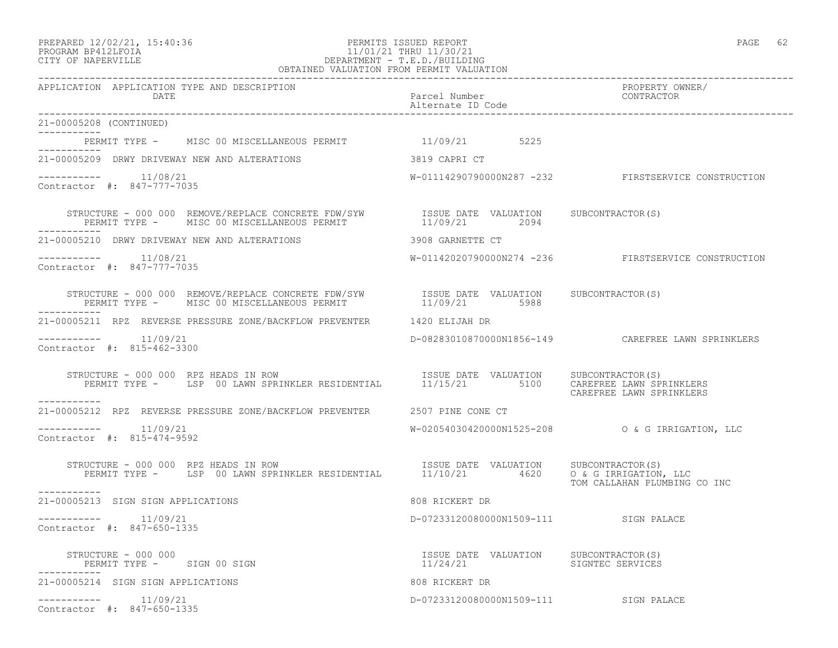### PROGRAM BP412LFOIA 11/01/21 THRU 11/30/21 CITY OF NAPERVILLE DEPARTMENT - T.E.D./BUILDING OBTAINED VALUATION FROM PERMIT VALUATION ------------------------------------------------------------------------------------------------------------------------------------

| APPLICATION APPLICATION TYPE AND DESCRIPTION<br>DATE                                                                                                                                                                                                                                 | Parcel Number<br>Alternate ID Code                | PROPERTY OWNER/<br>CONTRACTOR                         |
|--------------------------------------------------------------------------------------------------------------------------------------------------------------------------------------------------------------------------------------------------------------------------------------|---------------------------------------------------|-------------------------------------------------------|
| 21-00005208 (CONTINUED)                                                                                                                                                                                                                                                              |                                                   |                                                       |
| PERMIT TYPE - MISC 00 MISCELLANEOUS PERMIT 41/09/21 5225                                                                                                                                                                                                                             |                                                   |                                                       |
| 21-00005209 DRWY DRIVEWAY NEW AND ALTERATIONS                                                                                                                                                                                                                                        | 3819 CAPRI CT                                     |                                                       |
| $--------- 11/08/21$<br>Contractor #: 847-777-7035                                                                                                                                                                                                                                   |                                                   | W-01114290790000N287 -232 FIRSTSERVICE CONSTRUCTION   |
| STRUCTURE - 000 000 REMOVE/REPLACE CONCRETE FDW/SYW ISSUE DATE VALUATION SUBCONTRACTOR(S)<br>PERMIT TYPE - MISC 00 MISCELLANEOUS PERMIT 11/09/21 2094                                                                                                                                |                                                   |                                                       |
| 21-00005210 DRWY DRIVEWAY NEW AND ALTERATIONS                                                                                                                                                                                                                                        | 3908 GARNETTE CT                                  |                                                       |
| 11/08/21<br>-----------<br>Contractor #: 847-777-7035                                                                                                                                                                                                                                |                                                   | W-01142020790000N274 -236 FIRSTSERVICE CONSTRUCTION   |
| STRUCTURE – 000 000 REMOVE/REPLACE CONCRETE FDW/SYW ISSUE DATE VALUATION SUBCONTRACTOR(S)<br>PERMIT TYPE – MISC 00 MISCELLANEOUS PERMIT 11/09/21 5988<br>-----------                                                                                                                 |                                                   |                                                       |
| 21-00005211 RPZ REVERSE PRESSURE ZONE/BACKFLOW PREVENTER 1420 ELIJAH DR                                                                                                                                                                                                              |                                                   |                                                       |
| $--------- 11/09/21$<br>Contractor #: 815-462-3300                                                                                                                                                                                                                                   |                                                   | D-08283010870000N1856-149    CAREFREE LAWN SPRINKLERS |
| STRUCTURE - 000 000 RPZ HEADS IN ROW<br>RUCTURE – 000 000 RPZ HEADS IN ROW                                  ISSUE DATE VALUATION     SUBCONTRACTOR(S)<br>PERMIT TYPE –     LSP 00 LAWN SPRINKLER RESIDENTIAL        11/15/21         5100    CAREFREE LAWN SPRINKLERS<br>----------- |                                                   | CAREFREE LAWN SPRINKLERS                              |
| 21-00005212 RPZ REVERSE PRESSURE ZONE/BACKFLOW PREVENTER 2507 PINE CONE CT                                                                                                                                                                                                           |                                                   |                                                       |
| 11/09/21<br>-----------<br>Contractor #: 815-474-9592                                                                                                                                                                                                                                |                                                   | W-02054030420000N1525-208 0 & G IRRIGATION, LLC       |
| TRUCTURE - 000 000 RPZ HEADS IN ROW<br>PERMIT TYPE - LSP 00 LAWN SPRINKLER RESIDENTIAL 11/10/21 4620 0 & G IRRIGATION, LLC<br>STRUCTURE - 000 000 RPZ HEADS IN ROW<br>-----------                                                                                                    |                                                   | TOM CALLAHAN PLUMBING CO INC                          |
| 21-00005213 SIGN SIGN APPLICATIONS                                                                                                                                                                                                                                                   | 808 RICKERT DR                                    |                                                       |
| $--------- 11/09/21$<br>Contractor #: 847-650-1335                                                                                                                                                                                                                                   | D-07233120080000N1509-111 SIGN PALACE             |                                                       |
| STRUCTURE – 000 000<br>PERMIT TYPE - SIGN 00 SIGN                                                                                                                                                                                                                                    | ISSUE DATE VALUATION SUBCONTRACTOR(S)<br>11/24/21 | SIGNTEC SERVICES                                      |
| 21-00005214 SIGN SIGN APPLICATIONS                                                                                                                                                                                                                                                   | 808 RICKERT DR                                    |                                                       |
| 11/09/21<br>Contractor #: 847-650-1335                                                                                                                                                                                                                                               | D-07233120080000N1509-111 SIGN PALACE             |                                                       |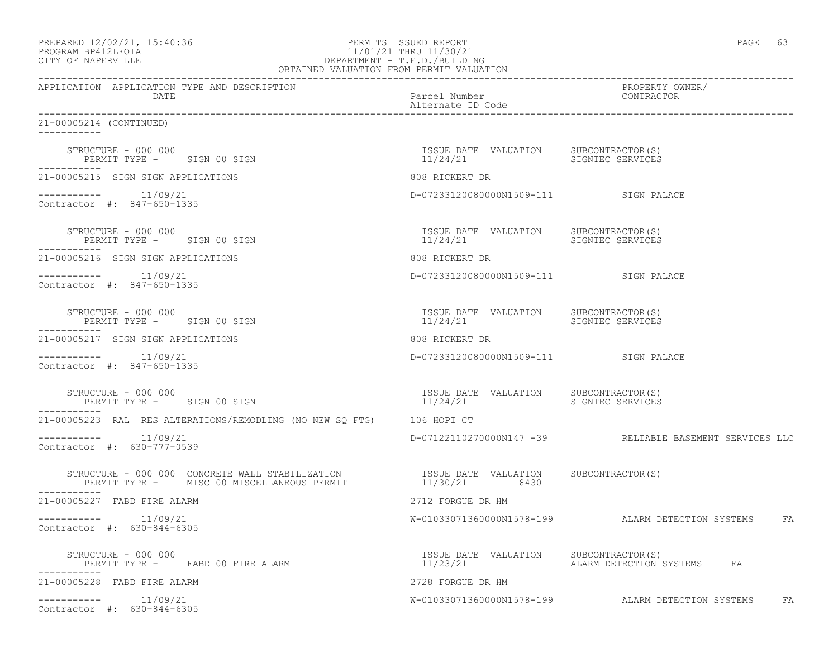| PREPARED 12/02/21, 15:40:36 |  |
|-----------------------------|--|
| PROGRAM RP412LFOIA          |  |

# end 12/02/21, 12/02/21, 12/02/21, 12/02/21, 12/02/21, 12/02/21, 12/02/21, 12/02/21, 12/02/21, 12/02/21, 12/02/21, 12/02/21, 12/02/21, 12/02/21, 12/02/21, 12/02/21, 12/02/21, 12/02/21, 12/02/21, 12/02/21, 12/02/21, 12/02/21 PROGRAM BP412LFOIA 11/01/21 THRU 11/30/21<br>CITY OF NAPERVILLE DEPARTMENT - T.E.D./BUILDIN CITY OF NAPERVILLE DEPARTMENT - T.E.D./BUILDING

| OBTAINED VALUATION FROM PERMIT VALUATION                              |                                                                    |                                                                                                                            |
|-----------------------------------------------------------------------|--------------------------------------------------------------------|----------------------------------------------------------------------------------------------------------------------------|
| APPLICATION APPLICATION TYPE AND DESCRIPTION<br>DATE                  | Parcel Number<br>Alternate ID Code                                 | PROPERTY OWNER/<br>CONTRACTOR                                                                                              |
| 21-00005214 (CONTINUED)<br>-----------                                |                                                                    |                                                                                                                            |
| STRUCTURE - 000 000<br>PERMIT TYPE - SIGN 00 SIGN                     | ISSUE DATE VALUATION SUBCONTRACTOR(S)<br>11/24/21                  | SIGNTEC SERVICES                                                                                                           |
| 21-00005215 SIGN SIGN APPLICATIONS                                    | 808 RICKERT DR                                                     |                                                                                                                            |
| $--------- 11/09/21$<br>Contractor #: 847-650-1335                    | D-07233120080000N1509-111 SIGN PALACE                              |                                                                                                                            |
| STRUCTURE - 000 000<br>PERMIT TYPE - SIGN 00 SIGN                     | ISSUE DATE VALUATION SUBCONTRACTOR(S)<br>11/24/21                  | SIGNTEC SERVICES                                                                                                           |
| 21-00005216 SIGN SIGN APPLICATIONS                                    | 808 RICKERT DR                                                     |                                                                                                                            |
| $--------- 11/09/21$<br>Contractor #: 847-650-1335                    | D-07233120080000N1509-111 SIGN PALACE                              |                                                                                                                            |
| STRUCTURE - 000 000<br>PERMIT TYPE - SIGN 00 SIGN                     | ISSUE DATE VALUATION SUBCONTRACTOR(S)<br>11/24/21 SIGNTEC SERVICES |                                                                                                                            |
| 21-00005217 SIGN SIGN APPLICATIONS                                    | 808 RICKERT DR                                                     |                                                                                                                            |
| 11/09/21<br>Contractor #: 847-650-1335                                | D-07233120080000N1509-111 SIGN PALACE                              |                                                                                                                            |
| STRUCTURE - 000 000<br>PERMIT TYPE - SIGN 00 SIGN                     |                                                                    |                                                                                                                            |
| 21-00005223 RAL RES ALTERATIONS/REMODLING (NO NEW SQ FTG) 106 HOPI CT |                                                                    |                                                                                                                            |
| $---------$ 11/09/21<br>Contractor #: 630-777-0539                    |                                                                    | D-07122110270000N147 -39 RELIABLE BASEMENT SERVICES LLC                                                                    |
| -----------                                                           |                                                                    |                                                                                                                            |
| 21-00005227 FABD FIRE ALARM                                           | 2712 FORGUE DR HM                                                  |                                                                                                                            |
| $--------- 11/09/21$<br>Contractor #: 630-844-6305                    |                                                                    | W-01033071360000N1578-199 ALARM DETECTION SYSTEMS FA                                                                       |
| STRUCTURE - 000 000<br>PERMIT TYPE - FABD 00 FIRE ALARM               |                                                                    | ISSUE DATE VALUATION SUBCONTRACTOR(S)<br>11/23/21                       ALARM DETECTION SYSTEMS                         FA |
| 21-00005228 FABD FIRE ALARM                                           | 2728 FORGUE DR HM                                                  |                                                                                                                            |
| $--------- 11/09/21$<br>Contractor #: 630-844-6305                    |                                                                    | W-01033071360000N1578-199 ALARM DETECTION SYSTEMS FA                                                                       |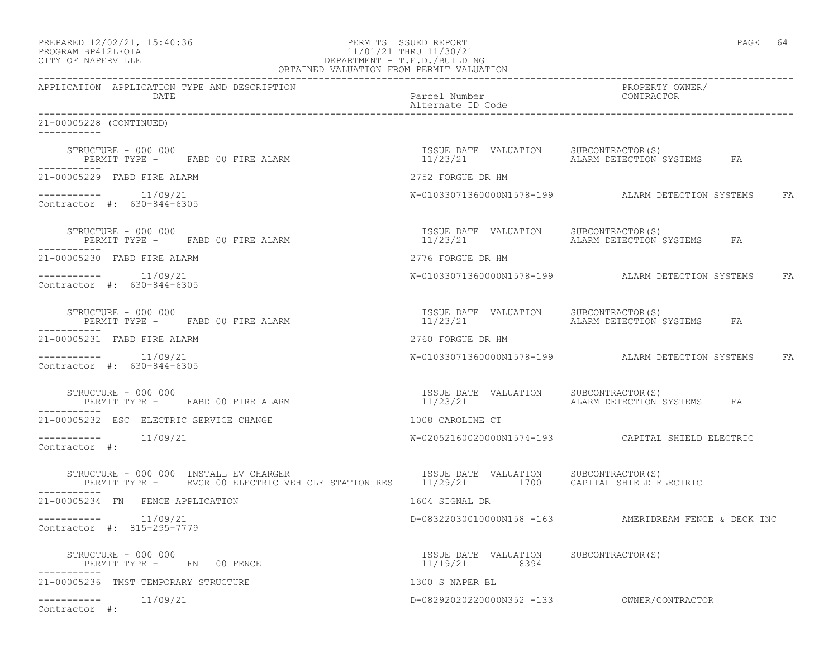| PREPARED 12/02/21, 15:40:36 |  |
|-----------------------------|--|
| DDACDAM RDA19T FATA         |  |

# PREPARED 12/02/21, 15:40:36 PERMITS ISSUED REPORT PAGE 64 PROGRAM BP412LFOIA 11/01/21 THRU 11/30/21<br>CITY OF NAPERVILLE DEPARTMENT - T.E.D./BUILDII DEPARTMENT - T.E.D./BUILDING

| OBTAINED VALUATION FROM PERMIT VALUATION                                                                                                                                                                                                        |                                                        |                                                       |  |
|-------------------------------------------------------------------------------------------------------------------------------------------------------------------------------------------------------------------------------------------------|--------------------------------------------------------|-------------------------------------------------------|--|
| APPLICATION APPLICATION TYPE AND DESCRIPTION<br>DATE                                                                                                                                                                                            | Parcel Number<br>Alternate ID Code                     | PROPERTY OWNER/<br>CONTRACTOR                         |  |
| 21-00005228 (CONTINUED)<br>-----------                                                                                                                                                                                                          |                                                        |                                                       |  |
| STRUCTURE - 000 000<br>PERMIT TYPE - FABD 00 FIRE ALARM                                                                                                                                                                                         | ISSUE DATE VALUATION SUBCONTRACTOR(S)<br>11/23/21      | ALARM DETECTION SYSTEMS FA                            |  |
| 21-00005229 FABD FIRE ALARM                                                                                                                                                                                                                     | 2752 FORGUE DR HM                                      |                                                       |  |
| $--------- 11/09/21$<br>Contractor #: 630-844-6305                                                                                                                                                                                              |                                                        | W-01033071360000N1578-199 ALARM DETECTION SYSTEMS FA  |  |
| STRUCTURE - 000 000<br>PERMIT TYPE - FABD 00 FIRE ALARM                                                                                                                                                                                         | ISSUE DATE VALUATION SUBCONTRACTOR(S)<br>11/23/21      | ALARM DETECTION SYSTEMS FA                            |  |
| 21-00005230 FABD FIRE ALARM                                                                                                                                                                                                                     | 2776 FORGUE DR HM                                      |                                                       |  |
| $--------- 11/09/21$<br>Contractor #: 630-844-6305                                                                                                                                                                                              |                                                        | W-01033071360000N1578-199 ALARM DETECTION SYSTEMS FA  |  |
| STRUCTURE - 000 000<br>PERMIT TYPE - FABD 00 FIRE ALARM                                                                                                                                                                                         | ISSUE DATE VALUATION SUBCONTRACTOR(S)<br>11/23/21      | ALARM DETECTION SYSTEMS FA                            |  |
| 21-00005231 FABD FIRE ALARM                                                                                                                                                                                                                     | 2760 FORGUE DR HM                                      |                                                       |  |
| --------- 11/09/21<br>Contractor #: 630-844-6305                                                                                                                                                                                                |                                                        | W-01033071360000N1578-199 ALARM DETECTION SYSTEMS FA  |  |
| STRUCTURE - 000 000<br>PERMIT TYPE - FABD 00 FIRE ALARM                                                                                                                                                                                         | ISSUE DATE VALUATION SUBCONTRACTOR(S)<br>11/23/21      | ALARM DETECTION SYSTEMS FA                            |  |
| 21-00005232 ESC ELECTRIC SERVICE CHANGE                                                                                                                                                                                                         | 1008 CAROLINE CT                                       |                                                       |  |
| $---------$ 11/09/21<br>Contractor #:                                                                                                                                                                                                           |                                                        | W-02052160020000N1574-193    CAPITAL SHIELD ELECTRIC  |  |
| STRUCTURE - 000 000 INSTALL EV CHARGER                                ISSUE DATE VALUATION     SUBCONTRACTOR(S)<br>PERMIT TYPE -      EVCR 00 ELECTRIC VEHICLE STATION RES      11/29/21        1700     CAPITAL SHIELD ELECTRIC<br>----------- |                                                        |                                                       |  |
| 21-00005234 FN FENCE APPLICATION                                                                                                                                                                                                                | 1604 SIGNAL DR                                         |                                                       |  |
| Contractor #: 815-295-7779                                                                                                                                                                                                                      |                                                        | D-08322030010000N158 -163 AMERIDREAM FENCE & DECK INC |  |
| STRUCTURE - 000 000<br>PERMIT TYPE - FN 00 FENCE                                                                                                                                                                                                | ISSUE DATE VALUATION SUBCONTRACTOR(S)<br>11/19/21 8394 |                                                       |  |
| 21-00005236 TMST TEMPORARY STRUCTURE                                                                                                                                                                                                            | 1300 S NAPER BL                                        |                                                       |  |
| Contractor #:                                                                                                                                                                                                                                   |                                                        | D-08292020220000N352 -133 OWNER/CONTRACTOR            |  |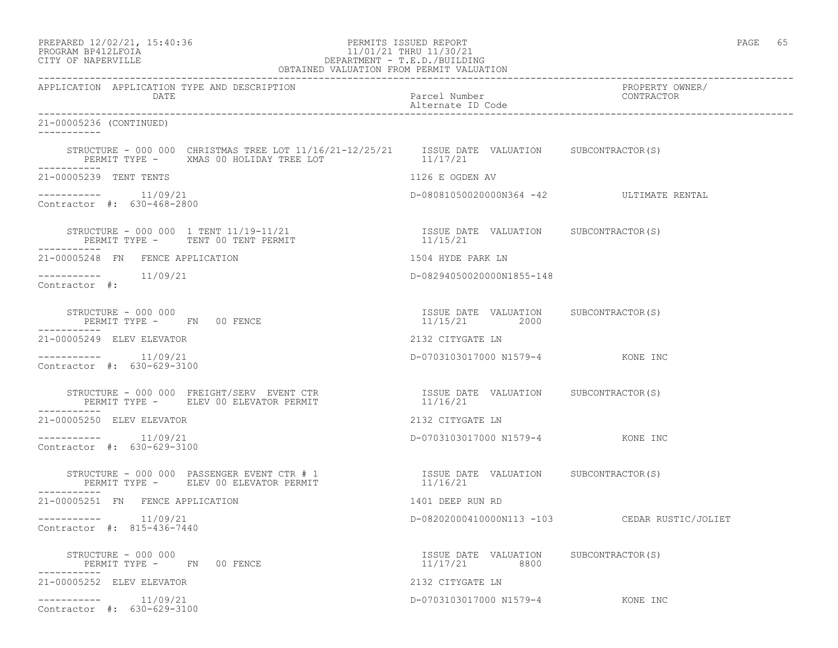| PREPARED 12/02/21, 15:40:36 |  |
|-----------------------------|--|
| PROGRAM RP412LFOIA          |  |

# PERMITS ISSUED REPORT **PAGE 65** PROGRAM BP412LFOIA 11/01/21 THRU 11/30/21 CITY OF NAPERVILLE (1999) 20 CITY OF NAPERVILLE CITY OF NAPERVILLE DEPARTMENT - T.E.D./BUILDING

| OBTAINED VALUATION FROM PERMIT VALUATION                                                                                                                                                                                                      |                                                        |                                               |  |  |
|-----------------------------------------------------------------------------------------------------------------------------------------------------------------------------------------------------------------------------------------------|--------------------------------------------------------|-----------------------------------------------|--|--|
| APPLICATION APPLICATION TYPE AND DESCRIPTION<br>DATE                                                                                                                                                                                          | Parcel Number<br>Alternate ID Code                     | PROPERTY OWNER/<br>CONTRACTOR                 |  |  |
| 21-00005236 (CONTINUED)<br>-----------                                                                                                                                                                                                        |                                                        |                                               |  |  |
| STRUCTURE - 000 000 CHRISTMAS TREE LOT 11/16/21-12/25/21   ISSUE DATE VALUATION   SUBCONTRACTOR(S)<br>PERMIT TYPE - XMAS 00 HOLIDAY TREE LOT                                                                                                  | 11/17/21                                               |                                               |  |  |
| ------------<br>21-00005239 TENT TENTS                                                                                                                                                                                                        | 1126 E OGDEN AV                                        |                                               |  |  |
| $--------$ 11/09/21<br>Contractor #: 630-468-2800                                                                                                                                                                                             | D-08081050020000N364 -42 ULTIMATE RENTAL               |                                               |  |  |
| PERMIT TYPE - TENT 00 TENT PERMIT<br>-----------                                                                                                                                                                                              |                                                        |                                               |  |  |
| 21-00005248 FN FENCE APPLICATION                                                                                                                                                                                                              | 1504 HYDE PARK LN                                      |                                               |  |  |
| $--------- 11/09/21$<br>Contractor #:                                                                                                                                                                                                         | D-08294050020000N1855-148                              |                                               |  |  |
| STRUCTURE - 000 000<br>PERMIT TYPE - FN 00 FENCE                                                                                                                                                                                              | ISSUE DATE VALUATION SUBCONTRACTOR(S)<br>11/15/21 2000 |                                               |  |  |
| 21-00005249 ELEV ELEVATOR                                                                                                                                                                                                                     | 2132 CITYGATE LN                                       |                                               |  |  |
| $--------$ 11/09/21<br>Contractor #: 630-629-3100                                                                                                                                                                                             | D-0703103017000 N1579-4 KONE INC                       |                                               |  |  |
| STRUCTURE – 000 000 FREIGHT/SERV EVENT CTR                          ISSUE DATE VALUATION     SUBCONTRACTOR(S)<br>PERMIT TYPE –      ELEV 00 ELEVATOR PERMIT                                 11/16/21<br>PERMIT TYPE - ELEV 00 ELEVATOR PERMIT |                                                        |                                               |  |  |
| 21-00005250 ELEV ELEVATOR                                                                                                                                                                                                                     | 2132 CITYGATE LN                                       |                                               |  |  |
| $--------- 11/09/21$<br>Contractor #: 630-629-3100                                                                                                                                                                                            | D-0703103017000 N1579-4 KONE INC                       |                                               |  |  |
| __________                                                                                                                                                                                                                                    |                                                        |                                               |  |  |
| 21-00005251 FN FENCE APPLICATION                                                                                                                                                                                                              | 1401 DEEP RUN RD                                       |                                               |  |  |
| $--------- 11/09/21$<br>Contractor #: 815-436-7440                                                                                                                                                                                            |                                                        | D-08202000410000N113 -103 CEDAR RUSTIC/JOLIET |  |  |
| STRUCTURE - 000 000<br>PERMIT TYPE - FN 00 FENCE                                                                                                                                                                                              | ISSUE DATE VALUATION SUBCONTRACTOR(S)<br>11/17/21 8800 |                                               |  |  |
| 21-00005252 ELEV ELEVATOR                                                                                                                                                                                                                     | 2132 CITYGATE LN                                       |                                               |  |  |
| $--------- 11/09/21$<br>Contractor #: 630-629-3100                                                                                                                                                                                            | D-0703103017000 N1579-4 KONE INC                       |                                               |  |  |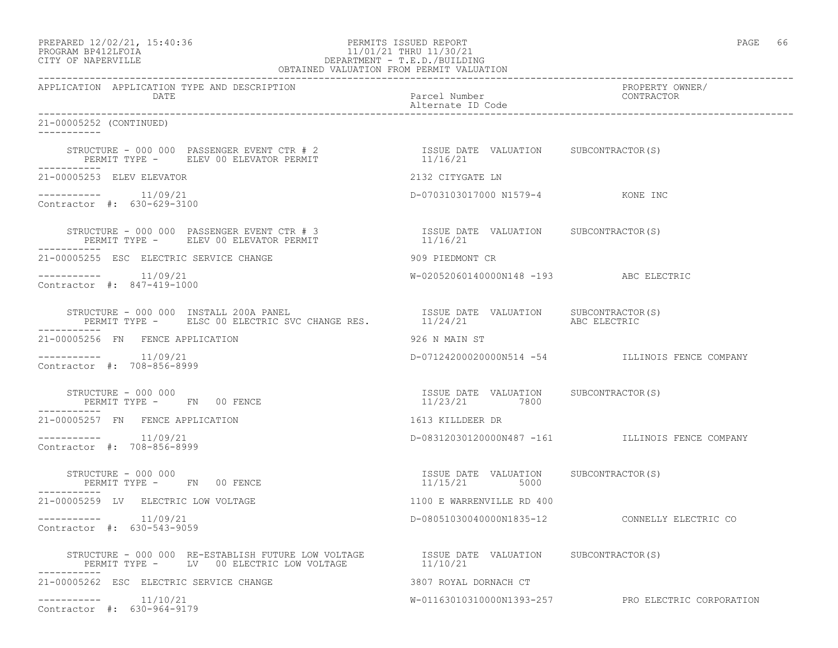# PROGRAM BP412LFOIA 11/01/21 THRU 11/30/21 CITY OF NAPERVILLE **EXECUTE:** DEPARTMENT - T.E.D./BUILDING

| OBTAINED VALUATION FROM PERMIT VALUATION                                                                                                                                                               |                                                        |                                                    |  |  |
|--------------------------------------------------------------------------------------------------------------------------------------------------------------------------------------------------------|--------------------------------------------------------|----------------------------------------------------|--|--|
| APPLICATION APPLICATION TYPE AND DESCRIPTION<br>DATE                                                                                                                                                   | Parcel Number<br>Alternate ID Code                     | PROPERTY OWNER/<br>CONTRACTOR                      |  |  |
| 21-00005252 (CONTINUED)<br>-----------                                                                                                                                                                 |                                                        |                                                    |  |  |
| STRUCTURE - 000 000 PASSENGER EVENT CTR # 2<br>PERMIT TYPE - ELEV 00 ELEVATOR PERMIT                                                                                                                   | ISSUE DATE VALUATION SUBCONTRACTOR(S)<br>11/16/21      |                                                    |  |  |
| 21-00005253 ELEV ELEVATOR                                                                                                                                                                              | 2132 CITYGATE LN                                       |                                                    |  |  |
| $--------- 11/09/21$<br>Contractor #: 630-629-3100                                                                                                                                                     | D-0703103017000 N1579-4 KONE INC                       |                                                    |  |  |
| STRUCTURE – 000 000 PASSENGER EVENT CTR # 3 $$\tt ISSUE$ DATE VALUATION $$\tt SUBCONTRACTOR(S)$ PERMIT TYPE – $$\tt ELEV$ 00 ELEVATOR PERMIT $$\tt 11/16/21$$<br>PERMIT TYPE - ELEV 00 ELEVATOR PERMIT |                                                        |                                                    |  |  |
| 21-00005255 ESC ELECTRIC SERVICE CHANGE                                                                                                                                                                | 909 PIEDMONT CR                                        |                                                    |  |  |
| $--------- 11/09/21$<br>Contractor #: 847-419-1000                                                                                                                                                     | W-02052060140000N148 -193 ABC ELECTRIC                 |                                                    |  |  |
| STRUCTURE - 000 000 INSTALL 200A PANEL<br>PERMIT TYPE - ELSC 00 ELECTRIC SVC CHANGE RES. 11/24/21                                                                                                      | ISSUE DATE VALUATION SUBCONTRACTOR(S)                  | ABC ELECTRIC                                       |  |  |
| 21-00005256 FN FENCE APPLICATION                                                                                                                                                                       | 926 N MAIN ST                                          |                                                    |  |  |
| 11/09/21<br>Contractor #: 708-856-8999                                                                                                                                                                 |                                                        | D-07124200020000N514 -54 ILLINOIS FENCE COMPANY    |  |  |
| STRUCTURE - 000 000<br>PERMIT TYPE - FN 00 FENCE                                                                                                                                                       | ISSUE DATE VALUATION SUBCONTRACTOR(S)<br>11/23/21 7800 |                                                    |  |  |
| 21-00005257 FN FENCE APPLICATION                                                                                                                                                                       | 1613 KILLDEER DR                                       |                                                    |  |  |
| $--------- 11/09/21$<br>Contractor #: 708-856-8999                                                                                                                                                     |                                                        | D-08312030120000N487 -161 ILLINOIS FENCE COMPANY   |  |  |
| STRUCTURE - 000 000<br>PERMIT TYPE - FN 00 FENCE<br>-----------                                                                                                                                        | ISSUE DATE VALUATION SUBCONTRACTOR(S)<br>11/15/21 5000 |                                                    |  |  |
| 21-00005259 LV ELECTRIC LOW VOLTAGE                                                                                                                                                                    | 1100 E WARRENVILLE RD 400                              |                                                    |  |  |
| Contractor #: 630-543-9059                                                                                                                                                                             |                                                        |                                                    |  |  |
| STRUCTURE – 000 000 RE-ESTABLISH FUTURE LOW VOLTAGE           ISSUE DATE VALUATION     SUBCONTRACTOR(S)<br>PERMIT TYPE –     LV  00 ELECTRIC LOW VOLTAGE                11/10/21                       |                                                        |                                                    |  |  |
| 21-00005262 ESC ELECTRIC SERVICE CHANGE                                                                                                                                                                | 3807 ROYAL DORNACH CT                                  |                                                    |  |  |
| $---------$ 11/10/21<br>Contractor #: 630-964-9179                                                                                                                                                     |                                                        | W-01163010310000N1393-257 PRO ELECTRIC CORPORATION |  |  |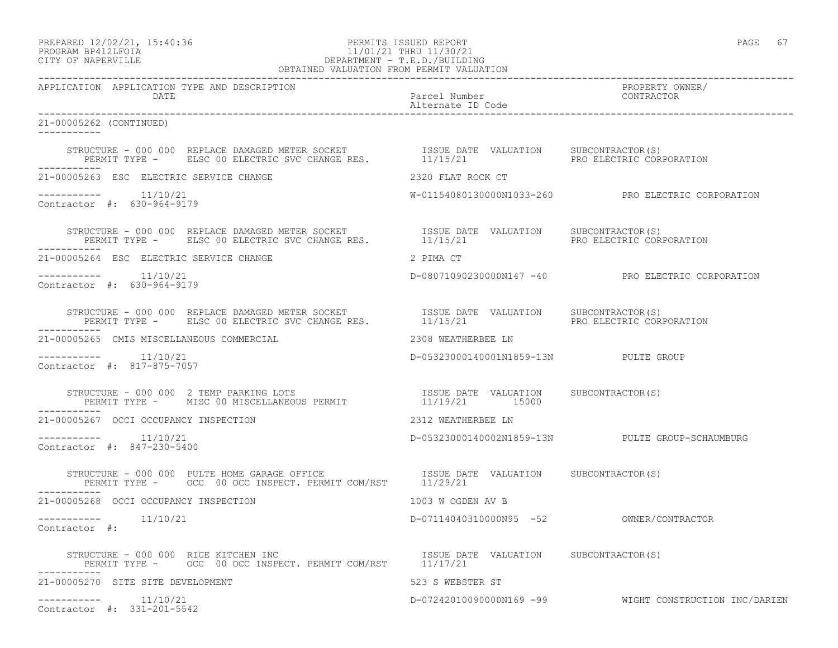# PROGRAM BP412LFOIA 11/01/21 THRU 11/30/21 CITY OF NAPERVILLE DEPARTMENT - T.E.D./BUILDING

| OBTAINED VALUATION FROM PERMIT VALUATION                                                                                                                                                                                    |                                          |                                                        |  |  |
|-----------------------------------------------------------------------------------------------------------------------------------------------------------------------------------------------------------------------------|------------------------------------------|--------------------------------------------------------|--|--|
| APPLICATION APPLICATION TYPE AND DESCRIPTION<br>DATE                                                                                                                                                                        | Parcel Number<br>Alternate ID Code       | PROPERTY OWNER/<br>CONTRACTOR                          |  |  |
| 21-00005262 (CONTINUED)                                                                                                                                                                                                     |                                          |                                                        |  |  |
|                                                                                                                                                                                                                             |                                          | PRO ELECTRIC CORPORATION                               |  |  |
| 21-00005263 ESC ELECTRIC SERVICE CHANGE                                                                                                                                                                                     | 2320 FLAT ROCK CT                        |                                                        |  |  |
| $--------- 11/10/21$<br>Contractor #: 630-964-9179                                                                                                                                                                          |                                          | W-01154080130000N1033-260 PRO ELECTRIC CORPORATION     |  |  |
| STRUCTURE - 000 000 REPLACE DAMAGED METER SOCKET               ISSUE DATE VALUATION     SUBCONTRACTOR(S)<br>PERMIT TYPE -      ELSC 00 ELECTRIC SVC CHANGE RES.            11/15/21                       PRO ELECTRIC CORP |                                          | PRO ELECTRIC CORPORATION                               |  |  |
| 21-00005264 ESC ELECTRIC SERVICE CHANGE                                                                                                                                                                                     | 2 PIMA CT                                |                                                        |  |  |
| $--------- 11/10/21$<br>Contractor #: 630-964-9179                                                                                                                                                                          |                                          | D-08071090230000N147 -40 PRO ELECTRIC CORPORATION      |  |  |
|                                                                                                                                                                                                                             |                                          | PRO ELECTRIC CORPORATION                               |  |  |
| 21-00005265 CMIS MISCELLANEOUS COMMERCIAL                                                                                                                                                                                   | 2308 WEATHERBEE LN                       |                                                        |  |  |
| 11/10/21<br>Contractor #: 817-875-7057                                                                                                                                                                                      | D-05323000140001N1859-13N PULTE GROUP    |                                                        |  |  |
| STRUCTURE - 000 000 2 TEMP PARKING LOTS                           ISSUE DATE VALUATION     SUBCONTRACTOR(S)<br>PERMIT TYPE -   MISC 00 MISCELLANEOUS PERMIT                   11/19/21       15000                          |                                          |                                                        |  |  |
| 21-00005267 OCCI OCCUPANCY INSPECTION                                                                                                                                                                                       | 2312 WEATHERBEE LN                       |                                                        |  |  |
| $--------- 11/10/21$<br>Contractor #: 847-230-5400                                                                                                                                                                          |                                          | D-05323000140002N1859-13N PULTE GROUP-SCHAUMBURG       |  |  |
| STRUCTURE - 000 000 PULTE HOME GARAGE OFFICE TSSUE DATE VALUATION SUBCONTRACTOR(S)<br>PERMIT TYPE - OCC 00 OCC INSPECT. PERMIT COM/RST 11/29/21<br>------------                                                             |                                          |                                                        |  |  |
| 21-00005268 OCCI OCCUPANCY INSPECTION                                                                                                                                                                                       | 1003 W OGDEN AV B                        |                                                        |  |  |
| $---------$ 11/10/21<br>Contractor #:                                                                                                                                                                                       | D-07114040310000N95 -52 OWNER/CONTRACTOR |                                                        |  |  |
| STRUCTURE - 000 000 RICE KITCHEN INC<br>PERMIT TYPE - OCC 00 OCC INSPECT. PERMIT COM/RST 11/17/21                                                                                                                           |                                          |                                                        |  |  |
| 21-00005270 SITE SITE DEVELOPMENT                                                                                                                                                                                           | 523 S WEBSTER ST                         |                                                        |  |  |
| $--------- 11/10/21$<br>Contractor #: 331-201-5542                                                                                                                                                                          |                                          | D-07242010090000N169 -99 WIGHT CONSTRUCTION INC/DARIEN |  |  |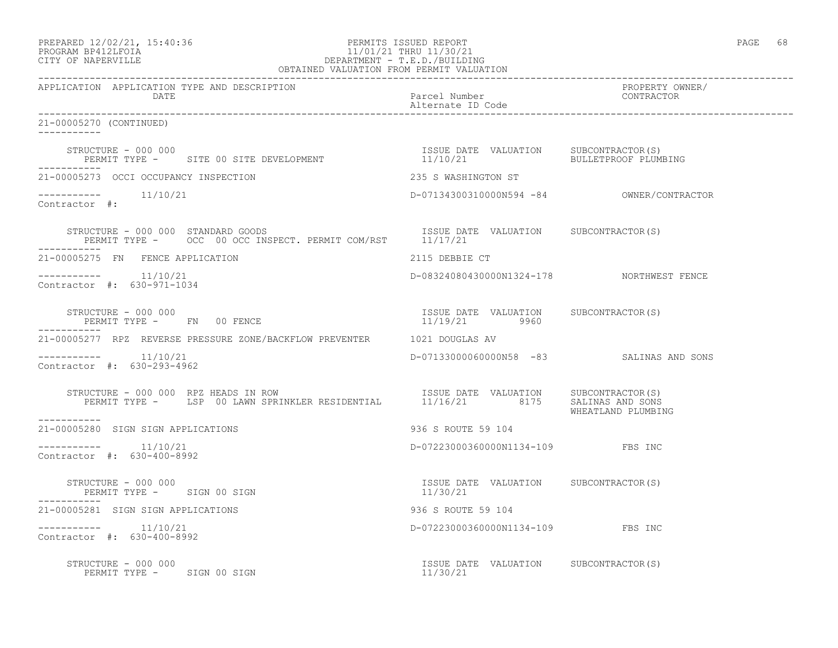### PREPARED 12/02/21, 15:40:36 PERMITS ISSUED REPORT PAGE 68 PROGRAM BP412LFOIA 11/01/21 THRU 11/30/21 CITY OF NAPERVILLE DEPARTMENT - T.E.D./BUILDING OBTAINED VALUATION FROM PERMIT VALUATION

------------------------------------------------------------------------------------------------------------------------------------ APPLICATION APPLICATION TYPE AND DESCRIPTION DATE DATE Parcel Number CONTRACTOR Alternate ID Code ------------------------------------------------------------------------------------------------------------------------------------ 21-00005270 (CONTINUED) ----------- STRUCTURE - 000 000 ISSUE DATE VALUATION SUBCONTRACTOR(S) PERMIT TYPE - SITE 00 SITE DEVELOPMENT ----------- 21-00005273 OCCI OCCUPANCY INSPECTION 235 S WASHINGTON ST ----------- 11/10/21 D-07134300310000N594 -84 OWNER/CONTRACTOR Contractor #: STRUCTURE - 000 000 STANDARD GOODS ISSUE DATE VALUATION SUBCONTRACTOR(S) PERMIT TYPE - OCC 00 OCC INSPECT. PERMIT COM/RST 11/17/21 ----------- 21-00005275 FN FENCE APPLICATION 2115 DEBBIE CT ----------- 11/10/21 D-08324080430000N1324-178 NORTHWEST FENCE Contractor #: 630-971-1034 STRUCTURE - 000 000 ISSUE DATE VALUATION SUBCONTRACTOR(S) PERMIT TYPE - FN 00 FENCE ----------- 21-00005277 RPZ REVERSE PRESSURE ZONE/BACKFLOW PREVENTER 1021 DOUGLAS AV ----------- 11/10/21 D-07133000060000N58 -83 SALINAS AND SONS Contractor #: 630-293-4962 STRUCTURE - 000 000 RPZ HEADS IN ROW ISSUE DATE VALUATION SUBCONTRACTOR(S) PERMIT TYPE - LSP 00 LAWN SPRINKLER RESIDENTIAL 11/16/21 8175 SALINAS AND SONS WHEATLAND PLUMBING ----------- 21-00005280 SIGN SIGN APPLICATIONS 936 S ROUTE 59 104 \_\_\_\_\_\_\_\_\_\_\_ ----------- 11/10/21 D-07223000360000N1134-109 FBS INC Contractor #: 630-400-8992 STRUCTURE - 000 000 ISSUE DATE VALUATION SUBCONTRACTOR(S) PERMIT TYPE - SIGN 00 SIGN 21-00005281 SIGN SIGN APPLICATIONS 936 S ROUTE 59 104 ----------- 11/10/21 D-07223000360000N1134-109 FBS INC Contractor #: 630-400-8992 STRUCTURE – 000 000<br>
PERMIT TYPE – SIGN 00 SIGN CONTRACTOR (S) ERMIT TYPE – SIGN 00 SIGN CONTRACTOR (S) 21 PERMIT TYPE - SIGN 00 SIGN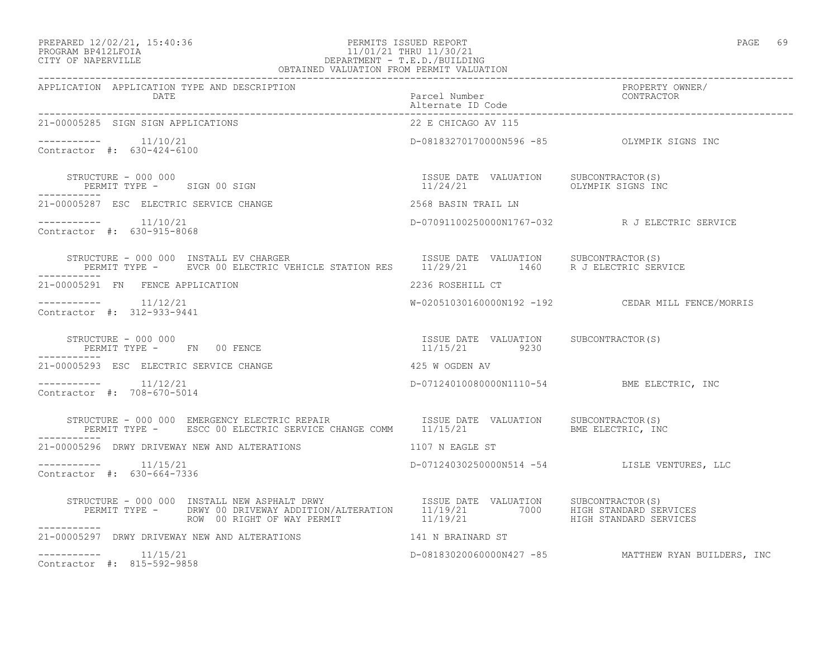### PREPARED 12/02/21, 15:40:36 PERMITS ISSUED REPORT PAGE 69 PROGRAM BP412LFOIA 11/01/21 THRU 11/30/21 CITY OF NAPERVILLE DEPARTMENT - T.E.D./BUILDING OBTAINED VALUATION FROM PERMIT VALUATION

| APPLICATION APPLICATION TYPE AND DESCRIPTION                                                                                                                                                                                    |                                                                     |                                                     |
|---------------------------------------------------------------------------------------------------------------------------------------------------------------------------------------------------------------------------------|---------------------------------------------------------------------|-----------------------------------------------------|
| 21-00005285 SIGN SIGN APPLICATIONS                                                                                                                                                                                              | 22 E CHICAGO AV 115                                                 |                                                     |
| -----------    11/10/21<br>Contractor #: 630-424-6100                                                                                                                                                                           | D-08183270170000N596 -85    QLYMPIK SIGNS INC                       |                                                     |
| STRUCTURE - 000 000<br>PERMIT TYPE - SIGN 00 SIGN                                                                                                                                                                               | ISSUE DATE VALUATION SUBCONTRACTOR(S)<br>11/24/21 OLYMPIK SIGNS INC |                                                     |
| 21-00005287 ESC ELECTRIC SERVICE CHANGE                                                                                                                                                                                         | 2568 BASIN TRAIL LN                                                 |                                                     |
| -----------    11/10/21<br>Contractor #: 630-915-8068                                                                                                                                                                           |                                                                     | D-07091100250000N1767-032 R J ELECTRIC SERVICE      |
| STRUCTURE - 000 000 INSTALL EV CHARGER                                ISSUE DATE VALUATION      SUBCONTRACTOR(S)<br>PERMIT TYPE -      EVCR 00 ELECTRIC VEHICLE STATION RES      11/29/21        1460      R J ELECTRIC SERVICE |                                                                     |                                                     |
| 21-00005291 FN FENCE APPLICATION                                                                                                                                                                                                | 2236 ROSEHILL CT                                                    |                                                     |
| $--------- 11/12/21$<br>Contractor #: 312-933-9441                                                                                                                                                                              |                                                                     | W-02051030160000N192 -192 CEDAR MILL FENCE/MORRIS   |
| STRUCTURE - 000 000<br>PERMIT TYPE - FN 00 FENCE<br>------------                                                                                                                                                                | ISSUE DATE VALUATION SUBCONTRACTOR(S)<br>11/15/21 9230              |                                                     |
| 21-00005293 ESC ELECTRIC SERVICE CHANGE                                                                                                                                                                                         | 425 W OGDEN AV                                                      |                                                     |
| $--------- 11/12/21$<br>Contractor #: 708-670-5014                                                                                                                                                                              | D-07124010080000N1110-54 BME ELECTRIC, INC                          |                                                     |
|                                                                                                                                                                                                                                 |                                                                     |                                                     |
| 21-00005296 DRWY DRIVEWAY NEW AND ALTERATIONS THE RESERVE THAT AND REAGLE ST                                                                                                                                                    |                                                                     |                                                     |
| $--------- 11/15/21$<br>Contractor #: 630-664-7336                                                                                                                                                                              |                                                                     | D-07124030250000N514 -54 LISLE VENTURES, LLC        |
|                                                                                                                                                                                                                                 |                                                                     |                                                     |
| 21-00005297 DRWY DRIVEWAY NEW AND ALTERATIONS 141 N BRAINARD ST                                                                                                                                                                 |                                                                     |                                                     |
| $--------- 11/15/21$<br>Contractor #: 815-592-9858                                                                                                                                                                              |                                                                     | D-08183020060000N427 -85 MATTHEW RYAN BUILDERS, INC |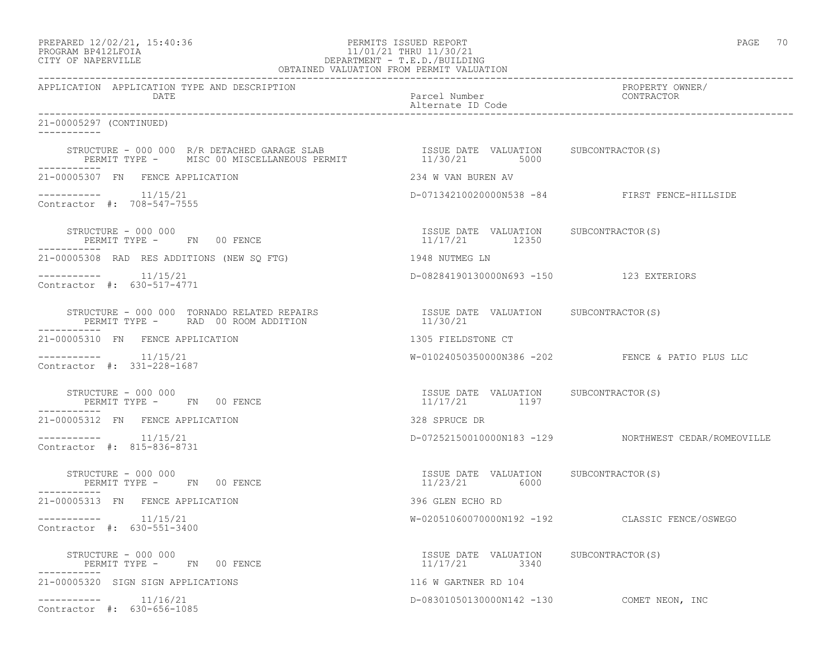### PREPARED 12/02/21, 15:40:36 PERMITS ISSUED REPORT PAGE 70 PROGRAM BP412LFOIA 11/01/21 THRU 11/30/21 CITY OF NAPERVILLE DEPARTMENT - T.E.D./BUILDING OBTAINED VALUATION FROM PERMIT VALUATION

------------------------------------------------------------------------------------------------------------------------------------ APPLICATION APPLICATION TYPE AND DESCRIPTION PROPERTY OWNER/ DATE Parcel Number Contractor Contractor Contractor Parcel Number Alternate ID Code ------------------------------------------------------------------------------------------------------------------------------------ 21-00005297 (CONTINUED) ----------- STRUCTURE - 000 000 R/R DETACHED GARAGE SLAB ISSUE DATE VALUATION SUBCONTRACTOR(S) PERMIT TYPE - MISC 00 MISCELLANEOUS PERMIT  $11/30/21$  5000 ----------- 21-00005307 FN FENCE APPLICATION 234 W VAN BUREN AV ----------- 11/15/21 D-07134210020000N538 -84 FIRST FENCE-HILLSIDE Contractor #: 708-547-7555 STRUCTURE - 000 000 ISSUE DATE VALUATION SUBCONTRACTOR(S) PERMIT TYPE - FN 00 FENCE ----------- 21-00005308 RAD RES ADDITIONS (NEW SQ FTG) 1948 NUTMEG LN ----------- 11/15/21 D-08284190130000N693 -150 123 EXTERIORS Contractor #: 630-517-4771 STRUCTURE - 000 000 TORNADO RELATED REPAIRS ISSUE DATE VALUATION SUBCONTRACTOR(S) PERMIT TYPE - RAD 00 ROOM ADDITION ----------- 21-00005310 FN FENCE APPLICATION 1305 FIELDSTONE CT ----------- 11/15/21 W-01024050350000N386 -202 FENCE & PATIO PLUS LLC Contractor #: 331-228-1687 STRUCTURE - 000 000 ISSUE DATE VALUATION SUBCONTRACTOR(S) PERMIT TYPE - FN 00 FENCE ----------- 21-00005312 FN FENCE APPLICATION 328 SPRUCE DR ----------- 11/15/21 D-07252150010000N183 -129 NORTHWEST CEDAR/ROMEOVILLE Contractor #: 815-836-8731 STRUCTURE - 000 000 ISSUE DATE VALUATION SUBCONTRACTOR(S) PERMIT TYPE - FN 00 FENCE ----------- 21-00005313 FN FENCE APPLICATION 396 GLEN ECHO RD ----------- 11/15/21 W-02051060070000N192 -192 CLASSIC FENCE/OSWEGO Contractor #: 630-551-3400 STRUCTURE - 000 000 ISSUE DATE VALUATION SUBCONTRACTOR(S) PERMIT TYPE - FN 00 FENCE ----------- 21-00005320 SIGN SIGN APPLICATIONS 116 W GARTNER RD 104 ----------- 11/16/21 D-08301050130000N142 -130 COMET NEON, INC Contractor #: 630-656-1085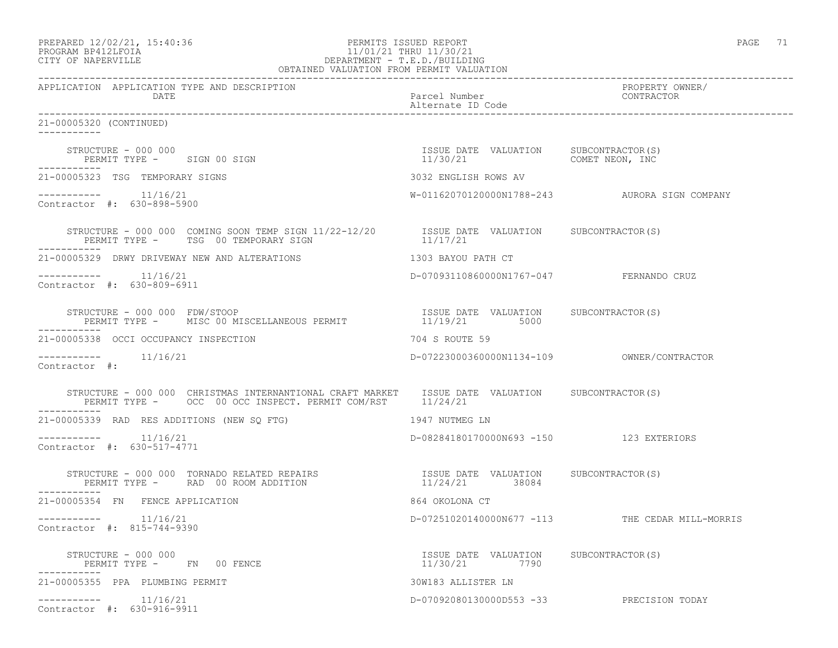-----------

-----------

-----------

-----------

-----------

-----------

### PREPARED 12/02/21, 15:40:36 PERMITS ISSUED REPORT PAGE 71 PROGRAM BP412LFOIA 11/01/21 THRU 11/30/21 CITY OF NAPERVILLE DEPARTMENT - T.E.D./BUILDING OBTAINED VALUATION FROM PERMIT VALUATION

------------------------------------------------------------------------------------------------------------------------------------ APPLICATION APPLICATION TYPE AND DESCRIPTION PROPERTY OWNER/ DATE Parcel Number Contractor Contractor Contractor Contractor Contractor Contractor Contractor Contractor Contractor Contractor Contractor Contractor Contractor Contractor Contractor Contractor Contractor Contractor Contr Alternate ID Code ------------------------------------------------------------------------------------------------------------------------------------ 21-00005320 (CONTINUED) STRUCTURE - 000 000 ISSUE DATE VALUATION SUBCONTRACTOR(S) PERMIT TYPE - SIGN 00 SIGN 11/30/21 COMET NEON, INC 21-00005323 TSG TEMPORARY SIGNS 3032 ENGLISH ROWS AV ----------- 11/16/21 W-01162070120000N1788-243 AURORA SIGN COMPANY Contractor #: 630-898-5900 STRUCTURE - 000 000 COMING SOON TEMP SIGN 11/22-12/20 ISSUE DATE VALUATION SUBCONTRACTOR(S) PERMIT TYPE - TSG 00 TEMPORARY SIGN 11/17/21 21-00005329 DRWY DRIVEWAY NEW AND ALTERATIONS 1303 BAYOU PATH CT ----------- 11/16/21 D-07093110860000N1767-047 FERNANDO CRUZ Contractor #: 630-809-6911 STRUCTURE - 000 000 FDW/STOOP ISSUE DATE VALUATION SUBCONTRACTOR(S) PERMIT TYPE - MISC 00 MISCELLANEOUS PERMIT  $11/19/21$  5000 21-00005338 OCCI OCCUPANCY INSPECTION 704 S ROUTE 59 ----------- 11/16/21 D-07223000360000N1134-109 OWNER/CONTRACTOR Contractor #: STRUCTURE - 000 000 CHRISTMAS INTERNANTIONAL CRAFT MARKET ISSUE DATE VALUATION SUBCONTRACTOR(S) PERMIT TYPE - OCC 00 OCC INSPECT. PERMIT COM/RST 11/24/21 21-00005339 RAD RES ADDITIONS (NEW SQ FTG) 1947 NUTMEG LN ----------- 11/16/21 D-08284180170000N693 -150 123 EXTERIORS Contractor #: 630-517-4771 STRUCTURE - 000 000 TORNADO RELATED REPAIRS ISSUE DATE VALUATION SUBCONTRACTOR(S) PERMIT TYPE - RAD 00 ROOM ADDITION 21-00005354 FN FENCE APPLICATION 864 OKOLONA CT ----------- 11/16/21 D-07251020140000N677 -113 THE CEDAR MILL-MORRIS Contractor #: 815-744-9390

 STRUCTURE - 000 000 ISSUE DATE VALUATION SUBCONTRACTOR(S) PERMIT TYPE - FN 00 FENCE ----------- 21-00005355 PPA PLUMBING PERMIT 30W183 ALLISTER LN ----------- 11/16/21 D-07092080130000D553 -33 PRECISION TODAY Contractor #: 630-916-9911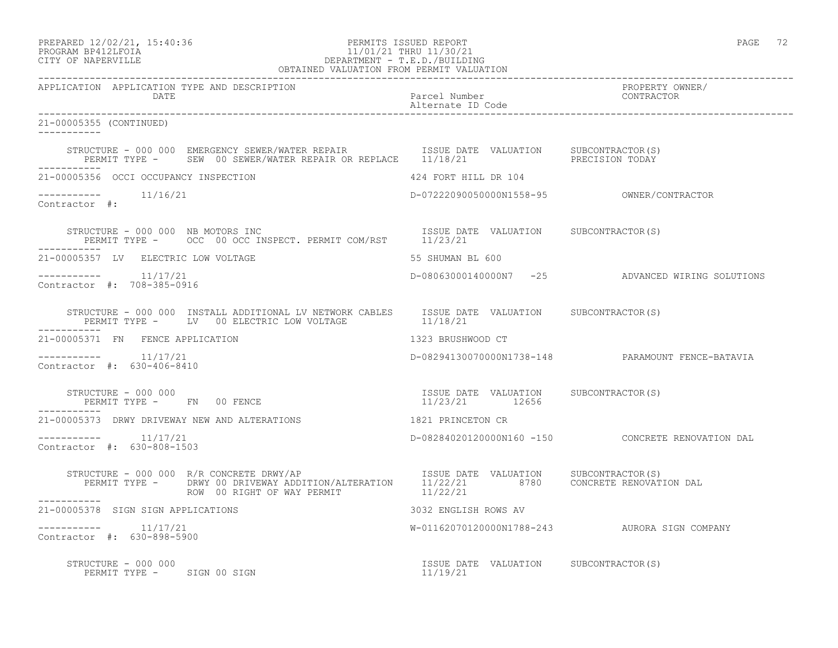### PREPARED 12/02/21, 15:40:36 PERMITS ISSUED REPORT PAGE 72 PROGRAM BP412LFOIA 11/01/21 THRU 11/30/21 CITY OF NAPERVILLE DEPARTMENT - T.E.D./BUILDING OBTAINED VALUATION FROM PERMIT VALUATION

| APPLICATION APPLICATION TYPE AND DESCRIPTION PACKERTHOM PACCEL Number PACCEL PUMBER PERPERTY OWNER/<br>DATE Parcel Number Paccel Dumber (CONTRACTOR Alternate ID Code enterprise of the contractor and the contraction<br>---------- |                                                         |                                                   |
|--------------------------------------------------------------------------------------------------------------------------------------------------------------------------------------------------------------------------------------|---------------------------------------------------------|---------------------------------------------------|
| 21-00005355 (CONTINUED)                                                                                                                                                                                                              |                                                         |                                                   |
| STRUCTURE – 000 000 EMERGENCY SEWER/WATER REPAIR      ISSUE DATE VALUATION     SUBCONTRACTOR(S)<br>PERMIT TYPE –     SEW 00 SEWER/WATER REPAIR OR REPLACE     11/18/21        PRECISION TODAY                                        |                                                         |                                                   |
| 21-00005356 OCCI OCCUPANCY INSPECTION                                                                                                                                                                                                | 424 FORT HILL DR 104                                    |                                                   |
| $--------$ 11/16/21<br>Contractor #:                                                                                                                                                                                                 |                                                         |                                                   |
| STRUCTURE - 000 000 NB MOTORS INC<br>PERMIT TYPE - OCC 00 OCC INSPECT. PERMIT COM/RST 11/23/21                                                                                                                                       |                                                         |                                                   |
| 21-00005357 LV ELECTRIC LOW VOLTAGE                                                                                                                                                                                                  | 55 SHUMAN BL 600                                        |                                                   |
| $--------- 11/17/21$<br>Contractor #: 708-385-0916                                                                                                                                                                                   |                                                         | D-08063000140000N7 -25 ADVANCED WIRING SOLUTIONS  |
| STRUCTURE – 000 000 INSTALL ADDITIONAL LV NETWORK CABLES ISSUE DATE VALUATION SUBCONTRACTOR(S)<br>PERMIT TYPE – LV 00 ELECTRIC LOW VOLTAGE 11/18/21                                                                                  |                                                         |                                                   |
| 21-00005371 FN FENCE APPLICATION                                                                                                                                                                                                     | 1323 BRUSHWOOD CT                                       |                                                   |
| $--------- 11/17/21$<br>Contractor #: 630-406-8410                                                                                                                                                                                   |                                                         | D-08294130070000N1738-148 PARAMOUNT FENCE-BATAVIA |
| STRUCTURE - 000 000<br>PERMIT TYPE - FN 00 FENCE                                                                                                                                                                                     | ISSUE DATE VALUATION SUBCONTRACTOR(S)<br>11/23/21 12656 |                                                   |
| 21-00005373 DRWY DRIVEWAY NEW AND ALTERATIONS                                                                                                                                                                                        | 1821 PRINCETON CR                                       |                                                   |
| Contractor #: 630-808-1503                                                                                                                                                                                                           |                                                         | D-08284020120000N160 -150 CONCRETE RENOVATION DAL |
|                                                                                                                                                                                                                                      |                                                         |                                                   |
| 21-00005378 SIGN SIGN APPLICATIONS                                                                                                                                                                                                   | 3032 ENGLISH ROWS AV                                    |                                                   |
| $--------- 11/17/21$<br>Contractor #: 630-898-5900                                                                                                                                                                                   |                                                         | W-01162070120000N1788-243 AURORA SIGN COMPANY     |
| STRUCTURE - 000 000<br>$\begin{array}{cccc} \texttt{STRUCTURE} & - & 000 & 000 \\ \texttt{PERMIT TYPE} & - & \texttt{SIGN} & 00 & \texttt{SGN} \\ \end{array}$                                                                       |                                                         |                                                   |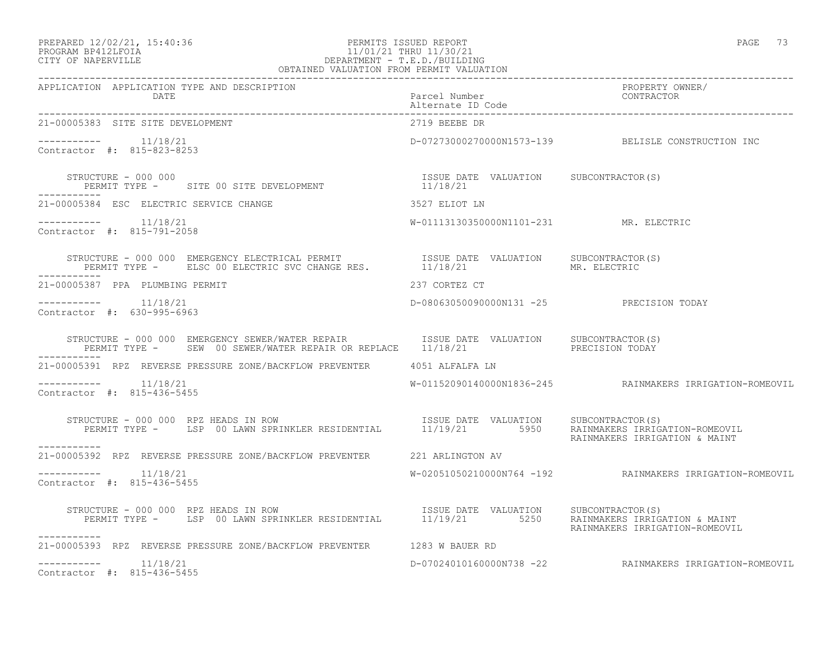### PREPARED 12/02/21, 15:40:36 PERMITS ISSUED REPORT PAGE 73 PROGRAM BP412LFOIA 11/01/21 THRU 11/30/21 CITY OF NAPERVILLE DEPARTMENT - T.E.D./BUILDING OBTAINED VALUATION FROM PERMIT VALUATION

| 21-00005383 SITE SITE DEVELOPMENT                                                                                                                                                                                                                                                  | 2719 BEEBE DR                            |                                                          |
|------------------------------------------------------------------------------------------------------------------------------------------------------------------------------------------------------------------------------------------------------------------------------------|------------------------------------------|----------------------------------------------------------|
| $--------- 11/18/21$<br>Contractor #: 815-823-8253                                                                                                                                                                                                                                 |                                          | D-07273000270000N1573-139 BELISLE CONSTRUCTION INC       |
| STRUCTURE - 000 000<br>PERMIT TYPE - SITE 00 SITE DEVELOPMENT 11/18/21<br>STRUCTURE - 000 000                                                                                                                                                                                      |                                          |                                                          |
| 21-00005384 ESC ELECTRIC SERVICE CHANGE<br>3527 ELIOT LN                                                                                                                                                                                                                           |                                          |                                                          |
| Contractor #: 815-791-2058                                                                                                                                                                                                                                                         | W-01113130350000N1101-231 MR. ELECTRIC   |                                                          |
| STRUCTURE - 000 000 EMERGENCY ELECTRICAL PERMIT $\begin{array}{ccc} \texttt{ISSUE} & \texttt{DATE} & \texttt{VALUATION} & \texttt{SUBCONTRACTOR(S)} \\ \texttt{PERMIT TYPE -} & \texttt{ELSC 00 ELECTRIC SVC CHANGE RES.} & \texttt{11/18/21} & \texttt{MR. ELECTRIC} \end{array}$ |                                          |                                                          |
| 21-00005387 PPA PLUMBING PERMIT                                                                                                                                                                                                                                                    | 237 CORTEZ CT                            |                                                          |
| $--------- 11/18/21$<br>Contractor #: 630-995-6963                                                                                                                                                                                                                                 | D-08063050090000N131 -25 PRECISION TODAY |                                                          |
| STRUCTURE - 000 000 EMERGENCY SEWER/WATER REPAIR TSSUE DATE VALUATION SUBCONTRACTOR(S)<br>PERMIT TYPE - SEW 00 SEWER/WATER REPAIR OR REPLACE 11/18/21 PRECISION TODAY                                                                                                              |                                          |                                                          |
| 21-00005391 RPZ REVERSE PRESSURE ZONE/BACKFLOW PREVENTER 4051 ALFALFA LN                                                                                                                                                                                                           |                                          |                                                          |
| $--------- 11/18/21$<br>Contractor #: 815-436-5455                                                                                                                                                                                                                                 |                                          | W-01152090140000N1836-245 RAINMAKERS IRRIGATION-ROMEOVIL |
| TRUCTURE - 000 000 RPZ HEADS IN ROW<br>PERMIT TYPE - LSP 00 LAWN SPRINKLER RESIDENTIAL 11/19/21 5950 RAINATES IRRIGATION-ROMEOVIL<br>STRUCTURE - 000 000 RPZ HEADS IN ROW<br>-----------                                                                                           |                                          | RAINMAKERS IRRIGATION & MAINT                            |
| 21-00005392 RPZ REVERSE PRESSURE ZONE/BACKFLOW PREVENTER 221 ARLINGTON AV                                                                                                                                                                                                          |                                          |                                                          |
| $--------- 11/18/21$<br>Contractor #: 815-436-5455                                                                                                                                                                                                                                 |                                          | W-02051050210000N764 -192 RAINMAKERS IRRIGATION-ROMEOVIL |
| -----------                                                                                                                                                                                                                                                                        |                                          |                                                          |
| 21-00005393 RPZ REVERSE PRESSURE ZONE/BACKFLOW PREVENTER 1283 W BAUER RD                                                                                                                                                                                                           |                                          |                                                          |
| $--------- 11/18/21$<br>Contractor #: 815-436-5455                                                                                                                                                                                                                                 |                                          | D-07024010160000N738 -22 RAINMAKERS IRRIGATION-ROMEOVIL  |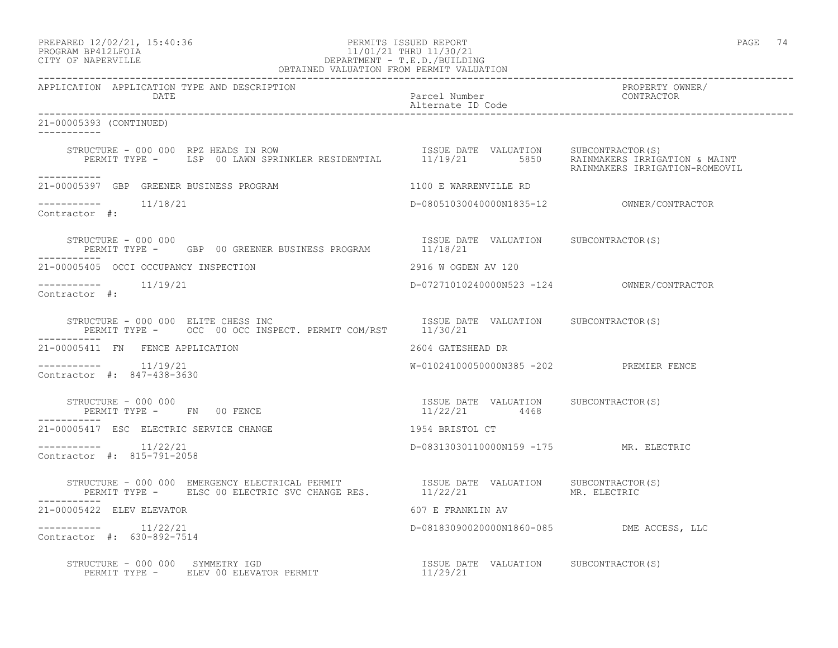# PREPARED 12/02/21, 15:40:36 PERMITS ISSUED REPORT PAGE 74 PROGRAM BP412LFOIA 11/01/21 THRU 11/30/21 CITY OF NAPERVILLE DEPARTMENT - T.E.D./BUILDING

| OBTAINED VALUATION FROM PERMIT VALUATION                                                                                                |                                                        |                               |
|-----------------------------------------------------------------------------------------------------------------------------------------|--------------------------------------------------------|-------------------------------|
| APPLICATION APPLICATION TYPE AND DESCRIPTION<br>DATE                                                                                    | Parcel Number<br>Alternate ID Code                     | PROPERTY OWNER/<br>CONTRACTOR |
| 21-00005393 (CONTINUED)                                                                                                                 |                                                        |                               |
|                                                                                                                                         |                                                        |                               |
| -----------<br>21-00005397 GBP GREENER BUSINESS PROGRAM                                                                                 | 1100 E WARRENVILLE RD                                  |                               |
| -----------    11/18/21<br>Contractor #:                                                                                                |                                                        |                               |
| STRUCTURE - 000 000<br>PERMIT TYPE - GBP 00 GREENER BUSINESS PROGRAM 11/18/21                                                           | ISSUE DATE VALUATION SUBCONTRACTOR (S)                 |                               |
| 21-00005405 OCCI OCCUPANCY INSPECTION                                                                                                   | 2916 W OGDEN AV 120                                    |                               |
| Contractor #:                                                                                                                           |                                                        |                               |
| STRUCTURE - 000 000 ELITE CHESS INC<br>PERMIT TYPE - OCC 00 OCC INSPECT. PERMIT COM/RST 11/30/21<br>STRUCTURE - 000 000 ELITE CHESS INC |                                                        |                               |
| 21-00005411 FN FENCE APPLICATION                                                                                                        | 2604 GATESHEAD DR                                      |                               |
| $--------- 11/19/21$<br>Contractor #: 847-438-3630                                                                                      | W-01024100050000N385 -202 PREMIER FENCE                |                               |
| STRUCTURE - 000 000<br>PERMIT TYPE - FN 00 FENCE                                                                                        | ISSUE DATE VALUATION SUBCONTRACTOR(S)<br>11/22/21 4468 |                               |
| 21-00005417 ESC ELECTRIC SERVICE CHANGE                                                                                                 | 1954 BRISTOL CT                                        |                               |
| $--------- 11/22/21$<br>Contractor #: 815-791-2058                                                                                      | D-08313030110000N159 -175 MR. ELECTRIC                 |                               |
|                                                                                                                                         |                                                        |                               |
| 21-00005422 ELEV ELEVATOR                                                                                                               | 607 E FRANKLIN AV                                      |                               |
| $--------- 11/22/21$<br>Contractor #: 630-892-7514                                                                                      | D-08183090020000N1860-085 DME ACCESS, LLC              |                               |
|                                                                                                                                         |                                                        |                               |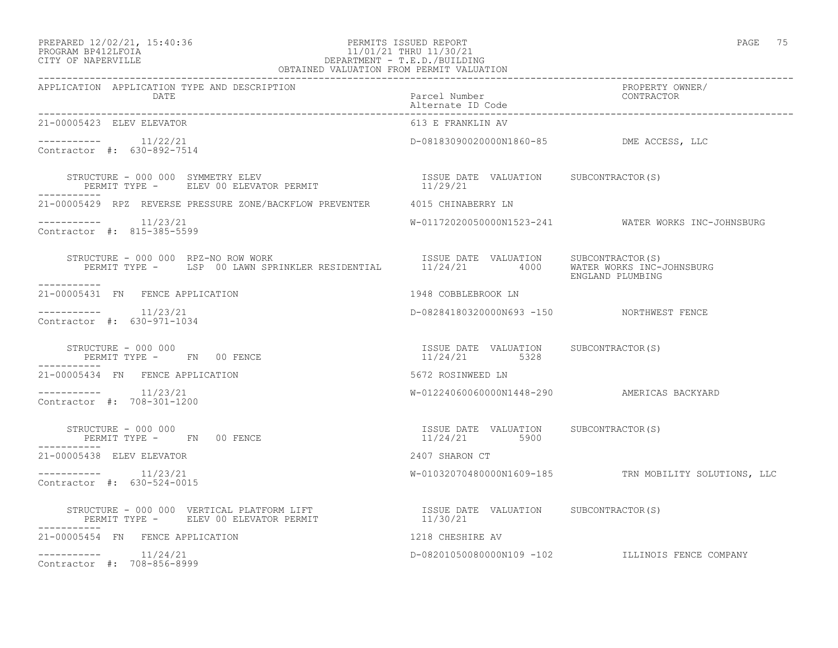### PREPARED 12/02/21, 15:40:36 PERMITS ISSUED REPORT PAGE 75 PROGRAM BP412LFOIA 11/01/21 THRU 11/30/21 CITY OF NAPERVILLE DEPARTMENT - T.E.D./BUILDING OBTAINED VALUATION FROM PERMIT VALUATION

| APPLICATION APPLICATION TYPE AND DESCRIPTION<br>DATE                                                                                                                                                          | Parcel Number<br>Alternate ID Code                     | PROPERTY OWNER/<br>CONTRACTOR                         |
|---------------------------------------------------------------------------------------------------------------------------------------------------------------------------------------------------------------|--------------------------------------------------------|-------------------------------------------------------|
| 21-00005423 ELEV ELEVATOR                                                                                                                                                                                     | 613 E FRANKLIN AV                                      |                                                       |
| Contractor #: 630-892-7514                                                                                                                                                                                    | D-08183090020000N1860-85 DME ACCESS, LLC               |                                                       |
| STRUCTURE - 000 000 SYMMETRY ELEV<br>PERMIT TYPE - ELEV 00 ELEVATOR PERMIT                                                                                                                                    | ISSUE DATE VALUATION SUBCONTRACTOR(S)<br>11/29/21      |                                                       |
| 21-00005429 RPZ REVERSE PRESSURE ZONE/BACKFLOW PREVENTER 4015 CHINABERRY LN                                                                                                                                   |                                                        |                                                       |
| $------- 11/23/21$<br>Contractor #: 815-385-5599                                                                                                                                                              |                                                        | W-01172020050000N1523-241 WATER WORKS INC-JOHNSBURG   |
| RUCTURE - 000 000 RPZ-NO ROW WORK (S)<br>PERMIT TYPE - LSP 00 LAWN SPRINKLER RESIDENTIAL (11/24/21 1000 WATER WORKS INC-JOHNSBURG)<br>ENGLAND PLUMBING<br>STRUCTURE - 000 000 RPZ-NO ROW WORK<br>------------ |                                                        | ENGLAND PLUMBING                                      |
| 21-00005431 FN FENCE APPLICATION                                                                                                                                                                              | 1948 COBBLEBROOK LN                                    |                                                       |
| Contractor #: 630-971-1034                                                                                                                                                                                    | D-08284180320000N693 -150 NORTHWEST FENCE              |                                                       |
| STRUCTURE - 000 000<br>PERMIT TYPE - FN 00 FENCE                                                                                                                                                              | ISSUE DATE VALUATION SUBCONTRACTOR(S)<br>11/24/21 5328 |                                                       |
| 21-00005434 FN FENCE APPLICATION                                                                                                                                                                              | 5672 ROSINWEED LN                                      |                                                       |
| $--------$ 11/23/21<br>Contractor #: 708-301-1200                                                                                                                                                             |                                                        | W-01224060060000N1448-290 AMERICAS BACKYARD           |
| STRUCTURE - 000 000<br>PERMIT TYPE - FN 00 FENCE                                                                                                                                                              | ISSUE DATE VALUATION SUBCONTRACTOR(S)<br>11/24/21 5900 |                                                       |
| 21-00005438 ELEV ELEVATOR                                                                                                                                                                                     | 2407 SHARON CT                                         |                                                       |
| $--------- 11/23/21$<br>Contractor #: 630-524-0015                                                                                                                                                            |                                                        | W-01032070480000N1609-185 TRN MOBILITY SOLUTIONS, LLC |
| STRUCTURE – 000 000 VERTICAL PLATFORM LIFT                        ISSUE DATE VALUATION     SUBCONTRACTOR(S)<br>PERMIT TYPE –      ELEV 00 ELEVATOR PERMIT                             11/30/21<br>----------- |                                                        |                                                       |
| 21-00005454 FN FENCE APPLICATION                                                                                                                                                                              | 1218 CHESHIRE AV                                       |                                                       |
| $--------- 11/24/21$<br>Contractor #: 708-856-8999                                                                                                                                                            |                                                        | D-08201050080000N109 -102 ILLINOIS FENCE COMPANY      |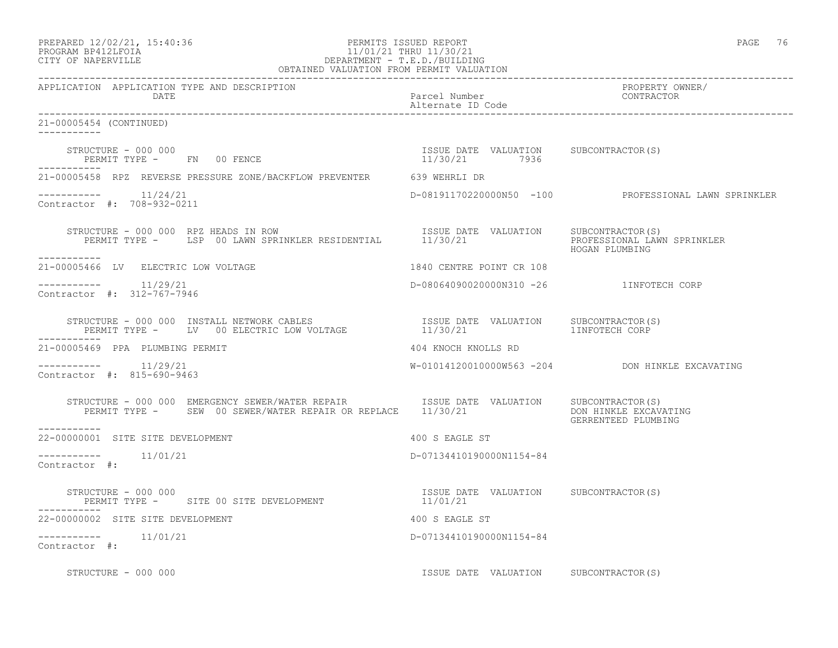| PREPARED 12/02/21, 15:40:36 |  |
|-----------------------------|--|
| PROGRAM RP412LFOIA          |  |

# PREPARED 12/02/21, 15:40:36 PERMITS ISSUED REPORT PAGE 76 PROGRAM BP412LFOIA 11/01/21 THRU 11/30/21 CITY OF NAPERVILLE (1999) 20 DEPARTMENT - T.E.D. /BUILDIN DEPARTMENT - T.E.D./BUILDING

| OBTAINED VALUATION FROM PERMIT VALUATION                                                                                                                                                                                                                                                                                                                                                                                                        |                                         |                                                      |
|-------------------------------------------------------------------------------------------------------------------------------------------------------------------------------------------------------------------------------------------------------------------------------------------------------------------------------------------------------------------------------------------------------------------------------------------------|-----------------------------------------|------------------------------------------------------|
| APPLICATION APPLICATION TYPE AND DESCRIPTION<br>DATE                                                                                                                                                                                                                                                                                                                                                                                            | Parcel Number<br>Alternate ID Code      | PROPERTY OWNER/<br>CONTRACTOR                        |
| 21-00005454 (CONTINUED)                                                                                                                                                                                                                                                                                                                                                                                                                         |                                         |                                                      |
|                                                                                                                                                                                                                                                                                                                                                                                                                                                 |                                         |                                                      |
| 21-00005458 RPZ REVERSE PRESSURE ZONE/BACKFLOW PREVENTER 639 WEHRLI DR                                                                                                                                                                                                                                                                                                                                                                          |                                         |                                                      |
| $---------$ 11/24/21<br>Contractor #: 708-932-0211                                                                                                                                                                                                                                                                                                                                                                                              |                                         | D-08191170220000N50 -100 PROFESSIONAL LAWN SPRINKLER |
| ------------                                                                                                                                                                                                                                                                                                                                                                                                                                    |                                         | PROFESSIONAL LAWN SPRINKLER<br>HOGAN PLUMBING        |
| 21-00005466 LV ELECTRIC LOW VOLTAGE                                                                                                                                                                                                                                                                                                                                                                                                             | 1840 CENTRE POINT CR 108                |                                                      |
| $--------- 11/29/21$<br>Contractor #: 312-767-7946                                                                                                                                                                                                                                                                                                                                                                                              | D-08064090020000N310 -26 1INFOTECH CORP |                                                      |
| -----------                                                                                                                                                                                                                                                                                                                                                                                                                                     |                                         | SUBCONTRACTOR(S)                                     |
| 21-00005469 PPA PLUMBING PERMIT                                                                                                                                                                                                                                                                                                                                                                                                                 | 404 KNOCH KNOLLS RD                     |                                                      |
| $--------$ 11/29/21<br>Contractor #: 815-690-9463                                                                                                                                                                                                                                                                                                                                                                                               |                                         | W-01014120010000W563 -204 DON HINKLE EXCAVATING      |
| STRUCTURE - 000 000 EMERGENCY SEWER/WATER REPAIR TSSUE DATE VALUATION SUBCONTRACTOR(S)<br>PERMIT TYPE - SEW 00 SEWER/WATER REPAIR OR REPLACE 11/30/21 DON HINKLE EXCAV<br>-----------                                                                                                                                                                                                                                                           |                                         | DON HINKLE EXCAVATING<br>GERRENTEED PLUMBING         |
| 22-00000001 SITE SITE DEVELOPMENT                                                                                                                                                                                                                                                                                                                                                                                                               | 400 S EAGLE ST                          |                                                      |
| $--------- 11/01/21$<br>Contractor #:                                                                                                                                                                                                                                                                                                                                                                                                           | D-07134410190000N1154-84                |                                                      |
| $\begin{minipage}{0.5\textwidth} \centering \begin{tabular}{lcccc} \texttt{STRUCTUR} & \texttt{S} & \texttt{S} & \texttt{S} & \texttt{S} & \texttt{S} & \texttt{S} & \texttt{S} & \texttt{S} & \texttt{S} & \texttt{S} & \texttt{S} & \texttt{S} & \texttt{S} & \texttt{S} & \texttt{S} & \texttt{S} & \texttt{S} & \texttt{S} & \texttt{S} & \texttt{S} & \texttt{S} & \texttt{S} & \texttt{S} & \texttt{S} & \texttt{S} & \texttt{S} & \text$ |                                         |                                                      |
| 22-00000002 SITE SITE DEVELOPMENT                                                                                                                                                                                                                                                                                                                                                                                                               | 400 S EAGLE ST                          |                                                      |
| $--------- 11/01/21$<br>Contractor #:                                                                                                                                                                                                                                                                                                                                                                                                           | D-07134410190000N1154-84                |                                                      |
| STRUCTURE - 000 000                                                                                                                                                                                                                                                                                                                                                                                                                             | ISSUE DATE VALUATION SUBCONTRACTOR(S)   |                                                      |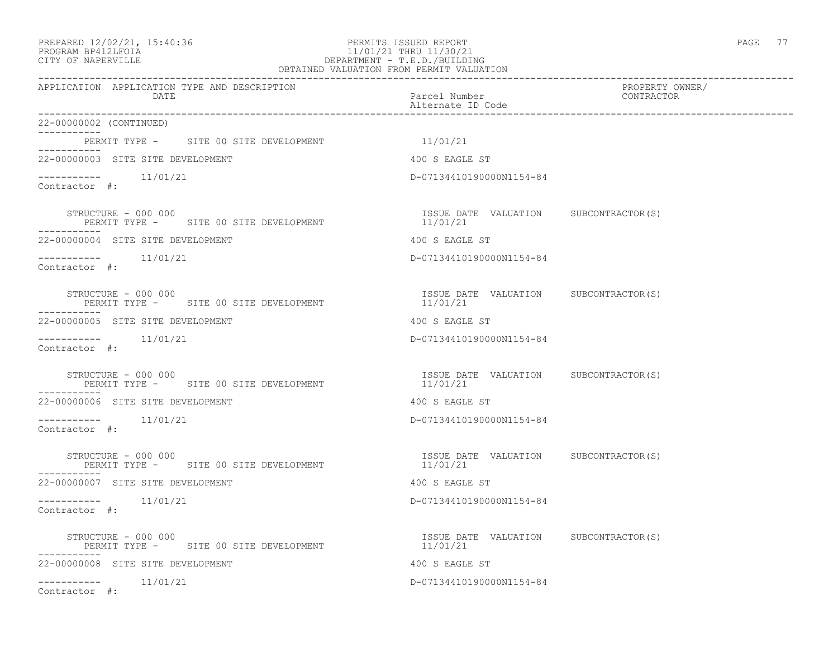### PREPARED 12/02/21, 15:40:36 PERMITS ISSUED REPORT PAGE 77 PROGRAM BP412LFOIA 11/01/21 THRU 11/30/21 CITY OF NAPERVILLE DEPARTMENT - T.E.D./BUILDING OBTAINED VALUATION FROM PERMIT VALUATION

| APPLICATION APPLICATION TYPE AND DESCRIPTION<br>DATE                          | Parcel Number<br>Alternate ID Code                | PROPERTY OWNER/<br>CONTRACTOR |
|-------------------------------------------------------------------------------|---------------------------------------------------|-------------------------------|
| 22-00000002 (CONTINUED)                                                       |                                                   |                               |
| PERMIT TYPE - SITE 00 SITE DEVELOPMENT                                        | 11/01/21                                          |                               |
| 22-00000003 SITE SITE DEVELOPMENT                                             | 400 S EAGLE ST                                    |                               |
| $--------- 11/01/21$<br>Contractor #:                                         | D-07134410190000N1154-84                          |                               |
| STRUCTURE - 000 000<br>PERMIT TYPE - SITE 00 SITE DEVELOPMENT<br>------------ | ISSUE DATE VALUATION SUBCONTRACTOR(S)<br>11/01/21 |                               |
| 22-00000004 SITE SITE DEVELOPMENT                                             | 400 S EAGLE ST                                    |                               |
| $--------- 11/01/21$<br>Contractor #:                                         | D-07134410190000N1154-84                          |                               |
| STRUCTURE - 000 000<br>PERMIT TYPE - SITE 00 SITE DEVELOPMENT                 | ISSUE DATE VALUATION SUBCONTRACTOR(S)<br>11/01/21 |                               |
| 22-00000005 SITE SITE DEVELOPMENT                                             | 400 S EAGLE ST                                    |                               |
| -----------    11/01/21<br>Contractor #:                                      | D-07134410190000N1154-84                          |                               |
| STRUCTURE - 000 000<br>PERMIT TYPE - SITE 00 SITE DEVELOPMENT                 | ISSUE DATE VALUATION SUBCONTRACTOR(S)<br>11/01/21 |                               |
| 22-00000006 SITE SITE DEVELOPMENT                                             | 400 S EAGLE ST                                    |                               |
| $--------- 11/01/21$<br>Contractor #:                                         | D-07134410190000N1154-84                          |                               |
| STRUCTURE - 000 000<br>PERMIT TYPE - SITE 00 SITE DEVELOPMENT                 | ISSUE DATE VALUATION SUBCONTRACTOR(S)<br>11/01/21 |                               |
| 22-00000007 SITE SITE DEVELOPMENT                                             | 400 S EAGLE ST                                    |                               |
| $--------- 11/01/21$<br>Contractor #:                                         | D-07134410190000N1154-84                          |                               |
| STRUCTURE - 000 000<br>PERMIT TYPE - SITE 00 SITE DEVELOPMENT                 | ISSUE DATE VALUATION SUBCONTRACTOR(S)<br>11/01/21 |                               |
| ------------<br>22-00000008 SITE SITE DEVELOPMENT                             | 400 S EAGLE ST                                    |                               |
| $--------- 11/01/21$<br>Contractor #:                                         | D-07134410190000N1154-84                          |                               |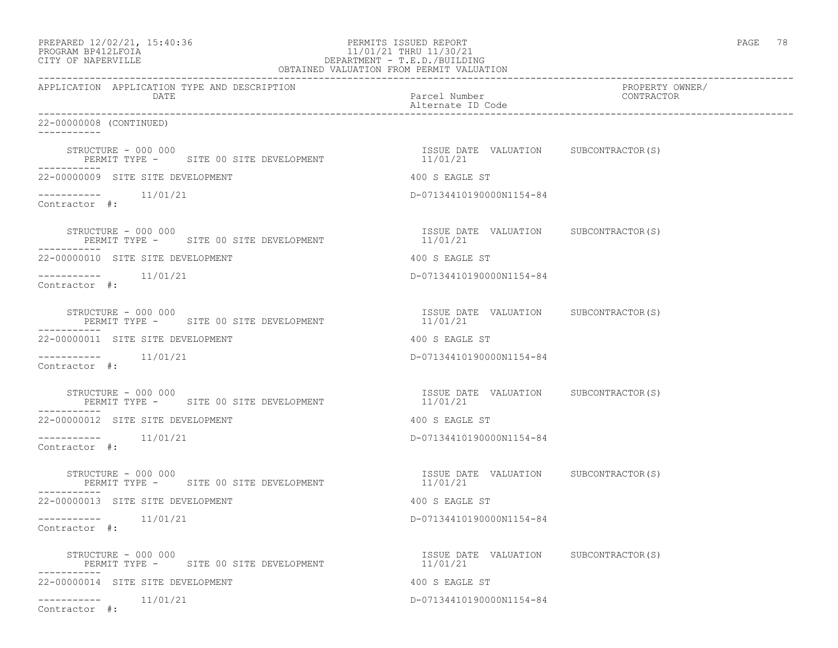# PREPARED 12/02/21, 15:40:36 PERMITS ISSUED REPORT PAGE 78 PROGRAM BP412LFOIA 11/01/21 THRU 11/30/21 CITY OF NAPERVILLE DEPARTMENT - T.E.D./BUILDING

| OBTAINED VALUATION FROM PERMIT VALUATION                      |                                                   |                               |
|---------------------------------------------------------------|---------------------------------------------------|-------------------------------|
| APPLICATION APPLICATION TYPE AND DESCRIPTION<br>DATE          | Parcel Number<br>Alternate ID Code                | PROPERTY OWNER/<br>CONTRACTOR |
| 22-00000008 (CONTINUED)<br>___________                        |                                                   |                               |
| STRUCTURE - 000 000<br>PERMIT TYPE - SITE 00 SITE DEVELOPMENT | ISSUE DATE VALUATION SUBCONTRACTOR(S)<br>11/01/21 |                               |
| 22-00000009 SITE SITE DEVELOPMENT                             | 400 S EAGLE ST                                    |                               |
| $--------$ 11/01/21<br>Contractor #:                          | D-07134410190000N1154-84                          |                               |
| STRUCTURE - 000 000<br>PERMIT TYPE - SITE 00 SITE DEVELOPMENT | ISSUE DATE VALUATION SUBCONTRACTOR(S)<br>11/01/21 |                               |
| 22-00000010 SITE SITE DEVELOPMENT                             | 400 S EAGLE ST                                    |                               |
| $--------$ 11/01/21<br>Contractor #:                          | D-07134410190000N1154-84                          |                               |
| STRUCTURE - 000 000<br>PERMIT TYPE - SITE 00 SITE DEVELOPMENT | ISSUE DATE VALUATION SUBCONTRACTOR(S)<br>11/01/21 |                               |
| 22-00000011 SITE SITE DEVELOPMENT                             | 400 S EAGLE ST                                    |                               |
| -----------<br>11/01/21<br>Contractor #:                      | D-07134410190000N1154-84                          |                               |
| STRUCTURE - 000 000<br>PERMIT TYPE - SITE 00 SITE DEVELOPMENT | ISSUE DATE VALUATION SUBCONTRACTOR(S)<br>11/01/21 |                               |
| 22-00000012 SITE SITE DEVELOPMENT                             | 400 S EAGLE ST                                    |                               |
| $--------- 11/01/21$<br>Contractor #:                         | D-07134410190000N1154-84                          |                               |
| STRUCTURE - 000 000<br>PERMIT TYPE - SITE 00 SITE DEVELOPMENT | ISSUE DATE VALUATION SUBCONTRACTOR(S)<br>11/01/21 |                               |
| 22-00000013 SITE SITE DEVELOPMENT                             | 400 S EAGLE ST                                    |                               |
| $--------- 11/01/21$<br>Contractor #:                         | D-07134410190000N1154-84                          |                               |
| STRUCTURE - 000 000<br>PERMIT TYPE - SITE 00 SITE DEVELOPMENT | ISSUE DATE VALUATION SUBCONTRACTOR(S)<br>11/01/21 |                               |
| 22-00000014 SITE SITE DEVELOPMENT                             | 400 S EAGLE ST                                    |                               |
| $--------- 11/01/21$<br>Contractor #:                         | D-07134410190000N1154-84                          |                               |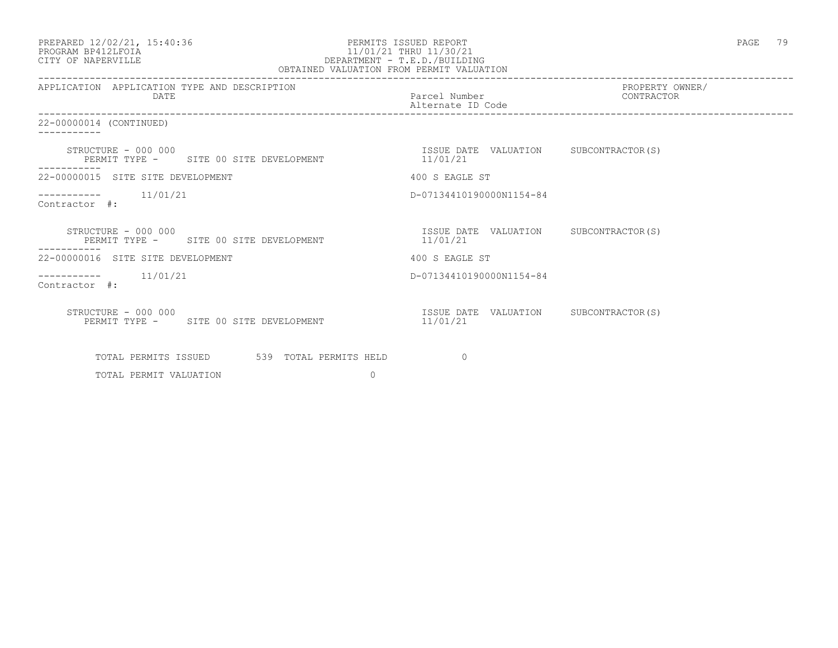| PREPARED 12/02/21, 15:40:36 |  |
|-----------------------------|--|
| PROGRAM BP412LFOIA          |  |

## PERMITS ISSUED REPORT **PAGE 79** PROGRAM BP412LFOIA 11/01/21 THRU 11/30/21<br>CITY OF NAPERVILLE DEPARTMENT - T.E.D./BUILDIN CITY OF NAPERVILLE DEPARTMENT - T.E.D./BUILDING OBTAINED VALUATION FROM PERMIT VALUATION

| APPLICATION APPLICATION TYPE AND DESCRIPTION<br><b>DATE</b>   | Parcel Number<br>Alternate ID Code                | PROPERTY OWNER/<br>CONTRACTOR |
|---------------------------------------------------------------|---------------------------------------------------|-------------------------------|
| 22-00000014 (CONTINUED)                                       |                                                   |                               |
| STRUCTURE - 000 000<br>PERMIT TYPE - SITE 00 SITE DEVELOPMENT | ISSUE DATE VALUATION SUBCONTRACTOR(S)<br>11/01/21 |                               |
| 22-00000015 SITE SITE DEVELOPMENT                             | 400 S EAGLE ST                                    |                               |
| $--------- 11/01/21$<br>Contractor #:                         | D-07134410190000N1154-84                          |                               |
| STRUCTURE - 000 000<br>PERMIT TYPE - SITE 00 SITE DEVELOPMENT | ISSUE DATE VALUATION SUBCONTRACTOR(S)<br>11/01/21 |                               |
| 22-00000016 SITE SITE DEVELOPMENT                             | 400 S EAGLE ST                                    |                               |
| ----------    11/01/21<br>Contractor #:                       | D-07134410190000N1154-84                          |                               |
| STRUCTURE - 000 000<br>PERMIT TYPE - SITE 00 SITE DEVELOPMENT | ISSUE DATE VALUATION<br>11/01/21                  | SUBCONTRACTOR(S)              |
| TOTAL PERMITS ISSUED 539 TOTAL PERMITS HELD                   | $\Omega$                                          |                               |
| $\Omega$<br>TOTAL PERMIT VALUATION                            |                                                   |                               |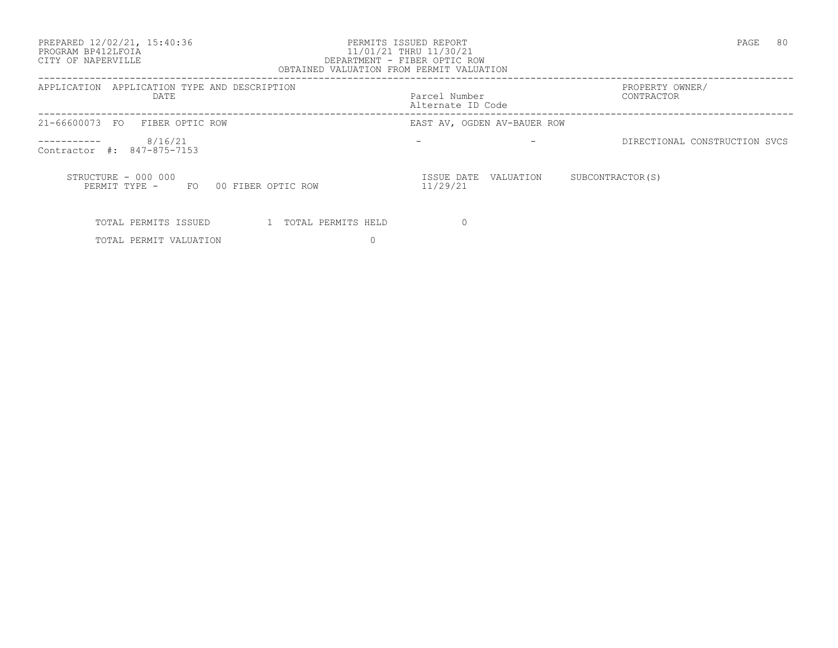PREPARED 12/02/21, 15:40:36 PERMITS ISSUED REPORT PAGE 80

## PROGRAM BP412LFOIA 11/01/21 THRU 11/30/21 CITY OF NAPERVILLE DEPARTMENT - FIBER OPTIC ROW OBTAINED VALUATION FROM PERMIT VALUATION

------------------------------------------------------------------------------------------------------------------------------------ APPLICATION APPLICATION TYPE AND DESCRIPTION  $PATE$  DATE Parcel Number CONTRACTOR Alternate ID Code ------------------------------------------------------------------------------------------------------------------------------------ 21-66600073 FO FIBER OPTIC ROW  $--------- 8/16/21$ - The settlement of the settlement of the settlement of the settlement of the settlement of the set of the set of the set of the set of the set of the set of the set of the set of the set of the set of the set of the set o Contractor #: 847-875-7153 STRUCTURE - 000 000 ISSUE DATE VALUATION SUBCONTRACTOR(S) PERMIT TYPE - FO 00 FIBER OPTIC ROW 11/29/21 TOTAL PERMITS ISSUED 1 TOTAL PERMITS HELD 0

TOTAL PERMIT VALUATION 0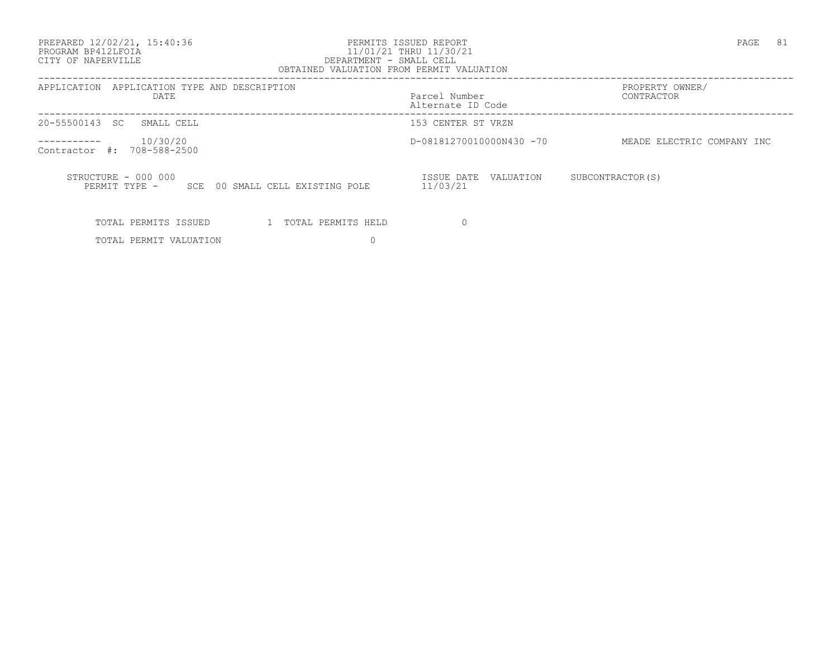PREPARED 12/02/21, 15:40:36 PERMITS ISSUED REPORT PAGE 81

## PROGRAM BP412LFOIA 11/01/21 THRU 11/30/21 CITY OF NAPERVILLE DEPARTMENT - SMALL CELL OBTAINED VALUATION FROM PERMIT VALUATION

------------------------------------------------------------------------------------------------------------------------------------

| APPLICATION TYPE AND DESCRIPTION<br>APPLICATION<br>DATE                    | Parcel Number<br>Alternate ID Code  | PROPERTY OWNER/<br>CONTRACTOR |
|----------------------------------------------------------------------------|-------------------------------------|-------------------------------|
| 20-55500143<br>SMALL CELL<br>-SC-                                          | 153 CENTER ST VRZN                  |                               |
| 10/30/20<br>708-588-2500<br>Contractor<br>$\#$ :                           | D-08181270010000N430 -70            | MEADE ELECTRIC COMPANY INC    |
| STRUCTURE - 000 000<br>00 SMALL CELL EXISTING POLE<br>PERMIT TYPE -<br>SCE | ISSUE DATE<br>VALUATION<br>11/03/21 | SUBCONTRACTOR (S)             |
| TOTAL PERMITS ISSUED<br>TOTAL PERMITS HELD                                 |                                     |                               |

TOTAL PERMIT VALUATION 0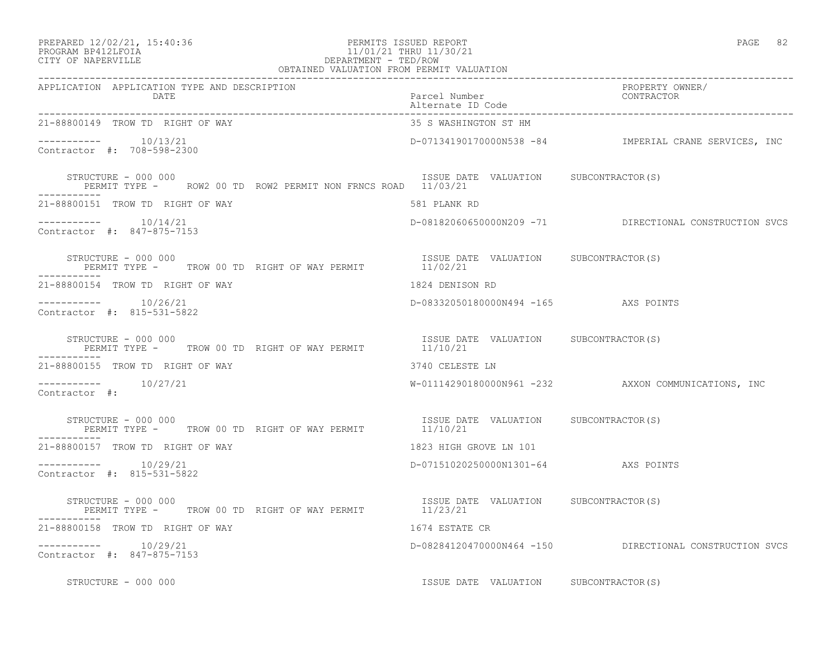| PREPARED 12/02/21, 15:40:36 |  |
|-----------------------------|--|
| -------- -- -- ------       |  |

## PREPARED 12/02/21, 15:40:36 PERMITS ISSUED REPORT PAGE 82 PROGRAM BP412LFOIA 11/01/21 THRU 11/30/21 CITY OF NAPERVILLE DEPARTMENT - TED/ROW

| OBTAINED VALUATION FROM PERMIT VALUATION                                            |                                                   |                                                         |  |
|-------------------------------------------------------------------------------------|---------------------------------------------------|---------------------------------------------------------|--|
| APPLICATION APPLICATION TYPE AND DESCRIPTION<br><b>DATE</b>                         | Parcel Number<br>Alternate ID Code                | PROPERTY OWNER/<br>CONTRACTOR                           |  |
| 21-88800149 TROW TD RIGHT OF WAY                                                    | 35 S WASHINGTON ST HM                             |                                                         |  |
| Contractor #: 708-598-2300                                                          |                                                   | D-07134190170000N538 -84 IMPERIAL CRANE SERVICES, INC   |  |
| STRUCTURE - 000 000<br>PERMIT TYPE - ROW2 00 TD ROW2 PERMIT NON FRNCS ROAD 11/03/21 | ISSUE DATE VALUATION SUBCONTRACTOR(S)             |                                                         |  |
| 21-88800151 TROW TD RIGHT OF WAY                                                    | 581 PLANK RD                                      |                                                         |  |
| $--------- 10/14/21$<br>Contractor #: 847-875-7153                                  |                                                   | D-08182060650000N209 -71 DIRECTIONAL CONSTRUCTION SVCS  |  |
| STRUCTURE - 000 000<br>PERMIT TYPE - TROW 00 TD RIGHT OF WAY PERMIT 11/02/21        | ISSUE DATE VALUATION SUBCONTRACTOR(S)             |                                                         |  |
| 21-88800154 TROW TD RIGHT OF WAY                                                    | 1824 DENISON RD                                   |                                                         |  |
| $--------$ 10/26/21<br>Contractor #: 815-531-5822                                   | D-08332050180000N494 -165 AXS POINTS              |                                                         |  |
| STRUCTURE - 000 000<br>PERMIT TYPE -     TROW 00 TD RIGHT OF WAY PERMIT             | ISSUE DATE VALUATION SUBCONTRACTOR(S)<br>11/10/21 |                                                         |  |
| 21-88800155 TROW TD RIGHT OF WAY                                                    | 3740 CELESTE LN                                   |                                                         |  |
| $--------- 10/27/21$<br>Contractor #:                                               |                                                   | W-01114290180000N961 -232 AXXON COMMUNICATIONS, INC     |  |
| STRUCTURE - 000 000<br>PERMIT TYPE - TROW 00 TD RIGHT OF WAY PERMIT 11/10/21        | ISSUE DATE VALUATION SUBCONTRACTOR(S)             |                                                         |  |
| 21-88800157 TROW TD RIGHT OF WAY                                                    | 1823 HIGH GROVE LN 101                            |                                                         |  |
| $--------$ 10/29/21<br>Contractor #: 815-531-5822                                   | D-07151020250000N1301-64 AXS POINTS               |                                                         |  |
| STRUCTURE - 000 000<br>PERMIT TYPE - TROW 00 TD RIGHT OF WAY PERMIT 11/23/21        | ISSUE DATE VALUATION SUBCONTRACTOR(S)             |                                                         |  |
| 21-88800158 TROW TD RIGHT OF WAY                                                    | 1674 ESTATE CR                                    |                                                         |  |
| -----------    10/29/21<br>Contractor #: 847-875-7153                               |                                                   | D-08284120470000N464 -150 DIRECTIONAL CONSTRUCTION SVCS |  |
| STRUCTURE - 000 000                                                                 | ISSUE DATE VALUATION SUBCONTRACTOR(S)             |                                                         |  |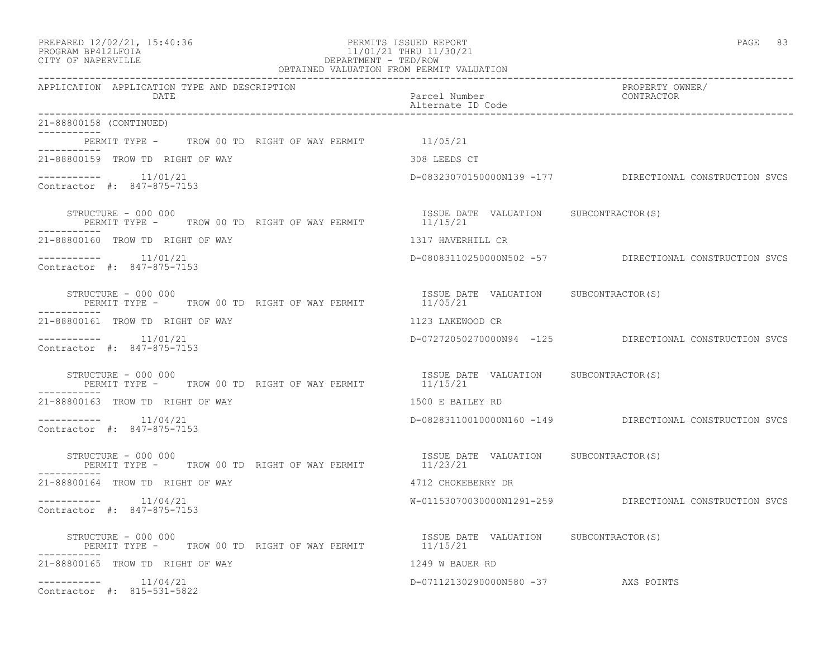| PREPARED 12/02/21, 15:40:36 |  |
|-----------------------------|--|
|                             |  |

### PREPARED 12/02/21, 15:40:36 PERMITS ISSUED REPORT PAGE 83 PROGRAM BP412LFOIA 11/01/21 THRU 11/30/21 CITY OF NAPERVILLE DEPARTMENT - TED/ROW CITY OF NAPERVILLE **Example 20** and the contract of the DEPARTMENT - TED/ROW OBTAINED VALUATION FROM PERMIT VALUATION

| APPLICATION APPLICATION TYPE AND DESCRIPTION<br>DATE                         | Parcel Number<br>Alternate ID Code                | PROPERTY OWNER/<br>CONTRACTOR                           |
|------------------------------------------------------------------------------|---------------------------------------------------|---------------------------------------------------------|
| 21-88800158 (CONTINUED)                                                      |                                                   |                                                         |
| PERMIT TYPE - TROW 00 TD RIGHT OF WAY PERMIT 11/05/21                        |                                                   |                                                         |
| 21-88800159 TROW TD RIGHT OF WAY                                             | 308 LEEDS CT                                      |                                                         |
| $--------- 11/01/21$<br>Contractor #: 847-875-7153                           |                                                   | D-08323070150000N139 -177 DIRECTIONAL CONSTRUCTION SVCS |
| STRUCTURE - 000 000<br>PERMIT TYPE - TROW 00 TD RIGHT OF WAY PERMIT 11/15/21 | ISSUE DATE VALUATION SUBCONTRACTOR(S)             |                                                         |
| -----------<br>21-88800160 TROW TD RIGHT OF WAY                              | 1317 HAVERHILL CR                                 |                                                         |
| $--------- 11/01/21$<br>Contractor #: 847-875-7153                           |                                                   | D-08083110250000N502 -57 DIRECTIONAL CONSTRUCTION SVCS  |
| STRUCTURE - 000 000<br>PERMIT TYPE - TROW 00 TD RIGHT OF WAY PERMIT 11/05/21 | ISSUE DATE VALUATION SUBCONTRACTOR(S)             |                                                         |
| 21-88800161 TROW TD RIGHT OF WAY                                             | 1123 LAKEWOOD CR                                  |                                                         |
| $--------- 11/01/21$<br>Contractor #: 847-875-7153                           |                                                   | D-07272050270000N94 -125 DIRECTIONAL CONSTRUCTION SVCS  |
| STRUCTURE - 000 000<br>PERMIT TYPE -     TROW 00 TD RIGHT OF WAY PERMIT      | ISSUE DATE VALUATION SUBCONTRACTOR(S)<br>11/15/21 |                                                         |
| 21-88800163 TROW TD RIGHT OF WAY                                             | 1500 E BAILEY RD                                  |                                                         |
| $--------- 11/04/21$<br>Contractor #: 847-875-7153                           |                                                   | D-08283110010000N160 -149 DIRECTIONAL CONSTRUCTION SVCS |
| STRUCTURE - 000 000<br>PERMIT TYPE - TROW 00 TD RIGHT OF WAY PERMIT 11/23/21 | ISSUE DATE VALUATION SUBCONTRACTOR(S)             |                                                         |
| 21-88800164 TROW TD RIGHT OF WAY                                             | 4712 CHOKEBERRY DR                                |                                                         |
| $---------$ 11/04/21<br>Contractor #: 847-875-7153                           |                                                   | W-01153070030000N1291-259 DIRECTIONAL CONSTRUCTION SVCS |
| STRUCTURE - 000 000<br>PERMIT TYPE - TROW 00 TD RIGHT OF WAY PERMIT 11/15/21 | ISSUE DATE VALUATION SUBCONTRACTOR (S)            |                                                         |
| 21-88800165 TROW TD RIGHT OF WAY                                             | 1249 W BAUER RD                                   |                                                         |
| $---------$ 11/04/21<br>Contractor #: 815-531-5822                           | D-07112130290000N580 -37 AXS POINTS               |                                                         |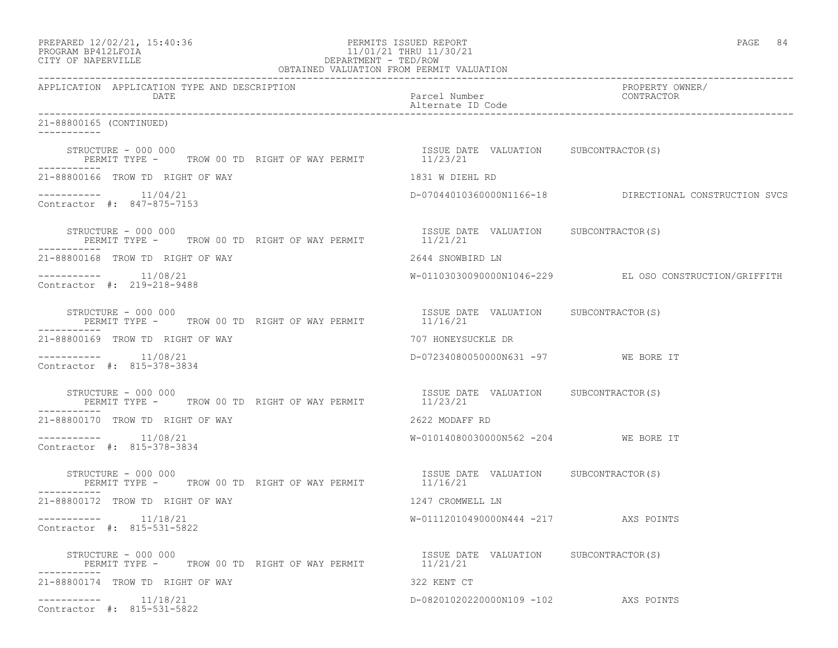| PREPARED 12/02/21, 15:40:36<br>PERMITS ISSUED REPORT<br>PROGRAM BP412LFOIA<br>CITY OF NAPERVILLE<br>CITY OF NAPERVILLE<br>CITY OF NAPERVILLE<br>CITY OF NAPERVILLE<br>COBTAINED VALUATION FROM PERMIT VALUATION |                                                   | PAGE 84                                                |  |
|-----------------------------------------------------------------------------------------------------------------------------------------------------------------------------------------------------------------|---------------------------------------------------|--------------------------------------------------------|--|
| APPLICATION APPLICATION TYPE AND DESCRIPTION<br>DATE                                                                                                                                                            |                                                   | PROPERTY OWNER/                                        |  |
| 21-88800165 (CONTINUED)                                                                                                                                                                                         |                                                   |                                                        |  |
| STRUCTURE - 000 000<br>PERMIT TYPE - TROW 00 TD RIGHT OF WAY PERMIT 11/23/21<br>---------<br>-----------                                                                                                        |                                                   |                                                        |  |
| 21-88800166 TROW TD RIGHT OF WAY                                                                                                                                                                                | 1831 W DIEHL RD                                   |                                                        |  |
| $--------- 11/04/21$<br>Contractor #: 847-875-7153                                                                                                                                                              |                                                   | D-07044010360000N1166-18 DIRECTIONAL CONSTRUCTION SVCS |  |
| STRUCTURE - 000 000<br>PERMIT TYPE -     TROW 00 TD RIGHT OF WAY PERMIT                11/21/21<br>STRUCTURE - 000 000                                                                                          |                                                   |                                                        |  |
| 21-88800168 TROW TD RIGHT OF WAY                                                                                                                                                                                | 2644 SNOWBIRD LN                                  |                                                        |  |
| $--------- 11/08/21$<br>Contractor #: 219-218-9488                                                                                                                                                              |                                                   | W-01103030090000N1046-229 EL OSO CONSTRUCTION/GRIFFITH |  |
| STRUCTURE - 000 000<br>PERMIT TYPE -     TROW 00 TD RIGHT OF WAY PERMIT                 11/16/21                                                                                                                |                                                   |                                                        |  |
| 21-88800169 TROW TD RIGHT OF WAY                                                                                                                                                                                | 707 HONEYSUCKLE DR                                |                                                        |  |
| $--------- 11/08/21$<br>Contractor #: 815-378-3834                                                                                                                                                              | D-07234080050000N631 -97 WE BORE IT               |                                                        |  |
| STRUCTURE - 000 000<br>PERMIT TYPE -      TROW 00 TD RIGHT OF WAY PERMIT               11/23/21<br>-----------                                                                                                  | ISSUE DATE VALUATION SUBCONTRACTOR(S)             |                                                        |  |
| 21-88800170 TROW TD RIGHT OF WAY                                                                                                                                                                                | 2622 MODAFF RD                                    |                                                        |  |
| $--------- 11/08/21$<br>Contractor #: 815-378-3834                                                                                                                                                              | W-01014080030000N562 -204 WE BORE IT              |                                                        |  |
| STRUCTURE - 000 000<br>PERMIT TYPE -     TROW 00 TD RIGHT OF WAY PERMIT           11/16/21                                                                                                                      |                                                   |                                                        |  |
| 21-88800172 TROW TD RIGHT OF WAY                                                                                                                                                                                | 1247 CROMWELL LN                                  |                                                        |  |
| $--------- 11/18/21$<br>Contractor #: 815-531-5822                                                                                                                                                              | W-01112010490000N444 -217 AXS POINTS              |                                                        |  |
| STRUCTURE - 000 000<br>PERMIT TYPE -     TROW 00 TD RIGHT OF WAY PERMIT                                                                                                                                         | ISSUE DATE VALUATION SUBCONTRACTOR(S)<br>11/21/21 |                                                        |  |
| 21-88800174 TROW TD RIGHT OF WAY                                                                                                                                                                                | 322 KENT CT                                       |                                                        |  |
| $--------- 11/18/21$<br>Contractor #: 815-531-5822                                                                                                                                                              | D-08201020220000N109 -102 AXS POINTS              |                                                        |  |